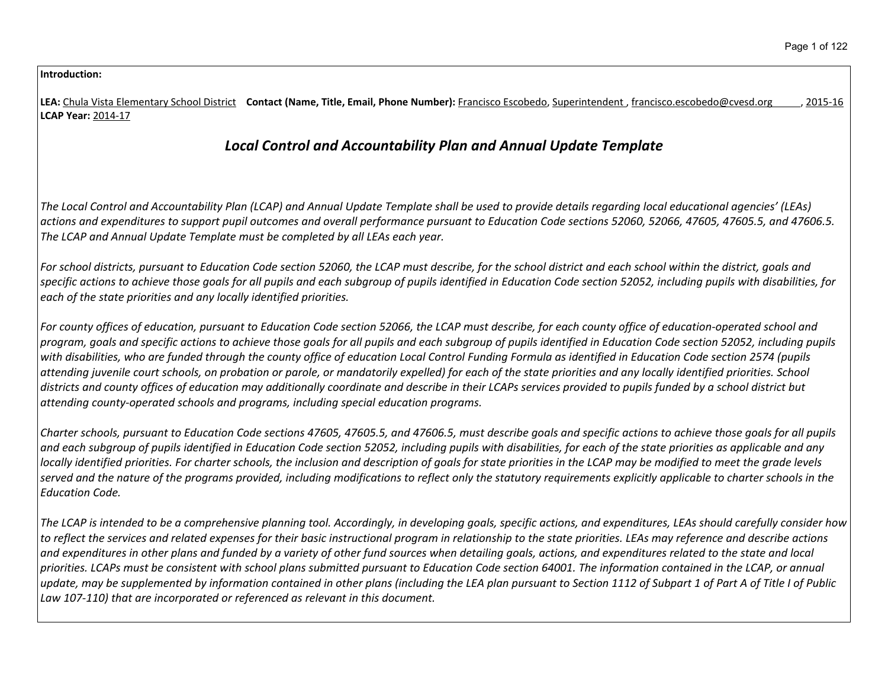**Introduction:**

| Contact (Name, Title, Email, Phone Number): Francisco Escobedo, Superintendent, francisco.escobedo@cvesd.org<br><b>LEA:</b> Chula Vista Elementary School District<br>2015-16<br><b>LCAP Year: 2014-17</b>                                                                                                                                                                                                                                                                                                                                                                                                                                                                                                                                                                                                                                                                                                                     |
|--------------------------------------------------------------------------------------------------------------------------------------------------------------------------------------------------------------------------------------------------------------------------------------------------------------------------------------------------------------------------------------------------------------------------------------------------------------------------------------------------------------------------------------------------------------------------------------------------------------------------------------------------------------------------------------------------------------------------------------------------------------------------------------------------------------------------------------------------------------------------------------------------------------------------------|
| <b>Local Control and Accountability Plan and Annual Update Template</b>                                                                                                                                                                                                                                                                                                                                                                                                                                                                                                                                                                                                                                                                                                                                                                                                                                                        |
| The Local Control and Accountability Plan (LCAP) and Annual Update Template shall be used to provide details regarding local educational agencies' (LEAs)<br>actions and expenditures to support pupil outcomes and overall performance pursuant to Education Code sections 52060, 52066, 47605, 47605.5, and 47606.5.<br>The LCAP and Annual Update Template must be completed by all LEAs each year.                                                                                                                                                                                                                                                                                                                                                                                                                                                                                                                         |
| For school districts, pursuant to Education Code section 52060, the LCAP must describe, for the school district and each school within the district, goals and<br>specific actions to achieve those goals for all pupils and each subgroup of pupils identified in Education Code section 52052, including pupils with disabilities, for<br>each of the state priorities and any locally identified priorities.                                                                                                                                                                                                                                                                                                                                                                                                                                                                                                                |
| For county offices of education, pursuant to Education Code section 52066, the LCAP must describe, for each county office of education-operated school and<br>program, goals and specific actions to achieve those goals for all pupils and each subgroup of pupils identified in Education Code section 52052, including pupils<br>with disabilities, who are funded through the county office of education Local Control Funding Formula as identified in Education Code section 2574 (pupils<br>attending juvenile court schools, on probation or parole, or mandatorily expelled) for each of the state priorities and any locally identified priorities. School<br>districts and county offices of education may additionally coordinate and describe in their LCAPs services provided to pupils funded by a school district but<br>attending county-operated schools and programs, including special education programs. |
| Charter schools, pursuant to Education Code sections 47605, 47605.5, and 47606.5, must describe goals and specific actions to achieve those goals for all pupils<br>and each subgroup of pupils identified in Education Code section 52052, including pupils with disabilities, for each of the state priorities as applicable and any                                                                                                                                                                                                                                                                                                                                                                                                                                                                                                                                                                                         |

locally identified priorities. For charter schools, the inclusion and description of goals for state priorities in the LCAP may be modified to meet the grade levels served and the nature of the programs provided, including modifications to reflect only the statutory requirements explicitly applicable to charter schools in the *Education Code.*

The LCAP is intended to be a comprehensive planning tool. Accordingly, in developing goals, specific actions, and expenditures, LEAs should carefully consider how to reflect the services and related expenses for their basic instructional program in relationship to the state priorities. LEAs may reference and describe actions and expenditures in other plans and funded by a variety of other fund sources when detailing goals, actions, and expenditures related to the state and local priorities. LCAPs must be consistent with school plans submitted pursuant to Education Code section 64001. The information contained in the LCAP, or annual update, may be supplemented by information contained in other plans (including the LEA plan pursuant to Section 1112 of Subpart 1 of Part A of Title I of Public *Law 107-110) that are incorporated or referenced as relevant in this document.*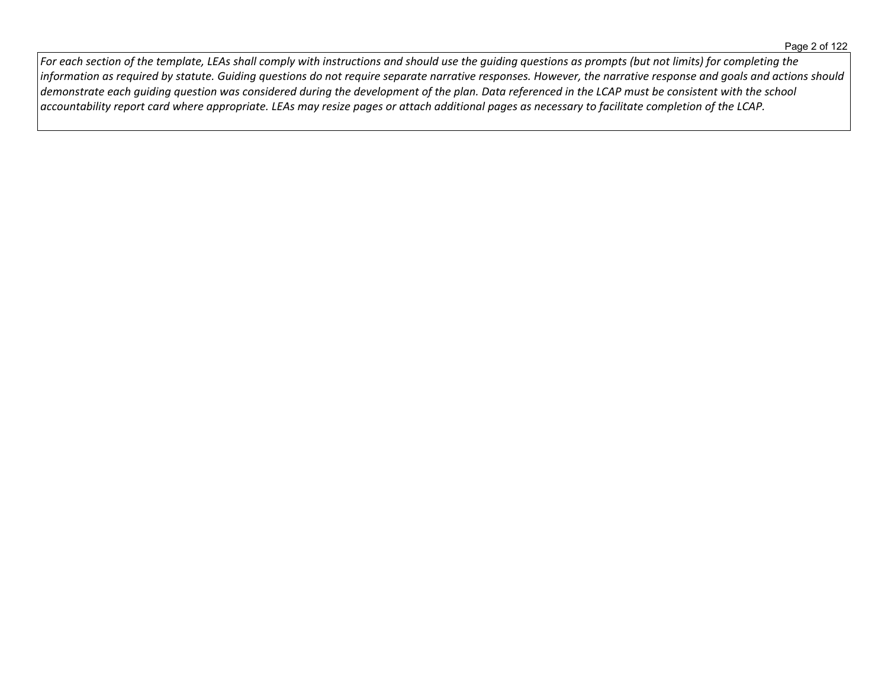For each section of the template, LEAs shall comply with instructions and should use the guiding questions as prompts (but not limits) for completing the information as required by statute. Guiding questions do not require separate narrative responses. However, the narrative response and goals and actions should demonstrate each guiding question was considered during the development of the plan. Data referenced in the LCAP must be consistent with the school accountability report card where appropriate. LEAs may resize pages or attach additional pages as necessary to facilitate completion of the LCAP.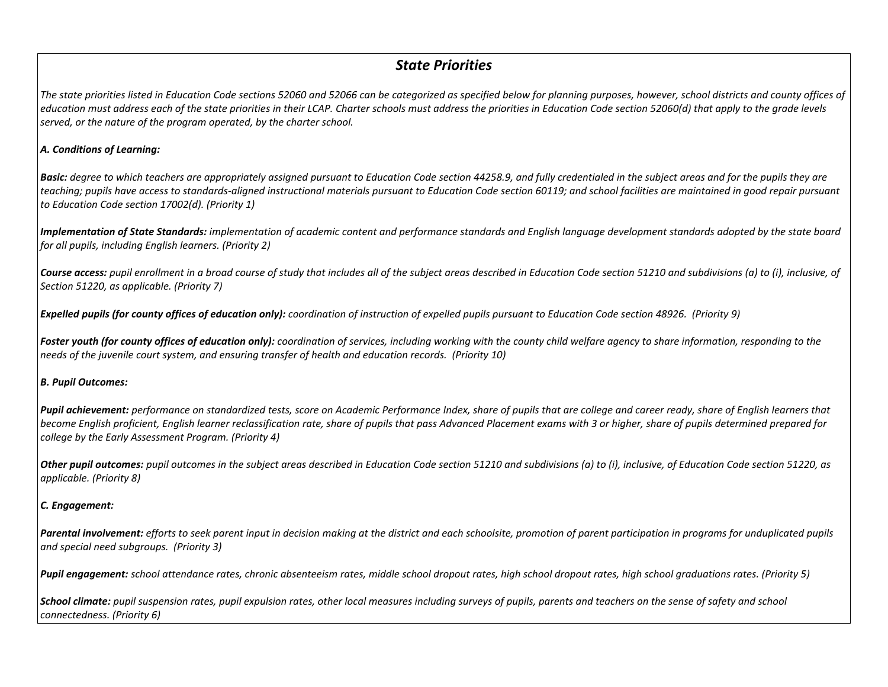# *State Priorities*

The state priorities listed in Education Code sections 52060 and 52066 can be categorized as specified below for planning purposes, however, school districts and county offices of education must address each of the state priorities in their LCAP. Charter schools must address the priorities in Education Code section 52060(d) that apply to the grade levels *served, or the nature of the program operated, by the charter school.*

#### *A. Conditions of Learning:*

**Basic:** degree to which teachers are appropriately assigned pursuant to Education Code section 44258.9, and fully credentialed in the subject areas and for the pupils they are teaching; pupils have access to standards-aligned instructional materials pursuant to Education Code section 60119; and school facilities are maintained in good repair pursuant *to Education Code section 17002(d). (Priority 1)*

Implementation of State Standards: implementation of academic content and performance standards and English language development standards adopted by the state board *for all pupils, including English learners. (Priority 2)*

Course access: pupil enrollment in a broad course of study that includes all of the subject areas described in Education Code section 51210 and subdivisions (a) to (i), inclusive, of *Section 51220, as applicable. (Priority 7)*

Expelled pupils (for county offices of education only): coordination of instruction of expelled pupils pursuant to Education Code section 48926. (Priority 9)

Foster youth (for county offices of education only): coordination of services, including working with the county child welfare agency to share information, responding to the *needs of the juvenile court system, and ensuring transfer of health and education records. (Priority 10)*

# *B. Pupil Outcomes:*

**Pupil achievement:** performance on standardized tests, score on Academic Performance Index, share of pupils that are college and career ready, share of English learners that become English proficient, English learner reclassification rate, share of pupils that pass Advanced Placement exams with 3 or higher, share of pupils determined prepared for *college by the Early Assessment Program. (Priority 4)*

Other pupil outcomes: pupil outcomes in the subject areas described in Education Code section 51210 and subdivisions (a) to (i), inclusive, of Education Code section 51220, as *applicable. (Priority 8)* 

# *C. Engagement:*

Parental involvement: efforts to seek parent input in decision making at the district and each schoolsite, promotion of parent participation in programs for unduplicated pupils *and special need subgroups. (Priority 3)*

Pupil engagement: school attendance rates, chronic absenteeism rates, middle school dropout rates, high school dropout rates, high school graduations rates. (Priority 5)

School climate: pupil suspension rates, pupil expulsion rates, other local measures including surveys of pupils, parents and teachers on the sense of safety and school *connectedness. (Priority 6)*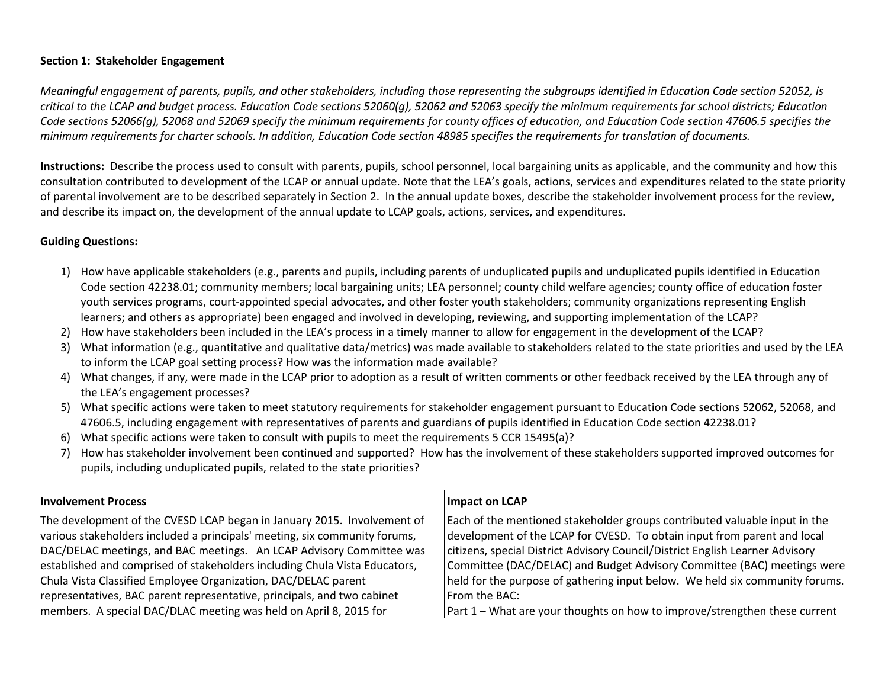# **Section 1: Stakeholder Engagement**

Meaningful engagement of parents, pupils, and other stakeholders, including those representing the subgroups identified in Education Code section 52052, is critical to the LCAP and budget process. Education Code sections 52060(g), 52062 and 52063 specify the minimum requirements for school districts; Education Code sections 52066(q), 52068 and 52069 specify the minimum requirements for county offices of education, and Education Code section 47606.5 specifies the minimum requirements for charter schools. In addition, Education Code section 48985 specifies the requirements for translation of documents.

**Instructions:** Describe the process used to consult with parents, pupils, school personnel, local bargaining units as applicable, and the community and how this consultation contributed to development of the LCAP or annual update. Note that the LEA's goals, actions, services and expenditures related to the state priority of parental involvement are to be described separately in Section 2. In the annual update boxes, describe the stakeholder involvement process for the review, and describe its impact on, the development of the annual update to LCAP goals, actions, services, and expenditures.

#### **Guiding Questions:**

- 1) How have applicable stakeholders (e.g., parents and pupils, including parents of unduplicated pupils and unduplicated pupils identified in Education Code section 42238.01; community members; local bargaining units; LEA personnel; county child welfare agencies; county office of education foster youth services programs, court-appointed special advocates, and other foster youth stakeholders; community organizations representing English learners; and others as appropriate) been engaged and involved in developing, reviewing, and supporting implementation of the LCAP?
- 2) How have stakeholders been included in the LEA's process in a timely manner to allow for engagement in the development of the LCAP?
- 3) What information (e.g., quantitative and qualitative data/metrics) was made available to stakeholders related to the state priorities and used by the LEA to inform the LCAP goal setting process? How was the information made available?
- 4) What changes, if any, were made in the LCAP prior to adoption as a result of written comments or other feedback received by the LEA through any of the LEA's engagement processes?
- 5) What specific actions were taken to meet statutory requirements for stakeholder engagement pursuant to Education Code sections 52062, 52068, and 47606.5, including engagement with representatives of parents and guardians of pupils identified in Education Code section 42238.01?
- 6) What specific actions were taken to consult with pupils to meet the requirements 5 CCR 15495(a)?
- 7) How has stakeholder involvement been continued and supported? How has the involvement of these stakeholders supported improved outcomes for pupils, including unduplicated pupils, related to the state priorities?

| <b>Involvement Process</b>                                                 | <b>Impact on LCAP</b>                                                         |
|----------------------------------------------------------------------------|-------------------------------------------------------------------------------|
| The development of the CVESD LCAP began in January 2015. Involvement of    | Each of the mentioned stakeholder groups contributed valuable input in the    |
| various stakeholders included a principals' meeting, six community forums, | development of the LCAP for CVESD. To obtain input from parent and local      |
| DAC/DELAC meetings, and BAC meetings. An LCAP Advisory Committee was       | citizens, special District Advisory Council/District English Learner Advisory |
| established and comprised of stakeholders including Chula Vista Educators, | Committee (DAC/DELAC) and Budget Advisory Committee (BAC) meetings were       |
| Chula Vista Classified Employee Organization, DAC/DELAC parent             | held for the purpose of gathering input below. We held six community forums.  |
| representatives, BAC parent representative, principals, and two cabinet    | $^{\dagger}$ From the BAC:                                                    |
| members. A special DAC/DLAC meeting was held on April 8, 2015 for          | Part 1 – What are your thoughts on how to improve/strengthen these current    |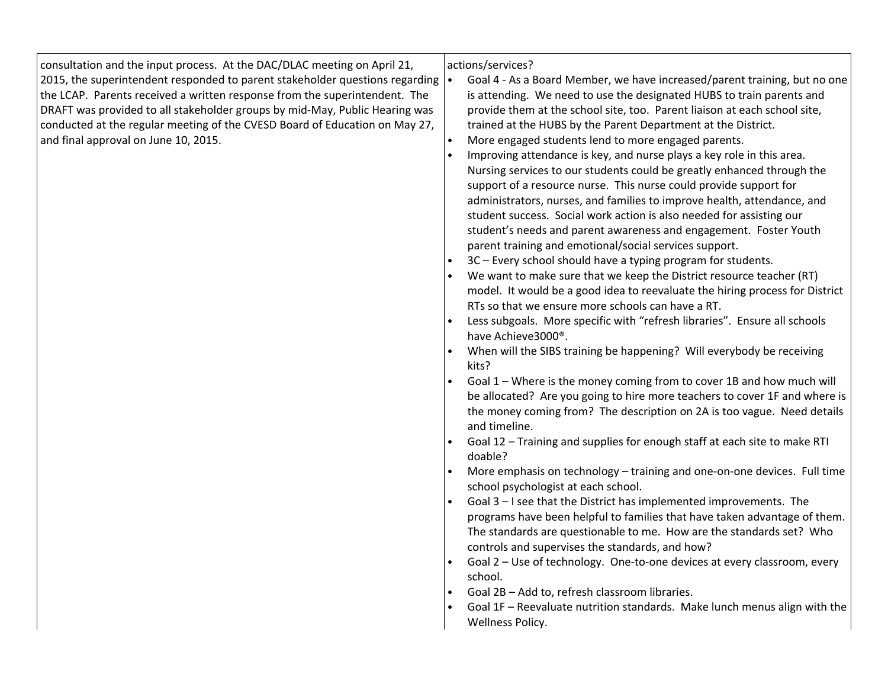| consultation and the input process. At the DAC/DLAC meeting on April 21,     | actions/services?                                                                  |
|------------------------------------------------------------------------------|------------------------------------------------------------------------------------|
| 2015, the superintendent responded to parent stakeholder questions regarding | Goal 4 - As a Board Member, we have increased/parent training, but no one          |
| the LCAP. Parents received a written response from the superintendent. The   | is attending. We need to use the designated HUBS to train parents and              |
| DRAFT was provided to all stakeholder groups by mid-May, Public Hearing was  | provide them at the school site, too. Parent liaison at each school site,          |
| conducted at the regular meeting of the CVESD Board of Education on May 27,  | trained at the HUBS by the Parent Department at the District.                      |
| and final approval on June 10, 2015.                                         | More engaged students lend to more engaged parents.<br>$\bullet$                   |
|                                                                              | Improving attendance is key, and nurse plays a key role in this area.              |
|                                                                              | Nursing services to our students could be greatly enhanced through the             |
|                                                                              | support of a resource nurse. This nurse could provide support for                  |
|                                                                              | administrators, nurses, and families to improve health, attendance, and            |
|                                                                              | student success. Social work action is also needed for assisting our               |
|                                                                              | student's needs and parent awareness and engagement. Foster Youth                  |
|                                                                              | parent training and emotional/social services support.                             |
|                                                                              | 3C - Every school should have a typing program for students.                       |
|                                                                              | We want to make sure that we keep the District resource teacher (RT)               |
|                                                                              | model. It would be a good idea to reevaluate the hiring process for District       |
|                                                                              | RTs so that we ensure more schools can have a RT.                                  |
|                                                                              | Less subgoals. More specific with "refresh libraries". Ensure all schools          |
|                                                                              | have Achieve3000®.                                                                 |
|                                                                              | When will the SIBS training be happening? Will everybody be receiving              |
|                                                                              | kits?                                                                              |
|                                                                              | Goal 1 - Where is the money coming from to cover 1B and how much will<br>$\bullet$ |
|                                                                              | be allocated? Are you going to hire more teachers to cover 1F and where is         |
|                                                                              | the money coming from? The description on 2A is too vague. Need details            |
|                                                                              | and timeline.                                                                      |
|                                                                              | Goal 12 - Training and supplies for enough staff at each site to make RTI          |
|                                                                              | doable?                                                                            |
|                                                                              | More emphasis on technology - training and one-on-one devices. Full time           |
|                                                                              | school psychologist at each school.                                                |
|                                                                              | Goal 3 - I see that the District has implemented improvements. The                 |
|                                                                              | programs have been helpful to families that have taken advantage of them.          |
|                                                                              | The standards are questionable to me. How are the standards set? Who               |
|                                                                              | controls and supervises the standards, and how?                                    |
|                                                                              | Goal 2 - Use of technology. One-to-one devices at every classroom, every           |
|                                                                              | school.                                                                            |
|                                                                              | Goal 2B - Add to, refresh classroom libraries.                                     |
|                                                                              | Goal 1F - Reevaluate nutrition standards. Make lunch menus align with the          |
|                                                                              | Wellness Policy.                                                                   |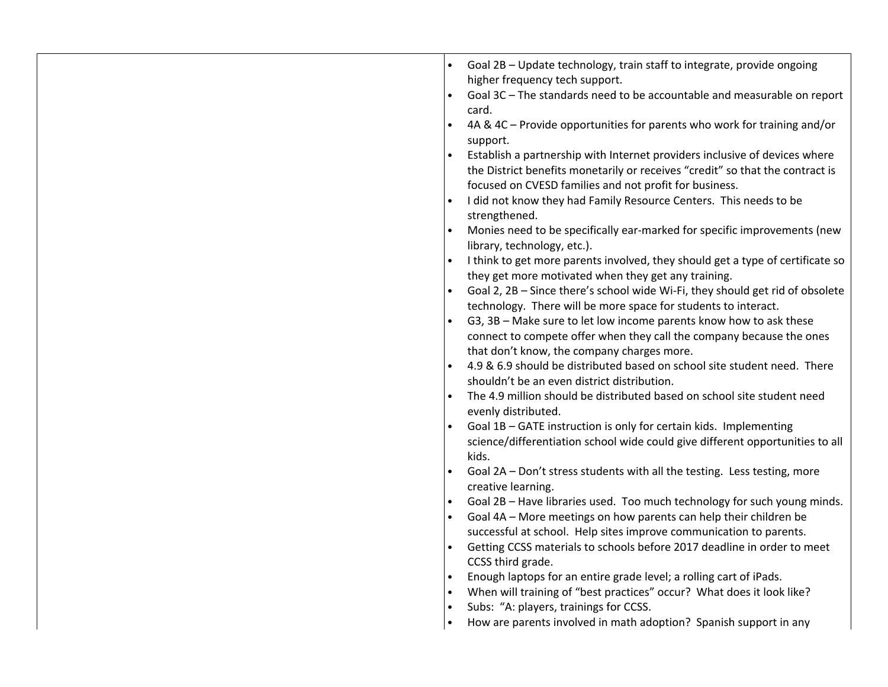| Goal 2B - Update technology, train staff to integrate, provide ongoing<br>higher frequency tech support.<br>Goal 3C - The standards need to be accountable and measurable on report<br>card.<br>4A & 4C – Provide opportunities for parents who work for training and/or<br>support.<br>Establish a partnership with Internet providers inclusive of devices where<br>the District benefits monetarily or receives "credit" so that the contract is<br>focused on CVESD families and not profit for business.<br>I did not know they had Family Resource Centers. This needs to be<br>strengthened. |
|-----------------------------------------------------------------------------------------------------------------------------------------------------------------------------------------------------------------------------------------------------------------------------------------------------------------------------------------------------------------------------------------------------------------------------------------------------------------------------------------------------------------------------------------------------------------------------------------------------|
| Monies need to be specifically ear-marked for specific improvements (new                                                                                                                                                                                                                                                                                                                                                                                                                                                                                                                            |
| library, technology, etc.).<br>I think to get more parents involved, they should get a type of certificate so                                                                                                                                                                                                                                                                                                                                                                                                                                                                                       |
| they get more motivated when they get any training.                                                                                                                                                                                                                                                                                                                                                                                                                                                                                                                                                 |
| Goal 2, 2B - Since there's school wide Wi-Fi, they should get rid of obsolete                                                                                                                                                                                                                                                                                                                                                                                                                                                                                                                       |
| technology. There will be more space for students to interact.                                                                                                                                                                                                                                                                                                                                                                                                                                                                                                                                      |
| G3, 3B - Make sure to let low income parents know how to ask these                                                                                                                                                                                                                                                                                                                                                                                                                                                                                                                                  |
| connect to compete offer when they call the company because the ones                                                                                                                                                                                                                                                                                                                                                                                                                                                                                                                                |
| that don't know, the company charges more.<br>4.9 & 6.9 should be distributed based on school site student need. There                                                                                                                                                                                                                                                                                                                                                                                                                                                                              |
| shouldn't be an even district distribution.                                                                                                                                                                                                                                                                                                                                                                                                                                                                                                                                                         |
| The 4.9 million should be distributed based on school site student need                                                                                                                                                                                                                                                                                                                                                                                                                                                                                                                             |
| evenly distributed.                                                                                                                                                                                                                                                                                                                                                                                                                                                                                                                                                                                 |
| Goal 1B - GATE instruction is only for certain kids. Implementing                                                                                                                                                                                                                                                                                                                                                                                                                                                                                                                                   |
| science/differentiation school wide could give different opportunities to all<br>kids.                                                                                                                                                                                                                                                                                                                                                                                                                                                                                                              |
| Goal 2A - Don't stress students with all the testing. Less testing, more                                                                                                                                                                                                                                                                                                                                                                                                                                                                                                                            |
| creative learning.                                                                                                                                                                                                                                                                                                                                                                                                                                                                                                                                                                                  |
| Goal 2B - Have libraries used. Too much technology for such young minds.                                                                                                                                                                                                                                                                                                                                                                                                                                                                                                                            |
| Goal 4A - More meetings on how parents can help their children be                                                                                                                                                                                                                                                                                                                                                                                                                                                                                                                                   |
| successful at school. Help sites improve communication to parents.                                                                                                                                                                                                                                                                                                                                                                                                                                                                                                                                  |
| Getting CCSS materials to schools before 2017 deadline in order to meet<br>CCSS third grade.                                                                                                                                                                                                                                                                                                                                                                                                                                                                                                        |
| Enough laptops for an entire grade level; a rolling cart of iPads.                                                                                                                                                                                                                                                                                                                                                                                                                                                                                                                                  |
| When will training of "best practices" occur? What does it look like?                                                                                                                                                                                                                                                                                                                                                                                                                                                                                                                               |
| Subs: "A: players, trainings for CCSS.                                                                                                                                                                                                                                                                                                                                                                                                                                                                                                                                                              |
| How are parents involved in math adoption? Spanish support in any                                                                                                                                                                                                                                                                                                                                                                                                                                                                                                                                   |
|                                                                                                                                                                                                                                                                                                                                                                                                                                                                                                                                                                                                     |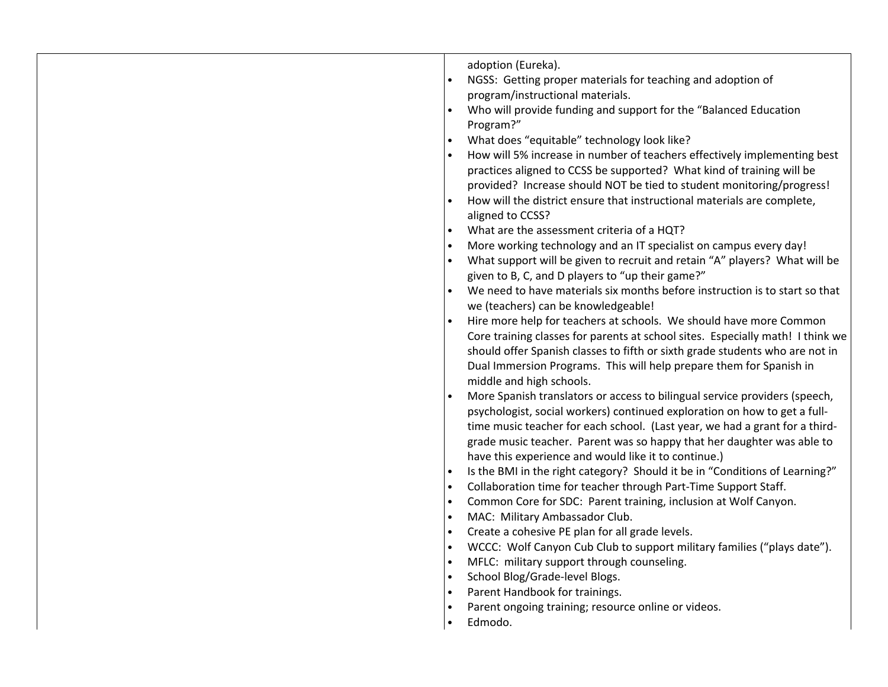| adoption (Eureka).<br>NGSS: Getting proper materials for teaching and adoption of<br>program/instructional materials.<br>Who will provide funding and support for the "Balanced Education<br>$\bullet$<br>Program?"<br>What does "equitable" technology look like?<br>$\bullet$<br>How will 5% increase in number of teachers effectively implementing best<br>practices aligned to CCSS be supported? What kind of training will be<br>provided? Increase should NOT be tied to student monitoring/progress!<br>How will the district ensure that instructional materials are complete,<br>aligned to CCSS?<br>What are the assessment criteria of a HQT?<br>More working technology and an IT specialist on campus every day!<br>What support will be given to recruit and retain "A" players? What will be<br>$\bullet$<br>given to B, C, and D players to "up their game?"<br>We need to have materials six months before instruction is to start so that<br>we (teachers) can be knowledgeable!<br>Hire more help for teachers at schools. We should have more Common<br>Core training classes for parents at school sites. Especially math! I think we<br>should offer Spanish classes to fifth or sixth grade students who are not in<br>Dual Immersion Programs. This will help prepare them for Spanish in<br>middle and high schools.<br>More Spanish translators or access to bilingual service providers (speech,<br>$\bullet$<br>psychologist, social workers) continued exploration on how to get a full-<br>time music teacher for each school. (Last year, we had a grant for a third-<br>grade music teacher. Parent was so happy that her daughter was able to<br>have this experience and would like it to continue.)<br>Is the BMI in the right category? Should it be in "Conditions of Learning?"<br>$\bullet$<br>Collaboration time for teacher through Part-Time Support Staff.<br>$\bullet$<br>Common Core for SDC: Parent training, inclusion at Wolf Canyon.<br>$\bullet$<br>MAC: Military Ambassador Club.<br>$\bullet$<br>Create a cohesive PE plan for all grade levels.<br>WCCC: Wolf Canyon Cub Club to support military families ("plays date").<br>$\bullet$<br>MFLC: military support through counseling.<br>$\bullet$<br>School Blog/Grade-level Blogs.<br>$\bullet$<br>Parent Handbook for trainings.<br>$\bullet$<br>Parent ongoing training; resource online or videos. |
|----------------------------------------------------------------------------------------------------------------------------------------------------------------------------------------------------------------------------------------------------------------------------------------------------------------------------------------------------------------------------------------------------------------------------------------------------------------------------------------------------------------------------------------------------------------------------------------------------------------------------------------------------------------------------------------------------------------------------------------------------------------------------------------------------------------------------------------------------------------------------------------------------------------------------------------------------------------------------------------------------------------------------------------------------------------------------------------------------------------------------------------------------------------------------------------------------------------------------------------------------------------------------------------------------------------------------------------------------------------------------------------------------------------------------------------------------------------------------------------------------------------------------------------------------------------------------------------------------------------------------------------------------------------------------------------------------------------------------------------------------------------------------------------------------------------------------------------------------------------------------------------------------------------------------------------------------------------------------------------------------------------------------------------------------------------------------------------------------------------------------------------------------------------------------------------------------------------------------------------------------------------------------------------------------------------------------------------------------------------------------------------------------------------|
| Edmodo.<br>$\bullet$                                                                                                                                                                                                                                                                                                                                                                                                                                                                                                                                                                                                                                                                                                                                                                                                                                                                                                                                                                                                                                                                                                                                                                                                                                                                                                                                                                                                                                                                                                                                                                                                                                                                                                                                                                                                                                                                                                                                                                                                                                                                                                                                                                                                                                                                                                                                                                                           |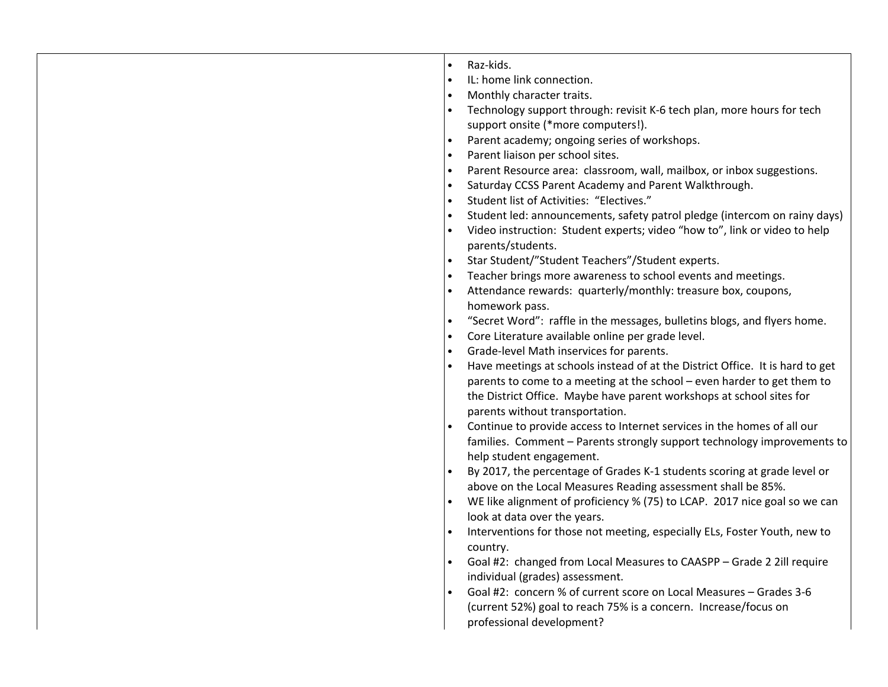| $\bullet$ | Raz-kids.                                                                     |
|-----------|-------------------------------------------------------------------------------|
|           | IL: home link connection.                                                     |
|           | Monthly character traits.                                                     |
|           | Technology support through: revisit K-6 tech plan, more hours for tech        |
|           | support onsite (*more computers!).                                            |
|           | Parent academy; ongoing series of workshops.                                  |
| $\bullet$ | Parent liaison per school sites.                                              |
| $\bullet$ | Parent Resource area: classroom, wall, mailbox, or inbox suggestions.         |
|           | Saturday CCSS Parent Academy and Parent Walkthrough.                          |
| $\bullet$ | Student list of Activities: "Electives."                                      |
| $\bullet$ | Student led: announcements, safety patrol pledge (intercom on rainy days)     |
|           | Video instruction: Student experts; video "how to", link or video to help     |
|           | parents/students.                                                             |
| $\bullet$ | Star Student/"Student Teachers"/Student experts.                              |
|           | Teacher brings more awareness to school events and meetings.                  |
|           | Attendance rewards: quarterly/monthly: treasure box, coupons,                 |
|           | homework pass.                                                                |
| $\bullet$ | "Secret Word": raffle in the messages, bulletins blogs, and flyers home.      |
| $\bullet$ | Core Literature available online per grade level.                             |
| $\bullet$ | Grade-level Math inservices for parents.                                      |
|           | Have meetings at schools instead of at the District Office. It is hard to get |
|           | parents to come to a meeting at the school - even harder to get them to       |
|           | the District Office. Maybe have parent workshops at school sites for          |
|           | parents without transportation.                                               |
|           | Continue to provide access to Internet services in the homes of all our       |
|           | families. Comment - Parents strongly support technology improvements to       |
|           | help student engagement.                                                      |
|           | By 2017, the percentage of Grades K-1 students scoring at grade level or      |
|           | above on the Local Measures Reading assessment shall be 85%.                  |
|           | WE like alignment of proficiency % (75) to LCAP. 2017 nice goal so we can     |
|           | look at data over the years.                                                  |
|           | Interventions for those not meeting, especially ELs, Foster Youth, new to     |
|           | country.                                                                      |
| $\bullet$ | Goal #2: changed from Local Measures to CAASPP - Grade 2 2ill require         |
|           | individual (grades) assessment.                                               |
|           | Goal #2: concern % of current score on Local Measures - Grades 3-6            |
|           | (current 52%) goal to reach 75% is a concern. Increase/focus on               |
|           | professional development?                                                     |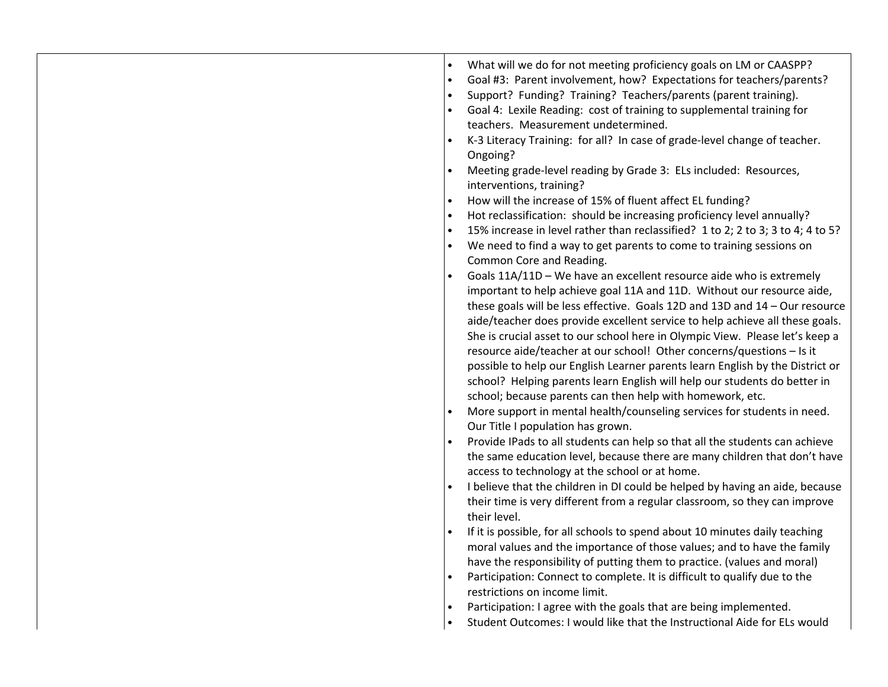| What will we do for not meeting proficiency goals on LM or CAASPP?<br>Goal #3: Parent involvement, how? Expectations for teachers/parents?<br>Support? Funding? Training? Teachers/parents (parent training).<br>Goal 4: Lexile Reading: cost of training to supplemental training for<br>teachers. Measurement undetermined.<br>K-3 Literacy Training: for all? In case of grade-level change of teacher.<br>Ongoing?<br>Meeting grade-level reading by Grade 3: ELs included: Resources,<br>interventions, training?<br>How will the increase of 15% of fluent affect EL funding?<br>Hot reclassification: should be increasing proficiency level annually?<br>15% increase in level rather than reclassified? 1 to 2; 2 to 3; 3 to 4; 4 to 5?<br>$\bullet$<br>We need to find a way to get parents to come to training sessions on<br>Common Core and Reading.<br>Goals 11A/11D - We have an excellent resource aide who is extremely<br>important to help achieve goal 11A and 11D. Without our resource aide,<br>these goals will be less effective. Goals 12D and 13D and 14 - Our resource<br>aide/teacher does provide excellent service to help achieve all these goals.<br>She is crucial asset to our school here in Olympic View. Please let's keep a<br>resource aide/teacher at our school! Other concerns/questions - Is it<br>possible to help our English Learner parents learn English by the District or<br>school? Helping parents learn English will help our students do better in<br>school; because parents can then help with homework, etc.<br>More support in mental health/counseling services for students in need.<br>Our Title I population has grown.<br>Provide IPads to all students can help so that all the students can achieve |
|----------------------------------------------------------------------------------------------------------------------------------------------------------------------------------------------------------------------------------------------------------------------------------------------------------------------------------------------------------------------------------------------------------------------------------------------------------------------------------------------------------------------------------------------------------------------------------------------------------------------------------------------------------------------------------------------------------------------------------------------------------------------------------------------------------------------------------------------------------------------------------------------------------------------------------------------------------------------------------------------------------------------------------------------------------------------------------------------------------------------------------------------------------------------------------------------------------------------------------------------------------------------------------------------------------------------------------------------------------------------------------------------------------------------------------------------------------------------------------------------------------------------------------------------------------------------------------------------------------------------------------------------------------------------------------------------------------------------------------------------------------------------|
|                                                                                                                                                                                                                                                                                                                                                                                                                                                                                                                                                                                                                                                                                                                                                                                                                                                                                                                                                                                                                                                                                                                                                                                                                                                                                                                                                                                                                                                                                                                                                                                                                                                                                                                                                                      |
| the same education level, because there are many children that don't have<br>access to technology at the school or at home.<br>I believe that the children in DI could be helped by having an aide, because<br>their time is very different from a regular classroom, so they can improve                                                                                                                                                                                                                                                                                                                                                                                                                                                                                                                                                                                                                                                                                                                                                                                                                                                                                                                                                                                                                                                                                                                                                                                                                                                                                                                                                                                                                                                                            |
| their level.<br>If it is possible, for all schools to spend about 10 minutes daily teaching<br>moral values and the importance of those values; and to have the family<br>have the responsibility of putting them to practice. (values and moral)<br>Participation: Connect to complete. It is difficult to qualify due to the<br>restrictions on income limit.<br>Participation: I agree with the goals that are being implemented.<br>Student Outcomes: I would like that the Instructional Aide for ELs would                                                                                                                                                                                                                                                                                                                                                                                                                                                                                                                                                                                                                                                                                                                                                                                                                                                                                                                                                                                                                                                                                                                                                                                                                                                     |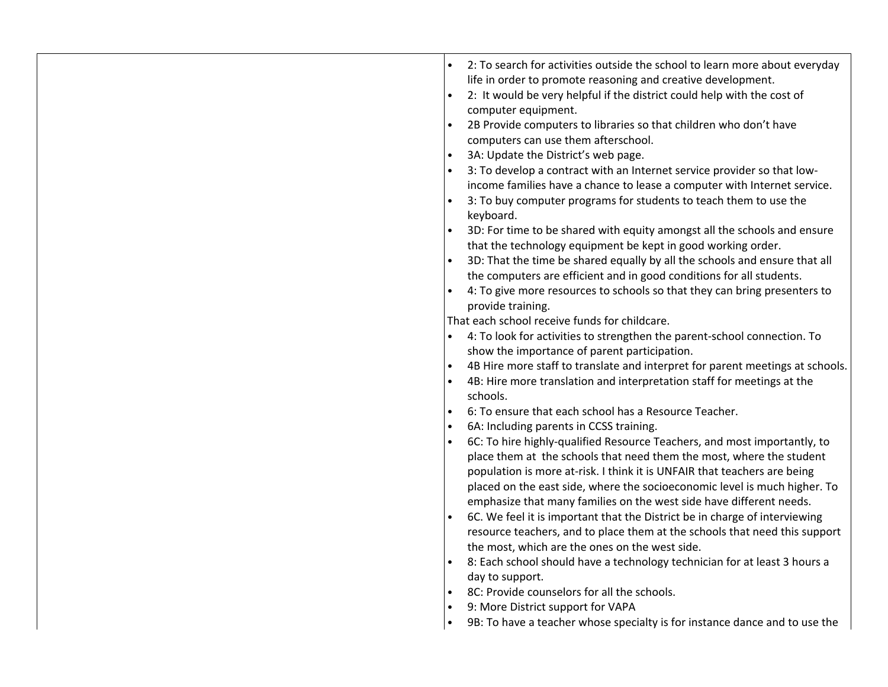| 2: To search for activities outside the school to learn more about everyday<br>life in order to promote reasoning and creative development.<br>2: It would be very helpful if the district could help with the cost of<br>$\bullet$<br>computer equipment.<br>2B Provide computers to libraries so that children who don't have<br>computers can use them afterschool.<br>3A: Update the District's web page.<br>$\bullet$<br>3: To develop a contract with an Internet service provider so that low-<br>income families have a chance to lease a computer with Internet service.<br>3: To buy computer programs for students to teach them to use the<br>keyboard.<br>3D: For time to be shared with equity amongst all the schools and ensure<br>that the technology equipment be kept in good working order.<br>3D: That the time be shared equally by all the schools and ensure that all<br>the computers are efficient and in good conditions for all students.<br>4: To give more resources to schools so that they can bring presenters to<br>provide training.<br>That each school receive funds for childcare.<br>4: To look for activities to strengthen the parent-school connection. To<br>show the importance of parent participation.<br>4B Hire more staff to translate and interpret for parent meetings at schools.<br>4B: Hire more translation and interpretation staff for meetings at the<br>schools.<br>6: To ensure that each school has a Resource Teacher.<br>$\bullet$<br>6A: Including parents in CCSS training.<br>$\bullet$<br>6C: To hire highly-qualified Resource Teachers, and most importantly, to<br>place them at the schools that need them the most, where the student<br>population is more at-risk. I think it is UNFAIR that teachers are being<br>placed on the east side, where the socioeconomic level is much higher. To<br>emphasize that many families on the west side have different needs.<br>6C. We feel it is important that the District be in charge of interviewing<br>resource teachers, and to place them at the schools that need this support<br>the most, which are the ones on the west side.<br>8: Each school should have a technology technician for at least 3 hours a<br>day to support.<br>8C: Provide counselors for all the schools.<br>$\bullet$<br>9: More District support for VAPA<br>$\bullet$ |
|---------------------------------------------------------------------------------------------------------------------------------------------------------------------------------------------------------------------------------------------------------------------------------------------------------------------------------------------------------------------------------------------------------------------------------------------------------------------------------------------------------------------------------------------------------------------------------------------------------------------------------------------------------------------------------------------------------------------------------------------------------------------------------------------------------------------------------------------------------------------------------------------------------------------------------------------------------------------------------------------------------------------------------------------------------------------------------------------------------------------------------------------------------------------------------------------------------------------------------------------------------------------------------------------------------------------------------------------------------------------------------------------------------------------------------------------------------------------------------------------------------------------------------------------------------------------------------------------------------------------------------------------------------------------------------------------------------------------------------------------------------------------------------------------------------------------------------------------------------------------------------------------------------------------------------------------------------------------------------------------------------------------------------------------------------------------------------------------------------------------------------------------------------------------------------------------------------------------------------------------------------------------------------------------------------------------------------------------------------------------------|
| 9B: To have a teacher whose specialty is for instance dance and to use the<br>$\bullet$                                                                                                                                                                                                                                                                                                                                                                                                                                                                                                                                                                                                                                                                                                                                                                                                                                                                                                                                                                                                                                                                                                                                                                                                                                                                                                                                                                                                                                                                                                                                                                                                                                                                                                                                                                                                                                                                                                                                                                                                                                                                                                                                                                                                                                                                                   |
|                                                                                                                                                                                                                                                                                                                                                                                                                                                                                                                                                                                                                                                                                                                                                                                                                                                                                                                                                                                                                                                                                                                                                                                                                                                                                                                                                                                                                                                                                                                                                                                                                                                                                                                                                                                                                                                                                                                                                                                                                                                                                                                                                                                                                                                                                                                                                                           |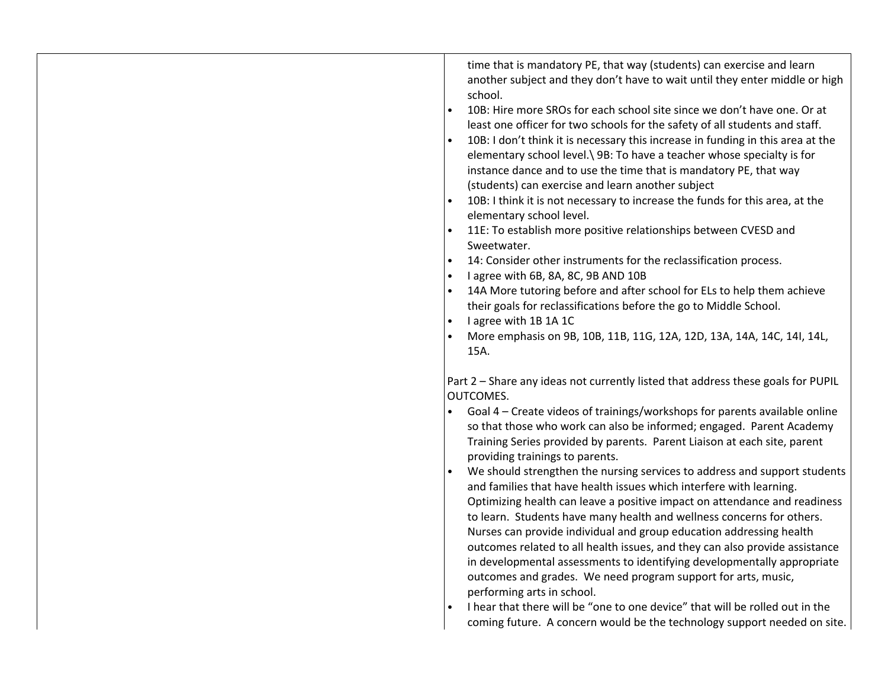| time that is mandatory PE, that way (students) can exercise and learn<br>another subject and they don't have to wait until they enter middle or high<br>school.<br>10B: Hire more SROs for each school site since we don't have one. Or at<br>$\bullet$<br>least one officer for two schools for the safety of all students and staff.<br>10B: I don't think it is necessary this increase in funding in this area at the<br>$\bullet$<br>elementary school level. \ 9B: To have a teacher whose specialty is for<br>instance dance and to use the time that is mandatory PE, that way<br>(students) can exercise and learn another subject<br>10B: I think it is not necessary to increase the funds for this area, at the<br>elementary school level.<br>11E: To establish more positive relationships between CVESD and<br>Sweetwater.<br>14: Consider other instruments for the reclassification process.<br>I agree with 6B, 8A, 8C, 9B AND 10B<br>14A More tutoring before and after school for ELs to help them achieve<br>their goals for reclassifications before the go to Middle School.<br>I agree with 1B 1A 1C<br>More emphasis on 9B, 10B, 11B, 11G, 12A, 12D, 13A, 14A, 14C, 14I, 14L,<br>15A. |
|----------------------------------------------------------------------------------------------------------------------------------------------------------------------------------------------------------------------------------------------------------------------------------------------------------------------------------------------------------------------------------------------------------------------------------------------------------------------------------------------------------------------------------------------------------------------------------------------------------------------------------------------------------------------------------------------------------------------------------------------------------------------------------------------------------------------------------------------------------------------------------------------------------------------------------------------------------------------------------------------------------------------------------------------------------------------------------------------------------------------------------------------------------------------------------------------------------------|
| Part 2 - Share any ideas not currently listed that address these goals for PUPIL<br>OUTCOMES.<br>Goal 4 - Create videos of trainings/workshops for parents available online<br>so that those who work can also be informed; engaged. Parent Academy<br>Training Series provided by parents. Parent Liaison at each site, parent<br>providing trainings to parents.<br>We should strengthen the nursing services to address and support students<br>and families that have health issues which interfere with learning.                                                                                                                                                                                                                                                                                                                                                                                                                                                                                                                                                                                                                                                                                         |
| Optimizing health can leave a positive impact on attendance and readiness<br>to learn. Students have many health and wellness concerns for others.<br>Nurses can provide individual and group education addressing health<br>outcomes related to all health issues, and they can also provide assistance<br>in developmental assessments to identifying developmentally appropriate<br>outcomes and grades. We need program support for arts, music,<br>performing arts in school.<br>I hear that there will be "one to one device" that will be rolled out in the<br>coming future. A concern would be the technology support needed on site.                                                                                                                                                                                                                                                                                                                                                                                                                                                                                                                                                                 |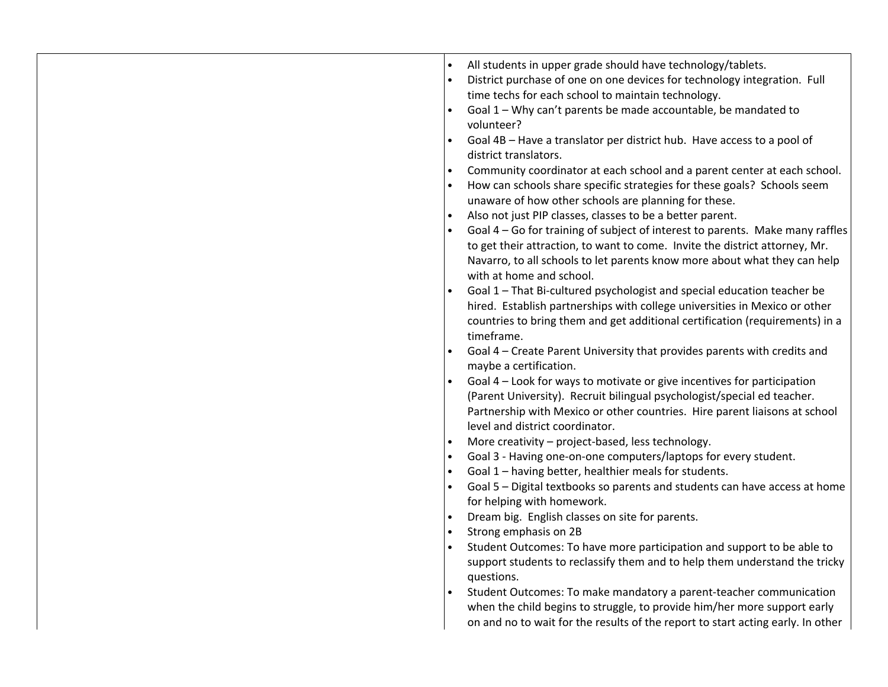|  | All students in upper grade should have technology/tablets.<br>$\bullet$<br>District purchase of one on one devices for technology integration. Full<br>$\bullet$<br>time techs for each school to maintain technology.<br>Goal 1 - Why can't parents be made accountable, be mandated to<br>volunteer?<br>Goal 4B - Have a translator per district hub. Have access to a pool of<br>district translators.<br>Community coordinator at each school and a parent center at each school.<br>$\bullet$<br>How can schools share specific strategies for these goals? Schools seem<br>unaware of how other schools are planning for these.<br>Also not just PIP classes, classes to be a better parent.<br>Goal 4 - Go for training of subject of interest to parents. Make many raffles<br>to get their attraction, to want to come. Invite the district attorney, Mr.<br>Navarro, to all schools to let parents know more about what they can help<br>with at home and school.<br>Goal 1 - That Bi-cultured psychologist and special education teacher be<br>hired. Establish partnerships with college universities in Mexico or other<br>countries to bring them and get additional certification (requirements) in a<br>timeframe.<br>Goal 4 – Create Parent University that provides parents with credits and<br>maybe a certification.<br>Goal 4 - Look for ways to motivate or give incentives for participation<br>(Parent University). Recruit bilingual psychologist/special ed teacher.<br>Partnership with Mexico or other countries. Hire parent liaisons at school<br>level and district coordinator.<br>More creativity - project-based, less technology.<br>Goal 3 - Having one-on-one computers/laptops for every student.<br>Goal 1 - having better, healthier meals for students.<br>Goal 5 - Digital textbooks so parents and students can have access at home<br>$\bullet$<br>for helping with homework.<br>Dream big. English classes on site for parents.<br>Strong emphasis on 2B<br>$\bullet$<br>Student Outcomes: To have more participation and support to be able to<br>support students to reclassify them and to help them understand the tricky<br>questions.<br>Student Outcomes: To make mandatory a parent-teacher communication<br>when the child begins to struggle, to provide him/her more support early |
|--|---------------------------------------------------------------------------------------------------------------------------------------------------------------------------------------------------------------------------------------------------------------------------------------------------------------------------------------------------------------------------------------------------------------------------------------------------------------------------------------------------------------------------------------------------------------------------------------------------------------------------------------------------------------------------------------------------------------------------------------------------------------------------------------------------------------------------------------------------------------------------------------------------------------------------------------------------------------------------------------------------------------------------------------------------------------------------------------------------------------------------------------------------------------------------------------------------------------------------------------------------------------------------------------------------------------------------------------------------------------------------------------------------------------------------------------------------------------------------------------------------------------------------------------------------------------------------------------------------------------------------------------------------------------------------------------------------------------------------------------------------------------------------------------------------------------------------------------------------------------------------------------------------------------------------------------------------------------------------------------------------------------------------------------------------------------------------------------------------------------------------------------------------------------------------------------------------------------------------------------------------------------------------------------------------------------------------------------------|
|  | on and no to wait for the results of the report to start acting early. In other                                                                                                                                                                                                                                                                                                                                                                                                                                                                                                                                                                                                                                                                                                                                                                                                                                                                                                                                                                                                                                                                                                                                                                                                                                                                                                                                                                                                                                                                                                                                                                                                                                                                                                                                                                                                                                                                                                                                                                                                                                                                                                                                                                                                                                                             |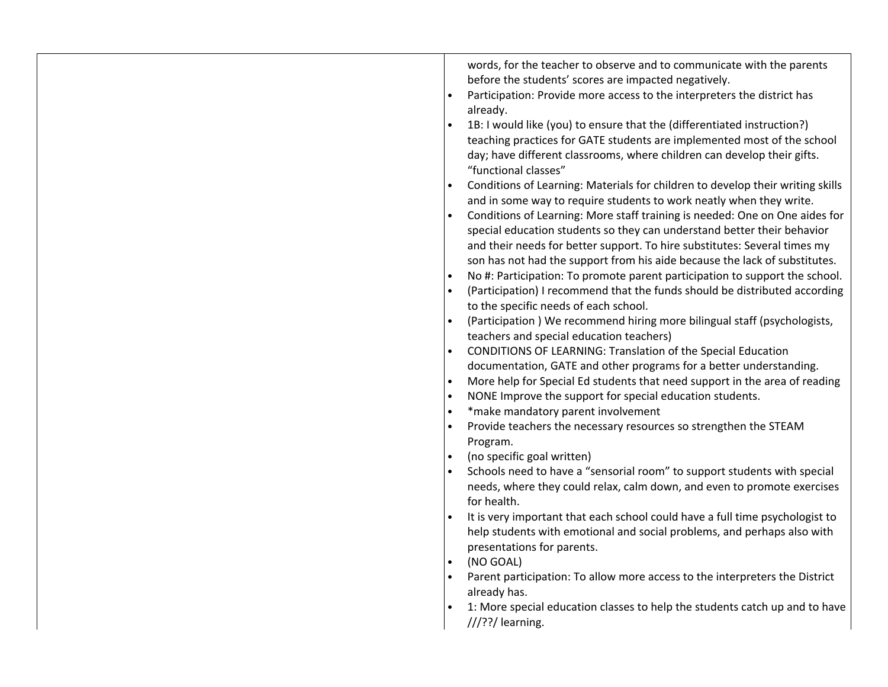| words, for the teacher to observe and to communicate with the parents<br>before the students' scores are impacted negatively.<br>Participation: Provide more access to the interpreters the district has<br>already.<br>1B: I would like (you) to ensure that the (differentiated instruction?) |
|-------------------------------------------------------------------------------------------------------------------------------------------------------------------------------------------------------------------------------------------------------------------------------------------------|
| teaching practices for GATE students are implemented most of the school<br>day; have different classrooms, where children can develop their gifts.<br>"functional classes"                                                                                                                      |
| Conditions of Learning: Materials for children to develop their writing skills                                                                                                                                                                                                                  |
| and in some way to require students to work neatly when they write.<br>Conditions of Learning: More staff training is needed: One on One aides for                                                                                                                                              |
| special education students so they can understand better their behavior<br>and their needs for better support. To hire substitutes: Several times my<br>son has not had the support from his aide because the lack of substitutes.                                                              |
| No #: Participation: To promote parent participation to support the school.                                                                                                                                                                                                                     |
| (Participation) I recommend that the funds should be distributed according                                                                                                                                                                                                                      |
| to the specific needs of each school.                                                                                                                                                                                                                                                           |
| (Participation) We recommend hiring more bilingual staff (psychologists,                                                                                                                                                                                                                        |
| teachers and special education teachers)                                                                                                                                                                                                                                                        |
| CONDITIONS OF LEARNING: Translation of the Special Education                                                                                                                                                                                                                                    |
| documentation, GATE and other programs for a better understanding.                                                                                                                                                                                                                              |
| More help for Special Ed students that need support in the area of reading<br>NONE Improve the support for special education students.                                                                                                                                                          |
| *make mandatory parent involvement                                                                                                                                                                                                                                                              |
| Provide teachers the necessary resources so strengthen the STEAM                                                                                                                                                                                                                                |
| Program.                                                                                                                                                                                                                                                                                        |
| (no specific goal written)                                                                                                                                                                                                                                                                      |
| Schools need to have a "sensorial room" to support students with special                                                                                                                                                                                                                        |
| needs, where they could relax, calm down, and even to promote exercises                                                                                                                                                                                                                         |
| for health.                                                                                                                                                                                                                                                                                     |
| It is very important that each school could have a full time psychologist to<br>help students with emotional and social problems, and perhaps also with<br>presentations for parents.                                                                                                           |
| (NO GOAL)                                                                                                                                                                                                                                                                                       |
| Parent participation: To allow more access to the interpreters the District                                                                                                                                                                                                                     |
| already has.                                                                                                                                                                                                                                                                                    |
| 1: More special education classes to help the students catch up and to have                                                                                                                                                                                                                     |
| $//$ ??/ learning.                                                                                                                                                                                                                                                                              |
|                                                                                                                                                                                                                                                                                                 |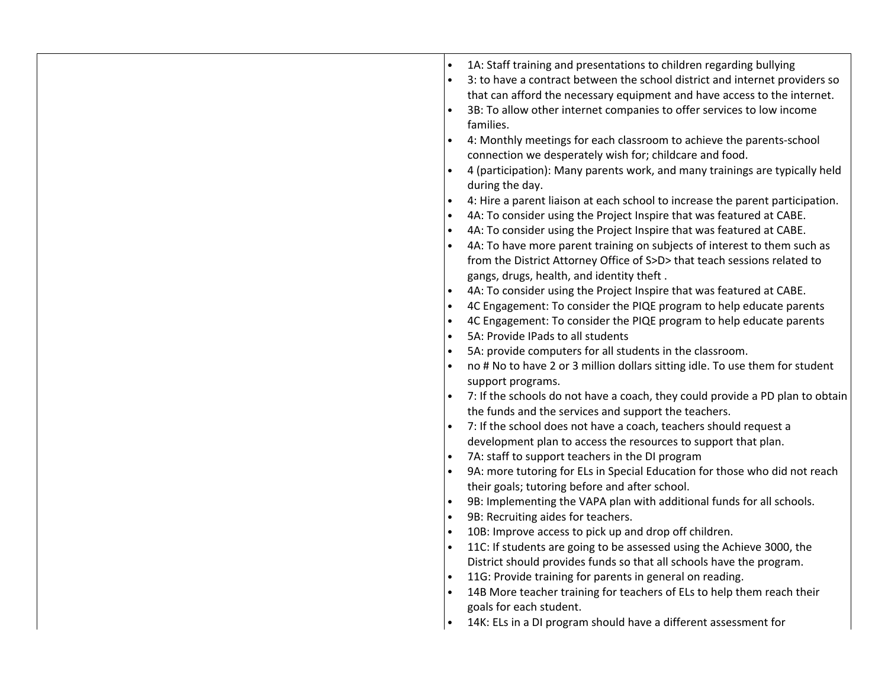|  |  | 1A: Staff training and presentations to children regarding bullying<br>3: to have a contract between the school district and internet providers so<br>that can afford the necessary equipment and have access to the internet.<br>3B: To allow other internet companies to offer services to low income<br>families.<br>4: Monthly meetings for each classroom to achieve the parents-school<br>connection we desperately wish for; childcare and food.<br>4 (participation): Many parents work, and many trainings are typically held<br>during the day.<br>4: Hire a parent liaison at each school to increase the parent participation.<br>4A: To consider using the Project Inspire that was featured at CABE.<br>$\bullet$<br>4A: To consider using the Project Inspire that was featured at CABE.<br>$\bullet$<br>4A: To have more parent training on subjects of interest to them such as<br>from the District Attorney Office of S>D> that teach sessions related to<br>gangs, drugs, health, and identity theft.<br>4A: To consider using the Project Inspire that was featured at CABE.<br>4C Engagement: To consider the PIQE program to help educate parents<br>$\bullet$<br>4C Engagement: To consider the PIQE program to help educate parents<br>$\bullet$<br>5A: Provide IPads to all students<br>$\bullet$<br>5A: provide computers for all students in the classroom.<br>no # No to have 2 or 3 million dollars sitting idle. To use them for student<br>support programs.<br>7: If the schools do not have a coach, they could provide a PD plan to obtain<br>the funds and the services and support the teachers.<br>7: If the school does not have a coach, teachers should request a<br>development plan to access the resources to support that plan.<br>7A: staff to support teachers in the DI program<br>9A: more tutoring for ELs in Special Education for those who did not reach<br>their goals; tutoring before and after school.<br>9B: Implementing the VAPA plan with additional funds for all schools.<br>$\bullet$<br>9B: Recruiting aides for teachers.<br>$\bullet$<br>10B: Improve access to pick up and drop off children.<br>$\bullet$<br>11C: If students are going to be assessed using the Achieve 3000, the<br>District should provides funds so that all schools have the program.<br>11G: Provide training for parents in general on reading.<br>14B More teacher training for teachers of ELs to help them reach their<br>goals for each student.<br>14K: ELs in a DI program should have a different assessment for |
|--|--|---------------------------------------------------------------------------------------------------------------------------------------------------------------------------------------------------------------------------------------------------------------------------------------------------------------------------------------------------------------------------------------------------------------------------------------------------------------------------------------------------------------------------------------------------------------------------------------------------------------------------------------------------------------------------------------------------------------------------------------------------------------------------------------------------------------------------------------------------------------------------------------------------------------------------------------------------------------------------------------------------------------------------------------------------------------------------------------------------------------------------------------------------------------------------------------------------------------------------------------------------------------------------------------------------------------------------------------------------------------------------------------------------------------------------------------------------------------------------------------------------------------------------------------------------------------------------------------------------------------------------------------------------------------------------------------------------------------------------------------------------------------------------------------------------------------------------------------------------------------------------------------------------------------------------------------------------------------------------------------------------------------------------------------------------------------------------------------------------------------------------------------------------------------------------------------------------------------------------------------------------------------------------------------------------------------------------------------------------------------------------------------------------------------------------------------------------------------------------------------------------------------------------------------------------------------------|
|--|--|---------------------------------------------------------------------------------------------------------------------------------------------------------------------------------------------------------------------------------------------------------------------------------------------------------------------------------------------------------------------------------------------------------------------------------------------------------------------------------------------------------------------------------------------------------------------------------------------------------------------------------------------------------------------------------------------------------------------------------------------------------------------------------------------------------------------------------------------------------------------------------------------------------------------------------------------------------------------------------------------------------------------------------------------------------------------------------------------------------------------------------------------------------------------------------------------------------------------------------------------------------------------------------------------------------------------------------------------------------------------------------------------------------------------------------------------------------------------------------------------------------------------------------------------------------------------------------------------------------------------------------------------------------------------------------------------------------------------------------------------------------------------------------------------------------------------------------------------------------------------------------------------------------------------------------------------------------------------------------------------------------------------------------------------------------------------------------------------------------------------------------------------------------------------------------------------------------------------------------------------------------------------------------------------------------------------------------------------------------------------------------------------------------------------------------------------------------------------------------------------------------------------------------------------------------------------|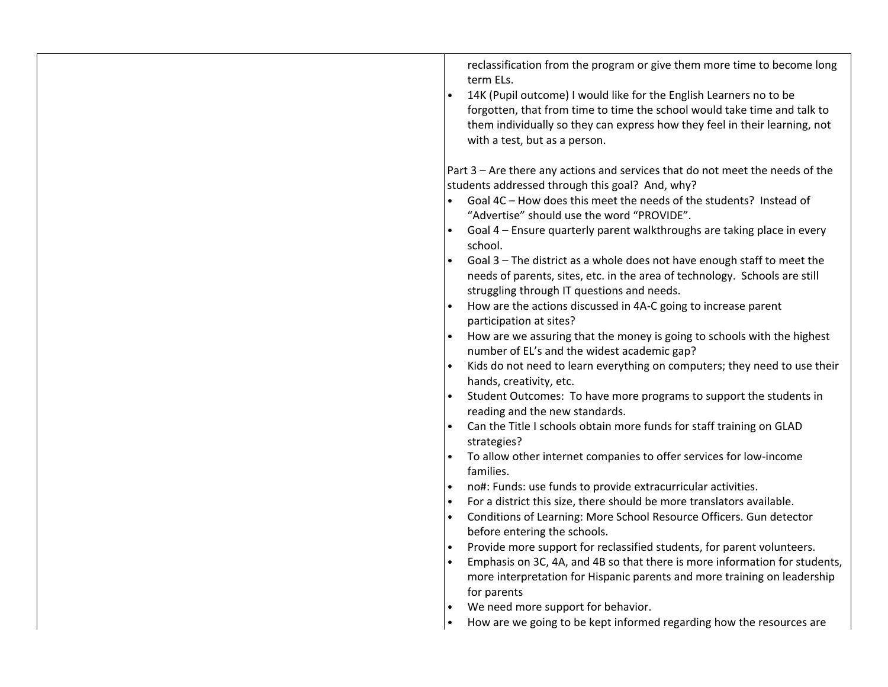| reclassification from the program or give them more time to become long<br>term ELs. |
|--------------------------------------------------------------------------------------|
| 14K (Pupil outcome) I would like for the English Learners no to be                   |
| forgotten, that from time to time the school would take time and talk to             |
| them individually so they can express how they feel in their learning, not           |
| with a test, but as a person.                                                        |
|                                                                                      |
| Part 3 – Are there any actions and services that do not meet the needs of the        |
| students addressed through this goal? And, why?                                      |
| Goal 4C - How does this meet the needs of the students? Instead of                   |
| "Advertise" should use the word "PROVIDE".                                           |
| Goal 4 - Ensure quarterly parent walkthroughs are taking place in every              |
| school.                                                                              |
| Goal 3 - The district as a whole does not have enough staff to meet the<br>$\bullet$ |
| needs of parents, sites, etc. in the area of technology. Schools are still           |
| struggling through IT questions and needs.                                           |
| How are the actions discussed in 4A-C going to increase parent                       |
| participation at sites?                                                              |
| How are we assuring that the money is going to schools with the highest              |
| number of EL's and the widest academic gap?                                          |
| Kids do not need to learn everything on computers; they need to use their            |
| hands, creativity, etc.                                                              |
| Student Outcomes: To have more programs to support the students in                   |
| reading and the new standards.                                                       |
| Can the Title I schools obtain more funds for staff training on GLAD                 |
| strategies?                                                                          |
| To allow other internet companies to offer services for low-income                   |
| families.                                                                            |
| no#: Funds: use funds to provide extracurricular activities.                         |
| For a district this size, there should be more translators available.                |
| Conditions of Learning: More School Resource Officers. Gun detector                  |
| before entering the schools.                                                         |
| Provide more support for reclassified students, for parent volunteers.               |
| Emphasis on 3C, 4A, and 4B so that there is more information for students,           |
| more interpretation for Hispanic parents and more training on leadership             |
| for parents                                                                          |
| We need more support for behavior.                                                   |
| How are we going to be kept informed regarding how the resources are                 |
|                                                                                      |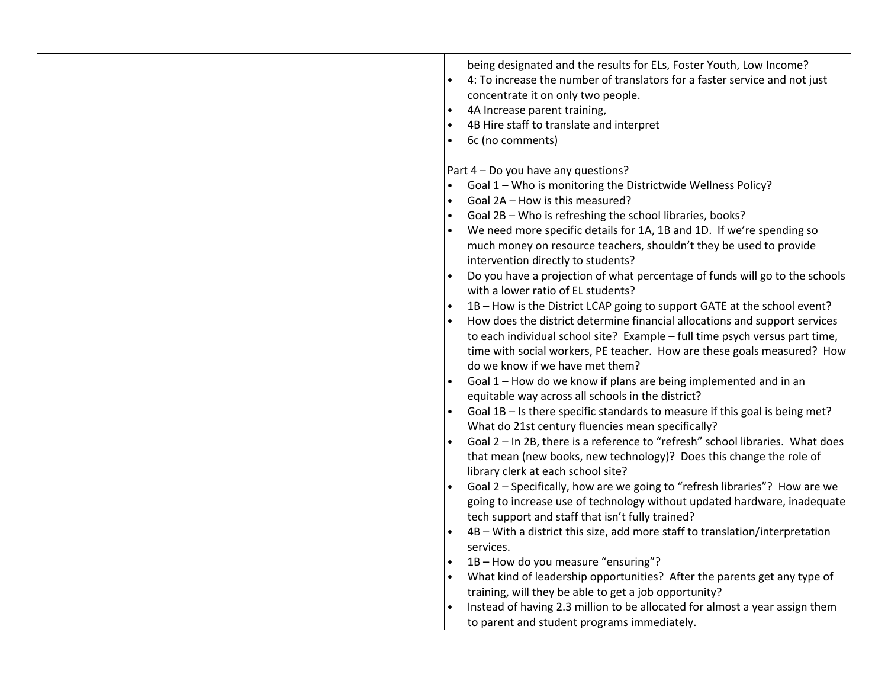|           | being designated and the results for ELs, Foster Youth, Low Income?<br>4: To increase the number of translators for a faster service and not just<br>concentrate it on only two people.<br>4A Increase parent training,<br>4B Hire staff to translate and interpret<br>6c (no comments)<br>Part 4 - Do you have any questions?                      |
|-----------|-----------------------------------------------------------------------------------------------------------------------------------------------------------------------------------------------------------------------------------------------------------------------------------------------------------------------------------------------------|
| $\bullet$ | Goal 1 - Who is monitoring the Districtwide Wellness Policy?<br>Goal 2A - How is this measured?                                                                                                                                                                                                                                                     |
| $\bullet$ | Goal 2B - Who is refreshing the school libraries, books?                                                                                                                                                                                                                                                                                            |
|           | We need more specific details for 1A, 1B and 1D. If we're spending so<br>much money on resource teachers, shouldn't they be used to provide<br>intervention directly to students?                                                                                                                                                                   |
|           | Do you have a projection of what percentage of funds will go to the schools<br>with a lower ratio of EL students?                                                                                                                                                                                                                                   |
|           | 1B - How is the District LCAP going to support GATE at the school event?<br>How does the district determine financial allocations and support services<br>to each individual school site? Example - full time psych versus part time,<br>time with social workers, PE teacher. How are these goals measured? How<br>do we know if we have met them? |
|           | Goal 1 - How do we know if plans are being implemented and in an<br>equitable way across all schools in the district?                                                                                                                                                                                                                               |
|           | Goal 1B - Is there specific standards to measure if this goal is being met?<br>What do 21st century fluencies mean specifically?                                                                                                                                                                                                                    |
|           | Goal 2 - In 2B, there is a reference to "refresh" school libraries. What does<br>that mean (new books, new technology)? Does this change the role of<br>library clerk at each school site?                                                                                                                                                          |
|           | Goal 2 – Specifically, how are we going to "refresh libraries"? How are we<br>going to increase use of technology without updated hardware, inadequate<br>tech support and staff that isn't fully trained?                                                                                                                                          |
|           | 4B - With a district this size, add more staff to translation/interpretation<br>services.                                                                                                                                                                                                                                                           |
|           | 1B - How do you measure "ensuring"?                                                                                                                                                                                                                                                                                                                 |
|           | What kind of leadership opportunities? After the parents get any type of<br>training, will they be able to get a job opportunity?                                                                                                                                                                                                                   |
|           | Instead of having 2.3 million to be allocated for almost a year assign them                                                                                                                                                                                                                                                                         |
|           | to parent and student programs immediately.                                                                                                                                                                                                                                                                                                         |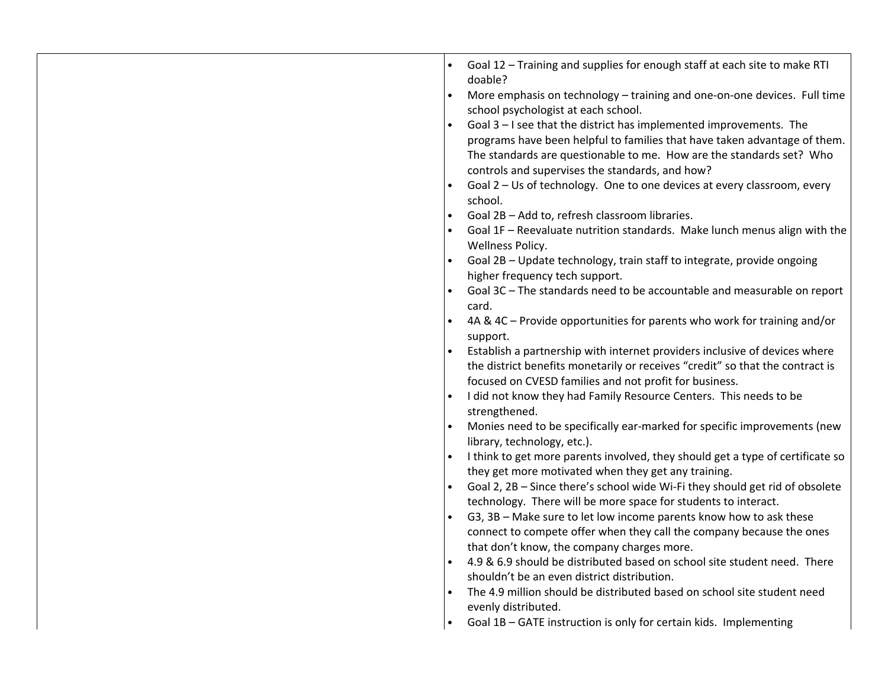| Goal 12 - Training and supplies for enough staff at each site to make RTI<br>doable?<br>More emphasis on technology - training and one-on-one devices. Full time<br>$\bullet$<br>school psychologist at each school.<br>Goal 3 - I see that the district has implemented improvements. The<br>programs have been helpful to families that have taken advantage of them.<br>The standards are questionable to me. How are the standards set? Who<br>controls and supervises the standards, and how?<br>Goal 2 - Us of technology. One to one devices at every classroom, every<br>school.<br>Goal 2B - Add to, refresh classroom libraries.<br>Goal 1F - Reevaluate nutrition standards. Make lunch menus align with the<br>Wellness Policy.<br>Goal 2B - Update technology, train staff to integrate, provide ongoing<br>higher frequency tech support.<br>Goal 3C - The standards need to be accountable and measurable on report<br>card.<br>4A & 4C - Provide opportunities for parents who work for training and/or<br>support.<br>Establish a partnership with internet providers inclusive of devices where<br>the district benefits monetarily or receives "credit" so that the contract is<br>focused on CVESD families and not profit for business.<br>I did not know they had Family Resource Centers. This needs to be<br>strengthened.<br>Monies need to be specifically ear-marked for specific improvements (new<br>library, technology, etc.).<br>I think to get more parents involved, they should get a type of certificate so<br>they get more motivated when they get any training.<br>Goal 2, 2B - Since there's school wide Wi-Fi they should get rid of obsolete<br>technology. There will be more space for students to interact.<br>G3, 3B - Make sure to let low income parents know how to ask these<br>connect to compete offer when they call the company because the ones<br>that don't know, the company charges more.<br>4.9 & 6.9 should be distributed based on school site student need. There<br>shouldn't be an even district distribution.<br>The 4.9 million should be distributed based on school site student need<br>evenly distributed. |
|-----------------------------------------------------------------------------------------------------------------------------------------------------------------------------------------------------------------------------------------------------------------------------------------------------------------------------------------------------------------------------------------------------------------------------------------------------------------------------------------------------------------------------------------------------------------------------------------------------------------------------------------------------------------------------------------------------------------------------------------------------------------------------------------------------------------------------------------------------------------------------------------------------------------------------------------------------------------------------------------------------------------------------------------------------------------------------------------------------------------------------------------------------------------------------------------------------------------------------------------------------------------------------------------------------------------------------------------------------------------------------------------------------------------------------------------------------------------------------------------------------------------------------------------------------------------------------------------------------------------------------------------------------------------------------------------------------------------------------------------------------------------------------------------------------------------------------------------------------------------------------------------------------------------------------------------------------------------------------------------------------------------------------------------------------------------------------------------------------------------------------------------------------------------------------------|
| Goal 1B - GATE instruction is only for certain kids. Implementing                                                                                                                                                                                                                                                                                                                                                                                                                                                                                                                                                                                                                                                                                                                                                                                                                                                                                                                                                                                                                                                                                                                                                                                                                                                                                                                                                                                                                                                                                                                                                                                                                                                                                                                                                                                                                                                                                                                                                                                                                                                                                                                 |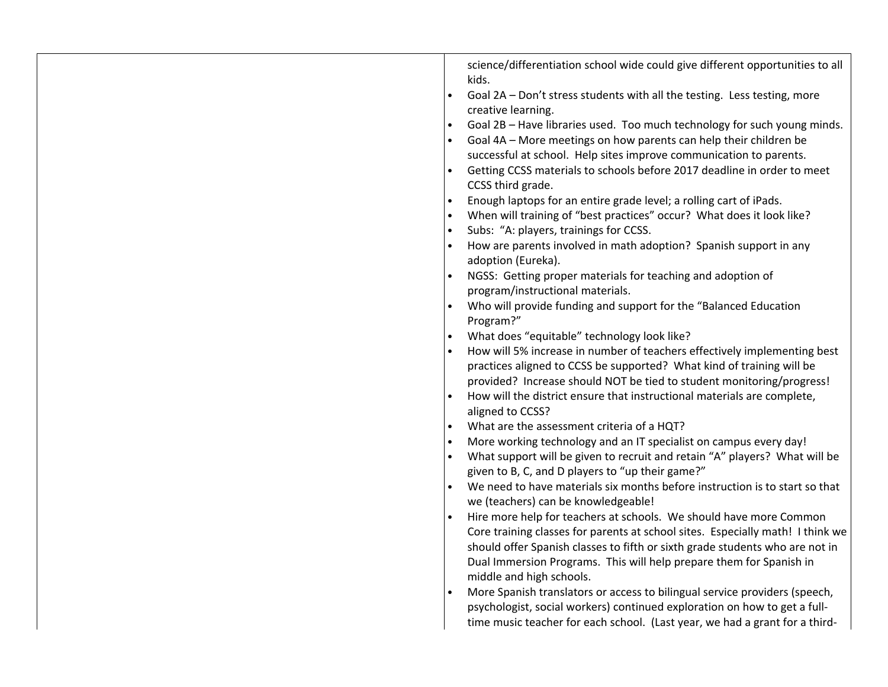| science/differentiation school wide could give different opportunities to all<br>kids.<br>Goal 2A - Don't stress students with all the testing. Less testing, more<br>creative learning.<br>Goal 2B - Have libraries used. Too much technology for such young minds.<br>Goal 4A - More meetings on how parents can help their children be<br>successful at school. Help sites improve communication to parents.<br>Getting CCSS materials to schools before 2017 deadline in order to meet<br>CCSS third grade.<br>Enough laptops for an entire grade level; a rolling cart of iPads.<br>When will training of "best practices" occur? What does it look like?<br>Subs: "A: players, trainings for CCSS.<br>How are parents involved in math adoption? Spanish support in any<br>adoption (Eureka).<br>NGSS: Getting proper materials for teaching and adoption of<br>program/instructional materials.<br>Who will provide funding and support for the "Balanced Education<br>Program?"<br>What does "equitable" technology look like?<br>How will 5% increase in number of teachers effectively implementing best<br>practices aligned to CCSS be supported? What kind of training will be<br>provided? Increase should NOT be tied to student monitoring/progress!<br>How will the district ensure that instructional materials are complete,<br>aligned to CCSS?<br>What are the assessment criteria of a HQT?<br>More working technology and an IT specialist on campus every day!<br>What support will be given to recruit and retain "A" players? What will be<br>given to B, C, and D players to "up their game?"<br>We need to have materials six months before instruction is to start so that<br>we (teachers) can be knowledgeable!<br>Hire more help for teachers at schools. We should have more Common<br>Core training classes for parents at school sites. Especially math! I think we<br>should offer Spanish classes to fifth or sixth grade students who are not in<br>Dual Immersion Programs. This will help prepare them for Spanish in<br>middle and high schools.<br>More Spanish translators or access to bilingual service providers (speech,<br>psychologist, social workers) continued exploration on how to get a full- |
|------------------------------------------------------------------------------------------------------------------------------------------------------------------------------------------------------------------------------------------------------------------------------------------------------------------------------------------------------------------------------------------------------------------------------------------------------------------------------------------------------------------------------------------------------------------------------------------------------------------------------------------------------------------------------------------------------------------------------------------------------------------------------------------------------------------------------------------------------------------------------------------------------------------------------------------------------------------------------------------------------------------------------------------------------------------------------------------------------------------------------------------------------------------------------------------------------------------------------------------------------------------------------------------------------------------------------------------------------------------------------------------------------------------------------------------------------------------------------------------------------------------------------------------------------------------------------------------------------------------------------------------------------------------------------------------------------------------------------------------------------------------------------------------------------------------------------------------------------------------------------------------------------------------------------------------------------------------------------------------------------------------------------------------------------------------------------------------------------------------------------------------------------------------------------------------------------------------------------------------------------|
| time music teacher for each school. (Last year, we had a grant for a third-                                                                                                                                                                                                                                                                                                                                                                                                                                                                                                                                                                                                                                                                                                                                                                                                                                                                                                                                                                                                                                                                                                                                                                                                                                                                                                                                                                                                                                                                                                                                                                                                                                                                                                                                                                                                                                                                                                                                                                                                                                                                                                                                                                          |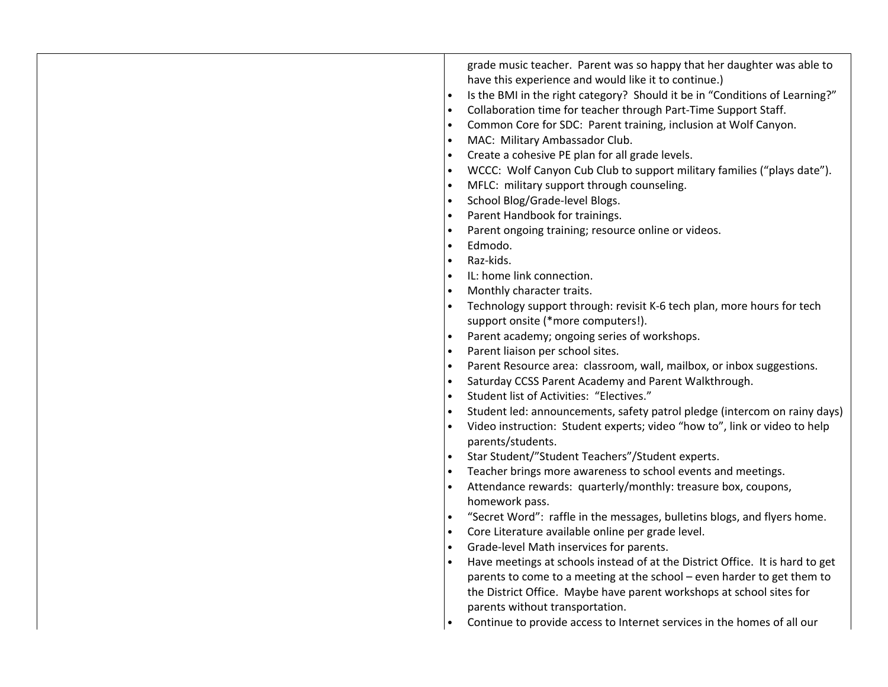| grade music teacher. Parent was so happy that her daughter was able to<br>have this experience and would like it to continue.)<br>Is the BMI in the right category? Should it be in "Conditions of Learning?"<br>$\bullet$<br>Collaboration time for teacher through Part-Time Support Staff.<br>$\bullet$<br>Common Core for SDC: Parent training, inclusion at Wolf Canyon.<br>$\bullet$<br>MAC: Military Ambassador Club.<br>$\bullet$<br>Create a cohesive PE plan for all grade levels.<br>$\bullet$<br>WCCC: Wolf Canyon Cub Club to support military families ("plays date").<br>MFLC: military support through counseling.<br>$\bullet$<br>School Blog/Grade-level Blogs.<br>$\bullet$<br>Parent Handbook for trainings.<br>Parent ongoing training; resource online or videos.<br>Edmodo.<br>$\bullet$<br>Raz-kids.<br>$\bullet$<br>IL: home link connection.<br>Monthly character traits.<br>$\bullet$<br>Technology support through: revisit K-6 tech plan, more hours for tech<br>support onsite (*more computers!).<br>Parent academy; ongoing series of workshops.<br>$\bullet$<br>Parent liaison per school sites.<br>$\bullet$<br>Parent Resource area: classroom, wall, mailbox, or inbox suggestions.<br>$\bullet$<br>Saturday CCSS Parent Academy and Parent Walkthrough.<br>$\bullet$<br>Student list of Activities: "Electives."<br>$\bullet$<br>Student led: announcements, safety patrol pledge (intercom on rainy days)<br>$\bullet$<br>Video instruction: Student experts; video "how to", link or video to help<br>parents/students.<br>Star Student/"Student Teachers"/Student experts.<br>Teacher brings more awareness to school events and meetings.<br>Attendance rewards: quarterly/monthly: treasure box, coupons,<br>homework pass.<br>"Secret Word": raffle in the messages, bulletins blogs, and flyers home.<br>$\bullet$<br>Core Literature available online per grade level.<br>$\bullet$<br>Grade-level Math inservices for parents.<br>$\bullet$<br>Have meetings at schools instead of at the District Office. It is hard to get<br>parents to come to a meeting at the school - even harder to get them to<br>the District Office. Maybe have parent workshops at school sites for |
|-------------------------------------------------------------------------------------------------------------------------------------------------------------------------------------------------------------------------------------------------------------------------------------------------------------------------------------------------------------------------------------------------------------------------------------------------------------------------------------------------------------------------------------------------------------------------------------------------------------------------------------------------------------------------------------------------------------------------------------------------------------------------------------------------------------------------------------------------------------------------------------------------------------------------------------------------------------------------------------------------------------------------------------------------------------------------------------------------------------------------------------------------------------------------------------------------------------------------------------------------------------------------------------------------------------------------------------------------------------------------------------------------------------------------------------------------------------------------------------------------------------------------------------------------------------------------------------------------------------------------------------------------------------------------------------------------------------------------------------------------------------------------------------------------------------------------------------------------------------------------------------------------------------------------------------------------------------------------------------------------------------------------------------------------------------------------------------------------------------------------------------------------------------------------------------------------------------------------------|
| parents without transportation.<br>Continue to provide access to Internet services in the homes of all our                                                                                                                                                                                                                                                                                                                                                                                                                                                                                                                                                                                                                                                                                                                                                                                                                                                                                                                                                                                                                                                                                                                                                                                                                                                                                                                                                                                                                                                                                                                                                                                                                                                                                                                                                                                                                                                                                                                                                                                                                                                                                                                    |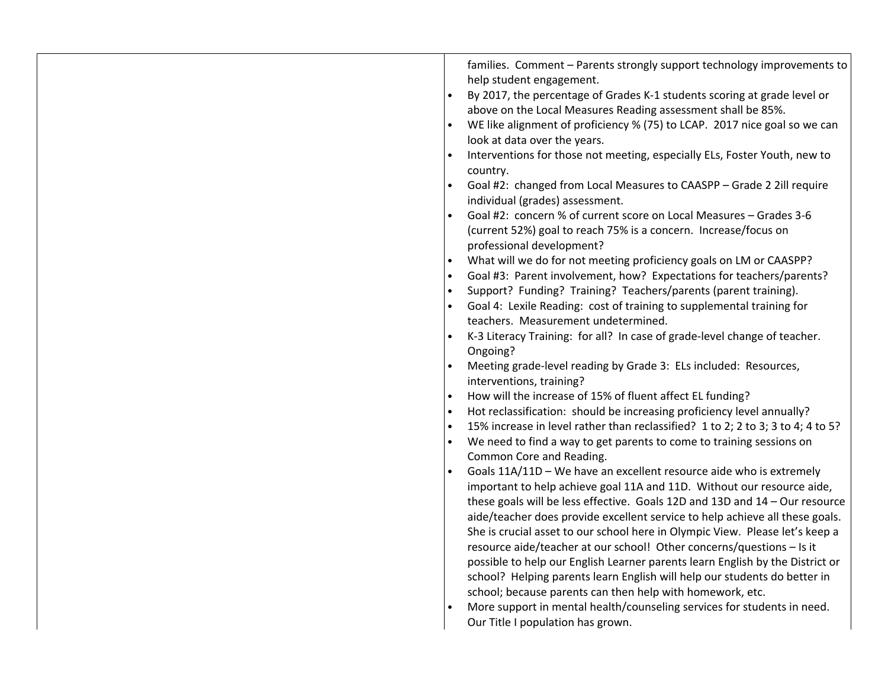| families. Comment - Parents strongly support technology improvements to<br>help student engagement.<br>By 2017, the percentage of Grades K-1 students scoring at grade level or<br>above on the Local Measures Reading assessment shall be 85%.<br>WE like alignment of proficiency % (75) to LCAP. 2017 nice goal so we can<br>look at data over the years.<br>Interventions for those not meeting, especially ELs, Foster Youth, new to<br>country.<br>Goal #2: changed from Local Measures to CAASPP - Grade 2 2ill require<br>individual (grades) assessment.<br>Goal #2: concern % of current score on Local Measures - Grades 3-6<br>(current 52%) goal to reach 75% is a concern. Increase/focus on<br>professional development?<br>What will we do for not meeting proficiency goals on LM or CAASPP?<br>$\bullet$<br>Goal #3: Parent involvement, how? Expectations for teachers/parents?<br>Support? Funding? Training? Teachers/parents (parent training).<br>$\bullet$<br>Goal 4: Lexile Reading: cost of training to supplemental training for<br>teachers. Measurement undetermined.<br>K-3 Literacy Training: for all? In case of grade-level change of teacher.<br>Ongoing?<br>Meeting grade-level reading by Grade 3: ELs included: Resources,<br>interventions, training?<br>How will the increase of 15% of fluent affect EL funding?<br>Hot reclassification: should be increasing proficiency level annually?<br>$\bullet$<br>15% increase in level rather than reclassified? 1 to 2; 2 to 3; 3 to 4; 4 to 5?<br>$\bullet$<br>We need to find a way to get parents to come to training sessions on<br>Common Core and Reading.<br>Goals 11A/11D - We have an excellent resource aide who is extremely<br>important to help achieve goal 11A and 11D. Without our resource aide,<br>these goals will be less effective. Goals 12D and 13D and 14 - Our resource<br>aide/teacher does provide excellent service to help achieve all these goals.<br>She is crucial asset to our school here in Olympic View. Please let's keep a<br>resource aide/teacher at our school! Other concerns/questions - Is it<br>possible to help our English Learner parents learn English by the District or<br>school? Helping parents learn English will help our students do better in<br>school; because parents can then help with homework, etc.<br>More support in mental health/counseling services for students in need. |
|------------------------------------------------------------------------------------------------------------------------------------------------------------------------------------------------------------------------------------------------------------------------------------------------------------------------------------------------------------------------------------------------------------------------------------------------------------------------------------------------------------------------------------------------------------------------------------------------------------------------------------------------------------------------------------------------------------------------------------------------------------------------------------------------------------------------------------------------------------------------------------------------------------------------------------------------------------------------------------------------------------------------------------------------------------------------------------------------------------------------------------------------------------------------------------------------------------------------------------------------------------------------------------------------------------------------------------------------------------------------------------------------------------------------------------------------------------------------------------------------------------------------------------------------------------------------------------------------------------------------------------------------------------------------------------------------------------------------------------------------------------------------------------------------------------------------------------------------------------------------------------------------------------------------------------------------------------------------------------------------------------------------------------------------------------------------------------------------------------------------------------------------------------------------------------------------------------------------------------------------------------------------------------------------------------------------------------------------------------------------------------------------------------------------------------|
| Our Title I population has grown.                                                                                                                                                                                                                                                                                                                                                                                                                                                                                                                                                                                                                                                                                                                                                                                                                                                                                                                                                                                                                                                                                                                                                                                                                                                                                                                                                                                                                                                                                                                                                                                                                                                                                                                                                                                                                                                                                                                                                                                                                                                                                                                                                                                                                                                                                                                                                                                                  |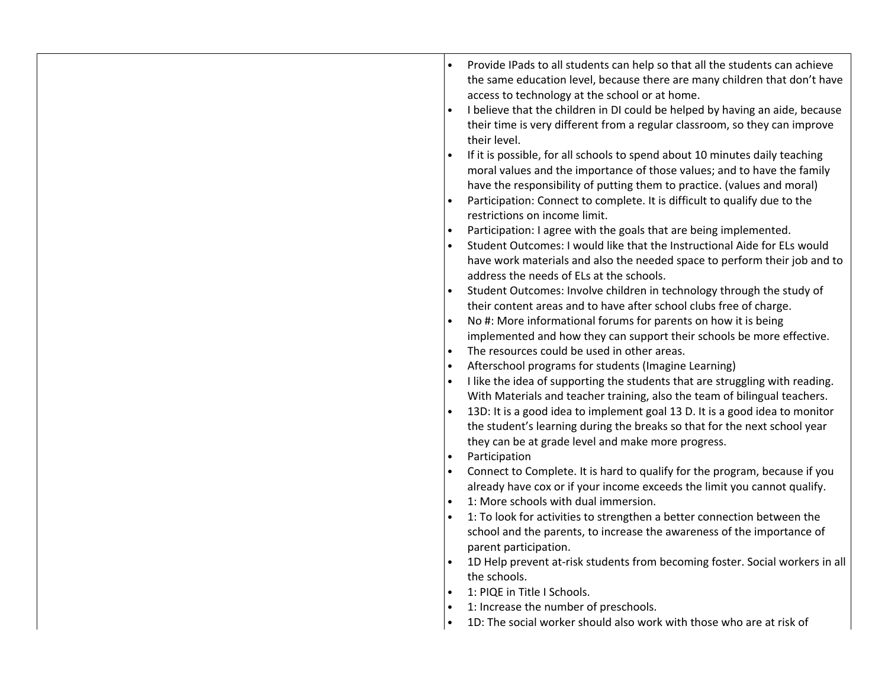|  |  | the same education level, because there are many children that don't have<br>access to technology at the school or at home.<br>I believe that the children in DI could be helped by having an aide, because<br>their time is very different from a regular classroom, so they can improve<br>their level.<br>If it is possible, for all schools to spend about 10 minutes daily teaching<br>moral values and the importance of those values; and to have the family<br>have the responsibility of putting them to practice. (values and moral)<br>Participation: Connect to complete. It is difficult to qualify due to the<br>restrictions on income limit.<br>Participation: I agree with the goals that are being implemented.<br>Student Outcomes: I would like that the Instructional Aide for ELs would<br>$\bullet$<br>have work materials and also the needed space to perform their job and to<br>address the needs of ELs at the schools.<br>Student Outcomes: Involve children in technology through the study of<br>their content areas and to have after school clubs free of charge.<br>No #: More informational forums for parents on how it is being<br>implemented and how they can support their schools be more effective.<br>The resources could be used in other areas.<br>$\bullet$<br>Afterschool programs for students (Imagine Learning)<br>$\bullet$<br>I like the idea of supporting the students that are struggling with reading.<br>With Materials and teacher training, also the team of bilingual teachers.<br>13D: It is a good idea to implement goal 13 D. It is a good idea to monitor<br>the student's learning during the breaks so that for the next school year<br>they can be at grade level and make more progress.<br>Participation<br>$\bullet$<br>Connect to Complete. It is hard to qualify for the program, because if you<br>already have cox or if your income exceeds the limit you cannot qualify.<br>1: More schools with dual immersion.<br>$\bullet$<br>1: To look for activities to strengthen a better connection between the<br>school and the parents, to increase the awareness of the importance of<br>parent participation.<br>1D Help prevent at-risk students from becoming foster. Social workers in all<br>the schools.<br>1: PIQE in Title I Schools.<br>1: Increase the number of preschools.<br>$\bullet$<br>1D: The social worker should also work with those who are at risk of<br>$\bullet$ |
|--|--|--------------------------------------------------------------------------------------------------------------------------------------------------------------------------------------------------------------------------------------------------------------------------------------------------------------------------------------------------------------------------------------------------------------------------------------------------------------------------------------------------------------------------------------------------------------------------------------------------------------------------------------------------------------------------------------------------------------------------------------------------------------------------------------------------------------------------------------------------------------------------------------------------------------------------------------------------------------------------------------------------------------------------------------------------------------------------------------------------------------------------------------------------------------------------------------------------------------------------------------------------------------------------------------------------------------------------------------------------------------------------------------------------------------------------------------------------------------------------------------------------------------------------------------------------------------------------------------------------------------------------------------------------------------------------------------------------------------------------------------------------------------------------------------------------------------------------------------------------------------------------------------------------------------------------------------------------------------------------------------------------------------------------------------------------------------------------------------------------------------------------------------------------------------------------------------------------------------------------------------------------------------------------------------------------------------------------------------------------------------------------------------------------------------------------------------------------------------------|
|--|--|--------------------------------------------------------------------------------------------------------------------------------------------------------------------------------------------------------------------------------------------------------------------------------------------------------------------------------------------------------------------------------------------------------------------------------------------------------------------------------------------------------------------------------------------------------------------------------------------------------------------------------------------------------------------------------------------------------------------------------------------------------------------------------------------------------------------------------------------------------------------------------------------------------------------------------------------------------------------------------------------------------------------------------------------------------------------------------------------------------------------------------------------------------------------------------------------------------------------------------------------------------------------------------------------------------------------------------------------------------------------------------------------------------------------------------------------------------------------------------------------------------------------------------------------------------------------------------------------------------------------------------------------------------------------------------------------------------------------------------------------------------------------------------------------------------------------------------------------------------------------------------------------------------------------------------------------------------------------------------------------------------------------------------------------------------------------------------------------------------------------------------------------------------------------------------------------------------------------------------------------------------------------------------------------------------------------------------------------------------------------------------------------------------------------------------------------------------------------|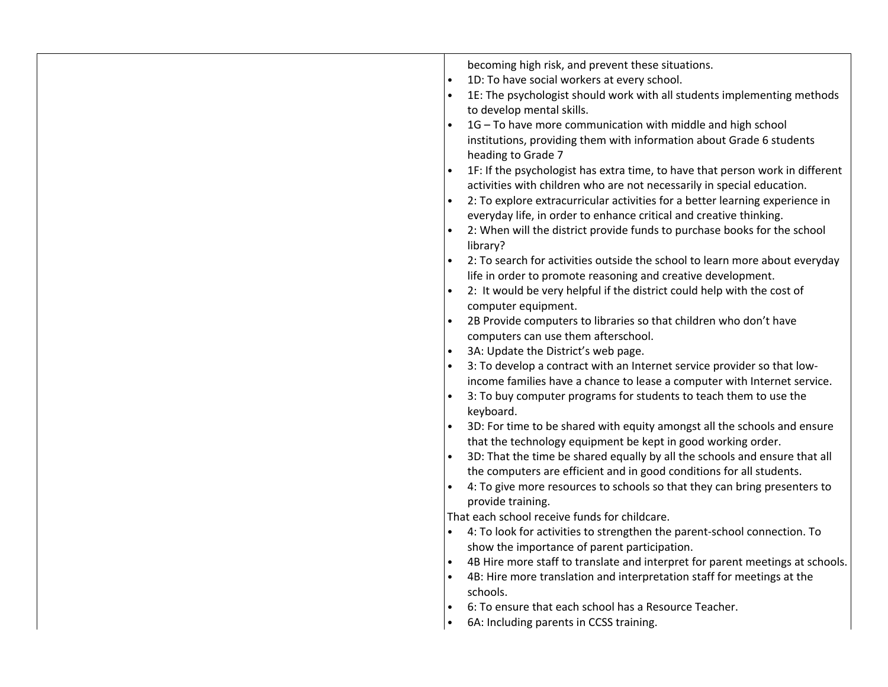| 2: It would be very helpful if the district could help with the cost of<br>computer equipment.<br>2B Provide computers to libraries so that children who don't have<br>computers can use them afterschool.<br>3A: Update the District's web page.<br>$\bullet$<br>3: To develop a contract with an Internet service provider so that low-<br>3: To buy computer programs for students to teach them to use the<br>keyboard.<br>that the technology equipment be kept in good working order.<br>the computers are efficient and in good conditions for all students.<br>provide training.<br>That each school receive funds for childcare.<br>4: To look for activities to strengthen the parent-school connection. To<br>show the importance of parent participation.<br>4B: Hire more translation and interpretation staff for meetings at the<br>schools.<br>6: To ensure that each school has a Resource Teacher.<br>6A: Including parents in CCSS training. |  | becoming high risk, and prevent these situations.<br>1D: To have social workers at every school.<br>1E: The psychologist should work with all students implementing methods<br>to develop mental skills.<br>1G - To have more communication with middle and high school<br>institutions, providing them with information about Grade 6 students<br>heading to Grade 7<br>1F: If the psychologist has extra time, to have that person work in different<br>activities with children who are not necessarily in special education.<br>2: To explore extracurricular activities for a better learning experience in<br>everyday life, in order to enhance critical and creative thinking.<br>2: When will the district provide funds to purchase books for the school<br>library?<br>2: To search for activities outside the school to learn more about everyday<br>life in order to promote reasoning and creative development.<br>income families have a chance to lease a computer with Internet service.<br>3D: For time to be shared with equity amongst all the schools and ensure<br>3D: That the time be shared equally by all the schools and ensure that all<br>4: To give more resources to schools so that they can bring presenters to<br>4B Hire more staff to translate and interpret for parent meetings at schools. |
|-----------------------------------------------------------------------------------------------------------------------------------------------------------------------------------------------------------------------------------------------------------------------------------------------------------------------------------------------------------------------------------------------------------------------------------------------------------------------------------------------------------------------------------------------------------------------------------------------------------------------------------------------------------------------------------------------------------------------------------------------------------------------------------------------------------------------------------------------------------------------------------------------------------------------------------------------------------------|--|-----------------------------------------------------------------------------------------------------------------------------------------------------------------------------------------------------------------------------------------------------------------------------------------------------------------------------------------------------------------------------------------------------------------------------------------------------------------------------------------------------------------------------------------------------------------------------------------------------------------------------------------------------------------------------------------------------------------------------------------------------------------------------------------------------------------------------------------------------------------------------------------------------------------------------------------------------------------------------------------------------------------------------------------------------------------------------------------------------------------------------------------------------------------------------------------------------------------------------------------------------------------------------------------------------------------------------------|
|-----------------------------------------------------------------------------------------------------------------------------------------------------------------------------------------------------------------------------------------------------------------------------------------------------------------------------------------------------------------------------------------------------------------------------------------------------------------------------------------------------------------------------------------------------------------------------------------------------------------------------------------------------------------------------------------------------------------------------------------------------------------------------------------------------------------------------------------------------------------------------------------------------------------------------------------------------------------|--|-----------------------------------------------------------------------------------------------------------------------------------------------------------------------------------------------------------------------------------------------------------------------------------------------------------------------------------------------------------------------------------------------------------------------------------------------------------------------------------------------------------------------------------------------------------------------------------------------------------------------------------------------------------------------------------------------------------------------------------------------------------------------------------------------------------------------------------------------------------------------------------------------------------------------------------------------------------------------------------------------------------------------------------------------------------------------------------------------------------------------------------------------------------------------------------------------------------------------------------------------------------------------------------------------------------------------------------|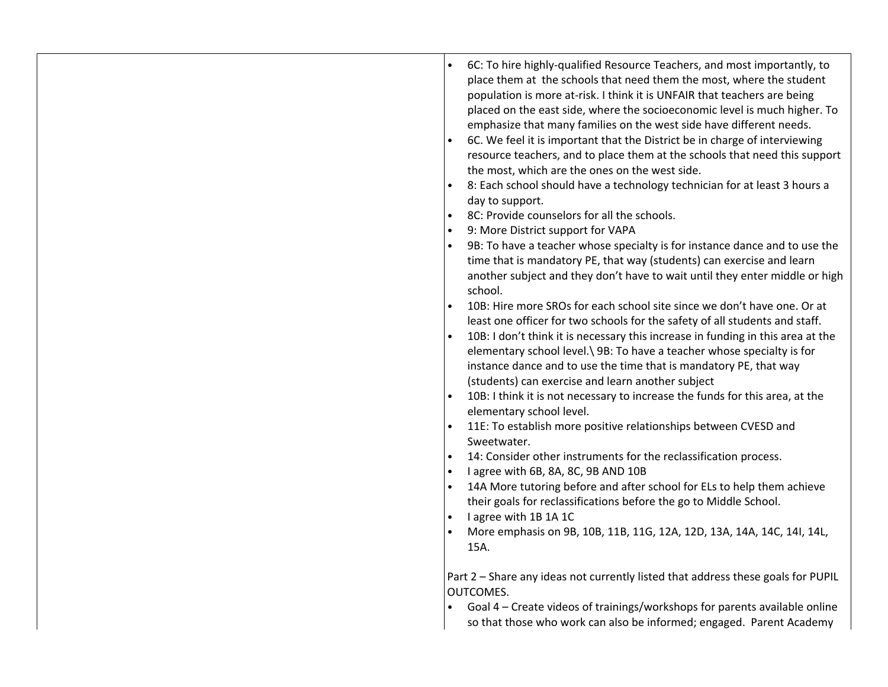| 6C: To hire highly-qualified Resource Teachers, and most importantly, to<br>place them at the schools that need them the most, where the student<br>population is more at-risk. I think it is UNFAIR that teachers are being<br>placed on the east side, where the socioeconomic level is much higher. To<br>emphasize that many families on the west side have different needs.<br>6C. We feel it is important that the District be in charge of interviewing<br>resource teachers, and to place them at the schools that need this support<br>the most, which are the ones on the west side.<br>8: Each school should have a technology technician for at least 3 hours a<br>day to support.<br>8C: Provide counselors for all the schools.<br>9: More District support for VAPA<br>9B: To have a teacher whose specialty is for instance dance and to use the<br>time that is mandatory PE, that way (students) can exercise and learn<br>another subject and they don't have to wait until they enter middle or high<br>school.<br>10B: Hire more SROs for each school site since we don't have one. Or at<br>least one officer for two schools for the safety of all students and staff.<br>10B: I don't think it is necessary this increase in funding in this area at the<br>elementary school level.\ 9B: To have a teacher whose specialty is for<br>instance dance and to use the time that is mandatory PE, that way<br>(students) can exercise and learn another subject<br>10B: I think it is not necessary to increase the funds for this area, at the<br>elementary school level.<br>11E: To establish more positive relationships between CVESD and<br>Sweetwater.<br>14: Consider other instruments for the reclassification process.<br>$\bullet$<br>I agree with 6B, 8A, 8C, 9B AND 10B<br>$\bullet$<br>14A More tutoring before and after school for ELs to help them achieve<br>their goals for reclassifications before the go to Middle School.<br>I agree with 1B 1A 1C<br>More emphasis on 9B, 10B, 11B, 11G, 12A, 12D, 13A, 14A, 14C, 14I, 14L,<br>15A. |
|-----------------------------------------------------------------------------------------------------------------------------------------------------------------------------------------------------------------------------------------------------------------------------------------------------------------------------------------------------------------------------------------------------------------------------------------------------------------------------------------------------------------------------------------------------------------------------------------------------------------------------------------------------------------------------------------------------------------------------------------------------------------------------------------------------------------------------------------------------------------------------------------------------------------------------------------------------------------------------------------------------------------------------------------------------------------------------------------------------------------------------------------------------------------------------------------------------------------------------------------------------------------------------------------------------------------------------------------------------------------------------------------------------------------------------------------------------------------------------------------------------------------------------------------------------------------------------------------------------------------------------------------------------------------------------------------------------------------------------------------------------------------------------------------------------------------------------------------------------------------------------------------------------------------------------------------------------------------------------------------------------------------------------------------------------------------------------------|
| Part 2 - Share any ideas not currently listed that address these goals for PUPIL<br>OUTCOMES.<br>Goal 4 – Create videos of trainings/workshops for parents available online<br>so that those who work can also be informed; engaged. Parent Academy                                                                                                                                                                                                                                                                                                                                                                                                                                                                                                                                                                                                                                                                                                                                                                                                                                                                                                                                                                                                                                                                                                                                                                                                                                                                                                                                                                                                                                                                                                                                                                                                                                                                                                                                                                                                                               |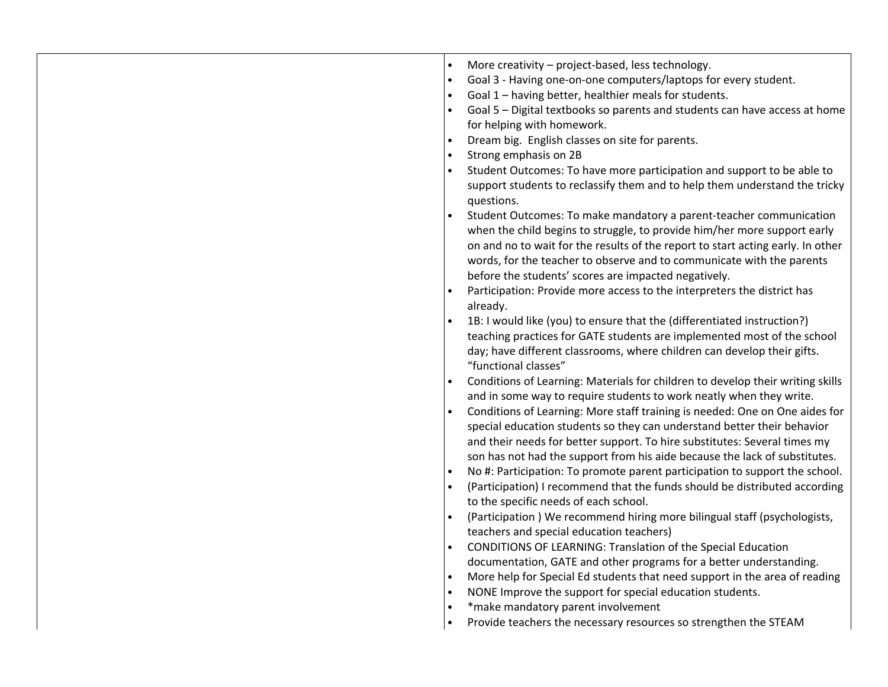| More creativity - project-based, less technology.<br>Goal 3 - Having one-on-one computers/laptops for every student.<br>Goal 1 - having better, healthier meals for students.<br>Goal 5 - Digital textbooks so parents and students can have access at home<br>for helping with homework.<br>Dream big. English classes on site for parents.<br>Strong emphasis on 2B<br>Student Outcomes: To have more participation and support to be able to<br>support students to reclassify them and to help them understand the tricky<br>questions.                                                                                                                     |
|-----------------------------------------------------------------------------------------------------------------------------------------------------------------------------------------------------------------------------------------------------------------------------------------------------------------------------------------------------------------------------------------------------------------------------------------------------------------------------------------------------------------------------------------------------------------------------------------------------------------------------------------------------------------|
| Student Outcomes: To make mandatory a parent-teacher communication<br>when the child begins to struggle, to provide him/her more support early<br>on and no to wait for the results of the report to start acting early. In other<br>words, for the teacher to observe and to communicate with the parents<br>before the students' scores are impacted negatively.                                                                                                                                                                                                                                                                                              |
| Participation: Provide more access to the interpreters the district has<br>already.<br>1B: I would like (you) to ensure that the (differentiated instruction?)<br>teaching practices for GATE students are implemented most of the school<br>day; have different classrooms, where children can develop their gifts.                                                                                                                                                                                                                                                                                                                                            |
| "functional classes"<br>Conditions of Learning: Materials for children to develop their writing skills<br>and in some way to require students to work neatly when they write.<br>Conditions of Learning: More staff training is needed: One on One aides for<br>special education students so they can understand better their behavior<br>and their needs for better support. To hire substitutes: Several times my<br>son has not had the support from his aide because the lack of substitutes.<br>No #: Participation: To promote parent participation to support the school.<br>(Participation) I recommend that the funds should be distributed according |
| to the specific needs of each school.<br>(Participation) We recommend hiring more bilingual staff (psychologists,<br>teachers and special education teachers)<br>CONDITIONS OF LEARNING: Translation of the Special Education<br>documentation, GATE and other programs for a better understanding.<br>More help for Special Ed students that need support in the area of reading<br>NONE Improve the support for special education students.<br>*make mandatory parent involvement<br>Provide teachers the necessary resources so strengthen the STEAM                                                                                                         |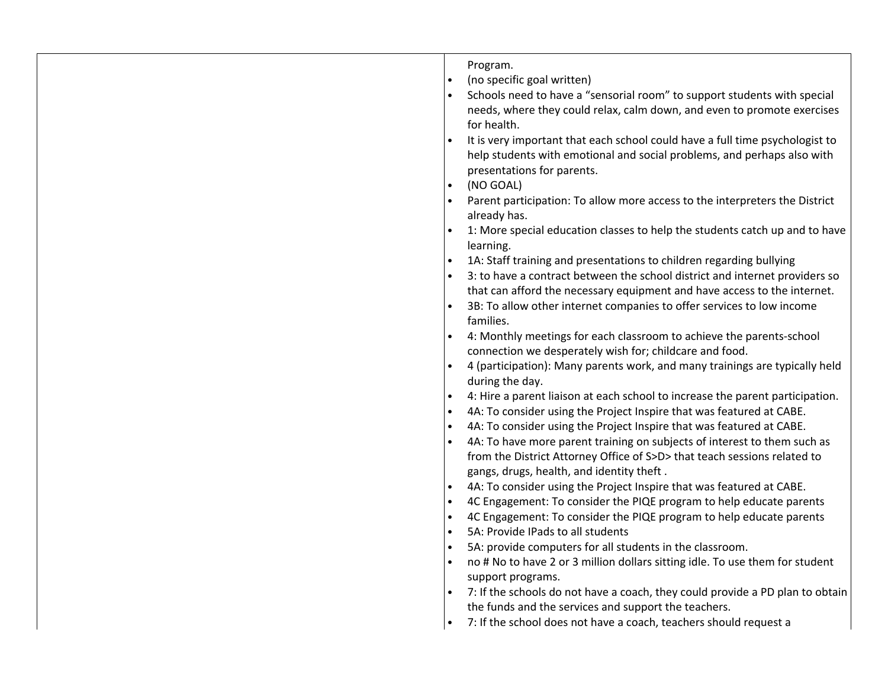| $\bullet$ | Program.<br>(no specific goal written)<br>Schools need to have a "sensorial room" to support students with special<br>needs, where they could relax, calm down, and even to promote exercises<br>for health.<br>It is very important that each school could have a full time psychologist to<br>help students with emotional and social problems, and perhaps also with<br>presentations for parents.<br>(NO GOAL)<br>Parent participation: To allow more access to the interpreters the District<br>already has.<br>1: More special education classes to help the students catch up and to have<br>learning.<br>1A: Staff training and presentations to children regarding bullying<br>3: to have a contract between the school district and internet providers so<br>that can afford the necessary equipment and have access to the internet.<br>3B: To allow other internet companies to offer services to low income<br>families.<br>4: Monthly meetings for each classroom to achieve the parents-school<br>connection we desperately wish for; childcare and food.<br>4 (participation): Many parents work, and many trainings are typically held<br>during the day.<br>4: Hire a parent liaison at each school to increase the parent participation.<br>4A: To consider using the Project Inspire that was featured at CABE.<br>4A: To consider using the Project Inspire that was featured at CABE.<br>4A: To have more parent training on subjects of interest to them such as<br>from the District Attorney Office of S>D> that teach sessions related to<br>gangs, drugs, health, and identity theft.<br>4A: To consider using the Project Inspire that was featured at CABE.<br>4C Engagement: To consider the PIQE program to help educate parents<br>4C Engagement: To consider the PIQE program to help educate parents<br>5A: Provide IPads to all students<br>5A: provide computers for all students in the classroom.<br>no # No to have 2 or 3 million dollars sitting idle. To use them for student |
|-----------|-------------------------------------------------------------------------------------------------------------------------------------------------------------------------------------------------------------------------------------------------------------------------------------------------------------------------------------------------------------------------------------------------------------------------------------------------------------------------------------------------------------------------------------------------------------------------------------------------------------------------------------------------------------------------------------------------------------------------------------------------------------------------------------------------------------------------------------------------------------------------------------------------------------------------------------------------------------------------------------------------------------------------------------------------------------------------------------------------------------------------------------------------------------------------------------------------------------------------------------------------------------------------------------------------------------------------------------------------------------------------------------------------------------------------------------------------------------------------------------------------------------------------------------------------------------------------------------------------------------------------------------------------------------------------------------------------------------------------------------------------------------------------------------------------------------------------------------------------------------------------------------------------------------------------------------------------------------------------------------------------------------------------|
|           | support programs.<br>7: If the schools do not have a coach, they could provide a PD plan to obtain<br>the funds and the services and support the teachers.<br>7: If the school does not have a coach, teachers should request a                                                                                                                                                                                                                                                                                                                                                                                                                                                                                                                                                                                                                                                                                                                                                                                                                                                                                                                                                                                                                                                                                                                                                                                                                                                                                                                                                                                                                                                                                                                                                                                                                                                                                                                                                                                         |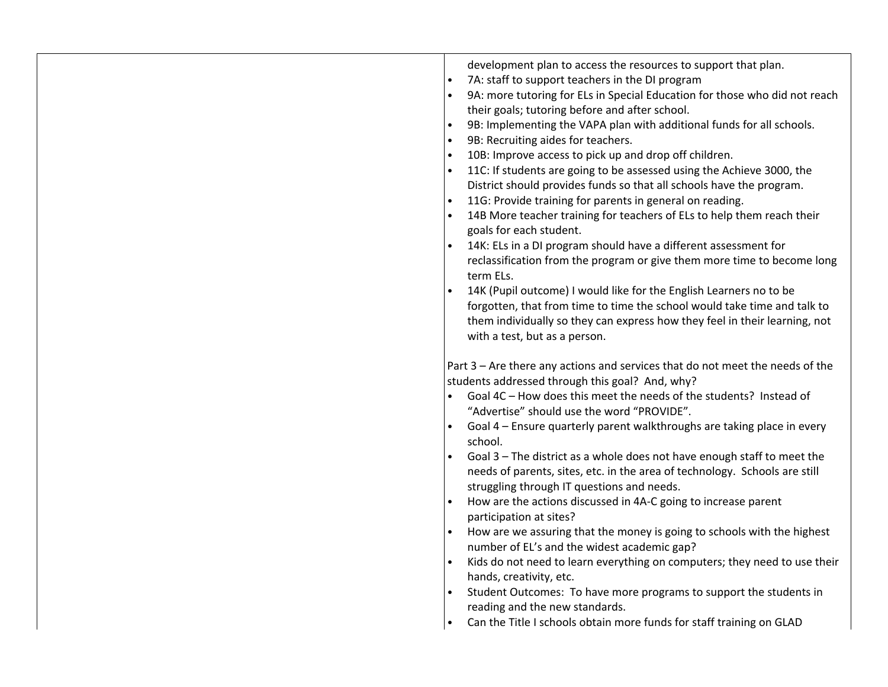| development plan to access the resources to support that plan.<br>7A: staff to support teachers in the DI program<br>$\bullet$<br>9A: more tutoring for ELs in Special Education for those who did not reach<br>their goals; tutoring before and after school.<br>9B: Implementing the VAPA plan with additional funds for all schools.<br>9B: Recruiting aides for teachers.<br>10B: Improve access to pick up and drop off children.<br>11C: If students are going to be assessed using the Achieve 3000, the<br>District should provides funds so that all schools have the program.<br>11G: Provide training for parents in general on reading.<br>14B More teacher training for teachers of ELs to help them reach their<br>goals for each student.<br>14K: ELs in a DI program should have a different assessment for<br>reclassification from the program or give them more time to become long<br>term ELs.<br>14K (Pupil outcome) I would like for the English Learners no to be<br>forgotten, that from time to time the school would take time and talk to<br>them individually so they can express how they feel in their learning, not<br>with a test, but as a person. |
|--------------------------------------------------------------------------------------------------------------------------------------------------------------------------------------------------------------------------------------------------------------------------------------------------------------------------------------------------------------------------------------------------------------------------------------------------------------------------------------------------------------------------------------------------------------------------------------------------------------------------------------------------------------------------------------------------------------------------------------------------------------------------------------------------------------------------------------------------------------------------------------------------------------------------------------------------------------------------------------------------------------------------------------------------------------------------------------------------------------------------------------------------------------------------------------|
| Part 3 - Are there any actions and services that do not meet the needs of the<br>students addressed through this goal? And, why?<br>Goal 4C - How does this meet the needs of the students? Instead of<br>"Advertise" should use the word "PROVIDE".<br>Goal 4 - Ensure quarterly parent walkthroughs are taking place in every<br>school.<br>Goal 3 - The district as a whole does not have enough staff to meet the<br>needs of parents, sites, etc. in the area of technology. Schools are still<br>struggling through IT questions and needs.<br>How are the actions discussed in 4A-C going to increase parent<br>participation at sites?<br>How are we assuring that the money is going to schools with the highest<br>number of EL's and the widest academic gap?<br>Kids do not need to learn everything on computers; they need to use their<br>hands, creativity, etc.<br>Student Outcomes: To have more programs to support the students in<br>reading and the new standards.<br>Can the Title I schools obtain more funds for staff training on GLAD                                                                                                                     |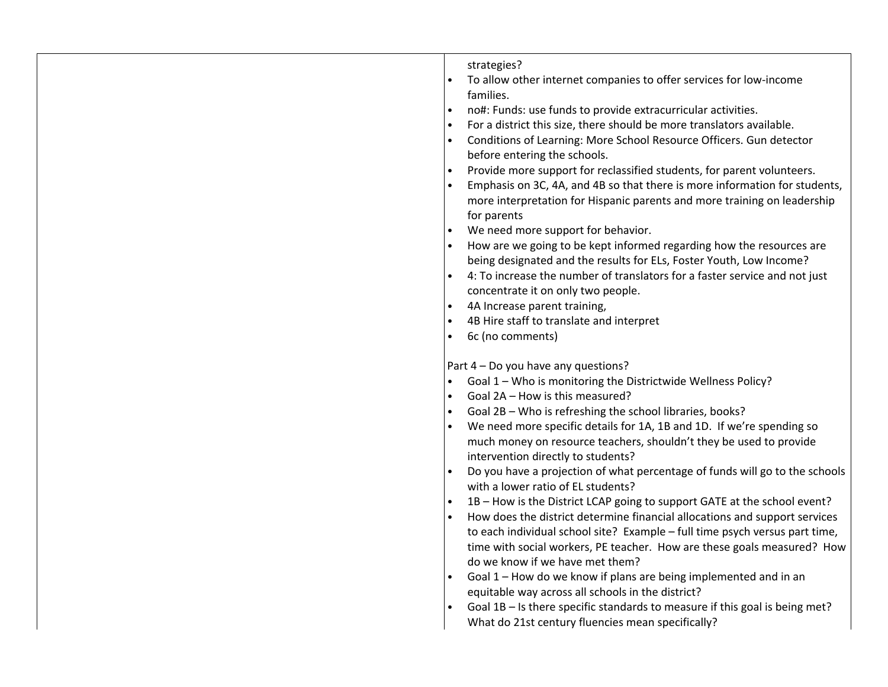| strategies?<br>To allow other internet companies to offer services for low-income                   |
|-----------------------------------------------------------------------------------------------------|
| families.                                                                                           |
| no#: Funds: use funds to provide extracurricular activities.                                        |
| For a district this size, there should be more translators available.                               |
| Conditions of Learning: More School Resource Officers. Gun detector                                 |
| before entering the schools.                                                                        |
| Provide more support for reclassified students, for parent volunteers.                              |
| Emphasis on 3C, 4A, and 4B so that there is more information for students,                          |
| more interpretation for Hispanic parents and more training on leadership                            |
| for parents                                                                                         |
| We need more support for behavior.                                                                  |
| How are we going to be kept informed regarding how the resources are                                |
| being designated and the results for ELs, Foster Youth, Low Income?                                 |
| 4: To increase the number of translators for a faster service and not just                          |
| concentrate it on only two people.                                                                  |
| 4A Increase parent training,                                                                        |
| 4B Hire staff to translate and interpret                                                            |
| 6c (no comments)                                                                                    |
|                                                                                                     |
| Part 4 - Do you have any questions?<br>Goal 1 - Who is monitoring the Districtwide Wellness Policy? |
| Goal 2A - How is this measured?                                                                     |
| Goal 2B - Who is refreshing the school libraries, books?                                            |
| We need more specific details for 1A, 1B and 1D. If we're spending so                               |
| much money on resource teachers, shouldn't they be used to provide                                  |
| intervention directly to students?                                                                  |
| Do you have a projection of what percentage of funds will go to the schools                         |
| with a lower ratio of EL students?                                                                  |
| 1B - How is the District LCAP going to support GATE at the school event?                            |
| How does the district determine financial allocations and support services                          |
| to each individual school site? Example - full time psych versus part time,                         |
| time with social workers, PE teacher. How are these goals measured? How                             |
| do we know if we have met them?                                                                     |
| Goal 1 - How do we know if plans are being implemented and in an                                    |
| equitable way across all schools in the district?                                                   |
|                                                                                                     |
| Goal 1B - Is there specific standards to measure if this goal is being met?                         |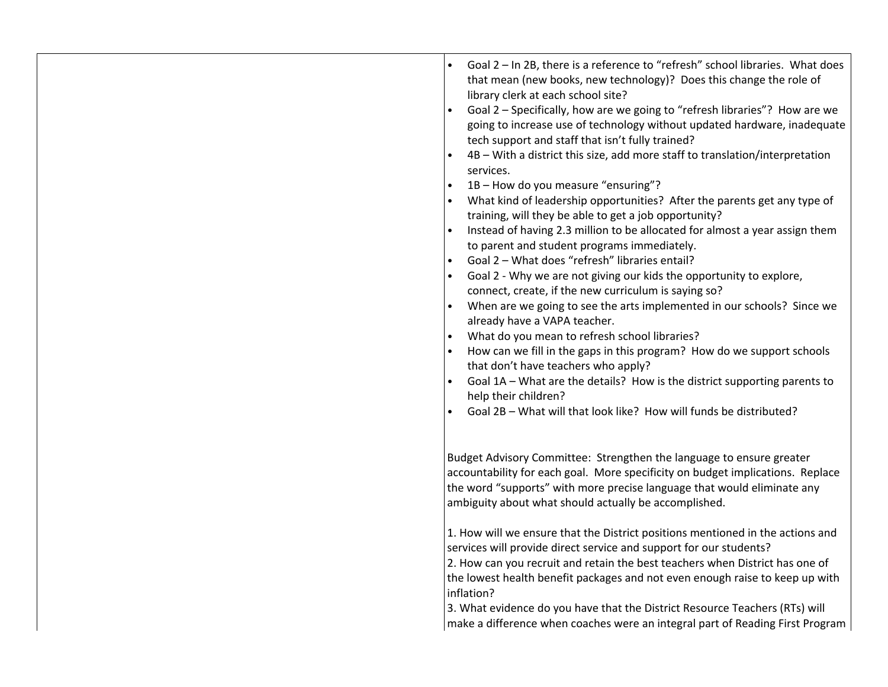| Goal 2 - In 2B, there is a reference to "refresh" school libraries. What does<br>that mean (new books, new technology)? Does this change the role of<br>library clerk at each school site?<br>Goal 2 - Specifically, how are we going to "refresh libraries"? How are we<br>going to increase use of technology without updated hardware, inadequate<br>tech support and staff that isn't fully trained?<br>4B - With a district this size, add more staff to translation/interpretation<br>services.<br>1B - How do you measure "ensuring"?<br>What kind of leadership opportunities? After the parents get any type of<br>training, will they be able to get a job opportunity?<br>Instead of having 2.3 million to be allocated for almost a year assign them<br>to parent and student programs immediately.<br>Goal 2 - What does "refresh" libraries entail?<br>Goal 2 - Why we are not giving our kids the opportunity to explore,<br>connect, create, if the new curriculum is saying so?<br>When are we going to see the arts implemented in our schools? Since we<br>already have a VAPA teacher.<br>What do you mean to refresh school libraries?<br>$\bullet$<br>How can we fill in the gaps in this program? How do we support schools<br>that don't have teachers who apply?<br>Goal 1A - What are the details? How is the district supporting parents to<br>help their children?<br>Goal 2B - What will that look like? How will funds be distributed? |
|----------------------------------------------------------------------------------------------------------------------------------------------------------------------------------------------------------------------------------------------------------------------------------------------------------------------------------------------------------------------------------------------------------------------------------------------------------------------------------------------------------------------------------------------------------------------------------------------------------------------------------------------------------------------------------------------------------------------------------------------------------------------------------------------------------------------------------------------------------------------------------------------------------------------------------------------------------------------------------------------------------------------------------------------------------------------------------------------------------------------------------------------------------------------------------------------------------------------------------------------------------------------------------------------------------------------------------------------------------------------------------------------------------------------------------------------------------------------|
| Budget Advisory Committee: Strengthen the language to ensure greater<br>accountability for each goal. More specificity on budget implications. Replace<br>the word "supports" with more precise language that would eliminate any<br>ambiguity about what should actually be accomplished.                                                                                                                                                                                                                                                                                                                                                                                                                                                                                                                                                                                                                                                                                                                                                                                                                                                                                                                                                                                                                                                                                                                                                                           |
| 1. How will we ensure that the District positions mentioned in the actions and<br>services will provide direct service and support for our students?<br>2. How can you recruit and retain the best teachers when District has one of<br>the lowest health benefit packages and not even enough raise to keep up with<br>inflation?<br>3. What evidence do you have that the District Resource Teachers (RTs) will<br>make a difference when coaches were an integral part of Reading First Program                                                                                                                                                                                                                                                                                                                                                                                                                                                                                                                                                                                                                                                                                                                                                                                                                                                                                                                                                                   |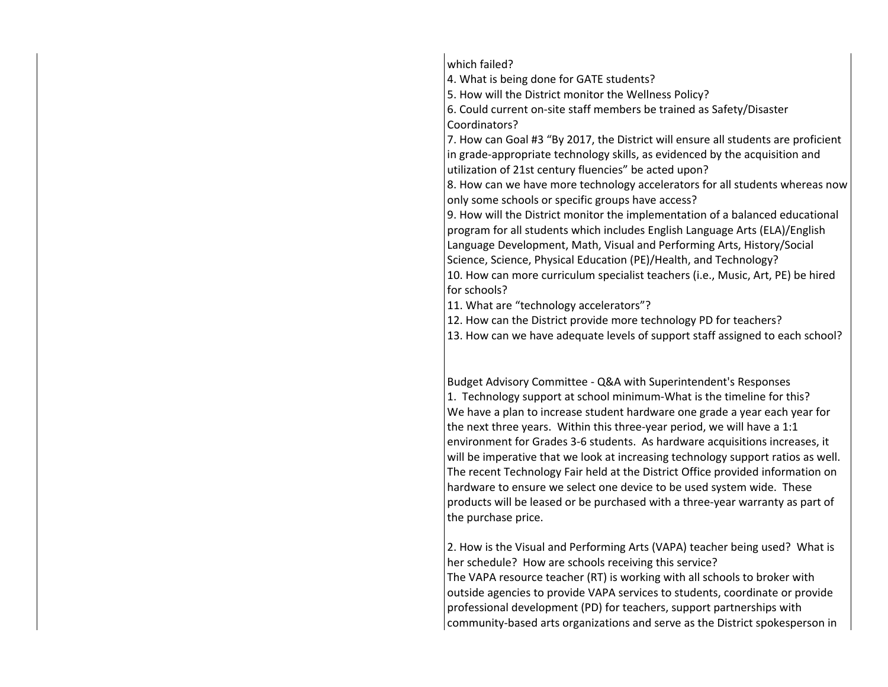which failed?

4. What is being done for GATE students?

5. How will the District monitor the Wellness Policy?

6. Could current on-site staff members be trained as Safety/Disaster Coordinators?

7. How can Goal #3 "By 2017, the District will ensure all students are proficient in grade-appropriate technology skills, as evidenced by the acquisition and utilization of 21st century fluencies" be acted upon?

8. How can we have more technology accelerators for all students whereas now only some schools or specific groups have access?

9. How will the District monitor the implementation of a balanced educational program for all students which includes English Language Arts (ELA)/English Language Development, Math, Visual and Performing Arts, History/Social Science, Science, Physical Education (PE)/Health, and Technology? 10. How can more curriculum specialist teachers (i.e., Music, Art, PE) be hired for schools?

11. What are "technology accelerators"?

12. How can the District provide more technology PD for teachers?

13. How can we have adequate levels of support staff assigned to each school?

Budget Advisory Committee - Q&A with Superintendent's Responses 1. Technology support at school minimum-What is the timeline for this? We have a plan to increase student hardware one grade a year each year for the next three years. Within this three-year period, we will have a 1:1 environment for Grades 3-6 students. As hardware acquisitions increases, it will be imperative that we look at increasing technology support ratios as well. The recent Technology Fair held at the District Office provided information on hardware to ensure we select one device to be used system wide. These products will be leased or be purchased with a three-year warranty as part of the purchase price.

2. How is the Visual and Performing Arts (VAPA) teacher being used? What is her schedule? How are schools receiving this service? The VAPA resource teacher (RT) is working with all schools to broker with outside agencies to provide VAPA services to students, coordinate or provide professional development (PD) for teachers, support partnerships with community-based arts organizations and serve as the District spokesperson in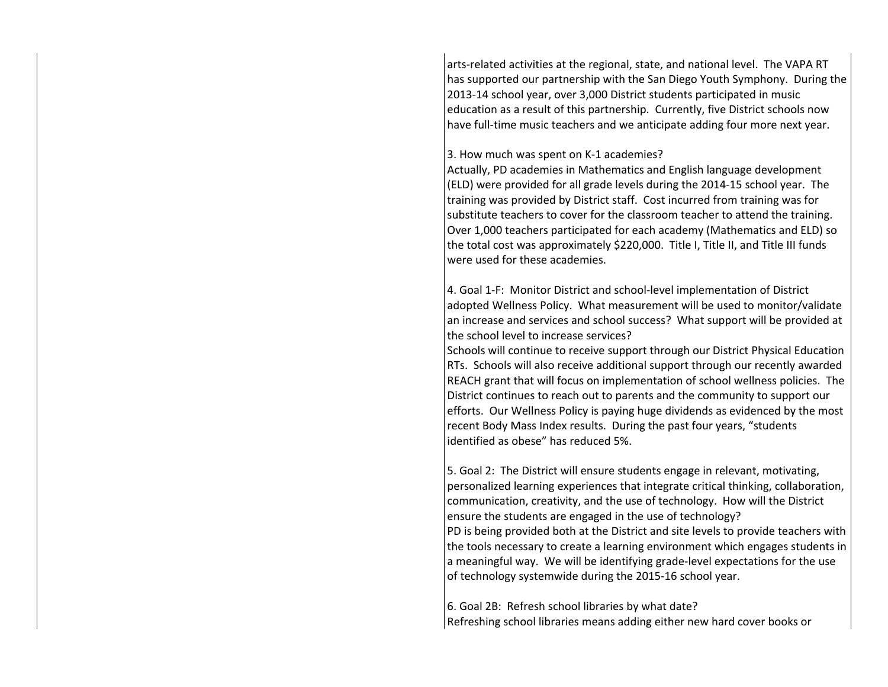arts-related activities at the regional, state, and national level. The VAPA RT has supported our partnership with the San Diego Youth Symphony. During the 2013-14 school year, over 3,000 District students participated in music education as a result of this partnership. Currently, five District schools now have full-time music teachers and we anticipate adding four more next year.

#### 3. How much was spent on K-1 academies?

Actually, PD academies in Mathematics and English language development (ELD) were provided for all grade levels during the 2014-15 school year. The training was provided by District staff. Cost incurred from training was for substitute teachers to cover for the classroom teacher to attend the training. Over 1,000 teachers participated for each academy (Mathematics and ELD) so the total cost was approximately \$220,000. Title I, Title II, and Title III funds were used for these academies.

4. Goal 1-F: Monitor District and school-level implementation of District adopted Wellness Policy. What measurement will be used to monitor/validate an increase and services and school success? What support will be provided at the school level to increase services?

Schools will continue to receive support through our District Physical Education RTs. Schools will also receive additional support through our recently awarded REACH grant that will focus on implementation of school wellness policies. The District continues to reach out to parents and the community to support our efforts. Our Wellness Policy is paying huge dividends as evidenced by the most recent Body Mass Index results. During the past four years, "students identified as obese" has reduced 5%.

5. Goal 2: The District will ensure students engage in relevant, motivating, personalized learning experiences that integrate critical thinking, collaboration, communication, creativity, and the use of technology. How will the District ensure the students are engaged in the use of technology? PD is being provided both at the District and site levels to provide teachers with the tools necessary to create a learning environment which engages students in a meaningful way. We will be identifying grade-level expectations for the use of technology systemwide during the 2015-16 school year.

6. Goal 2B: Refresh school libraries by what date? Refreshing school libraries means adding either new hard cover books or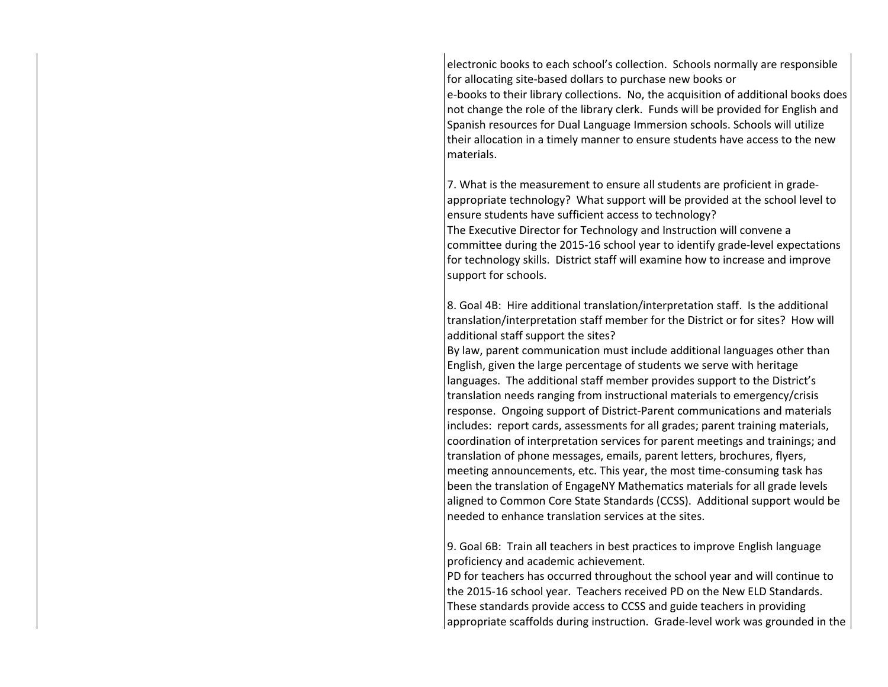electronic books to each school's collection. Schools normally are responsible for allocating site-based dollars to purchase new books or e-books to their library collections. No, the acquisition of additional books does not change the role of the library clerk. Funds will be provided for English and Spanish resources for Dual Language Immersion schools. Schools will utilize their allocation in a timely manner to ensure students have access to the new materials.

7. What is the measurement to ensure all students are proficient in gradeappropriate technology? What support will be provided at the school level to ensure students have sufficient access to technology? The Executive Director for Technology and Instruction will convene a committee during the 2015-16 school year to identify grade-level expectations for technology skills. District staff will examine how to increase and improve support for schools.

8. Goal 4B: Hire additional translation/interpretation staff. Is the additional translation/interpretation staff member for the District or for sites? How will additional staff support the sites?

By law, parent communication must include additional languages other than English, given the large percentage of students we serve with heritage languages. The additional staff member provides support to the District's translation needs ranging from instructional materials to emergency/crisis response. Ongoing support of District-Parent communications and materials includes: report cards, assessments for all grades; parent training materials, coordination of interpretation services for parent meetings and trainings; and translation of phone messages, emails, parent letters, brochures, flyers, meeting announcements, etc. This year, the most time-consuming task has been the translation of EngageNY Mathematics materials for all grade levels aligned to Common Core State Standards (CCSS). Additional support would be needed to enhance translation services at the sites.

9. Goal 6B: Train all teachers in best practices to improve English language proficiency and academic achievement.

PD for teachers has occurred throughout the school year and will continue to the 2015-16 school year. Teachers received PD on the New ELD Standards. These standards provide access to CCSS and guide teachers in providing appropriate scaffolds during instruction. Grade-level work was grounded in the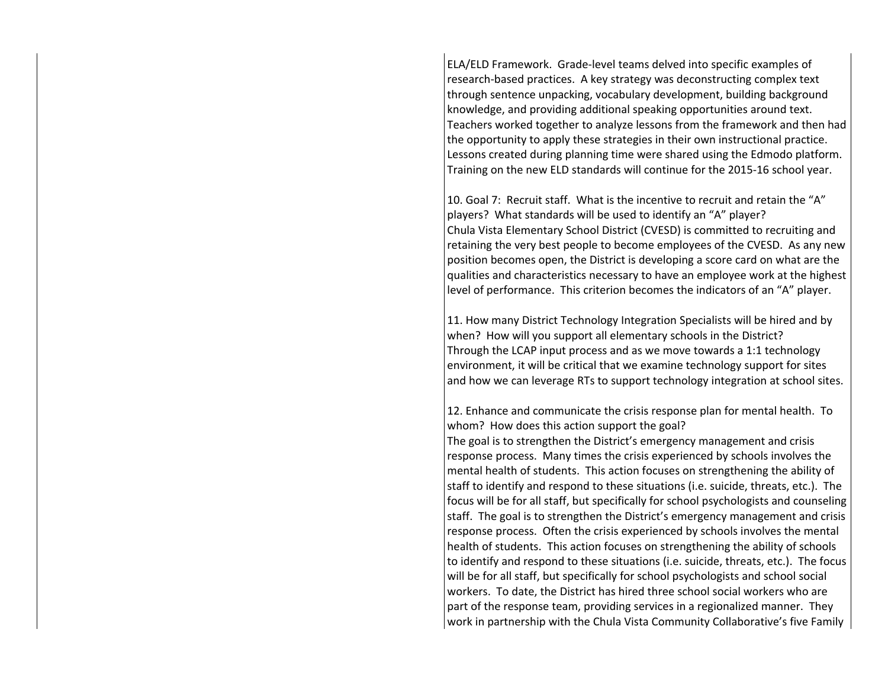ELA/ELD Framework. Grade-level teams delved into specific examples of research-based practices. A key strategy was deconstructing complex text through sentence unpacking, vocabulary development, building background knowledge, and providing additional speaking opportunities around text. Teachers worked together to analyze lessons from the framework and then had the opportunity to apply these strategies in their own instructional practice. Lessons created during planning time were shared using the Edmodo platform. Training on the new ELD standards will continue for the 2015-16 school year.

10. Goal 7: Recruit staff. What is the incentive to recruit and retain the "A" players? What standards will be used to identify an "A" player? Chula Vista Elementary School District (CVESD) is committed to recruiting and retaining the very best people to become employees of the CVESD. As any new position becomes open, the District is developing a score card on what are the qualities and characteristics necessary to have an employee work at the highest level of performance. This criterion becomes the indicators of an "A" player.

11. How many District Technology Integration Specialists will be hired and by when? How will you support all elementary schools in the District? Through the LCAP input process and as we move towards a 1:1 technology environment, it will be critical that we examine technology support for sites and how we can leverage RTs to support technology integration at school sites.

12. Enhance and communicate the crisis response plan for mental health. To whom? How does this action support the goal?

The goal is to strengthen the District's emergency management and crisis response process. Many times the crisis experienced by schools involves the mental health of students. This action focuses on strengthening the ability of staff to identify and respond to these situations (i.e. suicide, threats, etc.). The focus will be for all staff, but specifically for school psychologists and counseling staff. The goal is to strengthen the District's emergency management and crisis response process. Often the crisis experienced by schools involves the mental health of students. This action focuses on strengthening the ability of schools to identify and respond to these situations (i.e. suicide, threats, etc.). The focus will be for all staff, but specifically for school psychologists and school social workers. To date, the District has hired three school social workers who are part of the response team, providing services in a regionalized manner. They work in partnership with the Chula Vista Community Collaborative's five Family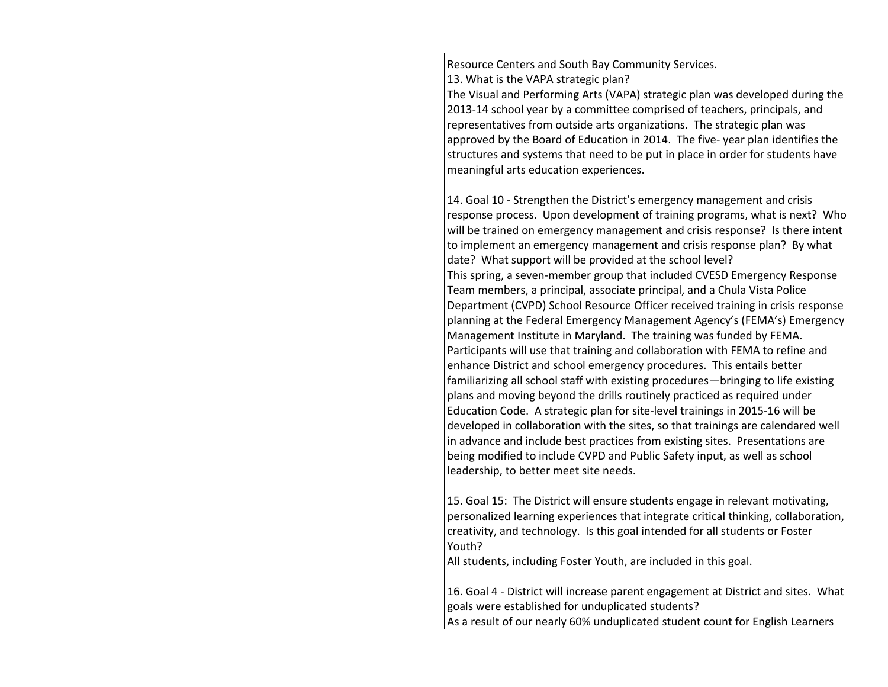Resource Centers and South Bay Community Services. 13. What is the VAPA strategic plan?

The Visual and Performing Arts (VAPA) strategic plan was developed during the 2013-14 school year by a committee comprised of teachers, principals, and representatives from outside arts organizations. The strategic plan was approved by the Board of Education in 2014. The five- year plan identifies the structures and systems that need to be put in place in order for students have meaningful arts education experiences.

14. Goal 10 - Strengthen the District's emergency management and crisis response process. Upon development of training programs, what is next? Who will be trained on emergency management and crisis response? Is there intent to implement an emergency management and crisis response plan? By what date? What support will be provided at the school level? This spring, a seven-member group that included CVESD Emergency Response Team members, a principal, associate principal, and a Chula Vista Police Department (CVPD) School Resource Officer received training in crisis response planning at the Federal Emergency Management Agency's (FEMA's) Emergency Management Institute in Maryland. The training was funded by FEMA. Participants will use that training and collaboration with FEMA to refine and enhance District and school emergency procedures. This entails better familiarizing all school staff with existing procedures—bringing to life existing plans and moving beyond the drills routinely practiced as required under Education Code. A strategic plan for site-level trainings in 2015-16 will be developed in collaboration with the sites, so that trainings are calendared well in advance and include best practices from existing sites. Presentations are being modified to include CVPD and Public Safety input, as well as school leadership, to better meet site needs.

15. Goal 15: The District will ensure students engage in relevant motivating, personalized learning experiences that integrate critical thinking, collaboration, creativity, and technology. Is this goal intended for all students or Foster Youth?

All students, including Foster Youth, are included in this goal.

16. Goal 4 - District will increase parent engagement at District and sites. What goals were established for unduplicated students? As a result of our nearly 60% unduplicated student count for English Learners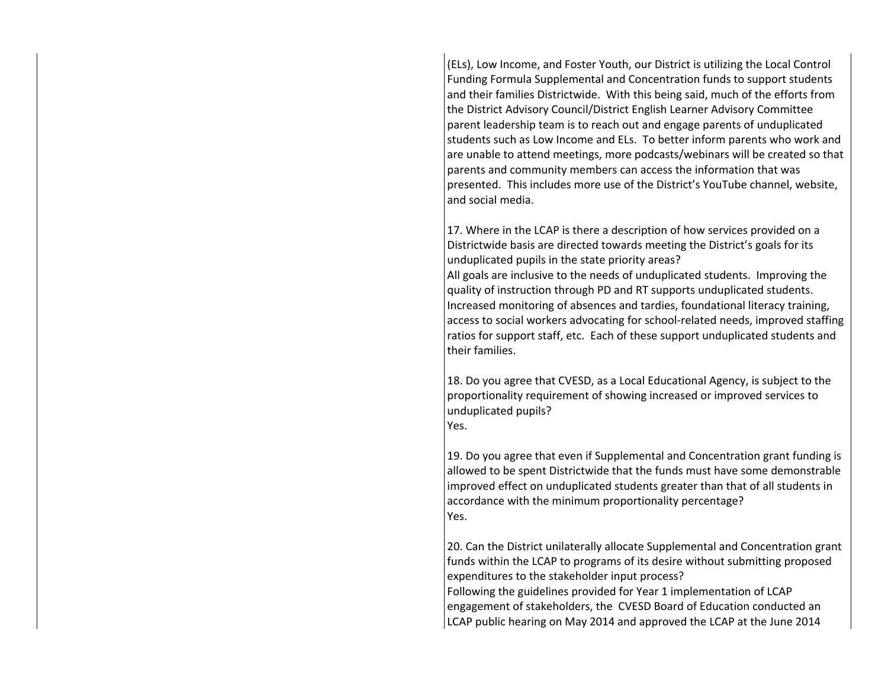(ELs), Low Income, and Foster Youth, our District is utilizing the Local Control Funding Formula Supplemental and Concentration funds to support students and their families Districtwide. With this being said, much of the efforts from the District Advisory Council/District English Learner Advisory Committee parent leadership team is to reach out and engage parents of unduplicated students such as Low Income and ELs. To better inform parents who work and are unable to attend meetings, more podcasts/webinars will be created so that parents and community members can access the information that was presented. This includes more use of the District's YouTube channel, website, and social media.

17. Where in the LCAP is there a description of how services provided on a Districtwide basis are directed towards meeting the District's goals for its unduplicated pupils in the state priority areas? All goals are inclusive to the needs of unduplicated students. Improving the quality of instruction through PD and RT supports unduplicated students. Increased monitoring of absences and tardies, foundational literacy training, access to social workers advocating for school-related needs, improved staffing ratios for support staff, etc. Each of these support unduplicated students and their families.

18. Do you agree that CVESD, as a Local Educational Agency, is subject to the proportionality requirement of showing increased or improved services to unduplicated pupils? Yes.

19. Do you agree that even if Supplemental and Concentration grant funding is allowed to be spent Districtwide that the funds must have some demonstrable improved effect on unduplicated students greater than that of all students in accordance with the minimum proportionality percentage? Yes.

20. Can the District unilaterally allocate Supplemental and Concentration grant funds within the LCAP to programs of its desire without submitting proposed expenditures to the stakeholder input process?

Following the guidelines provided for Year 1 implementation of LCAP engagement of stakeholders, the CVESD Board of Education conducted an LCAP public hearing on May 2014 and approved the LCAP at the June 2014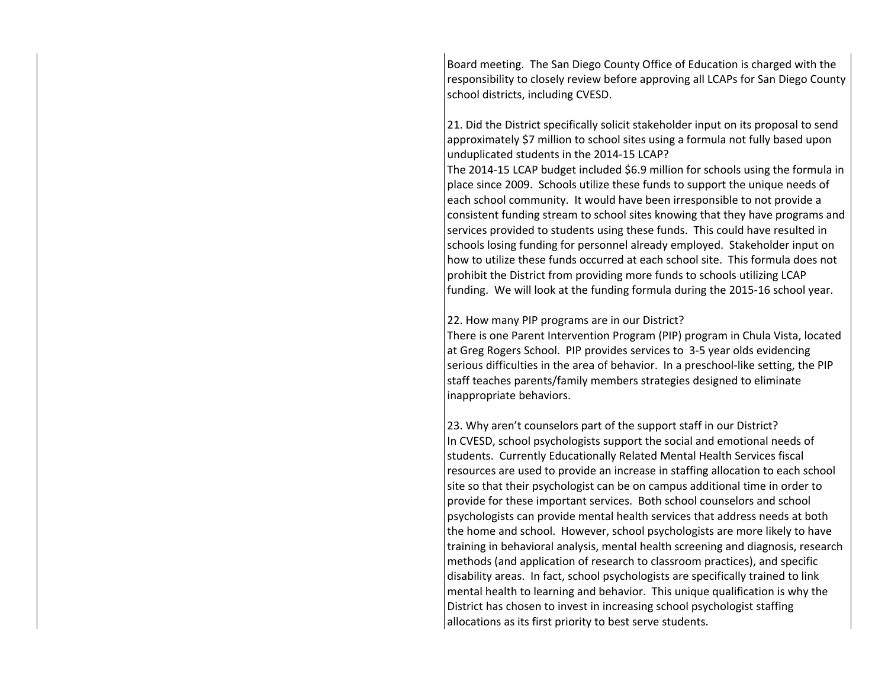Board meeting. The San Diego County Office of Education is charged with the responsibility to closely review before approving all LCAPs for San Diego County school districts, including CVESD.

21. Did the District specifically solicit stakeholder input on its proposal to send approximately \$7 million to school sites using a formula not fully based upon unduplicated students in the 2014-15 LCAP?

The 2014-15 LCAP budget included \$6.9 million for schools using the formula in place since 2009. Schools utilize these funds to support the unique needs of each school community. It would have been irresponsible to not provide a consistent funding stream to school sites knowing that they have programs and services provided to students using these funds. This could have resulted in schools losing funding for personnel already employed. Stakeholder input on how to utilize these funds occurred at each school site. This formula does not prohibit the District from providing more funds to schools utilizing LCAP funding. We will look at the funding formula during the 2015-16 school year.

22. How many PIP programs are in our District?

There is one Parent Intervention Program (PIP) program in Chula Vista, located at Greg Rogers School. PIP provides services to 3-5 year olds evidencing serious difficulties in the area of behavior. In a preschool-like setting, the PIP staff teaches parents/family members strategies designed to eliminate inappropriate behaviors.

23. Why aren't counselors part of the support staff in our District? In CVESD, school psychologists support the social and emotional needs of students. Currently Educationally Related Mental Health Services fiscal resources are used to provide an increase in staffing allocation to each school site so that their psychologist can be on campus additional time in order to provide for these important services. Both school counselors and school psychologists can provide mental health services that address needs at both the home and school. However, school psychologists are more likely to have training in behavioral analysis, mental health screening and diagnosis, research methods (and application of research to classroom practices), and specific disability areas. In fact, school psychologists are specifically trained to link mental health to learning and behavior. This unique qualification is why the District has chosen to invest in increasing school psychologist staffing allocations as its first priority to best serve students.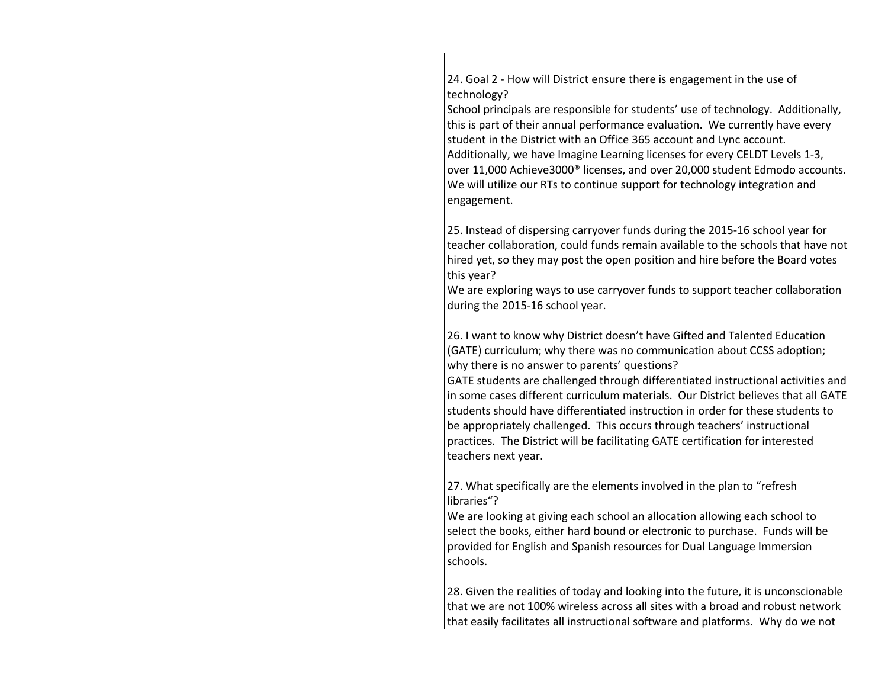24. Goal 2 - How will District ensure there is engagement in the use of technology?

School principals are responsible for students' use of technology. Additionally, this is part of their annual performance evaluation. We currently have every student in the District with an Office 365 account and Lync account. Additionally, we have Imagine Learning licenses for every CELDT Levels 1-3, over 11,000 Achieve3000® licenses, and over 20,000 student Edmodo accounts. We will utilize our RTs to continue support for technology integration and engagement.

25. Instead of dispersing carryover funds during the 2015-16 school year for teacher collaboration, could funds remain available to the schools that have not hired yet, so they may post the open position and hire before the Board votes this year?

We are exploring ways to use carryover funds to support teacher collaboration during the 2015-16 school year.

26. I want to know why District doesn't have Gifted and Talented Education (GATE) curriculum; why there was no communication about CCSS adoption; why there is no answer to parents' questions?

GATE students are challenged through differentiated instructional activities and in some cases different curriculum materials. Our District believes that all GATE students should have differentiated instruction in order for these students to be appropriately challenged. This occurs through teachers' instructional practices. The District will be facilitating GATE certification for interested teachers next year.

27. What specifically are the elements involved in the plan to "refresh libraries"?

We are looking at giving each school an allocation allowing each school to select the books, either hard bound or electronic to purchase. Funds will be provided for English and Spanish resources for Dual Language Immersion schools.

28. Given the realities of today and looking into the future, it is unconscionable that we are not 100% wireless across all sites with a broad and robust network that easily facilitates all instructional software and platforms. Why do we not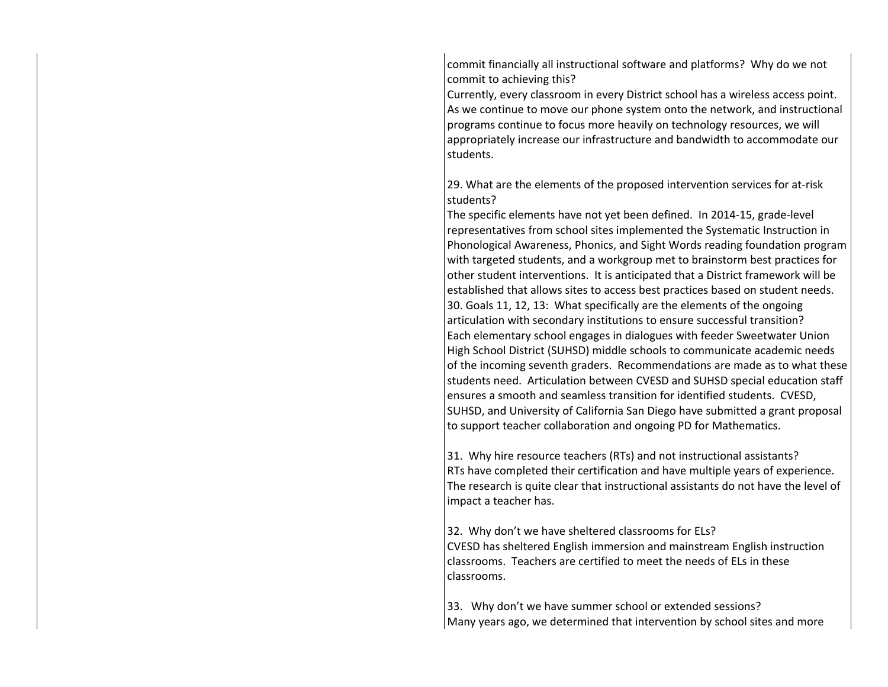commit financially all instructional software and platforms? Why do we not commit to achieving this?

Currently, every classroom in every District school has a wireless access point. As we continue to move our phone system onto the network, and instructional programs continue to focus more heavily on technology resources, we will appropriately increase our infrastructure and bandwidth to accommodate our students.

29. What are the elements of the proposed intervention services for at-risk students?

The specific elements have not yet been defined. In 2014-15, grade-level representatives from school sites implemented the Systematic Instruction in Phonological Awareness, Phonics, and Sight Words reading foundation program with targeted students, and a workgroup met to brainstorm best practices for other student interventions. It is anticipated that a District framework will be established that allows sites to access best practices based on student needs. 30. Goals 11, 12, 13: What specifically are the elements of the ongoing articulation with secondary institutions to ensure successful transition? Each elementary school engages in dialogues with feeder Sweetwater Union High School District (SUHSD) middle schools to communicate academic needs of the incoming seventh graders. Recommendations are made as to what these students need. Articulation between CVESD and SUHSD special education staff ensures a smooth and seamless transition for identified students. CVESD, SUHSD, and University of California San Diego have submitted a grant proposal to support teacher collaboration and ongoing PD for Mathematics.

31. Why hire resource teachers (RTs) and not instructional assistants? RTs have completed their certification and have multiple years of experience. The research is quite clear that instructional assistants do not have the level of impact a teacher has.

32. Why don't we have sheltered classrooms for ELs? CVESD has sheltered English immersion and mainstream English instruction classrooms. Teachers are certified to meet the needs of ELs in these classrooms.

33. Why don't we have summer school or extended sessions? Many years ago, we determined that intervention by school sites and more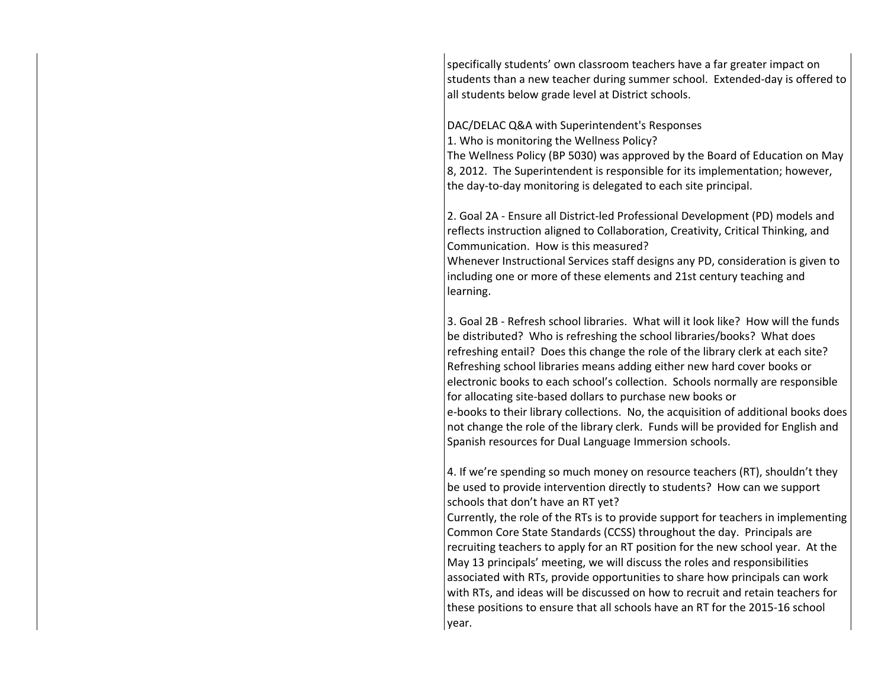specifically students' own classroom teachers have a far greater impact on students than a new teacher during summer school. Extended-day is offered to all students below grade level at District schools.

DAC/DELAC Q&A with Superintendent's Responses

1. Who is monitoring the Wellness Policy?

The Wellness Policy (BP 5030) was approved by the Board of Education on May 8, 2012. The Superintendent is responsible for its implementation; however, the day-to-day monitoring is delegated to each site principal.

2. Goal 2A - Ensure all District-led Professional Development (PD) models and reflects instruction aligned to Collaboration, Creativity, Critical Thinking, and Communication. How is this measured? Whenever Instructional Services staff designs any PD, consideration is given to

including one or more of these elements and 21st century teaching and learning.

3. Goal 2B - Refresh school libraries. What will it look like? How will the funds be distributed? Who is refreshing the school libraries/books? What does refreshing entail? Does this change the role of the library clerk at each site? Refreshing school libraries means adding either new hard cover books or electronic books to each school's collection. Schools normally are responsible for allocating site-based dollars to purchase new books or e-books to their library collections. No, the acquisition of additional books does not change the role of the library clerk. Funds will be provided for English and Spanish resources for Dual Language Immersion schools.

4. If we're spending so much money on resource teachers (RT), shouldn't they be used to provide intervention directly to students? How can we support schools that don't have an RT yet?

Currently, the role of the RTs is to provide support for teachers in implementing Common Core State Standards (CCSS) throughout the day. Principals are recruiting teachers to apply for an RT position for the new school year. At the May 13 principals' meeting, we will discuss the roles and responsibilities associated with RTs, provide opportunities to share how principals can work with RTs, and ideas will be discussed on how to recruit and retain teachers for these positions to ensure that all schools have an RT for the 2015-16 school year.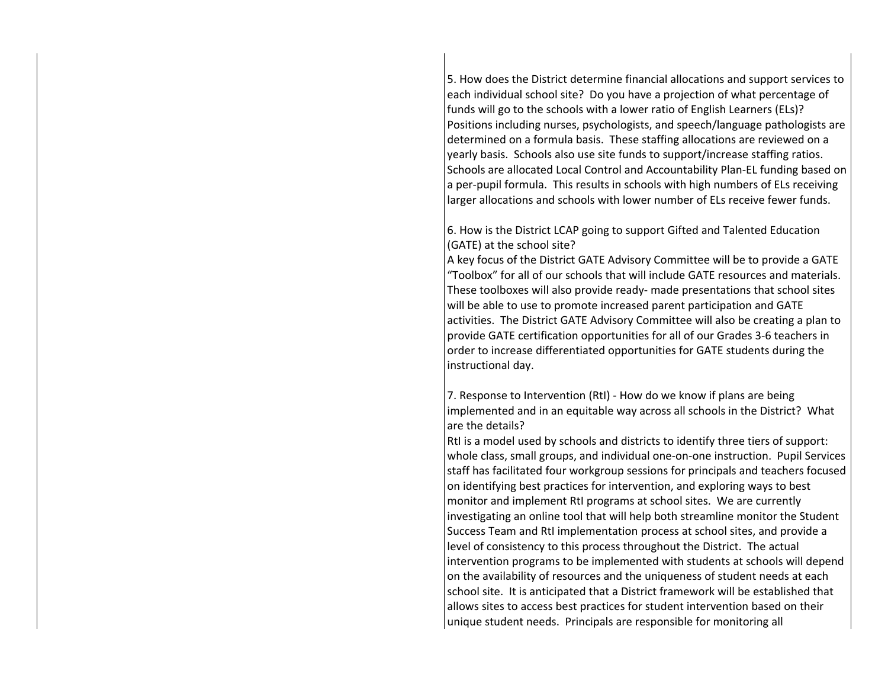5. How does the District determine financial allocations and support services to each individual school site? Do you have a projection of what percentage of funds will go to the schools with a lower ratio of English Learners (ELs)? Positions including nurses, psychologists, and speech/language pathologists are determined on a formula basis. These staffing allocations are reviewed on a yearly basis. Schools also use site funds to support/increase staffing ratios. Schools are allocated Local Control and Accountability Plan-EL funding based on a per-pupil formula. This results in schools with high numbers of ELs receiving larger allocations and schools with lower number of ELs receive fewer funds.

6. How is the District LCAP going to support Gifted and Talented Education (GATE) at the school site?

A key focus of the District GATE Advisory Committee will be to provide a GATE "Toolbox" for all of our schools that will include GATE resources and materials. These toolboxes will also provide ready- made presentations that school sites will be able to use to promote increased parent participation and GATE activities. The District GATE Advisory Committee will also be creating a plan to provide GATE certification opportunities for all of our Grades 3-6 teachers in order to increase differentiated opportunities for GATE students during the instructional day.

7. Response to Intervention (RtI) - How do we know if plans are being implemented and in an equitable way across all schools in the District? What are the details?

RtI is a model used by schools and districts to identify three tiers of support: whole class, small groups, and individual one-on-one instruction. Pupil Services staff has facilitated four workgroup sessions for principals and teachers focused on identifying best practices for intervention, and exploring ways to best monitor and implement RtI programs at school sites. We are currently investigating an online tool that will help both streamline monitor the Student Success Team and RtI implementation process at school sites, and provide a level of consistency to this process throughout the District. The actual intervention programs to be implemented with students at schools will depend on the availability of resources and the uniqueness of student needs at each school site. It is anticipated that a District framework will be established that allows sites to access best practices for student intervention based on their unique student needs. Principals are responsible for monitoring all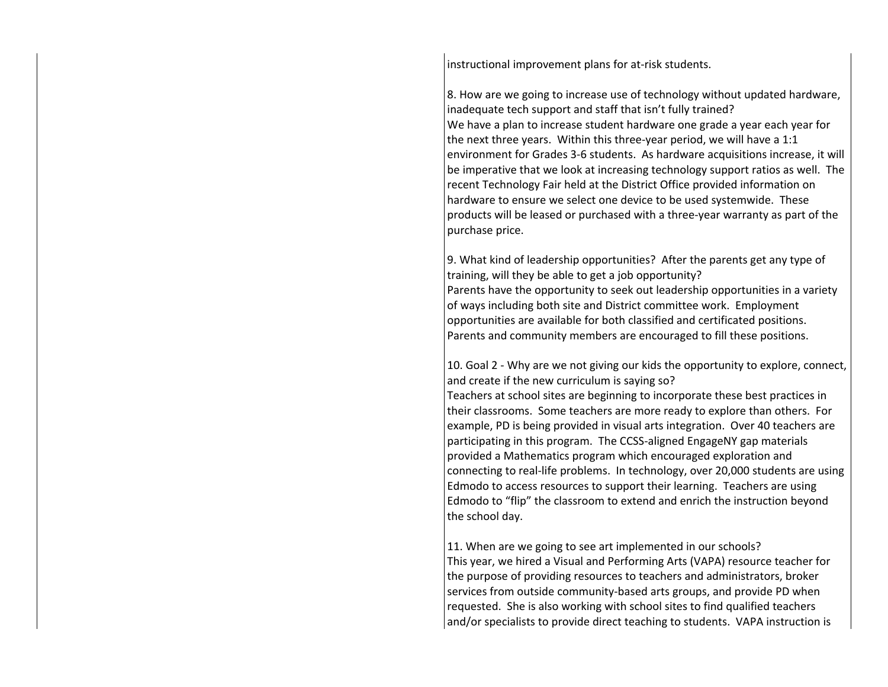instructional improvement plans for at-risk students.

8. How are we going to increase use of technology without updated hardware, inadequate tech support and staff that isn't fully trained? We have a plan to increase student hardware one grade a year each year for the next three years. Within this three-year period, we will have a 1:1 environment for Grades 3-6 students. As hardware acquisitions increase, it will be imperative that we look at increasing technology support ratios as well. The recent Technology Fair held at the District Office provided information on hardware to ensure we select one device to be used systemwide. These products will be leased or purchased with a three-year warranty as part of the purchase price.

9. What kind of leadership opportunities? After the parents get any type of training, will they be able to get a job opportunity? Parents have the opportunity to seek out leadership opportunities in a variety of ways including both site and District committee work. Employment opportunities are available for both classified and certificated positions. Parents and community members are encouraged to fill these positions.

10. Goal 2 - Why are we not giving our kids the opportunity to explore, connect, and create if the new curriculum is saying so?

Teachers at school sites are beginning to incorporate these best practices in their classrooms. Some teachers are more ready to explore than others. For example, PD is being provided in visual arts integration. Over 40 teachers are participating in this program. The CCSS-aligned EngageNY gap materials provided a Mathematics program which encouraged exploration and connecting to real-life problems. In technology, over 20,000 students are using Edmodo to access resources to support their learning. Teachers are using Edmodo to "flip" the classroom to extend and enrich the instruction beyond the school day.

11. When are we going to see art implemented in our schools? This year, we hired a Visual and Performing Arts (VAPA) resource teacher for the purpose of providing resources to teachers and administrators, broker services from outside community-based arts groups, and provide PD when requested. She is also working with school sites to find qualified teachers and/or specialists to provide direct teaching to students. VAPA instruction is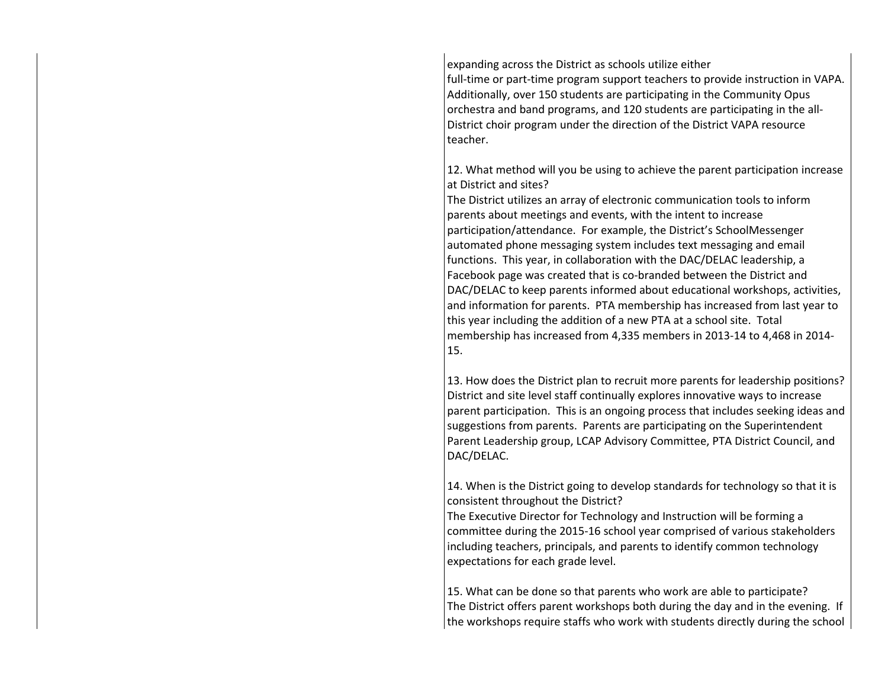expanding across the District as schools utilize either

full-time or part-time program support teachers to provide instruction in VAPA. Additionally, over 150 students are participating in the Community Opus orchestra and band programs, and 120 students are participating in the all-District choir program under the direction of the District VAPA resource teacher.

12. What method will you be using to achieve the parent participation increase at District and sites?

The District utilizes an array of electronic communication tools to inform parents about meetings and events, with the intent to increase participation/attendance. For example, the District's SchoolMessenger automated phone messaging system includes text messaging and email functions. This year, in collaboration with the DAC/DELAC leadership, a Facebook page was created that is co-branded between the District and DAC/DELAC to keep parents informed about educational workshops, activities, and information for parents. PTA membership has increased from last year to this year including the addition of a new PTA at a school site. Total membership has increased from 4,335 members in 2013-14 to 4,468 in 2014- 15.

13. How does the District plan to recruit more parents for leadership positions? District and site level staff continually explores innovative ways to increase parent participation. This is an ongoing process that includes seeking ideas and suggestions from parents. Parents are participating on the Superintendent Parent Leadership group, LCAP Advisory Committee, PTA District Council, and DAC/DELAC.

14. When is the District going to develop standards for technology so that it is consistent throughout the District?

The Executive Director for Technology and Instruction will be forming a committee during the 2015-16 school year comprised of various stakeholders including teachers, principals, and parents to identify common technology expectations for each grade level.

15. What can be done so that parents who work are able to participate? The District offers parent workshops both during the day and in the evening. If the workshops require staffs who work with students directly during the school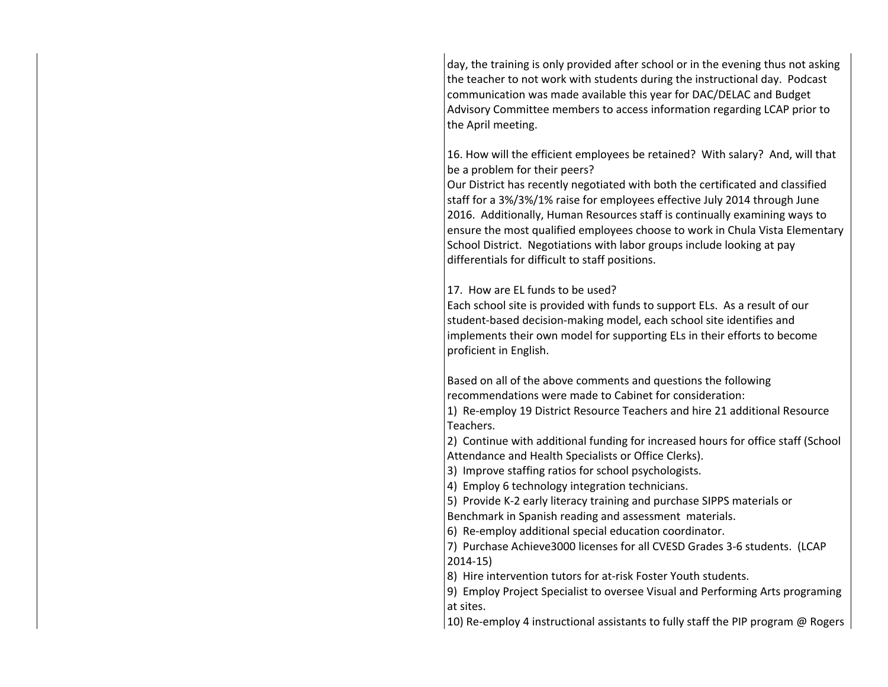day, the training is only provided after school or in the evening thus not asking the teacher to not work with students during the instructional day. Podcast communication was made available this year for DAC/DELAC and Budget Advisory Committee members to access information regarding LCAP prior to the April meeting.

16. How will the efficient employees be retained? With salary? And, will that be a problem for their peers?

Our District has recently negotiated with both the certificated and classified staff for a 3%/3%/1% raise for employees effective July 2014 through June 2016. Additionally, Human Resources staff is continually examining ways to ensure the most qualified employees choose to work in Chula Vista Elementary School District. Negotiations with labor groups include looking at pay differentials for difficult to staff positions.

17. How are EL funds to be used?

Each school site is provided with funds to support ELs. As a result of our student-based decision-making model, each school site identifies and implements their own model for supporting ELs in their efforts to become proficient in English.

Based on all of the above comments and questions the following recommendations were made to Cabinet for consideration:

1) Re-employ 19 District Resource Teachers and hire 21 additional Resource Teachers.

2) Continue with additional funding for increased hours for office staff (School Attendance and Health Specialists or Office Clerks).

3) Improve staffing ratios for school psychologists.

4) Employ 6 technology integration technicians.

5) Provide K-2 early literacy training and purchase SIPPS materials or

Benchmark in Spanish reading and assessment materials.

6) Re-employ additional special education coordinator.

7) Purchase Achieve3000 licenses for all CVESD Grades 3-6 students. (LCAP 2014-15)

8) Hire intervention tutors for at-risk Foster Youth students.

9) Employ Project Specialist to oversee Visual and Performing Arts programing at sites.

10) Re-employ 4 instructional assistants to fully staff the PIP program @ Rogers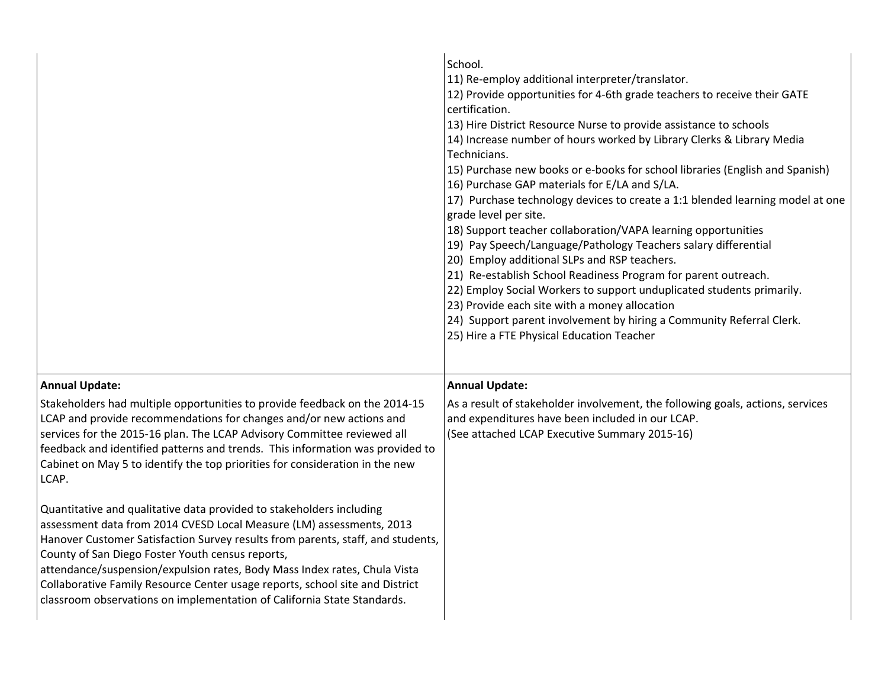|                                                                                                                                                                                                                                                                                                                                                                                                                                                                                                                             | School.<br>11) Re-employ additional interpreter/translator.<br>12) Provide opportunities for 4-6th grade teachers to receive their GATE<br>certification.<br>13) Hire District Resource Nurse to provide assistance to schools<br>14) Increase number of hours worked by Library Clerks & Library Media<br>Technicians.<br>15) Purchase new books or e-books for school libraries (English and Spanish)<br>16) Purchase GAP materials for E/LA and S/LA.<br>17) Purchase technology devices to create a 1:1 blended learning model at one<br>grade level per site.<br>18) Support teacher collaboration/VAPA learning opportunities<br>19) Pay Speech/Language/Pathology Teachers salary differential<br>20) Employ additional SLPs and RSP teachers.<br>21) Re-establish School Readiness Program for parent outreach.<br>22) Employ Social Workers to support unduplicated students primarily.<br>23) Provide each site with a money allocation<br>24) Support parent involvement by hiring a Community Referral Clerk.<br>25) Hire a FTE Physical Education Teacher |
|-----------------------------------------------------------------------------------------------------------------------------------------------------------------------------------------------------------------------------------------------------------------------------------------------------------------------------------------------------------------------------------------------------------------------------------------------------------------------------------------------------------------------------|------------------------------------------------------------------------------------------------------------------------------------------------------------------------------------------------------------------------------------------------------------------------------------------------------------------------------------------------------------------------------------------------------------------------------------------------------------------------------------------------------------------------------------------------------------------------------------------------------------------------------------------------------------------------------------------------------------------------------------------------------------------------------------------------------------------------------------------------------------------------------------------------------------------------------------------------------------------------------------------------------------------------------------------------------------------------|
| <b>Annual Update:</b>                                                                                                                                                                                                                                                                                                                                                                                                                                                                                                       | <b>Annual Update:</b>                                                                                                                                                                                                                                                                                                                                                                                                                                                                                                                                                                                                                                                                                                                                                                                                                                                                                                                                                                                                                                                  |
| Stakeholders had multiple opportunities to provide feedback on the 2014-15<br>LCAP and provide recommendations for changes and/or new actions and<br>services for the 2015-16 plan. The LCAP Advisory Committee reviewed all<br>feedback and identified patterns and trends. This information was provided to<br>Cabinet on May 5 to identify the top priorities for consideration in the new<br>LCAP.                                                                                                                      | As a result of stakeholder involvement, the following goals, actions, services<br>and expenditures have been included in our LCAP.<br>(See attached LCAP Executive Summary 2015-16)                                                                                                                                                                                                                                                                                                                                                                                                                                                                                                                                                                                                                                                                                                                                                                                                                                                                                    |
| Quantitative and qualitative data provided to stakeholders including<br>assessment data from 2014 CVESD Local Measure (LM) assessments, 2013<br>Hanover Customer Satisfaction Survey results from parents, staff, and students,<br>County of San Diego Foster Youth census reports,<br>attendance/suspension/expulsion rates, Body Mass Index rates, Chula Vista<br>Collaborative Family Resource Center usage reports, school site and District<br>classroom observations on implementation of California State Standards. |                                                                                                                                                                                                                                                                                                                                                                                                                                                                                                                                                                                                                                                                                                                                                                                                                                                                                                                                                                                                                                                                        |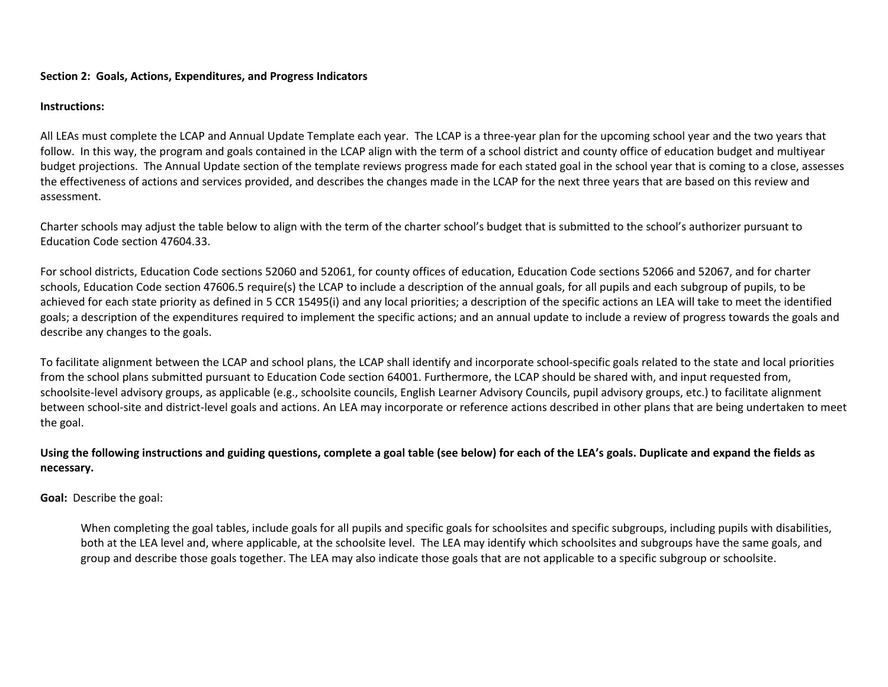## **Section 2: Goals, Actions, Expenditures, and Progress Indicators**

## **Instructions:**

All LEAs must complete the LCAP and Annual Update Template each year. The LCAP is a three-year plan for the upcoming school year and the two years that follow. In this way, the program and goals contained in the LCAP align with the term of a school district and county office of education budget and multiyear budget projections. The Annual Update section of the template reviews progress made for each stated goal in the school year that is coming to a close, assesses the effectiveness of actions and services provided, and describes the changes made in the LCAP for the next three years that are based on this review and assessment.

Charter schools may adjust the table below to align with the term of the charter school's budget that is submitted to the school's authorizer pursuant to Education Code section 47604.33.

For school districts, Education Code sections 52060 and 52061, for county offices of education, Education Code sections 52066 and 52067, and for charter schools, Education Code section 47606.5 require(s) the LCAP to include a description of the annual goals, for all pupils and each subgroup of pupils, to be achieved for each state priority as defined in 5 CCR 15495(i) and any local priorities; a description of the specific actions an LEA will take to meet the identified goals; a description of the expenditures required to implement the specific actions; and an annual update to include a review of progress towards the goals and describe any changes to the goals.

To facilitate alignment between the LCAP and school plans, the LCAP shall identify and incorporate school-specific goals related to the state and local priorities from the school plans submitted pursuant to Education Code section 64001. Furthermore, the LCAP should be shared with, and input requested from, schoolsite-level advisory groups, as applicable (e.g., schoolsite councils, English Learner Advisory Councils, pupil advisory groups, etc.) to facilitate alignment between school-site and district-level goals and actions. An LEA may incorporate or reference actions described in other plans that are being undertaken to meet the goal.

## Using the following instructions and guiding questions, complete a goal table (see below) for each of the LEA's goals. Duplicate and expand the fields as **necessary.**

**Goal:** Describe the goal:

When completing the goal tables, include goals for all pupils and specific goals for schoolsites and specific subgroups, including pupils with disabilities, both at the LEA level and, where applicable, at the schoolsite level. The LEA may identify which schoolsites and subgroups have the same goals, and group and describe those goals together. The LEA may also indicate those goals that are not applicable to a specific subgroup or schoolsite.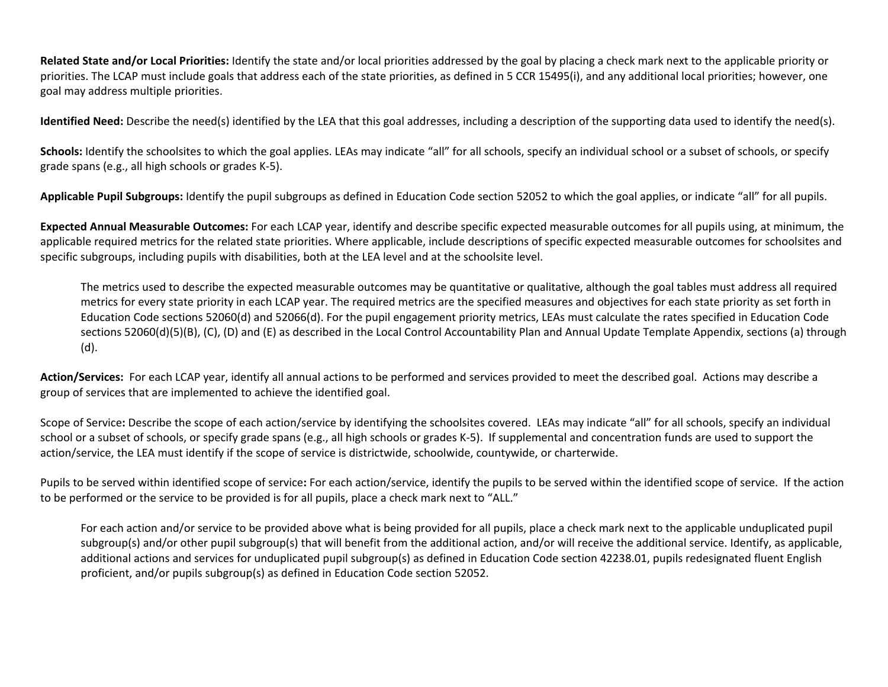**Related State and/or Local Priorities:** Identify the state and/or local priorities addressed by the goal by placing a check mark next to the applicable priority or priorities. The LCAP must include goals that address each of the state priorities, as defined in 5 CCR 15495(i), and any additional local priorities; however, one goal may address multiple priorities.

**Identified Need:** Describe the need(s) identified by the LEA that this goal addresses, including a description of the supporting data used to identify the need(s).

Schools: Identify the schoolsites to which the goal applies. LEAs may indicate "all" for all schools, specify an individual school or a subset of schools, or specify grade spans (e.g., all high schools or grades K-5).

**Applicable Pupil Subgroups:** Identify the pupil subgroups as defined in Education Code section 52052 to which the goal applies, or indicate "all" for all pupils.

**Expected Annual Measurable Outcomes:** For each LCAP year, identify and describe specific expected measurable outcomes for all pupils using, at minimum, the applicable required metrics for the related state priorities. Where applicable, include descriptions of specific expected measurable outcomes for schoolsites and specific subgroups, including pupils with disabilities, both at the LEA level and at the schoolsite level.

The metrics used to describe the expected measurable outcomes may be quantitative or qualitative, although the goal tables must address all required metrics for every state priority in each LCAP year. The required metrics are the specified measures and objectives for each state priority as set forth in Education Code sections 52060(d) and 52066(d). For the pupil engagement priority metrics, LEAs must calculate the rates specified in Education Code sections 52060(d)(5)(B), (C), (D) and (E) as described in the Local Control Accountability Plan and Annual Update Template Appendix, sections (a) through (d).

**Action/Services:** For each LCAP year, identify all annual actions to be performed and services provided to meet the described goal. Actions may describe a group of services that are implemented to achieve the identified goal.

Scope of Service**:** Describe the scope of each action/service by identifying the schoolsites covered. LEAs may indicate "all" for all schools, specify an individual school or a subset of schools, or specify grade spans (e.g., all high schools or grades K-5). If supplemental and concentration funds are used to support the action/service, the LEA must identify if the scope of service is districtwide, schoolwide, countywide, or charterwide.

Pupils to be served within identified scope of service**:** For each action/service, identify the pupils to be served within the identified scope of service. If the action to be performed or the service to be provided is for all pupils, place a check mark next to "ALL."

For each action and/or service to be provided above what is being provided for all pupils, place a check mark next to the applicable unduplicated pupil subgroup(s) and/or other pupil subgroup(s) that will benefit from the additional action, and/or will receive the additional service. Identify, as applicable, additional actions and services for unduplicated pupil subgroup(s) as defined in Education Code section 42238.01, pupils redesignated fluent English proficient, and/or pupils subgroup(s) as defined in Education Code section 52052.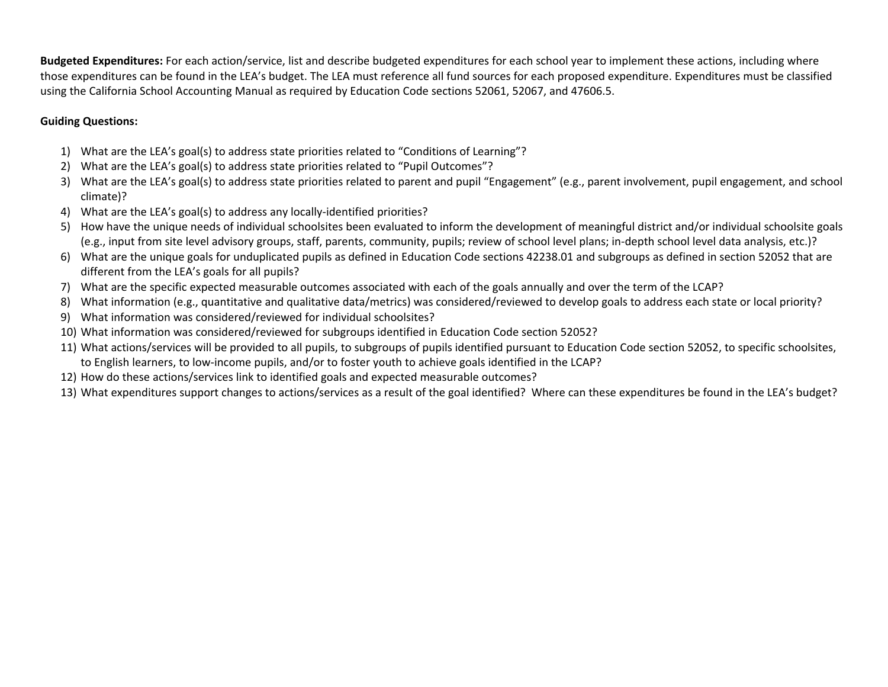**Budgeted Expenditures:** For each action/service, list and describe budgeted expenditures for each school year to implement these actions, including where those expenditures can be found in the LEA's budget. The LEA must reference all fund sources for each proposed expenditure. Expenditures must be classified using the California School Accounting Manual as required by Education Code sections 52061, 52067, and 47606.5.

## **Guiding Questions:**

- 1) What are the LEA's goal(s) to address state priorities related to "Conditions of Learning"?
- 2) What are the LEA's goal(s) to address state priorities related to "Pupil Outcomes"?
- 3) What are the LEA's goal(s) to address state priorities related to parent and pupil "Engagement" (e.g., parent involvement, pupil engagement, and school climate)?
- 4) What are the LEA's goal(s) to address any locally-identified priorities?
- 5) How have the unique needs of individual schoolsites been evaluated to inform the development of meaningful district and/or individual schoolsite goals (e.g., input from site level advisory groups, staff, parents, community, pupils; review of school level plans; in-depth school level data analysis, etc.)?
- 6) What are the unique goals for unduplicated pupils as defined in Education Code sections 42238.01 and subgroups as defined in section 52052 that are different from the LEA's goals for all pupils?
- 7) What are the specific expected measurable outcomes associated with each of the goals annually and over the term of the LCAP?
- 8) What information (e.g., quantitative and qualitative data/metrics) was considered/reviewed to develop goals to address each state or local priority?
- 9) What information was considered/reviewed for individual schoolsites?
- 10) What information was considered/reviewed for subgroups identified in Education Code section 52052?
- 11) What actions/services will be provided to all pupils, to subgroups of pupils identified pursuant to Education Code section 52052, to specific schoolsites, to English learners, to low-income pupils, and/or to foster youth to achieve goals identified in the LCAP?
- 12) How do these actions/services link to identified goals and expected measurable outcomes?
- 13) What expenditures support changes to actions/services as a result of the goal identified? Where can these expenditures be found in the LEA's budget?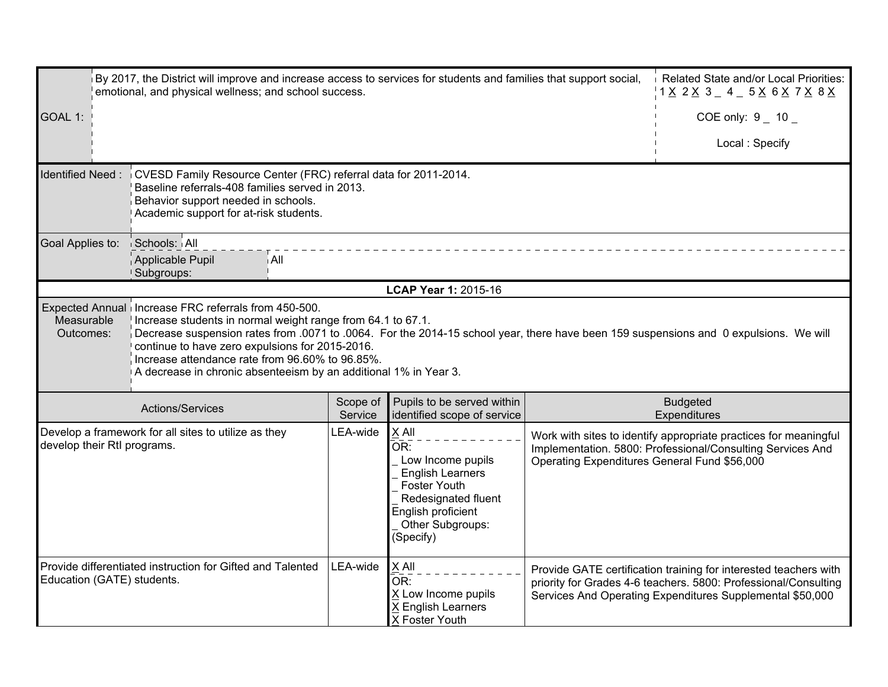| By 2017, the District will improve and increase access to services for students and families that support social,<br>emotional, and physical wellness; and school success. | Related State and/or Local Priorities:                                                                                                                                                                                                                                                                                                                                                                                                   |                     |                                                                                                                                                                                          |                                              |                                                                                                                                                                                                  |
|----------------------------------------------------------------------------------------------------------------------------------------------------------------------------|------------------------------------------------------------------------------------------------------------------------------------------------------------------------------------------------------------------------------------------------------------------------------------------------------------------------------------------------------------------------------------------------------------------------------------------|---------------------|------------------------------------------------------------------------------------------------------------------------------------------------------------------------------------------|----------------------------------------------|--------------------------------------------------------------------------------------------------------------------------------------------------------------------------------------------------|
| GOAL 1:                                                                                                                                                                    |                                                                                                                                                                                                                                                                                                                                                                                                                                          |                     |                                                                                                                                                                                          |                                              | COE only: $9 - 10$                                                                                                                                                                               |
|                                                                                                                                                                            |                                                                                                                                                                                                                                                                                                                                                                                                                                          |                     |                                                                                                                                                                                          |                                              | Local: Specify                                                                                                                                                                                   |
| <b>Identified Need:</b>                                                                                                                                                    | CVESD Family Resource Center (FRC) referral data for 2011-2014.<br>Baseline referrals-408 families served in 2013.<br>Behavior support needed in schools.<br>Academic support for at-risk students.                                                                                                                                                                                                                                      |                     |                                                                                                                                                                                          |                                              |                                                                                                                                                                                                  |
| Goal Applies to:                                                                                                                                                           | Schools: All<br>Applicable Pupil<br>i All<br>Subgroups:                                                                                                                                                                                                                                                                                                                                                                                  |                     |                                                                                                                                                                                          |                                              |                                                                                                                                                                                                  |
|                                                                                                                                                                            |                                                                                                                                                                                                                                                                                                                                                                                                                                          |                     | LCAP Year 1: 2015-16                                                                                                                                                                     |                                              |                                                                                                                                                                                                  |
| Measurable<br>Outcomes:                                                                                                                                                    | Expected Annual   Increase FRC referrals from 450-500.<br>Increase students in normal weight range from 64.1 to 67.1.<br>Decrease suspension rates from .0071 to .0064. For the 2014-15 school year, there have been 159 suspensions and 0 expulsions. We will<br>continue to have zero expulsions for 2015-2016.<br>Increase attendance rate from 96.60% to 96.85%.<br>A decrease in chronic absenteeism by an additional 1% in Year 3. |                     |                                                                                                                                                                                          |                                              |                                                                                                                                                                                                  |
|                                                                                                                                                                            | Actions/Services                                                                                                                                                                                                                                                                                                                                                                                                                         | Scope of<br>Service | Pupils to be served within<br>identified scope of service                                                                                                                                |                                              | <b>Budgeted</b><br>Expenditures                                                                                                                                                                  |
| develop their Rtl programs.                                                                                                                                                | Develop a framework for all sites to utilize as they                                                                                                                                                                                                                                                                                                                                                                                     | LEA-wide            | X All<br>$\overline{\mathsf{OR}}$ :<br>Low Income pupils<br><b>English Learners</b><br><b>Foster Youth</b><br>Redesignated fluent<br>English proficient<br>Other Subgroups:<br>(Specify) | Operating Expenditures General Fund \$56,000 | Work with sites to identify appropriate practices for meaningful<br>Implementation. 5800: Professional/Consulting Services And                                                                   |
| Education (GATE) students.                                                                                                                                                 | Provide differentiated instruction for Gifted and Talented                                                                                                                                                                                                                                                                                                                                                                               | LEA-wide            | X All<br>OR:<br>X Low Income pupils<br>X English Learners<br>X Foster Youth                                                                                                              |                                              | Provide GATE certification training for interested teachers with<br>priority for Grades 4-6 teachers. 5800: Professional/Consulting<br>Services And Operating Expenditures Supplemental \$50,000 |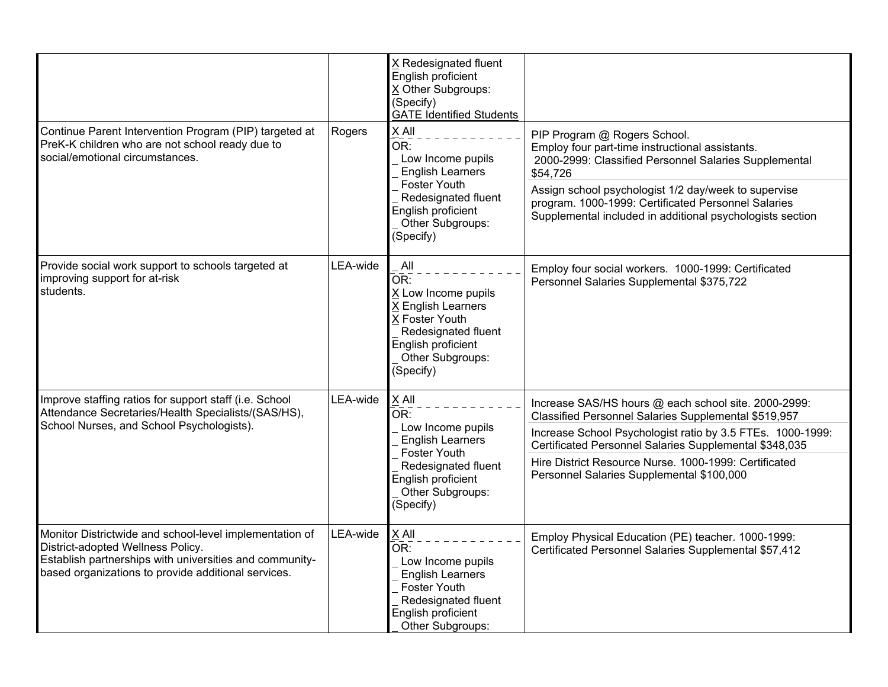|                                                                                                                                                                                                                |          | X Redesignated fluent<br>English proficient<br>X Other Subgroups:<br>(Specify)<br><b>GATE Identified Students</b>                                                           |                                                                                                                                                                                                                                                                                                                                            |
|----------------------------------------------------------------------------------------------------------------------------------------------------------------------------------------------------------------|----------|-----------------------------------------------------------------------------------------------------------------------------------------------------------------------------|--------------------------------------------------------------------------------------------------------------------------------------------------------------------------------------------------------------------------------------------------------------------------------------------------------------------------------------------|
| Continue Parent Intervention Program (PIP) targeted at<br>PreK-K children who are not school ready due to<br>social/emotional circumstances.                                                                   | Rogers   | $X$ All<br>OR:<br>Low Income pupils<br><b>English Learners</b><br>Foster Youth<br>Redesignated fluent<br>English proficient<br>Other Subgroups:<br>(Specify)                | PIP Program @ Rogers School.<br>Employ four part-time instructional assistants.<br>2000-2999: Classified Personnel Salaries Supplemental<br>\$54,726<br>Assign school psychologist 1/2 day/week to supervise<br>program. 1000-1999: Certificated Personnel Salaries<br>Supplemental included in additional psychologists section           |
| Provide social work support to schools targeted at<br>improving support for at-risk<br>students.                                                                                                               | LEA-wide | All<br>OR:<br>X Low Income pupils<br>X English Learners<br>X Foster Youth<br>Redesignated fluent<br>English proficient<br>Other Subgroups:<br>(Specify)                     | Employ four social workers. 1000-1999: Certificated<br>Personnel Salaries Supplemental \$375,722                                                                                                                                                                                                                                           |
| Improve staffing ratios for support staff (i.e. School<br>Attendance Secretaries/Health Specialists/(SAS/HS),<br>School Nurses, and School Psychologists).                                                     | LEA-wide | X All<br>OR:<br>Low Income pupils<br><b>English Learners</b><br><b>Foster Youth</b><br>Redesignated fluent<br>English proficient<br>Other Subgroups:<br>(Specify)           | Increase SAS/HS hours @ each school site. 2000-2999:<br>Classified Personnel Salaries Supplemental \$519,957<br>Increase School Psychologist ratio by 3.5 FTEs. 1000-1999:<br>Certificated Personnel Salaries Supplemental \$348,035<br>Hire District Resource Nurse. 1000-1999: Certificated<br>Personnel Salaries Supplemental \$100,000 |
| Monitor Districtwide and school-level implementation of<br>District-adopted Wellness Policy.<br>Establish partnerships with universities and community-<br>based organizations to provide additional services. | LEA-wide | X All<br>$\overline{\mathsf{OR}}$ :<br>Low Income pupils<br><b>English Learners</b><br><b>Foster Youth</b><br>Redesignated fluent<br>English proficient<br>Other Subgroups: | Employ Physical Education (PE) teacher. 1000-1999:<br>Certificated Personnel Salaries Supplemental \$57,412                                                                                                                                                                                                                                |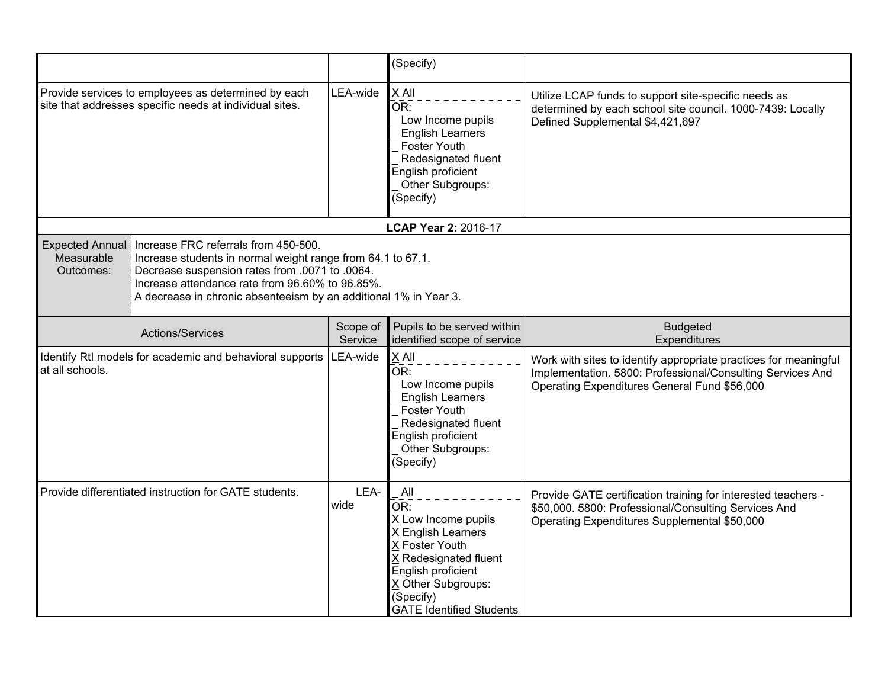|                                                                                                                                                                                                                                                                                                                           |                     | (Specify)                                                                                                                                                                                      |                                                                                                                                                                                |
|---------------------------------------------------------------------------------------------------------------------------------------------------------------------------------------------------------------------------------------------------------------------------------------------------------------------------|---------------------|------------------------------------------------------------------------------------------------------------------------------------------------------------------------------------------------|--------------------------------------------------------------------------------------------------------------------------------------------------------------------------------|
| Provide services to employees as determined by each<br>site that addresses specific needs at individual sites.                                                                                                                                                                                                            | LEA-wide            | $X$ All<br>OR:<br>Low Income pupils<br><b>English Learners</b><br><b>Foster Youth</b><br>Redesignated fluent<br>English proficient<br>Other Subgroups:<br>(Specify)                            | Utilize LCAP funds to support site-specific needs as<br>determined by each school site council. 1000-7439: Locally<br>Defined Supplemental \$4,421,697                         |
|                                                                                                                                                                                                                                                                                                                           |                     | LCAP Year 2: 2016-17                                                                                                                                                                           |                                                                                                                                                                                |
| Expected Annual   Increase FRC referrals from 450-500.<br>Measurable<br>Increase students in normal weight range from 64.1 to 67.1.<br>Decrease suspension rates from .0071 to .0064.<br>Outcomes:<br>Increase attendance rate from 96.60% to 96.85%.<br>A decrease in chronic absenteeism by an additional 1% in Year 3. |                     |                                                                                                                                                                                                |                                                                                                                                                                                |
| Actions/Services                                                                                                                                                                                                                                                                                                          | Scope of<br>Service | Pupils to be served within<br>identified scope of service                                                                                                                                      | <b>Budgeted</b><br>Expenditures                                                                                                                                                |
| Identify RtI models for academic and behavioral supports<br>at all schools.                                                                                                                                                                                                                                               | LEA-wide            | X All<br>OR:<br>Low Income pupils<br><b>English Learners</b><br><b>Foster Youth</b><br>Redesignated fluent<br>English proficient<br>Other Subgroups:<br>(Specify)                              | Work with sites to identify appropriate practices for meaningful<br>Implementation. 5800: Professional/Consulting Services And<br>Operating Expenditures General Fund \$56,000 |
| Provide differentiated instruction for GATE students.                                                                                                                                                                                                                                                                     | LEA-<br>wide        | All<br>OR:<br>X Low Income pupils<br>X English Learners<br>X Foster Youth<br>X Redesignated fluent<br>English proficient<br>X Other Subgroups:<br>(Specify)<br><b>GATE Identified Students</b> | Provide GATE certification training for interested teachers -<br>\$50,000. 5800: Professional/Consulting Services And<br>Operating Expenditures Supplemental \$50,000          |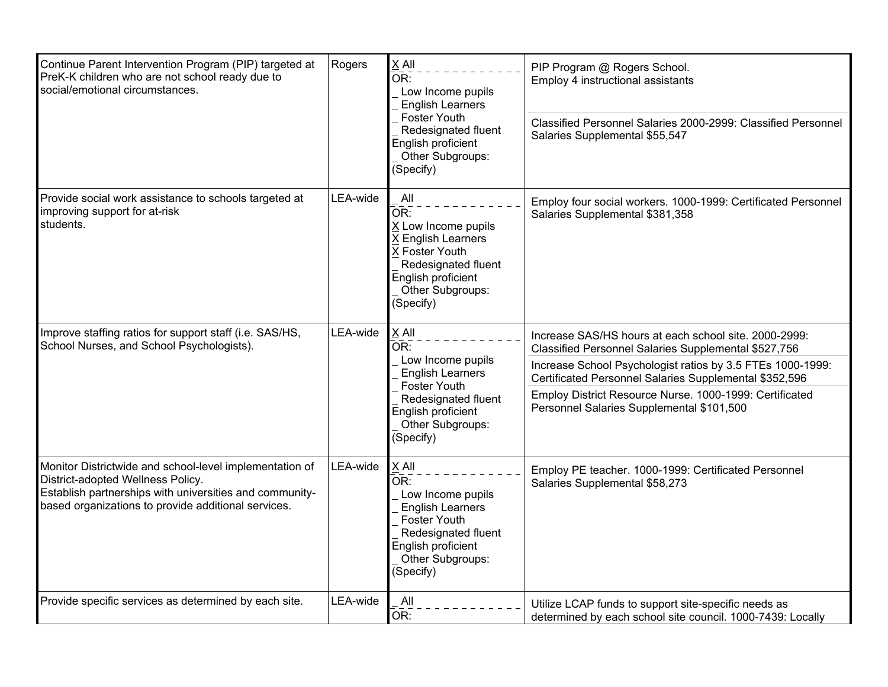| Continue Parent Intervention Program (PIP) targeted at<br>PreK-K children who are not school ready due to<br>social/emotional circumstances.                                                                   | Rogers   | X All<br>OR:<br>Low Income pupils<br><b>English Learners</b><br>Foster Youth<br>Redesignated fluent<br>English proficient<br>Other Subgroups:<br>(Specify)        | PIP Program @ Rogers School.<br>Employ 4 instructional assistants<br>Classified Personnel Salaries 2000-2999: Classified Personnel<br>Salaries Supplemental \$55,547                                                                                                                                                                          |
|----------------------------------------------------------------------------------------------------------------------------------------------------------------------------------------------------------------|----------|-------------------------------------------------------------------------------------------------------------------------------------------------------------------|-----------------------------------------------------------------------------------------------------------------------------------------------------------------------------------------------------------------------------------------------------------------------------------------------------------------------------------------------|
| Provide social work assistance to schools targeted at<br>improving support for at-risk<br>students.                                                                                                            | LEA-wide | All<br>OR:<br>X Low Income pupils<br>X English Learners<br>X Foster Youth<br>Redesignated fluent<br>English proficient<br>Other Subgroups:<br>(Specify)           | Employ four social workers. 1000-1999: Certificated Personnel<br>Salaries Supplemental \$381,358                                                                                                                                                                                                                                              |
| Improve staffing ratios for support staff (i.e. SAS/HS,<br>School Nurses, and School Psychologists).                                                                                                           | LEA-wide | X All<br>OR:<br>Low Income pupils<br><b>English Learners</b><br><b>Foster Youth</b><br>Redesignated fluent<br>English proficient<br>Other Subgroups:<br>(Specify) | Increase SAS/HS hours at each school site. 2000-2999:<br>Classified Personnel Salaries Supplemental \$527,756<br>Increase School Psychologist ratios by 3.5 FTEs 1000-1999:<br>Certificated Personnel Salaries Supplemental \$352,596<br>Employ District Resource Nurse. 1000-1999: Certificated<br>Personnel Salaries Supplemental \$101,500 |
| Monitor Districtwide and school-level implementation of<br>District-adopted Wellness Policy.<br>Establish partnerships with universities and community-<br>based organizations to provide additional services. | LEA-wide | X All<br>OR:<br>Low Income pupils<br><b>English Learners</b><br>Foster Youth<br>Redesignated fluent<br>English proficient<br>Other Subgroups:<br>(Specify)        | Employ PE teacher. 1000-1999: Certificated Personnel<br>Salaries Supplemental \$58,273                                                                                                                                                                                                                                                        |
| Provide specific services as determined by each site.                                                                                                                                                          | LEA-wide | All<br>OR:                                                                                                                                                        | Utilize LCAP funds to support site-specific needs as<br>determined by each school site council. 1000-7439: Locally                                                                                                                                                                                                                            |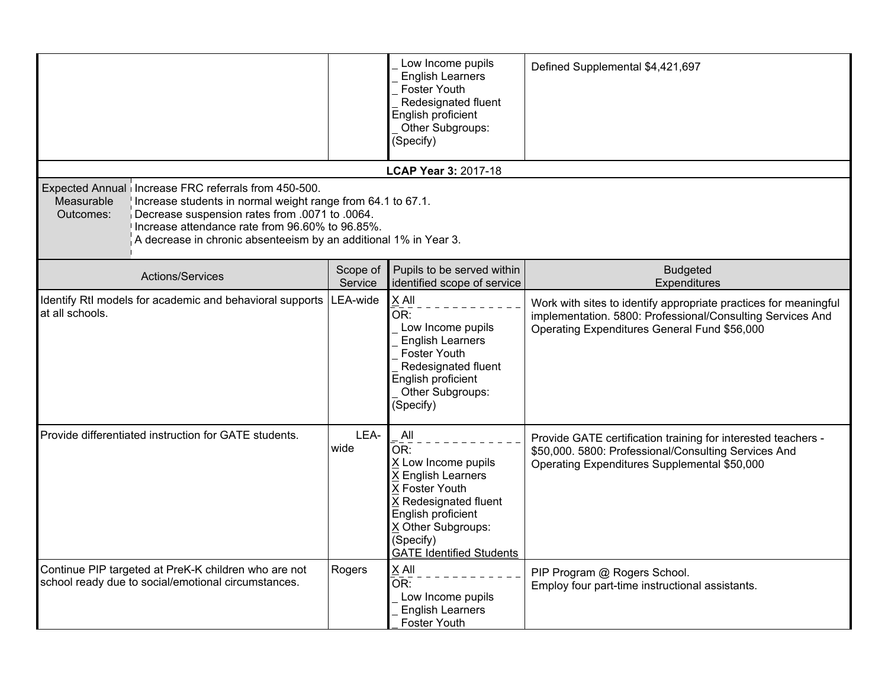|                                                                                                                                                                                                                                                                                                                         |                     | Low Income pupils<br><b>English Learners</b><br>Foster Youth<br>Redesignated fluent<br>English proficient<br>Other Subgroups:<br>(Specify)                                                                 | Defined Supplemental \$4,421,697                                                                                                                                               |  |  |
|-------------------------------------------------------------------------------------------------------------------------------------------------------------------------------------------------------------------------------------------------------------------------------------------------------------------------|---------------------|------------------------------------------------------------------------------------------------------------------------------------------------------------------------------------------------------------|--------------------------------------------------------------------------------------------------------------------------------------------------------------------------------|--|--|
|                                                                                                                                                                                                                                                                                                                         |                     | LCAP Year 3: 2017-18                                                                                                                                                                                       |                                                                                                                                                                                |  |  |
| Expected Annual Increase FRC referrals from 450-500.<br>Measurable<br>Increase students in normal weight range from 64.1 to 67.1.<br>Decrease suspension rates from .0071 to .0064.<br>Outcomes:<br>Increase attendance rate from 96.60% to 96.85%.<br>A decrease in chronic absenteeism by an additional 1% in Year 3. |                     |                                                                                                                                                                                                            |                                                                                                                                                                                |  |  |
| Actions/Services                                                                                                                                                                                                                                                                                                        | Scope of<br>Service | Pupils to be served within<br>identified scope of service                                                                                                                                                  | <b>Budgeted</b><br>Expenditures                                                                                                                                                |  |  |
| Identify RtI models for academic and behavioral supports<br>at all schools.                                                                                                                                                                                                                                             | LEA-wide            | X All<br>OR:<br>Low Income pupils<br><b>English Learners</b><br>Foster Youth<br>Redesignated fluent<br>English proficient<br>Other Subgroups:<br>(Specify)                                                 | Work with sites to identify appropriate practices for meaningful<br>implementation. 5800: Professional/Consulting Services And<br>Operating Expenditures General Fund \$56,000 |  |  |
| Provide differentiated instruction for GATE students.                                                                                                                                                                                                                                                                   | LEA-<br>wide        | All<br>OR <sub>1</sub><br>X Low Income pupils<br>X English Learners<br>X Foster Youth<br>X Redesignated fluent<br>English proficient<br>X Other Subgroups:<br>(Specify)<br><b>GATE Identified Students</b> | Provide GATE certification training for interested teachers -<br>\$50,000. 5800: Professional/Consulting Services And<br>Operating Expenditures Supplemental \$50,000          |  |  |
| Continue PIP targeted at PreK-K children who are not<br>school ready due to social/emotional circumstances.                                                                                                                                                                                                             | Rogers              | X All<br>OR:<br>Low Income pupils<br><b>English Learners</b><br>Foster Youth                                                                                                                               | PIP Program @ Rogers School.<br>Employ four part-time instructional assistants.                                                                                                |  |  |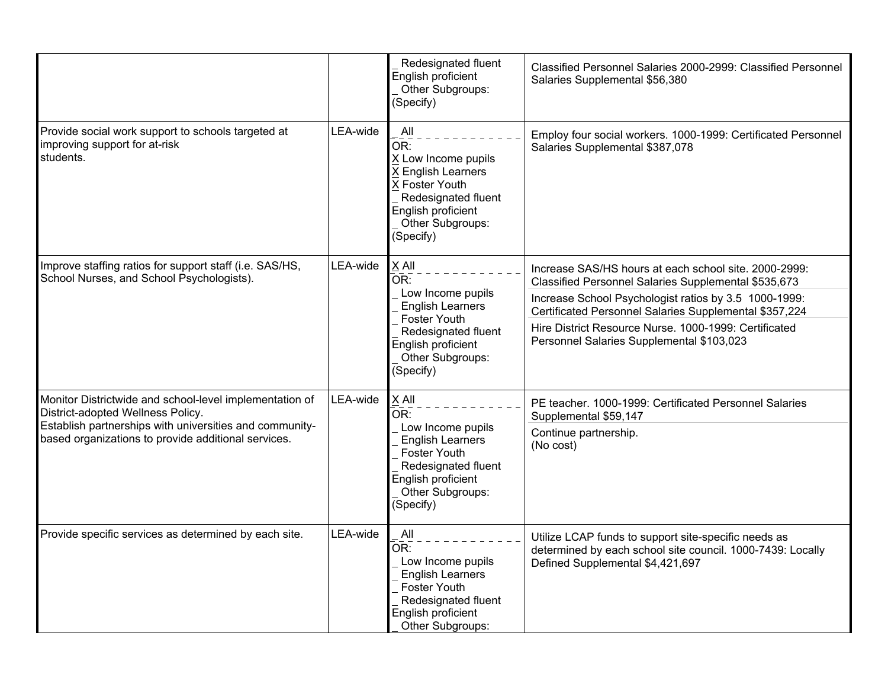|                                                                                                                                                                                                                |          | Redesignated fluent<br>English proficient<br>Other Subgroups:<br>(Specify)                                                                                        | Classified Personnel Salaries 2000-2999: Classified Personnel<br>Salaries Supplemental \$56,380                                                                                                                                                                                                                                        |
|----------------------------------------------------------------------------------------------------------------------------------------------------------------------------------------------------------------|----------|-------------------------------------------------------------------------------------------------------------------------------------------------------------------|----------------------------------------------------------------------------------------------------------------------------------------------------------------------------------------------------------------------------------------------------------------------------------------------------------------------------------------|
| Provide social work support to schools targeted at<br>improving support for at-risk<br>students.                                                                                                               | LEA-wide | All<br>OR:<br>X Low Income pupils<br>X English Learners<br>X Foster Youth<br>Redesignated fluent<br>English proficient<br>Other Subgroups:<br>(Specify)           | Employ four social workers. 1000-1999: Certificated Personnel<br>Salaries Supplemental \$387,078                                                                                                                                                                                                                                       |
| Improve staffing ratios for support staff (i.e. SAS/HS,<br>School Nurses, and School Psychologists).                                                                                                           | LEA-wide | X All<br>OR:<br>Low Income pupils<br><b>English Learners</b><br><b>Foster Youth</b><br>Redesignated fluent<br>English proficient<br>Other Subgroups:<br>(Specify) | Increase SAS/HS hours at each school site. 2000-2999:<br>Classified Personnel Salaries Supplemental \$535,673<br>Increase School Psychologist ratios by 3.5 1000-1999:<br>Certificated Personnel Salaries Supplemental \$357,224<br>Hire District Resource Nurse. 1000-1999: Certificated<br>Personnel Salaries Supplemental \$103,023 |
| Monitor Districtwide and school-level implementation of<br>District-adopted Wellness Policy.<br>Establish partnerships with universities and community-<br>based organizations to provide additional services. | LEA-wide | X All<br>OR:<br>Low Income pupils<br><b>English Learners</b><br><b>Foster Youth</b><br>Redesignated fluent<br>English proficient<br>Other Subgroups:<br>(Specify) | PE teacher. 1000-1999: Certificated Personnel Salaries<br>Supplemental \$59,147<br>Continue partnership.<br>(No cost)                                                                                                                                                                                                                  |
| Provide specific services as determined by each site.                                                                                                                                                          | LEA-wide | All<br>OR:<br>Low Income pupils<br><b>English Learners</b><br>Foster Youth<br>Redesignated fluent<br>English proficient<br>Other Subgroups:                       | Utilize LCAP funds to support site-specific needs as<br>determined by each school site council. 1000-7439: Locally<br>Defined Supplemental \$4,421,697                                                                                                                                                                                 |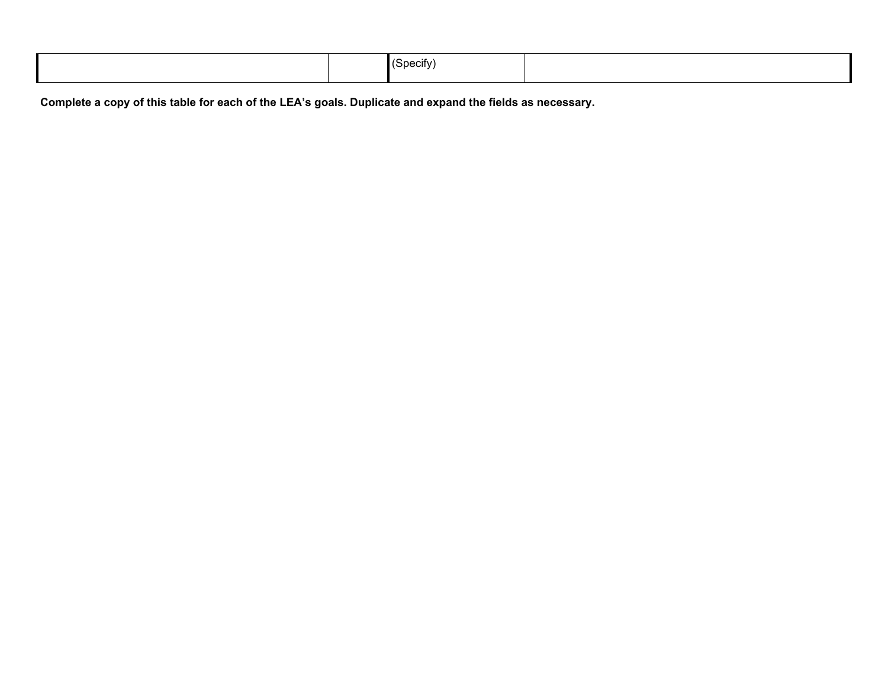|  |  | and a solution of the state of the state of the state of the state of the state of the state of the state of the state of the state of the state of the state of the state of the state of the state of the state of the state<br>71 L M |  |
|--|--|------------------------------------------------------------------------------------------------------------------------------------------------------------------------------------------------------------------------------------------|--|
|--|--|------------------------------------------------------------------------------------------------------------------------------------------------------------------------------------------------------------------------------------------|--|

Complete a copy of this table for each of the LEA's goals. Duplicate and expand the fields as necessary.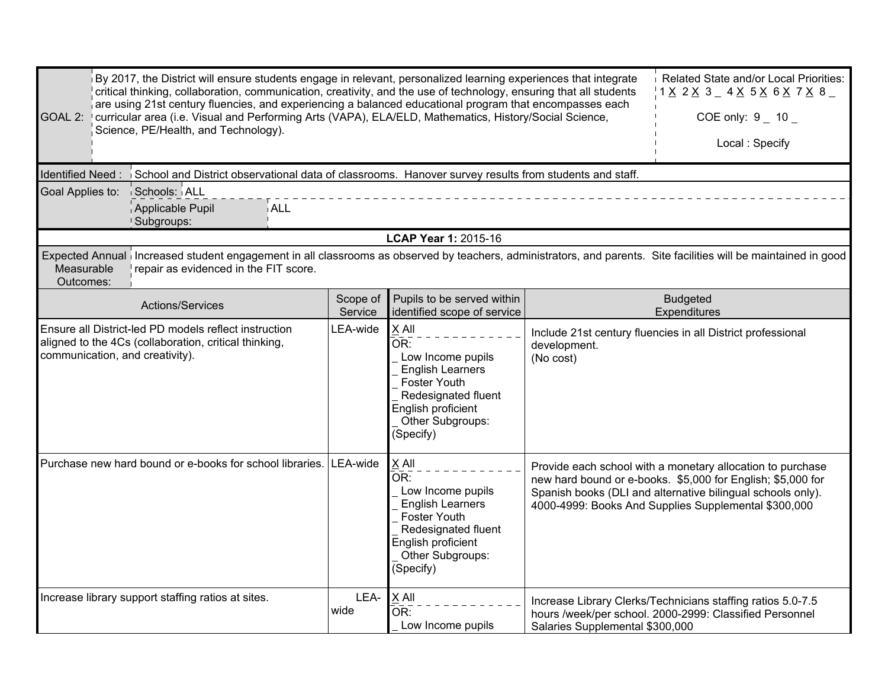| Related State and/or Local Priorities:<br>By 2017, the District will ensure students engage in relevant, personalized learning experiences that integrate<br>critical thinking, collaboration, communication, creativity, and the use of technology, ensuring that all students<br>$1$ $\times$ 2 $\times$ 3 $-$ 4 $\times$ 5 $\times$ 6 $\times$ 7 $\times$ 8 $-$<br>are using 21st century fluencies, and experiencing a balanced educational program that encompasses each<br>curricular area (i.e. Visual and Performing Arts (VAPA), ELA/ELD, Mathematics, History/Social Science,<br>GOAL 2:<br>COE only: $9 - 10 -$<br>Science, PE/Health, and Technology).<br>Local: Specify<br>Identified Need:<br>School and District observational data of classrooms. Hanover survey results from students and staff.<br>Schools: ALL<br>Goal Applies to:<br>ALL<br>Applicable Pupil |                     |                                                                                                                                                                     |                                 |                                                                                                                                                                                                                                                  |  |  |  |
|----------------------------------------------------------------------------------------------------------------------------------------------------------------------------------------------------------------------------------------------------------------------------------------------------------------------------------------------------------------------------------------------------------------------------------------------------------------------------------------------------------------------------------------------------------------------------------------------------------------------------------------------------------------------------------------------------------------------------------------------------------------------------------------------------------------------------------------------------------------------------------|---------------------|---------------------------------------------------------------------------------------------------------------------------------------------------------------------|---------------------------------|--------------------------------------------------------------------------------------------------------------------------------------------------------------------------------------------------------------------------------------------------|--|--|--|
| Subgroups:                                                                                                                                                                                                                                                                                                                                                                                                                                                                                                                                                                                                                                                                                                                                                                                                                                                                       |                     |                                                                                                                                                                     |                                 |                                                                                                                                                                                                                                                  |  |  |  |
|                                                                                                                                                                                                                                                                                                                                                                                                                                                                                                                                                                                                                                                                                                                                                                                                                                                                                  |                     | <b>LCAP Year 1: 2015-16</b>                                                                                                                                         |                                 |                                                                                                                                                                                                                                                  |  |  |  |
| Expected Annual increased student engagement in all classrooms as observed by teachers, administrators, and parents. Site facilities will be maintained in good<br>Measurable<br>repair as evidenced in the FIT score.<br>Outcomes:                                                                                                                                                                                                                                                                                                                                                                                                                                                                                                                                                                                                                                              |                     |                                                                                                                                                                     |                                 |                                                                                                                                                                                                                                                  |  |  |  |
| Actions/Services                                                                                                                                                                                                                                                                                                                                                                                                                                                                                                                                                                                                                                                                                                                                                                                                                                                                 | Scope of<br>Service | Pupils to be served within<br>identified scope of service                                                                                                           |                                 | <b>Budgeted</b><br>Expenditures                                                                                                                                                                                                                  |  |  |  |
| Ensure all District-led PD models reflect instruction<br>aligned to the 4Cs (collaboration, critical thinking,<br>communication, and creativity).                                                                                                                                                                                                                                                                                                                                                                                                                                                                                                                                                                                                                                                                                                                                | LEA-wide            | X All<br>OR:<br>Low Income pupils<br><b>English Learners</b><br><b>Foster Youth</b><br>Redesignated fluent<br>English proficient<br>Other Subgroups:<br>(Specify)   | development.<br>(No cost)       | Include 21st century fluencies in all District professional                                                                                                                                                                                      |  |  |  |
| Purchase new hard bound or e-books for school libraries.                                                                                                                                                                                                                                                                                                                                                                                                                                                                                                                                                                                                                                                                                                                                                                                                                         | LEA-wide            | $X$ All<br>OR:<br>Low Income pupils<br><b>English Learners</b><br><b>Foster Youth</b><br>Redesignated fluent<br>English proficient<br>Other Subgroups:<br>(Specify) |                                 | Provide each school with a monetary allocation to purchase<br>new hard bound or e-books. \$5,000 for English; \$5,000 for<br>Spanish books (DLI and alternative bilingual schools only).<br>4000-4999: Books And Supplies Supplemental \$300,000 |  |  |  |
| Increase library support staffing ratios at sites.                                                                                                                                                                                                                                                                                                                                                                                                                                                                                                                                                                                                                                                                                                                                                                                                                               | LEA-<br>wide        | $X$ All<br>$\overline{\mathsf{OR}}$ :<br>Low Income pupils                                                                                                          | Salaries Supplemental \$300,000 | Increase Library Clerks/Technicians staffing ratios 5.0-7.5<br>hours /week/per school. 2000-2999: Classified Personnel                                                                                                                           |  |  |  |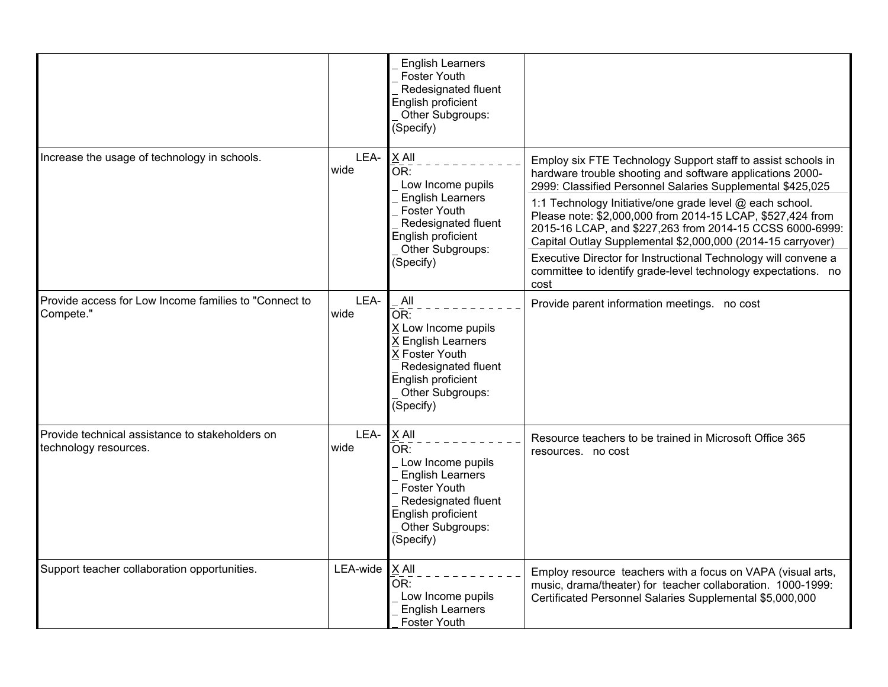|                                                                          |              | <b>English Learners</b><br>Foster Youth<br>Redesignated fluent<br>English proficient<br>Other Subgroups:<br>(Specify)                                                                      |                                                                                                                                                                                                                                                                                                                                                                                                                                                                                                                                                                                         |
|--------------------------------------------------------------------------|--------------|--------------------------------------------------------------------------------------------------------------------------------------------------------------------------------------------|-----------------------------------------------------------------------------------------------------------------------------------------------------------------------------------------------------------------------------------------------------------------------------------------------------------------------------------------------------------------------------------------------------------------------------------------------------------------------------------------------------------------------------------------------------------------------------------------|
| Increase the usage of technology in schools.                             | LEA-<br>wide | $X$ All<br>$\overline{\mathsf{OR}}$ :<br>Low Income pupils<br><b>English Learners</b><br><b>Foster Youth</b><br>Redesignated fluent<br>English proficient<br>Other Subgroups:<br>(Specify) | Employ six FTE Technology Support staff to assist schools in<br>hardware trouble shooting and software applications 2000-<br>2999: Classified Personnel Salaries Supplemental \$425,025<br>1:1 Technology Initiative/one grade level @ each school.<br>Please note: \$2,000,000 from 2014-15 LCAP, \$527,424 from<br>2015-16 LCAP, and \$227,263 from 2014-15 CCSS 6000-6999:<br>Capital Outlay Supplemental \$2,000,000 (2014-15 carryover)<br>Executive Director for Instructional Technology will convene a<br>committee to identify grade-level technology expectations. no<br>cost |
| Provide access for Low Income families to "Connect to<br>Compete."       | LEA-<br>wide | All<br>OR:<br>X Low Income pupils<br><b>English Learners</b><br>X Foster Youth<br>Redesignated fluent<br>English proficient<br>Other Subgroups:<br>(Specify)                               | Provide parent information meetings. no cost                                                                                                                                                                                                                                                                                                                                                                                                                                                                                                                                            |
| Provide technical assistance to stakeholders on<br>technology resources. | LEA-<br>wide | X All<br>OR:<br>Low Income pupils<br><b>English Learners</b><br><b>Foster Youth</b><br>Redesignated fluent<br>English proficient<br>Other Subgroups:<br>(Specify)                          | Resource teachers to be trained in Microsoft Office 365<br>resources. no cost                                                                                                                                                                                                                                                                                                                                                                                                                                                                                                           |
| Support teacher collaboration opportunities.                             | LEA-wide     | $X$ All<br>OR:<br>Low Income pupils<br><b>English Learners</b><br><b>Foster Youth</b>                                                                                                      | Employ resource teachers with a focus on VAPA (visual arts,<br>music, drama/theater) for teacher collaboration. 1000-1999:<br>Certificated Personnel Salaries Supplemental \$5,000,000                                                                                                                                                                                                                                                                                                                                                                                                  |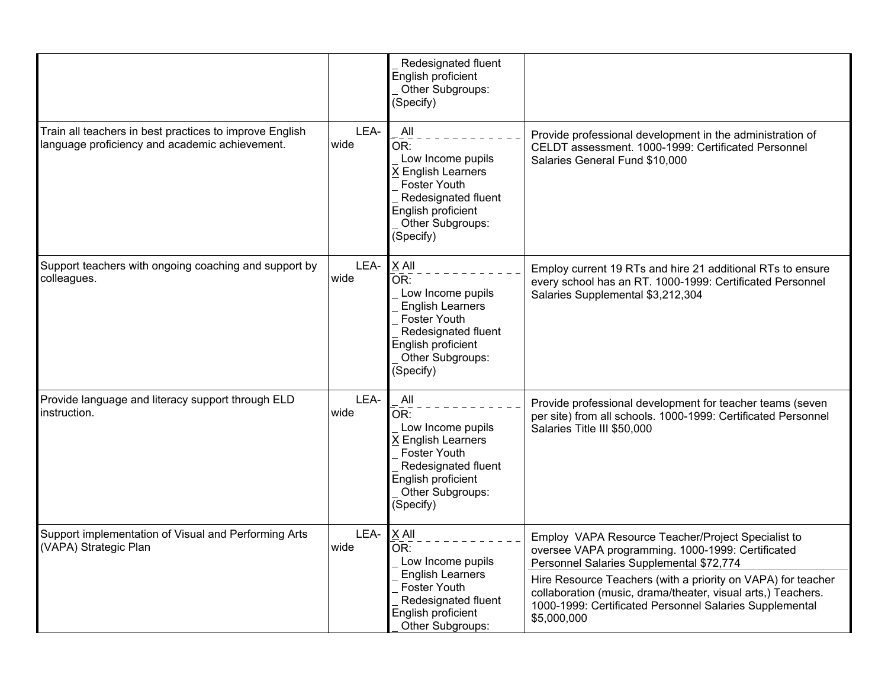|                                                                                                           |              | Redesignated fluent<br>English proficient<br>Other Subgroups:<br>(Specify)                                                                                 |                                                                                                                                                                                                                                                                                                                                                               |
|-----------------------------------------------------------------------------------------------------------|--------------|------------------------------------------------------------------------------------------------------------------------------------------------------------|---------------------------------------------------------------------------------------------------------------------------------------------------------------------------------------------------------------------------------------------------------------------------------------------------------------------------------------------------------------|
| Train all teachers in best practices to improve English<br>language proficiency and academic achievement. | LEA-<br>wide | All<br>OR:<br>Low Income pupils<br>X English Learners<br><b>Foster Youth</b><br>Redesignated fluent<br>English proficient<br>Other Subgroups:<br>(Specify) | Provide professional development in the administration of<br>CELDT assessment. 1000-1999: Certificated Personnel<br>Salaries General Fund \$10,000                                                                                                                                                                                                            |
| Support teachers with ongoing coaching and support by<br>colleagues.                                      | LEA-<br>wide | X All<br>OR:<br>Low Income pupils<br><b>English Learners</b><br>Foster Youth<br>Redesignated fluent<br>English proficient<br>Other Subgroups:<br>(Specify) | Employ current 19 RTs and hire 21 additional RTs to ensure<br>every school has an RT. 1000-1999: Certificated Personnel<br>Salaries Supplemental \$3,212,304                                                                                                                                                                                                  |
| Provide language and literacy support through ELD<br>instruction.                                         | LEA-<br>wide | All<br>OR:<br>Low Income pupils<br>X English Learners<br><b>Foster Youth</b><br>Redesignated fluent<br>English proficient<br>Other Subgroups:<br>(Specify) | Provide professional development for teacher teams (seven<br>per site) from all schools. 1000-1999: Certificated Personnel<br>Salaries Title III \$50,000                                                                                                                                                                                                     |
| Support implementation of Visual and Performing Arts<br>(VAPA) Strategic Plan                             | LEA-<br>wide | $X$ All<br>OR:<br>Low Income pupils<br><b>English Learners</b><br>Foster Youth<br>Redesignated fluent<br>English proficient<br>Other Subgroups:            | Employ VAPA Resource Teacher/Project Specialist to<br>oversee VAPA programming. 1000-1999: Certificated<br>Personnel Salaries Supplemental \$72,774<br>Hire Resource Teachers (with a priority on VAPA) for teacher<br>collaboration (music, drama/theater, visual arts,) Teachers.<br>1000-1999: Certificated Personnel Salaries Supplemental<br>\$5,000,000 |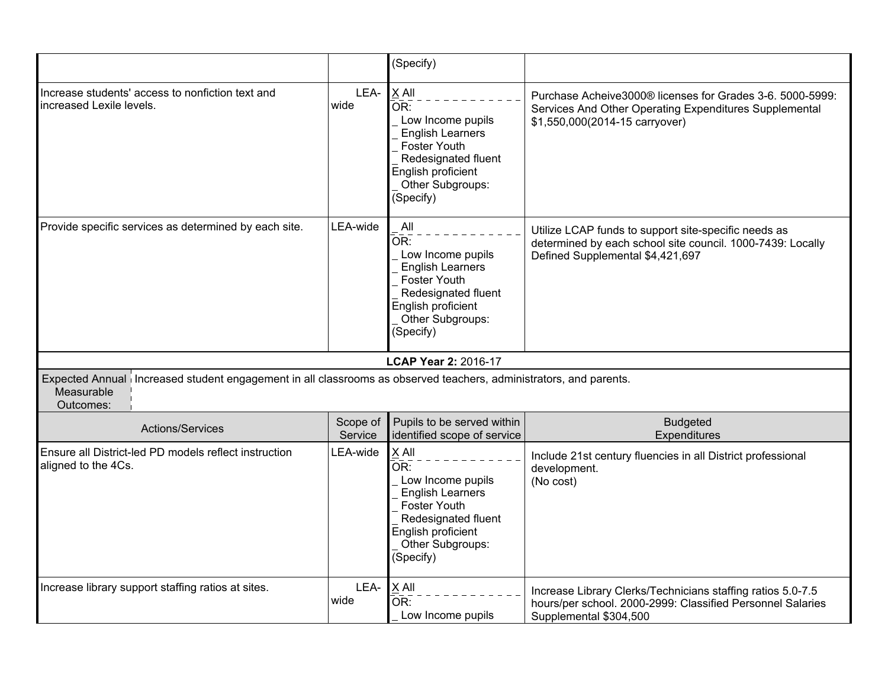|                                                                                                                                              |                     | (Specify)                                                                                                                                                       |                                                                                                                                                        |
|----------------------------------------------------------------------------------------------------------------------------------------------|---------------------|-----------------------------------------------------------------------------------------------------------------------------------------------------------------|--------------------------------------------------------------------------------------------------------------------------------------------------------|
| Increase students' access to nonfiction text and<br>increased Lexile levels.                                                                 | LEA-<br>wide        | X All<br>OR:<br>Low Income pupils<br><b>English Learners</b><br>Foster Youth<br>Redesignated fluent<br>English proficient<br>Other Subgroups:<br>(Specify)      | Purchase Acheive3000® licenses for Grades 3-6. 5000-5999:<br>Services And Other Operating Expenditures Supplemental<br>\$1,550,000(2014-15 carryover)  |
| Provide specific services as determined by each site.                                                                                        | LEA-wide            | All<br>OR:<br>Low Income pupils<br><b>English Learners</b><br><b>Foster Youth</b><br>Redesignated fluent<br>English proficient<br>Other Subgroups:<br>(Specify) | Utilize LCAP funds to support site-specific needs as<br>determined by each school site council. 1000-7439: Locally<br>Defined Supplemental \$4,421,697 |
|                                                                                                                                              |                     | LCAP Year 2: 2016-17                                                                                                                                            |                                                                                                                                                        |
| Expected Annual increased student engagement in all classrooms as observed teachers, administrators, and parents.<br>Measurable<br>Outcomes: |                     |                                                                                                                                                                 |                                                                                                                                                        |
| Actions/Services                                                                                                                             | Scope of<br>Service | Pupils to be served within<br>identified scope of service                                                                                                       | <b>Budgeted</b><br>Expenditures                                                                                                                        |
| Ensure all District-led PD models reflect instruction<br>aligned to the 4Cs.                                                                 | LEA-wide            | $X$ All<br>OR:<br>Low Income pupils<br><b>English Learners</b><br>Foster Youth<br>Redesignated fluent<br>English proficient<br>Other Subgroups:<br>(Specify)    | Include 21st century fluencies in all District professional<br>development.<br>(No cost)                                                               |
| Increase library support staffing ratios at sites.                                                                                           | LEA-<br>wide        | $X$ All<br>$\overline{\mathsf{OR}}$ :<br>Low Income pupils                                                                                                      | Increase Library Clerks/Technicians staffing ratios 5.0-7.5<br>hours/per school. 2000-2999: Classified Personnel Salaries<br>Supplemental \$304,500    |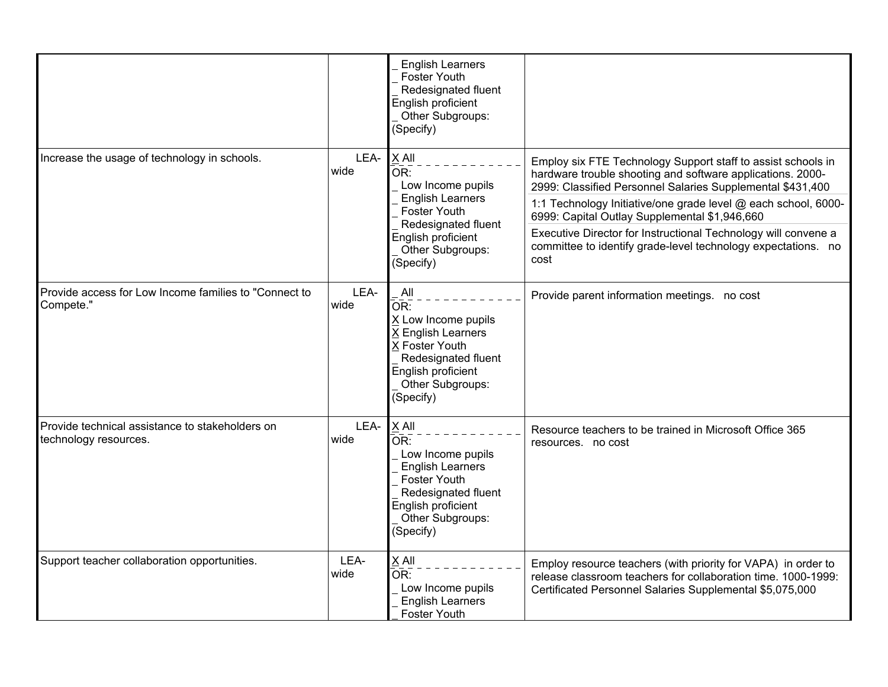|                                                                          |              | <b>English Learners</b><br><b>Foster Youth</b><br>Redesignated fluent<br>English proficient<br>Other Subgroups:<br>(Specify)                                                             |                                                                                                                                                                                                                                                                                                                                                                                                                                                        |
|--------------------------------------------------------------------------|--------------|------------------------------------------------------------------------------------------------------------------------------------------------------------------------------------------|--------------------------------------------------------------------------------------------------------------------------------------------------------------------------------------------------------------------------------------------------------------------------------------------------------------------------------------------------------------------------------------------------------------------------------------------------------|
| Increase the usage of technology in schools.                             | LEA-<br>wide | X All<br>$\overline{\mathsf{OR}}$ :<br>Low Income pupils<br><b>English Learners</b><br><b>Foster Youth</b><br>Redesignated fluent<br>English proficient<br>Other Subgroups:<br>(Specify) | Employ six FTE Technology Support staff to assist schools in<br>hardware trouble shooting and software applications. 2000-<br>2999: Classified Personnel Salaries Supplemental \$431,400<br>1:1 Technology Initiative/one grade level @ each school, 6000-<br>6999: Capital Outlay Supplemental \$1,946,660<br>Executive Director for Instructional Technology will convene a<br>committee to identify grade-level technology expectations. no<br>cost |
| Provide access for Low Income families to "Connect to<br>Compete."       | LEA-<br>wide | All<br>OR:<br>X Low Income pupils<br>X English Learners<br>X Foster Youth<br>Redesignated fluent<br>English proficient<br>Other Subgroups:<br>(Specify)                                  | Provide parent information meetings. no cost                                                                                                                                                                                                                                                                                                                                                                                                           |
| Provide technical assistance to stakeholders on<br>technology resources. | LEA-<br>wide | $X$ All<br>OR:<br>Low Income pupils<br><b>English Learners</b><br><b>Foster Youth</b><br>Redesignated fluent<br>English proficient<br>Other Subgroups:<br>(Specify)                      | Resource teachers to be trained in Microsoft Office 365<br>resources. no cost                                                                                                                                                                                                                                                                                                                                                                          |
| Support teacher collaboration opportunities.                             | LEA-<br>wide | X All<br>OR:<br>Low Income pupils<br><b>English Learners</b><br><b>Foster Youth</b>                                                                                                      | Employ resource teachers (with priority for VAPA) in order to<br>release classroom teachers for collaboration time. 1000-1999:<br>Certificated Personnel Salaries Supplemental \$5,075,000                                                                                                                                                                                                                                                             |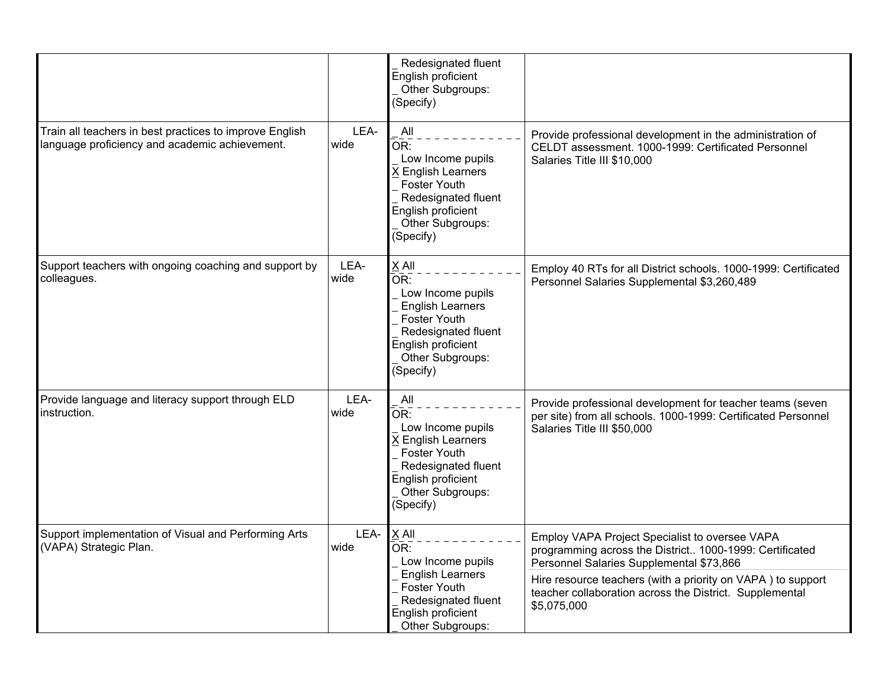|                                                                                                           |              | Redesignated fluent<br>English proficient<br>Other Subgroups:<br>(Specify)                                                                                           |                                                                                                                                                                                                                                                                                                |
|-----------------------------------------------------------------------------------------------------------|--------------|----------------------------------------------------------------------------------------------------------------------------------------------------------------------|------------------------------------------------------------------------------------------------------------------------------------------------------------------------------------------------------------------------------------------------------------------------------------------------|
| Train all teachers in best practices to improve English<br>language proficiency and academic achievement. | LEA-<br>wide | All<br>OR:<br>Low Income pupils<br>X English Learners<br><b>Foster Youth</b><br>Redesignated fluent<br>English proficient<br>Other Subgroups:<br>(Specify)           | Provide professional development in the administration of<br>CELDT assessment. 1000-1999: Certificated Personnel<br>Salaries Title III \$10,000                                                                                                                                                |
| Support teachers with ongoing coaching and support by<br>colleagues.                                      | LEA-<br>wide | X All<br>OR:<br>Low Income pupils<br><b>English Learners</b><br>Foster Youth<br>Redesignated fluent<br>English proficient<br>Other Subgroups:<br>(Specify)           | Employ 40 RTs for all District schools. 1000-1999: Certificated<br>Personnel Salaries Supplemental \$3,260,489                                                                                                                                                                                 |
| Provide language and literacy support through ELD<br>instruction.                                         | LEA-<br>wide | All<br>OR:<br>Low Income pupils<br>X English Learners<br><b>Foster Youth</b><br>Redesignated fluent<br>English proficient<br>Other Subgroups:<br>(Specify)           | Provide professional development for teacher teams (seven<br>per site) from all schools. 1000-1999: Certificated Personnel<br>Salaries Title III \$50,000                                                                                                                                      |
| Support implementation of Visual and Performing Arts<br>(VAPA) Strategic Plan.                            | LEA-<br>wide | X All<br>$\overline{\mathsf{OR}}$ :<br>Low Income pupils<br><b>English Learners</b><br>Foster Youth<br>Redesignated fluent<br>English proficient<br>Other Subgroups: | Employ VAPA Project Specialist to oversee VAPA<br>programming across the District 1000-1999: Certificated<br>Personnel Salaries Supplemental \$73,866<br>Hire resource teachers (with a priority on VAPA) to support<br>teacher collaboration across the District. Supplemental<br>\$5,075,000 |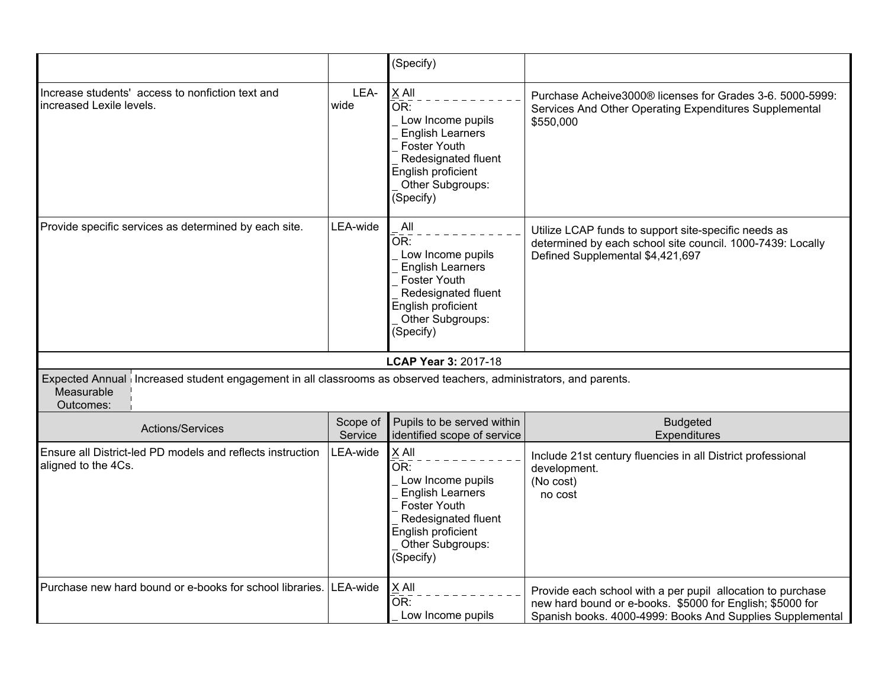|                                                                                                                                              |                     | (Specify)                                                                                                                                                         |                                                                                                                                                                                       |
|----------------------------------------------------------------------------------------------------------------------------------------------|---------------------|-------------------------------------------------------------------------------------------------------------------------------------------------------------------|---------------------------------------------------------------------------------------------------------------------------------------------------------------------------------------|
| Increase students' access to nonfiction text and<br>increased Lexile levels.                                                                 | LEA-<br>wide        | X All<br>OR:<br>Low Income pupils<br><b>English Learners</b><br><b>Foster Youth</b><br>Redesignated fluent<br>English proficient<br>Other Subgroups:<br>(Specify) | Purchase Acheive3000® licenses for Grades 3-6. 5000-5999:<br>Services And Other Operating Expenditures Supplemental<br>\$550,000                                                      |
| Provide specific services as determined by each site.                                                                                        | LEA-wide            | All<br>OR:<br>Low Income pupils<br><b>English Learners</b><br>Foster Youth<br>Redesignated fluent<br>English proficient<br>Other Subgroups:<br>(Specify)          | Utilize LCAP funds to support site-specific needs as<br>determined by each school site council. 1000-7439: Locally<br>Defined Supplemental \$4,421,697                                |
|                                                                                                                                              |                     | <b>LCAP Year 3: 2017-18</b>                                                                                                                                       |                                                                                                                                                                                       |
| Expected Annual increased student engagement in all classrooms as observed teachers, administrators, and parents.<br>Measurable<br>Outcomes: |                     |                                                                                                                                                                   |                                                                                                                                                                                       |
| Actions/Services                                                                                                                             | Scope of<br>Service | Pupils to be served within<br>identified scope of service                                                                                                         | <b>Budgeted</b><br>Expenditures                                                                                                                                                       |
| Ensure all District-led PD models and reflects instruction<br>aligned to the 4Cs.                                                            | LEA-wide            | X All<br>OR:<br>Low Income pupils<br><b>English Learners</b><br><b>Foster Youth</b><br>Redesignated fluent<br>English proficient<br>Other Subgroups:<br>(Specify) | Include 21st century fluencies in all District professional<br>development.<br>(No cost)<br>no cost                                                                                   |
| Purchase new hard bound or e-books for school libraries.                                                                                     | LEA-wide            | X All<br>−−<br>OR:<br>Low Income pupils                                                                                                                           | Provide each school with a per pupil allocation to purchase<br>new hard bound or e-books. \$5000 for English; \$5000 for<br>Spanish books. 4000-4999: Books And Supplies Supplemental |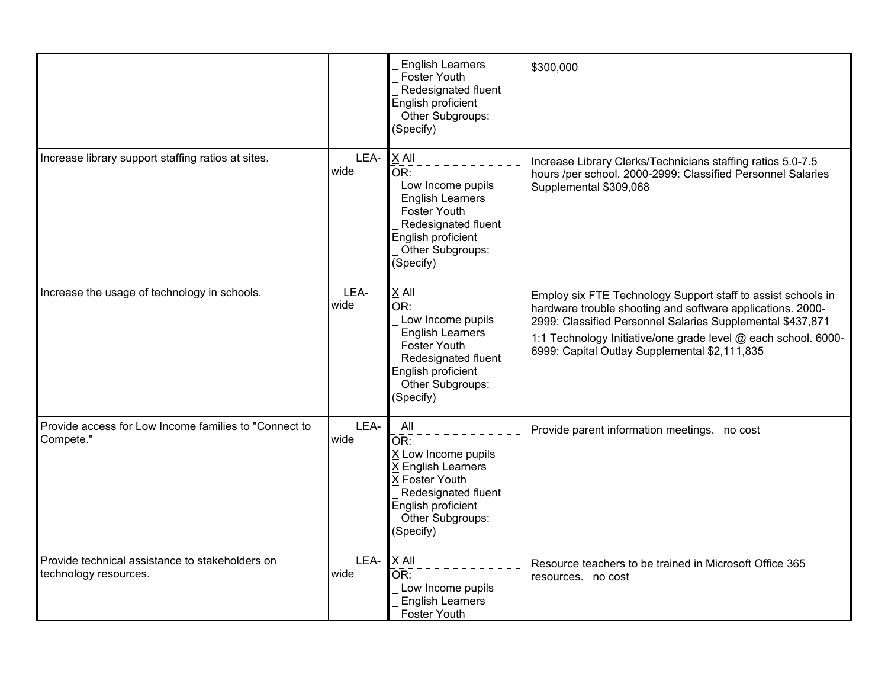|                                                                          |              | <b>English Learners</b><br><b>Foster Youth</b><br>Redesignated fluent<br>English proficient<br>Other Subgroups:<br>(Specify)                                                        | \$300,000                                                                                                                                                                                                                                                                                                   |
|--------------------------------------------------------------------------|--------------|-------------------------------------------------------------------------------------------------------------------------------------------------------------------------------------|-------------------------------------------------------------------------------------------------------------------------------------------------------------------------------------------------------------------------------------------------------------------------------------------------------------|
| Increase library support staffing ratios at sites.                       | LEA-<br>wide | X All<br>$\overline{\mathsf{OR}}$ :<br>Low Income pupils<br><b>English Learners</b><br>Foster Youth<br>Redesignated fluent<br>English proficient<br>Other Subgroups:<br>(Specify)   | Increase Library Clerks/Technicians staffing ratios 5.0-7.5<br>hours /per school. 2000-2999: Classified Personnel Salaries<br>Supplemental \$309,068                                                                                                                                                        |
| Increase the usage of technology in schools.                             | LEA-<br>wide | X All<br>$\bar{\mathsf{OR}}$ :<br>Low Income pupils<br><b>English Learners</b><br><b>Foster Youth</b><br>Redesignated fluent<br>English proficient<br>Other Subgroups:<br>(Specify) | Employ six FTE Technology Support staff to assist schools in<br>hardware trouble shooting and software applications. 2000-<br>2999: Classified Personnel Salaries Supplemental \$437,871<br>1:1 Technology Initiative/one grade level @ each school. 6000-<br>6999: Capital Outlay Supplemental \$2,111,835 |
| Provide access for Low Income families to "Connect to<br>Compete."       | LEA-<br>wide | All<br>OR:<br>X Low Income pupils<br>X English Learners<br>X Foster Youth<br>Redesignated fluent<br>English proficient<br>Other Subgroups:<br>(Specify)                             | Provide parent information meetings. no cost                                                                                                                                                                                                                                                                |
| Provide technical assistance to stakeholders on<br>technology resources. | LEA-<br>wide | X All<br>OR:<br>Low Income pupils<br><b>English Learners</b><br><b>Foster Youth</b>                                                                                                 | Resource teachers to be trained in Microsoft Office 365<br>resources. no cost                                                                                                                                                                                                                               |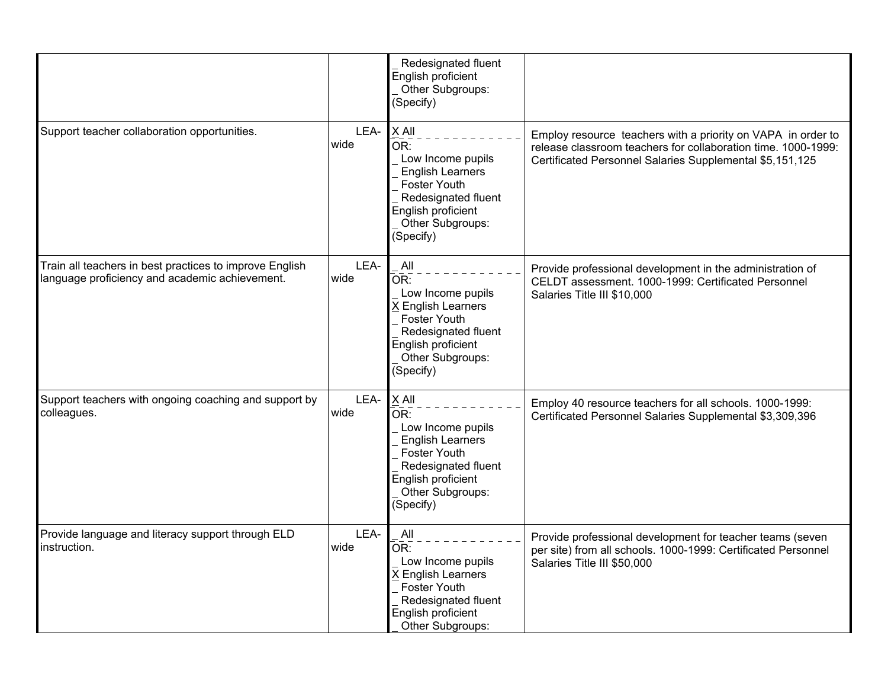|                                                                                                           |              | Redesignated fluent<br>English proficient<br>Other Subgroups:<br>(Specify)                                                                                          |                                                                                                                                                                                           |
|-----------------------------------------------------------------------------------------------------------|--------------|---------------------------------------------------------------------------------------------------------------------------------------------------------------------|-------------------------------------------------------------------------------------------------------------------------------------------------------------------------------------------|
| Support teacher collaboration opportunities.                                                              | LEA-<br>wide | X All<br>OR:<br>Low Income pupils<br><b>English Learners</b><br>Foster Youth<br>Redesignated fluent<br>English proficient<br>Other Subgroups:<br>(Specify)          | Employ resource teachers with a priority on VAPA in order to<br>release classroom teachers for collaboration time. 1000-1999:<br>Certificated Personnel Salaries Supplemental \$5,151,125 |
| Train all teachers in best practices to improve English<br>language proficiency and academic achievement. | LEA-<br>wide | All<br>OR:<br>Low Income pupils<br>X English Learners<br><b>Foster Youth</b><br>Redesignated fluent<br>English proficient<br>Other Subgroups:<br>(Specify)          | Provide professional development in the administration of<br>CELDT assessment. 1000-1999: Certificated Personnel<br>Salaries Title III \$10,000                                           |
| Support teachers with ongoing coaching and support by<br>colleagues.                                      | LEA-<br>wide | $X$ All<br>OR:<br>Low Income pupils<br><b>English Learners</b><br><b>Foster Youth</b><br>Redesignated fluent<br>English proficient<br>Other Subgroups:<br>(Specify) | Employ 40 resource teachers for all schools. 1000-1999:<br>Certificated Personnel Salaries Supplemental \$3,309,396                                                                       |
| Provide language and literacy support through ELD<br>instruction.                                         | LEA-<br>wide | All<br>OR:<br>Low Income pupils<br>X English Learners<br><b>Foster Youth</b><br>Redesignated fluent<br>English proficient<br>Other Subgroups:                       | Provide professional development for teacher teams (seven<br>per site) from all schools. 1000-1999: Certificated Personnel<br>Salaries Title III \$50,000                                 |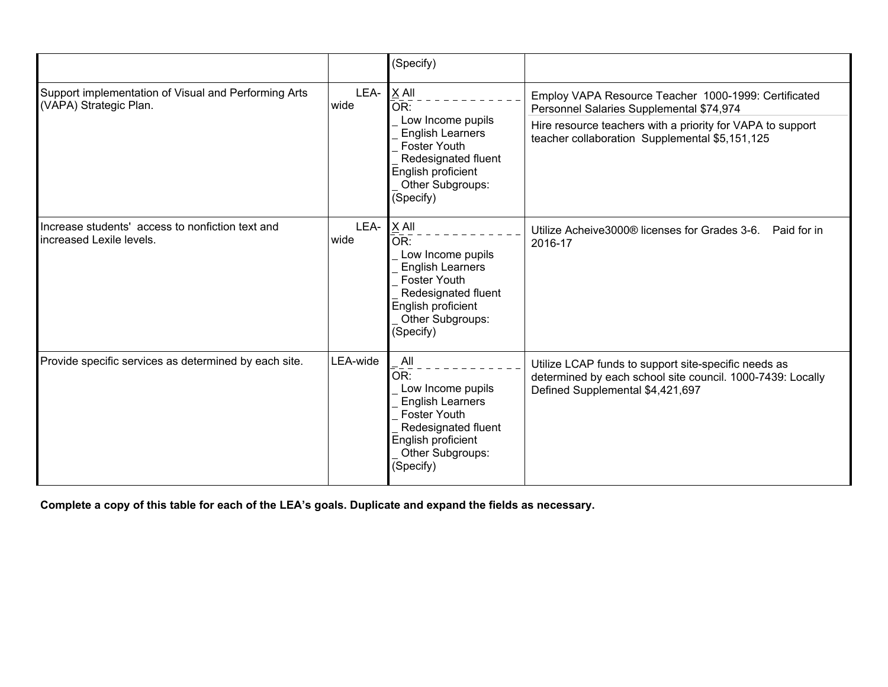|                                                                                |              | (Specify)                                                                                                                                                           |                                                                                                                                                                                                                  |
|--------------------------------------------------------------------------------|--------------|---------------------------------------------------------------------------------------------------------------------------------------------------------------------|------------------------------------------------------------------------------------------------------------------------------------------------------------------------------------------------------------------|
| Support implementation of Visual and Performing Arts<br>(VAPA) Strategic Plan. | LEA-<br>wide | $X$ All<br>OR:<br>Low Income pupils<br><b>English Learners</b><br><b>Foster Youth</b><br>Redesignated fluent<br>English proficient<br>Other Subgroups:<br>(Specify) | Employ VAPA Resource Teacher 1000-1999: Certificated<br>Personnel Salaries Supplemental \$74,974<br>Hire resource teachers with a priority for VAPA to support<br>teacher collaboration Supplemental \$5,151,125 |
| Increase students' access to nonfiction text and<br>increased Lexile levels.   | LEA-<br>wide | $X$ All<br>OR:<br>Low Income pupils<br><b>English Learners</b><br>Foster Youth<br>Redesignated fluent<br>English proficient<br>Other Subgroups:<br>(Specify)        | Utilize Acheive3000® licenses for Grades 3-6.<br>Paid for in<br>2016-17                                                                                                                                          |
| Provide specific services as determined by each site.                          | LEA-wide     | All<br>OR:<br>Low Income pupils<br><b>English Learners</b><br><b>Foster Youth</b><br>Redesignated fluent<br>English proficient<br>Other Subgroups:<br>(Specify)     | Utilize LCAP funds to support site-specific needs as<br>determined by each school site council. 1000-7439: Locally<br>Defined Supplemental \$4,421,697                                                           |

Complete a copy of this table for each of the LEA's goals. Duplicate and expand the fields as necessary.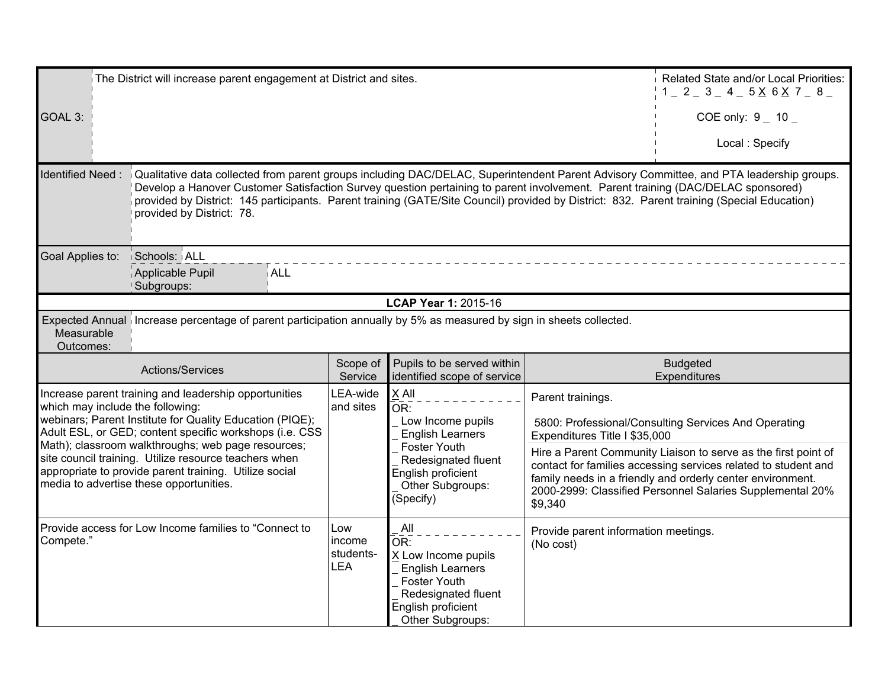| The District will increase parent engagement at District and sites. |                                                                                                                                                                                                                                                                                                                                                                                                                                                       |                       |                                                                                                                       |                                          | Related State and/or Local Priorities:<br>$1 = 2 = 3 = 4 = 5 \times 6 \times 7 = 8 = 1$                                                                                                                                                                     |
|---------------------------------------------------------------------|-------------------------------------------------------------------------------------------------------------------------------------------------------------------------------------------------------------------------------------------------------------------------------------------------------------------------------------------------------------------------------------------------------------------------------------------------------|-----------------------|-----------------------------------------------------------------------------------------------------------------------|------------------------------------------|-------------------------------------------------------------------------------------------------------------------------------------------------------------------------------------------------------------------------------------------------------------|
| GOAL 3:                                                             |                                                                                                                                                                                                                                                                                                                                                                                                                                                       |                       |                                                                                                                       |                                          | COE only: $9 - 10$                                                                                                                                                                                                                                          |
|                                                                     |                                                                                                                                                                                                                                                                                                                                                                                                                                                       |                       |                                                                                                                       |                                          | Local: Specify                                                                                                                                                                                                                                              |
| <b>Identified Need:</b>                                             | Qualitative data collected from parent groups including DAC/DELAC, Superintendent Parent Advisory Committee, and PTA leadership groups.<br>Develop a Hanover Customer Satisfaction Survey question pertaining to parent involvement. Parent training (DAC/DELAC sponsored)<br>provided by District: 145 participants. Parent training (GATE/Site Council) provided by District: 832. Parent training (Special Education)<br>provided by District: 78. |                       |                                                                                                                       |                                          |                                                                                                                                                                                                                                                             |
| Goal Applies to:                                                    | Schools: ALL<br><b>ALL</b><br>Applicable Pupil<br>Subgroups:                                                                                                                                                                                                                                                                                                                                                                                          |                       |                                                                                                                       |                                          |                                                                                                                                                                                                                                                             |
|                                                                     |                                                                                                                                                                                                                                                                                                                                                                                                                                                       |                       | LCAP Year 1: 2015-16                                                                                                  |                                          |                                                                                                                                                                                                                                                             |
| Measurable<br>Outcomes:                                             | Expected Annual increase percentage of parent participation annually by 5% as measured by sign in sheets collected.                                                                                                                                                                                                                                                                                                                                   |                       |                                                                                                                       |                                          |                                                                                                                                                                                                                                                             |
|                                                                     |                                                                                                                                                                                                                                                                                                                                                                                                                                                       |                       |                                                                                                                       |                                          |                                                                                                                                                                                                                                                             |
|                                                                     | Actions/Services                                                                                                                                                                                                                                                                                                                                                                                                                                      | Scope of<br>Service   | Pupils to be served within<br>identified scope of service                                                             |                                          | <b>Budgeted</b><br>Expenditures                                                                                                                                                                                                                             |
| which may include the following:                                    | Increase parent training and leadership opportunities<br>webinars; Parent Institute for Quality Education (PIQE);                                                                                                                                                                                                                                                                                                                                     | LEA-wide<br>and sites | X All<br>OR:<br>Low Income pupils                                                                                     | Parent trainings.                        | 5800: Professional/Consulting Services And Operating                                                                                                                                                                                                        |
|                                                                     | Adult ESL, or GED; content specific workshops (i.e. CSS<br>Math); classroom walkthroughs; web page resources;<br>site council training. Utilize resource teachers when<br>appropriate to provide parent training. Utilize social<br>media to advertise these opportunities.                                                                                                                                                                           |                       | <b>English Learners</b><br>Foster Youth<br>Redesignated fluent<br>English proficient<br>Other Subgroups:<br>(Specify) | Expenditures Title I \$35,000<br>\$9,340 | Hire a Parent Community Liaison to serve as the first point of<br>contact for families accessing services related to student and<br>family needs in a friendly and orderly center environment.<br>2000-2999: Classified Personnel Salaries Supplemental 20% |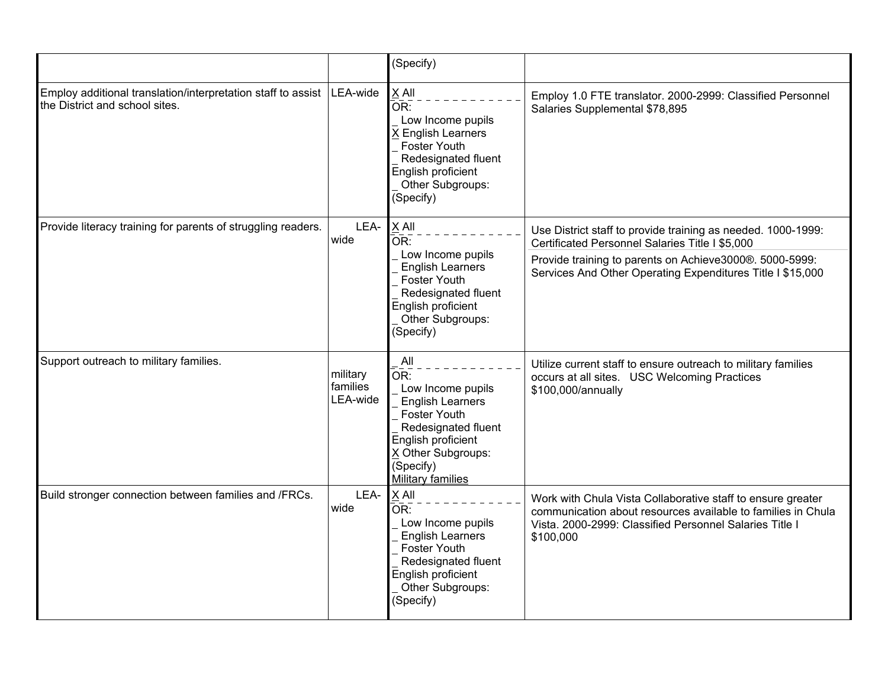|                                                                                                |                                  | (Specify)                                                                                                                                                                                     |                                                                                                                                                                                                                                          |
|------------------------------------------------------------------------------------------------|----------------------------------|-----------------------------------------------------------------------------------------------------------------------------------------------------------------------------------------------|------------------------------------------------------------------------------------------------------------------------------------------------------------------------------------------------------------------------------------------|
| Employ additional translation/interpretation staff to assist<br>the District and school sites. | LEA-wide                         | X All<br>OR:<br>Low Income pupils<br>X English Learners<br><b>Foster Youth</b><br>Redesignated fluent<br>English proficient<br>Other Subgroups:<br>(Specify)                                  | Employ 1.0 FTE translator. 2000-2999: Classified Personnel<br>Salaries Supplemental \$78,895                                                                                                                                             |
| Provide literacy training for parents of struggling readers.                                   | LEA-<br>wide                     | X All<br>OR:<br>Low Income pupils<br><b>English Learners</b><br><b>Foster Youth</b><br>Redesignated fluent<br>English proficient<br>Other Subgroups:<br>(Specify)                             | Use District staff to provide training as needed. 1000-1999:<br>Certificated Personnel Salaries Title I \$5,000<br>Provide training to parents on Achieve3000®. 5000-5999:<br>Services And Other Operating Expenditures Title I \$15,000 |
| Support outreach to military families.                                                         | military<br>families<br>LEA-wide | All<br>OR:<br>Low Income pupils<br><b>English Learners</b><br><b>Foster Youth</b><br>Redesignated fluent<br>English proficient<br>X Other Subgroups:<br>(Specify)<br><b>Military families</b> | Utilize current staff to ensure outreach to military families<br>occurs at all sites. USC Welcoming Practices<br>\$100,000/annually                                                                                                      |
| Build stronger connection between families and /FRCs.                                          | LEA-<br>wide                     | $X$ All<br>OR:<br>Low Income pupils<br><b>English Learners</b><br><b>Foster Youth</b><br>Redesignated fluent<br>English proficient<br>Other Subgroups:<br>(Specify)                           | Work with Chula Vista Collaborative staff to ensure greater<br>communication about resources available to families in Chula<br>Vista. 2000-2999: Classified Personnel Salaries Title I<br>\$100,000                                      |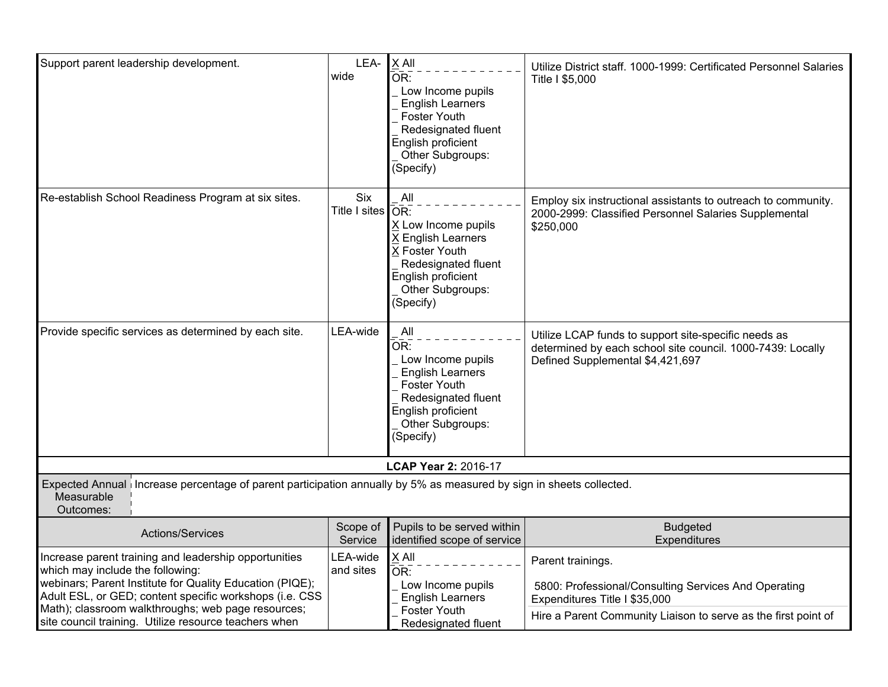| Support parent leadership development.                                                                                                                                                                                                                                                                                          | LEA-<br>wide                | X All<br>OR:<br>Low Income pupils<br><b>English Learners</b><br>Foster Youth<br>Redesignated fluent<br>English proficient<br>Other Subgroups:<br>(Specify)       | Utilize District staff. 1000-1999: Certificated Personnel Salaries<br>Title I \$5,000                                                                                        |
|---------------------------------------------------------------------------------------------------------------------------------------------------------------------------------------------------------------------------------------------------------------------------------------------------------------------------------|-----------------------------|------------------------------------------------------------------------------------------------------------------------------------------------------------------|------------------------------------------------------------------------------------------------------------------------------------------------------------------------------|
| Re-establish School Readiness Program at six sites.                                                                                                                                                                                                                                                                             | <b>Six</b><br>Title I sites | All<br>$\bar{O}$ R:<br>X Low Income pupils<br>X English Learners<br>X Foster Youth<br>Redesignated fluent<br>English proficient<br>Other Subgroups:<br>(Specify) | Employ six instructional assistants to outreach to community.<br>2000-2999: Classified Personnel Salaries Supplemental<br>\$250,000                                          |
| Provide specific services as determined by each site.                                                                                                                                                                                                                                                                           | LEA-wide                    | All<br>OR:<br>Low Income pupils<br><b>English Learners</b><br><b>Foster Youth</b><br>Redesignated fluent<br>English proficient<br>Other Subgroups:<br>(Specify)  | Utilize LCAP funds to support site-specific needs as<br>determined by each school site council. 1000-7439: Locally<br>Defined Supplemental \$4,421,697                       |
|                                                                                                                                                                                                                                                                                                                                 |                             | LCAP Year 2: 2016-17                                                                                                                                             |                                                                                                                                                                              |
| Expected Annual   Increase percentage of parent participation annually by 5% as measured by sign in sheets collected.<br>Measurable<br>Outcomes:                                                                                                                                                                                |                             |                                                                                                                                                                  |                                                                                                                                                                              |
| Actions/Services                                                                                                                                                                                                                                                                                                                | Scope of<br>Service         | Pupils to be served within<br>identified scope of service                                                                                                        | <b>Budgeted</b><br>Expenditures                                                                                                                                              |
| Increase parent training and leadership opportunities<br>which may include the following:<br>webinars; Parent Institute for Quality Education (PIQE);<br>Adult ESL, or GED; content specific workshops (i.e. CSS<br>Math); classroom walkthroughs; web page resources;<br>site council training. Utilize resource teachers when | LEA-wide<br>and sites       | X All<br>OR:<br>Low Income pupils<br><b>English Learners</b><br>Foster Youth<br>Redesignated fluent                                                              | Parent trainings.<br>5800: Professional/Consulting Services And Operating<br>Expenditures Title I \$35,000<br>Hire a Parent Community Liaison to serve as the first point of |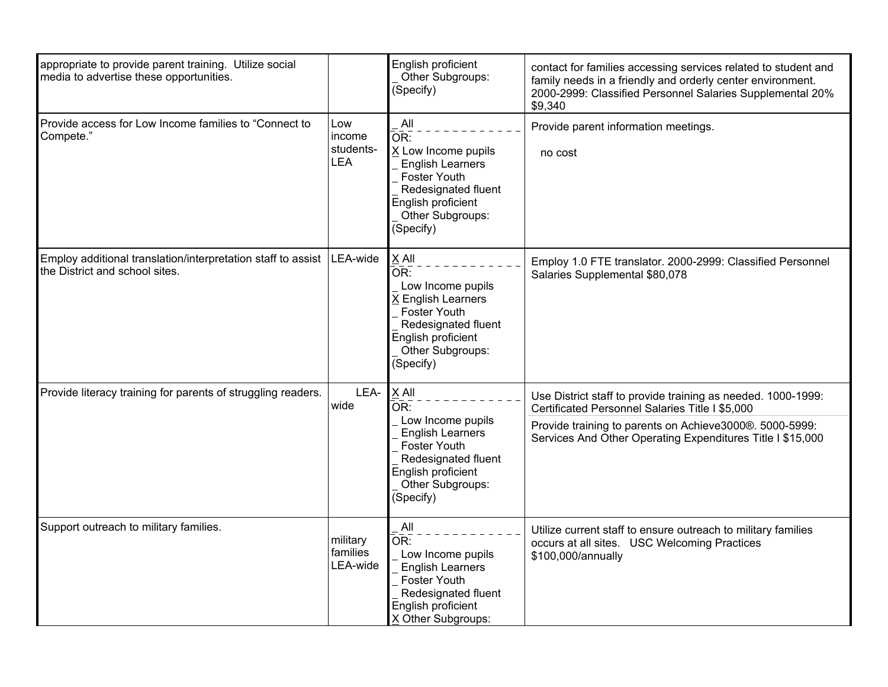| appropriate to provide parent training. Utilize social<br>media to advertise these opportunities.         |                                          | English proficient<br>Other Subgroups:<br>(Specify)                                                                                                               | contact for families accessing services related to student and<br>family needs in a friendly and orderly center environment.<br>2000-2999: Classified Personnel Salaries Supplemental 20%<br>\$9,340                                     |
|-----------------------------------------------------------------------------------------------------------|------------------------------------------|-------------------------------------------------------------------------------------------------------------------------------------------------------------------|------------------------------------------------------------------------------------------------------------------------------------------------------------------------------------------------------------------------------------------|
| Provide access for Low Income families to "Connect to<br>Compete."                                        | Low<br>income<br>students-<br><b>LEA</b> | All<br>OR:<br>X Low Income pupils<br><b>English Learners</b><br><b>Foster Youth</b><br>Redesignated fluent<br>English proficient<br>Other Subgroups:<br>(Specify) | Provide parent information meetings.<br>no cost                                                                                                                                                                                          |
| Employ additional translation/interpretation staff to assist   LEA-wide<br>the District and school sites. |                                          | $X$ All<br>OR:<br>Low Income pupils<br>X English Learners<br><b>Foster Youth</b><br>Redesignated fluent<br>English proficient<br>Other Subgroups:<br>(Specify)    | Employ 1.0 FTE translator. 2000-2999: Classified Personnel<br>Salaries Supplemental \$80,078                                                                                                                                             |
| Provide literacy training for parents of struggling readers.                                              | LEA-<br>wide                             | $X$ All<br>OR:<br>Low Income pupils<br><b>English Learners</b><br><b>Foster Youth</b>                                                                             | Use District staff to provide training as needed. 1000-1999:<br>Certificated Personnel Salaries Title I \$5,000<br>Provide training to parents on Achieve3000®. 5000-5999:<br>Services And Other Operating Expenditures Title I \$15,000 |
|                                                                                                           |                                          | Redesignated fluent<br>English proficient<br>Other Subgroups:<br>(Specify)                                                                                        |                                                                                                                                                                                                                                          |
| Support outreach to military families.                                                                    | military<br>families<br>LEA-wide         | All<br>OR:<br>Low Income pupils<br><b>English Learners</b><br>Foster Youth<br>Redesignated fluent<br>English proficient<br>X Other Subgroups:                     | Utilize current staff to ensure outreach to military families<br>occurs at all sites. USC Welcoming Practices<br>\$100,000/annually                                                                                                      |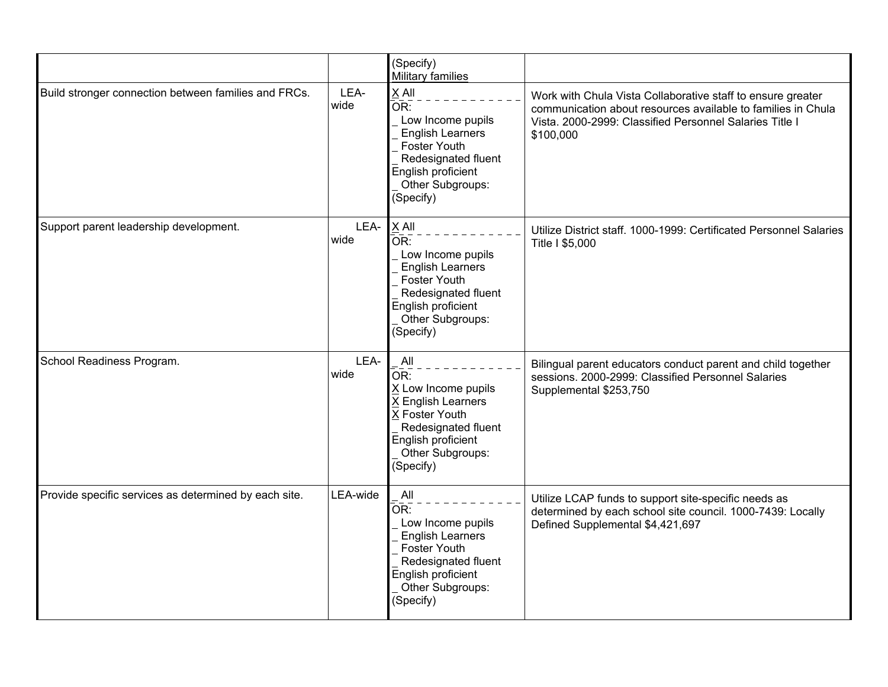|                                                       |              | (Specify)<br>Military families                                                                                                                                                        |                                                                                                                                                                                                     |
|-------------------------------------------------------|--------------|---------------------------------------------------------------------------------------------------------------------------------------------------------------------------------------|-----------------------------------------------------------------------------------------------------------------------------------------------------------------------------------------------------|
| Build stronger connection between families and FRCs.  | LEA-<br>wide | X All<br>OR:<br>Low Income pupils<br><b>English Learners</b><br>Foster Youth<br>Redesignated fluent<br>English proficient<br>Other Subgroups:<br>(Specify)                            | Work with Chula Vista Collaborative staff to ensure greater<br>communication about resources available to families in Chula<br>Vista. 2000-2999: Classified Personnel Salaries Title I<br>\$100,000 |
| Support parent leadership development.                | LEA-<br>wide | $X$ All<br>OR:<br>Low Income pupils<br><b>English Learners</b><br>Foster Youth<br>Redesignated fluent<br>English proficient<br>Other Subgroups:<br>(Specify)                          | Utilize District staff. 1000-1999: Certificated Personnel Salaries<br>Title I \$5,000                                                                                                               |
| School Readiness Program.                             | LEA-<br>wide | All<br>$\overline{\mathsf{OR}}$ :<br>X Low Income pupils<br><b>K English Learners</b><br>X Foster Youth<br>Redesignated fluent<br>English proficient<br>Other Subgroups:<br>(Specify) | Bilingual parent educators conduct parent and child together<br>sessions. 2000-2999: Classified Personnel Salaries<br>Supplemental \$253,750                                                        |
| Provide specific services as determined by each site. | LEA-wide     | All<br>OR:<br>Low Income pupils<br><b>English Learners</b><br>Foster Youth<br>Redesignated fluent<br>English proficient<br>Other Subgroups:<br>(Specify)                              | Utilize LCAP funds to support site-specific needs as<br>determined by each school site council. 1000-7439: Locally<br>Defined Supplemental \$4,421,697                                              |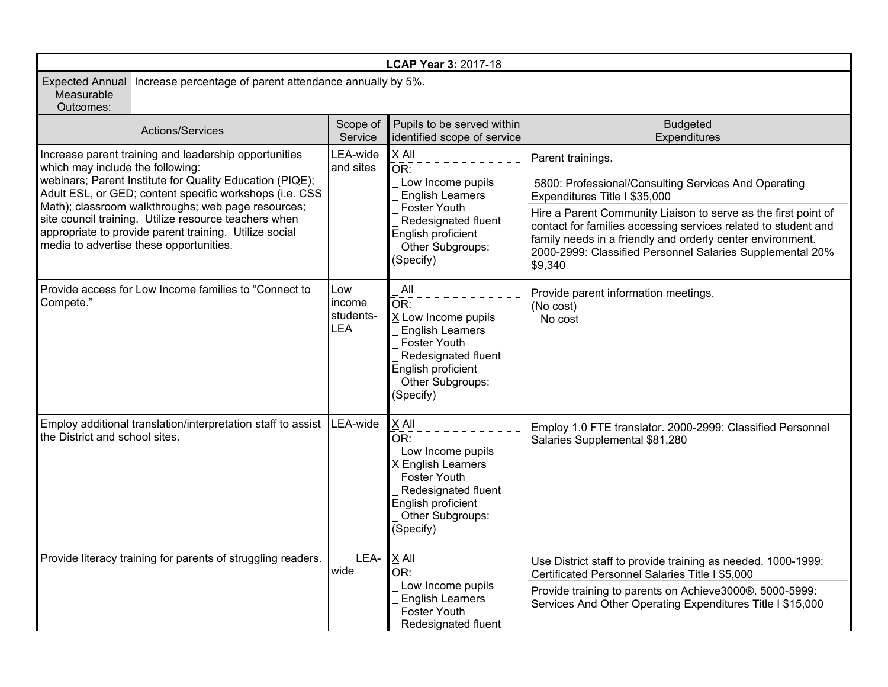| LCAP Year 3: 2017-18                                                                                                                                                                                                                                                                                                                                                                                                                 |                                          |                                                                                                                                                                                                   |                                                                                                                                                                                                                                                                                                                                                                                      |  |  |
|--------------------------------------------------------------------------------------------------------------------------------------------------------------------------------------------------------------------------------------------------------------------------------------------------------------------------------------------------------------------------------------------------------------------------------------|------------------------------------------|---------------------------------------------------------------------------------------------------------------------------------------------------------------------------------------------------|--------------------------------------------------------------------------------------------------------------------------------------------------------------------------------------------------------------------------------------------------------------------------------------------------------------------------------------------------------------------------------------|--|--|
| Expected Annual   Increase percentage of parent attendance annually by 5%.<br>Measurable<br>Outcomes:                                                                                                                                                                                                                                                                                                                                |                                          |                                                                                                                                                                                                   |                                                                                                                                                                                                                                                                                                                                                                                      |  |  |
| Actions/Services                                                                                                                                                                                                                                                                                                                                                                                                                     | Scope of<br>Service                      | Pupils to be served within<br>identified scope of service                                                                                                                                         | <b>Budgeted</b><br>Expenditures                                                                                                                                                                                                                                                                                                                                                      |  |  |
| Increase parent training and leadership opportunities<br>which may include the following:<br>webinars; Parent Institute for Quality Education (PIQE);<br>Adult ESL, or GED; content specific workshops (i.e. CSS<br>Math); classroom walkthroughs; web page resources;<br>site council training. Utilize resource teachers when<br>appropriate to provide parent training. Utilize social<br>media to advertise these opportunities. | LEA-wide<br>and sites                    | X All<br>$\overline{\overline{\text{OR}}}$ :<br>Low Income pupils<br><b>English Learners</b><br><b>Foster Youth</b><br>Redesignated fluent<br>English proficient<br>Other Subgroups:<br>(Specify) | Parent trainings.<br>5800: Professional/Consulting Services And Operating<br>Expenditures Title I \$35,000<br>Hire a Parent Community Liaison to serve as the first point of<br>contact for families accessing services related to student and<br>family needs in a friendly and orderly center environment.<br>2000-2999: Classified Personnel Salaries Supplemental 20%<br>\$9,340 |  |  |
| Provide access for Low Income families to "Connect to<br>Compete."                                                                                                                                                                                                                                                                                                                                                                   | Low<br>income<br>students-<br><b>LEA</b> | All<br>OR:<br>X Low Income pupils<br><b>English Learners</b><br><b>Foster Youth</b><br>Redesignated fluent<br>English proficient<br>Other Subgroups:<br>(Specify)                                 | Provide parent information meetings.<br>(No cost)<br>No cost                                                                                                                                                                                                                                                                                                                         |  |  |
| Employ additional translation/interpretation staff to assist<br>the District and school sites.                                                                                                                                                                                                                                                                                                                                       | LEA-wide                                 | X All<br>$\overline{\mathsf{OR}}$ :<br>Low Income pupils<br>X English Learners<br><b>Foster Youth</b><br>Redesignated fluent<br>English proficient<br>Other Subgroups:<br>(Specify)               | Employ 1.0 FTE translator. 2000-2999: Classified Personnel<br>Salaries Supplemental \$81,280                                                                                                                                                                                                                                                                                         |  |  |
| Provide literacy training for parents of struggling readers.                                                                                                                                                                                                                                                                                                                                                                         | LEA-<br>wide                             | X All<br>$\overline{\mathsf{OR}}$ :                                                                                                                                                               | Use District staff to provide training as needed. 1000-1999:<br>Certificated Personnel Salaries Title I \$5,000                                                                                                                                                                                                                                                                      |  |  |
|                                                                                                                                                                                                                                                                                                                                                                                                                                      |                                          | Low Income pupils<br><b>English Learners</b><br>Foster Youth<br>Redesignated fluent                                                                                                               | Provide training to parents on Achieve3000®. 5000-5999:<br>Services And Other Operating Expenditures Title I \$15,000                                                                                                                                                                                                                                                                |  |  |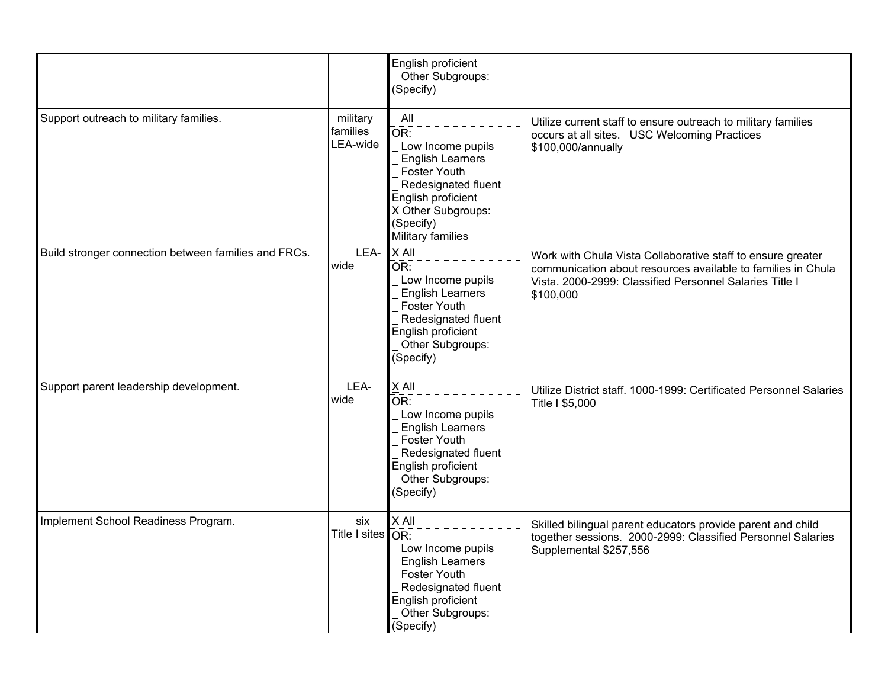|                                                      |                                        | English proficient<br>Other Subgroups:<br>(Specify)                                                                                                                                           |                                                                                                                                                                                                     |
|------------------------------------------------------|----------------------------------------|-----------------------------------------------------------------------------------------------------------------------------------------------------------------------------------------------|-----------------------------------------------------------------------------------------------------------------------------------------------------------------------------------------------------|
| Support outreach to military families.               | military<br>families<br>LEA-wide       | All<br>$\overline{OR}$ :<br>Low Income pupils<br><b>English Learners</b><br>Foster Youth<br>Redesignated fluent<br>English proficient<br>X Other Subgroups:<br>(Specify)<br>Military families | Utilize current staff to ensure outreach to military families<br>occurs at all sites. USC Welcoming Practices<br>\$100,000/annually                                                                 |
| Build stronger connection between families and FRCs. | LEA-<br>wide                           | $X$ All<br>$\overline{\mathsf{OR}}$ :<br>Low Income pupils<br><b>English Learners</b><br><b>Foster Youth</b><br>Redesignated fluent<br>English proficient<br>Other Subgroups:<br>(Specify)    | Work with Chula Vista Collaborative staff to ensure greater<br>communication about resources available to families in Chula<br>Vista. 2000-2999: Classified Personnel Salaries Title I<br>\$100,000 |
| Support parent leadership development.               | LEA-<br>wide                           | X All<br>OR:<br>Low Income pupils<br><b>English Learners</b><br>Foster Youth<br>Redesignated fluent<br>English proficient<br>Other Subgroups:<br>(Specify)                                    | Utilize District staff. 1000-1999: Certificated Personnel Salaries<br>Title I \$5,000                                                                                                               |
| Implement School Readiness Program.                  | six<br>Title I sites $\overline{OR}$ : | X All<br>Low Income pupils<br><b>English Learners</b><br><b>Foster Youth</b><br>Redesignated fluent<br>English proficient<br>Other Subgroups:<br>(Specify)                                    | Skilled bilingual parent educators provide parent and child<br>together sessions. 2000-2999: Classified Personnel Salaries<br>Supplemental \$257,556                                                |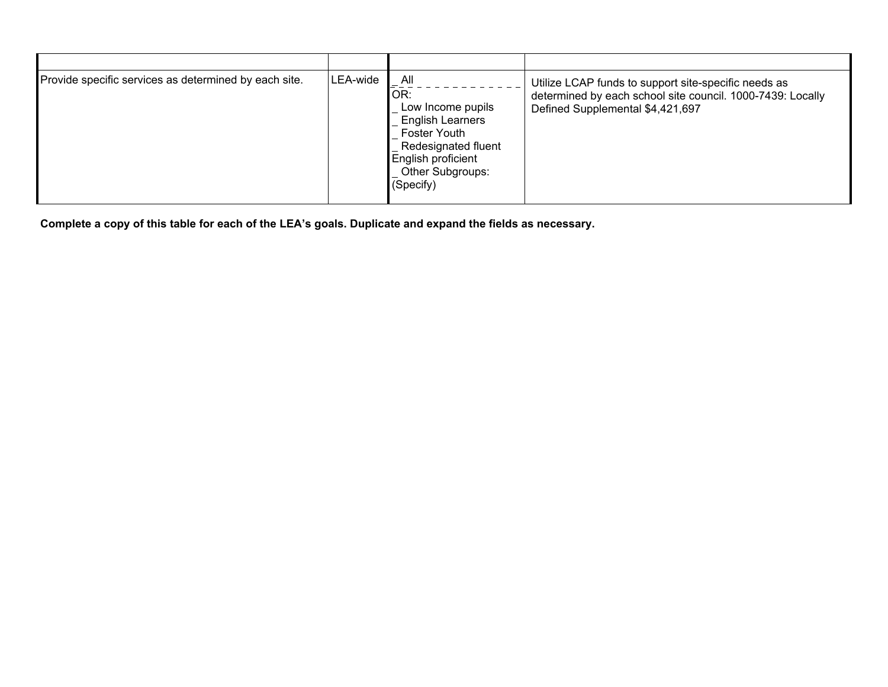| Provide specific services as determined by each site. | LEA-wide | All<br>IOR:<br>Low Income pupils<br><b>English Learners</b><br><b>Foster Youth</b><br>Redesignated fluent<br>English proficient<br>Other Subgroups:<br>(Specify) | Utilize LCAP funds to support site-specific needs as<br>determined by each school site council. 1000-7439: Locally<br>Defined Supplemental \$4,421,697 |
|-------------------------------------------------------|----------|------------------------------------------------------------------------------------------------------------------------------------------------------------------|--------------------------------------------------------------------------------------------------------------------------------------------------------|
|-------------------------------------------------------|----------|------------------------------------------------------------------------------------------------------------------------------------------------------------------|--------------------------------------------------------------------------------------------------------------------------------------------------------|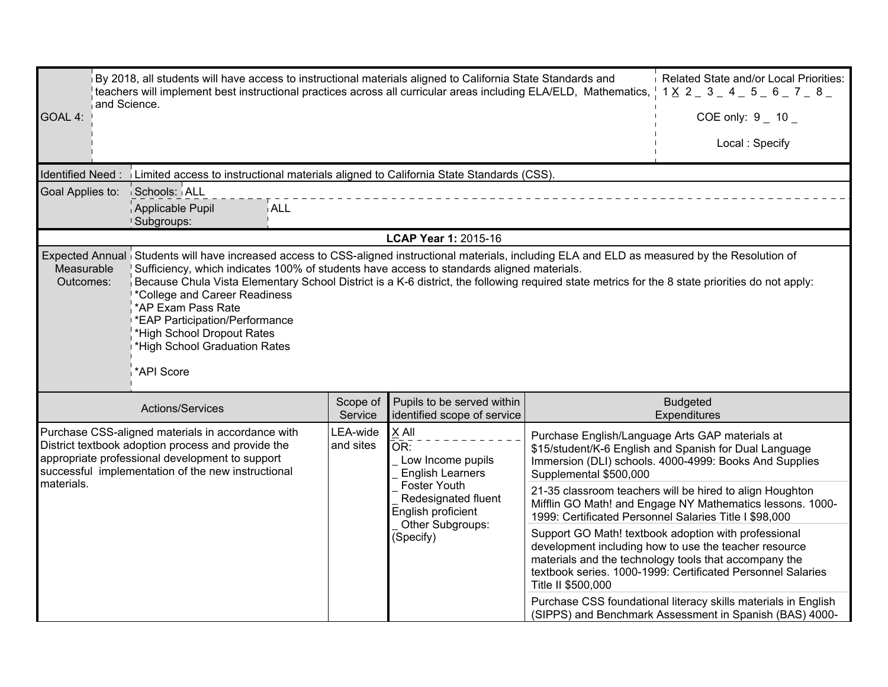|                         | Related State and/or Local Priorities:<br>By 2018, all students will have access to instructional materials aligned to California State Standards and<br>teachers will implement best instructional practices across all curricular areas including ELA/ELD, Mathematics,<br>$1 \times 2 = 3 = 4 = 5 = 6 = 7 = 8 = 1$<br>and Science.                                                                                                                                                                                                                                    |                                                                                                                                                                                                                                 |                                                               |                    |                                                                                                                                                                                                                                       |  |  |  |
|-------------------------|--------------------------------------------------------------------------------------------------------------------------------------------------------------------------------------------------------------------------------------------------------------------------------------------------------------------------------------------------------------------------------------------------------------------------------------------------------------------------------------------------------------------------------------------------------------------------|---------------------------------------------------------------------------------------------------------------------------------------------------------------------------------------------------------------------------------|---------------------------------------------------------------|--------------------|---------------------------------------------------------------------------------------------------------------------------------------------------------------------------------------------------------------------------------------|--|--|--|
| GOAL 4:                 |                                                                                                                                                                                                                                                                                                                                                                                                                                                                                                                                                                          | COE only: $9 - 10 -$                                                                                                                                                                                                            |                                                               |                    |                                                                                                                                                                                                                                       |  |  |  |
|                         | Local: Specify                                                                                                                                                                                                                                                                                                                                                                                                                                                                                                                                                           |                                                                                                                                                                                                                                 |                                                               |                    |                                                                                                                                                                                                                                       |  |  |  |
| Identified Need:        | Limited access to instructional materials aligned to California State Standards (CSS).                                                                                                                                                                                                                                                                                                                                                                                                                                                                                   |                                                                                                                                                                                                                                 |                                                               |                    |                                                                                                                                                                                                                                       |  |  |  |
| Goal Applies to:        | Schools: ALL<br>Applicable Pupil<br><b>ALL</b><br>Subgroups:                                                                                                                                                                                                                                                                                                                                                                                                                                                                                                             |                                                                                                                                                                                                                                 |                                                               |                    |                                                                                                                                                                                                                                       |  |  |  |
|                         |                                                                                                                                                                                                                                                                                                                                                                                                                                                                                                                                                                          |                                                                                                                                                                                                                                 | LCAP Year 1: 2015-16                                          |                    |                                                                                                                                                                                                                                       |  |  |  |
| Measurable<br>Outcomes: | Expected Annual Students will have increased access to CSS-aligned instructional materials, including ELA and ELD as measured by the Resolution of<br>Sufficiency, which indicates 100% of students have access to standards aligned materials.<br>Because Chula Vista Elementary School District is a K-6 district, the following required state metrics for the 8 state priorities do not apply:<br>*College and Career Readiness<br>*AP Exam Pass Rate<br>*EAP Participation/Performance<br>'High School Dropout Rates<br>*High School Graduation Rates<br>*API Score |                                                                                                                                                                                                                                 |                                                               |                    |                                                                                                                                                                                                                                       |  |  |  |
|                         | Actions/Services                                                                                                                                                                                                                                                                                                                                                                                                                                                                                                                                                         | Scope of<br>Service                                                                                                                                                                                                             | Pupils to be served within<br>identified scope of service     |                    | <b>Budgeted</b><br>Expenditures                                                                                                                                                                                                       |  |  |  |
| materials.              | Purchase CSS-aligned materials in accordance with<br>District textbook adoption process and provide the<br>appropriate professional development to support<br>successful implementation of the new instructional                                                                                                                                                                                                                                                                                                                                                         | Purchase English/Language Arts GAP materials at<br>\$15/student/K-6 English and Spanish for Dual Language<br>Immersion (DLI) schools. 4000-4999: Books And Supplies<br>21-35 classroom teachers will be hired to align Houghton |                                                               |                    |                                                                                                                                                                                                                                       |  |  |  |
|                         |                                                                                                                                                                                                                                                                                                                                                                                                                                                                                                                                                                          |                                                                                                                                                                                                                                 | Redesignated fluent<br>English proficient<br>Other Subgroups: |                    | Mifflin GO Math! and Engage NY Mathematics lessons. 1000-<br>1999: Certificated Personnel Salaries Title I \$98,000                                                                                                                   |  |  |  |
|                         |                                                                                                                                                                                                                                                                                                                                                                                                                                                                                                                                                                          |                                                                                                                                                                                                                                 | (Specify)                                                     | Title II \$500,000 | Support GO Math! textbook adoption with professional<br>development including how to use the teacher resource<br>materials and the technology tools that accompany the<br>textbook series. 1000-1999: Certificated Personnel Salaries |  |  |  |
|                         |                                                                                                                                                                                                                                                                                                                                                                                                                                                                                                                                                                          |                                                                                                                                                                                                                                 |                                                               |                    | Purchase CSS foundational literacy skills materials in English<br>(SIPPS) and Benchmark Assessment in Spanish (BAS) 4000-                                                                                                             |  |  |  |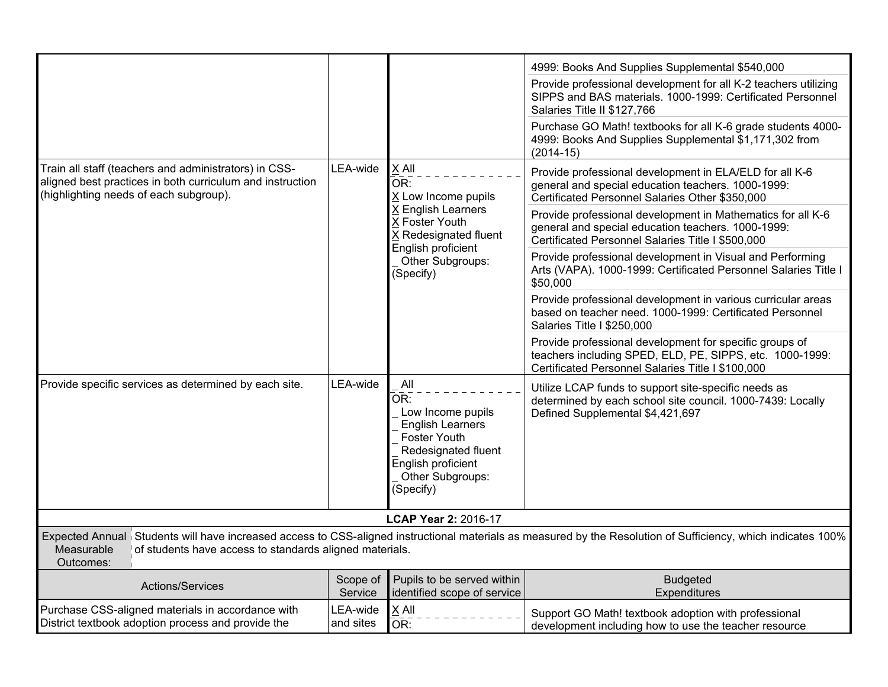|                                                                                                                                                              |                       |                                                                                                                                                                 | 4999: Books And Supplies Supplemental \$540,000                                                                                                                          |
|--------------------------------------------------------------------------------------------------------------------------------------------------------------|-----------------------|-----------------------------------------------------------------------------------------------------------------------------------------------------------------|--------------------------------------------------------------------------------------------------------------------------------------------------------------------------|
|                                                                                                                                                              |                       |                                                                                                                                                                 | Provide professional development for all K-2 teachers utilizing<br>SIPPS and BAS materials. 1000-1999: Certificated Personnel<br>Salaries Title II \$127,766             |
|                                                                                                                                                              |                       |                                                                                                                                                                 | Purchase GO Math! textbooks for all K-6 grade students 4000-<br>4999: Books And Supplies Supplemental \$1,171,302 from<br>$(2014-15)$                                    |
| Train all staff (teachers and administrators) in CSS-<br>aligned best practices in both curriculum and instruction<br>(highlighting needs of each subgroup). | LEA-wide              | X All<br>OR:<br>X Low Income pupils<br>X English Learners<br>X Foster Youth<br>X Redesignated fluent<br>English proficient<br>Other Subgroups:<br>(Specify)     | Provide professional development in ELA/ELD for all K-6<br>general and special education teachers. 1000-1999:<br>Certificated Personnel Salaries Other \$350,000         |
|                                                                                                                                                              |                       |                                                                                                                                                                 | Provide professional development in Mathematics for all K-6<br>general and special education teachers. 1000-1999:<br>Certificated Personnel Salaries Title I \$500,000   |
|                                                                                                                                                              |                       |                                                                                                                                                                 | Provide professional development in Visual and Performing<br>Arts (VAPA). 1000-1999: Certificated Personnel Salaries Title I<br>\$50,000                                 |
|                                                                                                                                                              |                       |                                                                                                                                                                 | Provide professional development in various curricular areas<br>based on teacher need. 1000-1999: Certificated Personnel<br>Salaries Title I \$250,000                   |
|                                                                                                                                                              |                       |                                                                                                                                                                 | Provide professional development for specific groups of<br>teachers including SPED, ELD, PE, SIPPS, etc. 1000-1999:<br>Certificated Personnel Salaries Title I \$100,000 |
| Provide specific services as determined by each site.                                                                                                        | LEA-wide              | All<br>OR:<br>Low Income pupils<br><b>English Learners</b><br><b>Foster Youth</b><br>Redesignated fluent<br>English proficient<br>Other Subgroups:<br>(Specify) | Utilize LCAP funds to support site-specific needs as<br>determined by each school site council. 1000-7439: Locally<br>Defined Supplemental \$4,421,697                   |
|                                                                                                                                                              |                       | LCAP Year 2: 2016-17                                                                                                                                            |                                                                                                                                                                          |
| Measurable<br>of students have access to standards aligned materials.<br>Outcomes:                                                                           |                       |                                                                                                                                                                 | Expected Annual Students will have increased access to CSS-aligned instructional materials as measured by the Resolution of Sufficiency, which indicates 100%            |
| Actions/Services                                                                                                                                             | Scope of<br>Service   | Pupils to be served within<br>identified scope of service                                                                                                       | <b>Budgeted</b><br>Expenditures                                                                                                                                          |
| Purchase CSS-aligned materials in accordance with<br>District textbook adoption process and provide the                                                      | LEA-wide<br>and sites | X All<br>OR:                                                                                                                                                    | Support GO Math! textbook adoption with professional<br>development including how to use the teacher resource                                                            |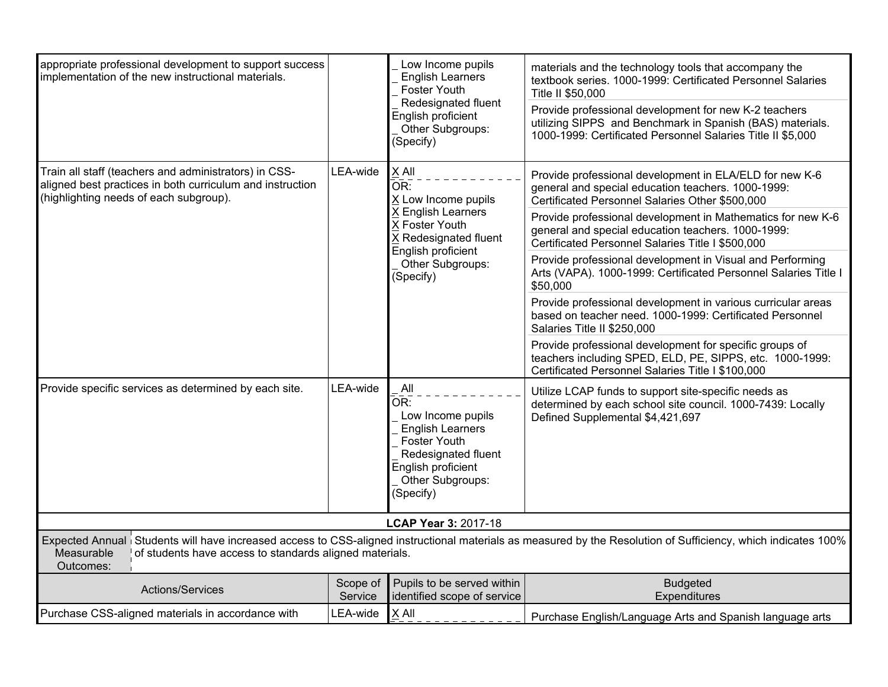| appropriate professional development to support success<br>implementation of the new instructional materials.                                                |                     | Low Income pupils<br><b>English Learners</b><br>Foster Youth<br>Redesignated fluent<br>English proficient<br>Other Subgroups:<br>(Specify)                      | materials and the technology tools that accompany the<br>textbook series. 1000-1999: Certificated Personnel Salaries<br>Title II \$50.000<br>Provide professional development for new K-2 teachers<br>utilizing SIPPS and Benchmark in Spanish (BAS) materials.<br>1000-1999: Certificated Personnel Salaries Title II \$5,000                                                                                                                                                                                                                                                                                                                                                                                                                                                                                                |
|--------------------------------------------------------------------------------------------------------------------------------------------------------------|---------------------|-----------------------------------------------------------------------------------------------------------------------------------------------------------------|-------------------------------------------------------------------------------------------------------------------------------------------------------------------------------------------------------------------------------------------------------------------------------------------------------------------------------------------------------------------------------------------------------------------------------------------------------------------------------------------------------------------------------------------------------------------------------------------------------------------------------------------------------------------------------------------------------------------------------------------------------------------------------------------------------------------------------|
| Train all staff (teachers and administrators) in CSS-<br>aligned best practices in both curriculum and instruction<br>(highlighting needs of each subgroup). | LEA-wide            | $X$ All<br>OR:<br>X Low Income pupils<br>X English Learners<br>X Foster Youth<br>X Redesignated fluent<br>English proficient<br>Other Subgroups:<br>(Specify)   | Provide professional development in ELA/ELD for new K-6<br>general and special education teachers. 1000-1999:<br>Certificated Personnel Salaries Other \$500,000<br>Provide professional development in Mathematics for new K-6<br>general and special education teachers. 1000-1999:<br>Certificated Personnel Salaries Title I \$500,000<br>Provide professional development in Visual and Performing<br>Arts (VAPA). 1000-1999: Certificated Personnel Salaries Title I<br>\$50,000<br>Provide professional development in various curricular areas<br>based on teacher need. 1000-1999: Certificated Personnel<br>Salaries Title II \$250,000<br>Provide professional development for specific groups of<br>teachers including SPED, ELD, PE, SIPPS, etc. 1000-1999:<br>Certificated Personnel Salaries Title I \$100,000 |
| Provide specific services as determined by each site.                                                                                                        | LEA-wide            | All<br>OR:<br>Low Income pupils<br><b>English Learners</b><br><b>Foster Youth</b><br>Redesignated fluent<br>English proficient<br>Other Subgroups:<br>(Specify) | Utilize LCAP funds to support site-specific needs as<br>determined by each school site council. 1000-7439: Locally<br>Defined Supplemental \$4,421,697                                                                                                                                                                                                                                                                                                                                                                                                                                                                                                                                                                                                                                                                        |
|                                                                                                                                                              |                     | <b>LCAP Year 3: 2017-18</b>                                                                                                                                     | Expected Annual Students will have increased access to CSS-aligned instructional materials as measured by the Resolution of Sufficiency, which indicates 100%                                                                                                                                                                                                                                                                                                                                                                                                                                                                                                                                                                                                                                                                 |
| Measurable<br>of students have access to standards aligned materials.<br>Outcomes:                                                                           |                     |                                                                                                                                                                 |                                                                                                                                                                                                                                                                                                                                                                                                                                                                                                                                                                                                                                                                                                                                                                                                                               |
| Actions/Services                                                                                                                                             | Scope of<br>Service | Pupils to be served within<br>identified scope of service                                                                                                       | <b>Budgeted</b><br>Expenditures                                                                                                                                                                                                                                                                                                                                                                                                                                                                                                                                                                                                                                                                                                                                                                                               |
| Purchase CSS-aligned materials in accordance with                                                                                                            | LEA-wide            | $X$ All                                                                                                                                                         | Purchase English/Language Arts and Spanish language arts                                                                                                                                                                                                                                                                                                                                                                                                                                                                                                                                                                                                                                                                                                                                                                      |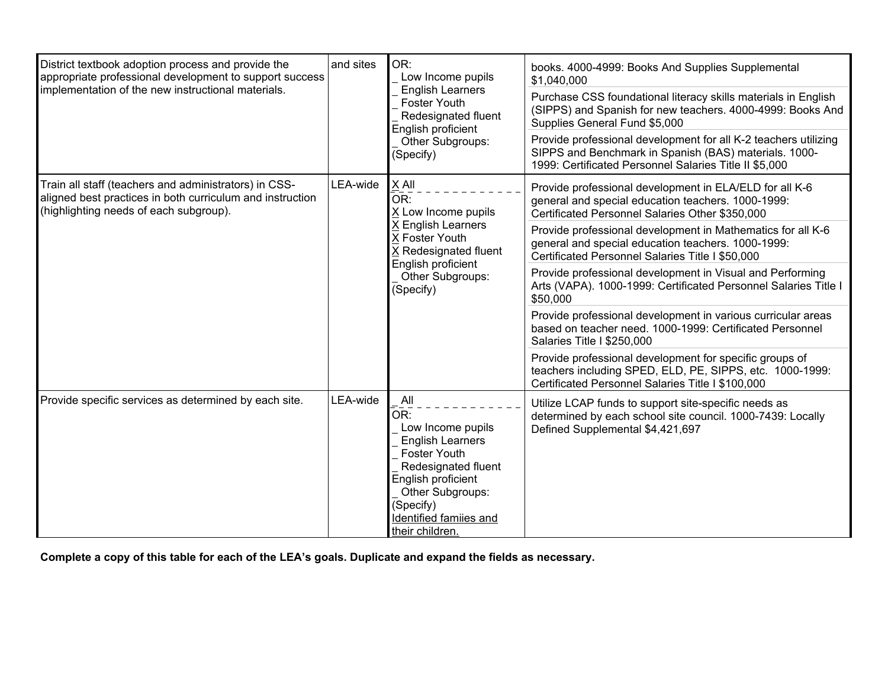| District textbook adoption process and provide the<br>appropriate professional development to support success<br>implementation of the new instructional materials. | and sites | OR:<br>Low Income pupils<br><b>English Learners</b><br><b>Foster Youth</b><br>Redesignated fluent<br>English proficient<br>Other Subgroups:<br>(Specify)                                                     | books. 4000-4999: Books And Supplies Supplemental<br>\$1,040,000<br>Purchase CSS foundational literacy skills materials in English<br>(SIPPS) and Spanish for new teachers. 4000-4999: Books And<br>Supplies General Fund \$5,000<br>Provide professional development for all K-2 teachers utilizing<br>SIPPS and Benchmark in Spanish (BAS) materials. 1000-<br>1999: Certificated Personnel Salaries Title II \$5,000 |
|---------------------------------------------------------------------------------------------------------------------------------------------------------------------|-----------|--------------------------------------------------------------------------------------------------------------------------------------------------------------------------------------------------------------|-------------------------------------------------------------------------------------------------------------------------------------------------------------------------------------------------------------------------------------------------------------------------------------------------------------------------------------------------------------------------------------------------------------------------|
| Train all staff (teachers and administrators) in CSS-<br>aligned best practices in both curriculum and instruction<br>(highlighting needs of each subgroup).        | LEA-wide  | X All<br>OR:<br>X Low Income pupils<br>X English Learners<br>X Foster Youth<br>X Redesignated fluent<br>English proficient<br>Other Subgroups:<br>(Specify)                                                  | Provide professional development in ELA/ELD for all K-6<br>general and special education teachers. 1000-1999:<br>Certificated Personnel Salaries Other \$350,000<br>Provide professional development in Mathematics for all K-6<br>general and special education teachers. 1000-1999:<br>Certificated Personnel Salaries Title I \$50,000                                                                               |
|                                                                                                                                                                     |           |                                                                                                                                                                                                              | Provide professional development in Visual and Performing<br>Arts (VAPA). 1000-1999: Certificated Personnel Salaries Title I<br>\$50,000                                                                                                                                                                                                                                                                                |
|                                                                                                                                                                     |           |                                                                                                                                                                                                              | Provide professional development in various curricular areas<br>based on teacher need. 1000-1999: Certificated Personnel<br>Salaries Title I \$250,000                                                                                                                                                                                                                                                                  |
|                                                                                                                                                                     |           |                                                                                                                                                                                                              | Provide professional development for specific groups of<br>teachers including SPED, ELD, PE, SIPPS, etc. 1000-1999:<br>Certificated Personnel Salaries Title I \$100,000                                                                                                                                                                                                                                                |
| Provide specific services as determined by each site.                                                                                                               | LEA-wide  | All<br>OR:<br>Low Income pupils<br><b>English Learners</b><br><b>Foster Youth</b><br>Redesignated fluent<br>English proficient<br>Other Subgroups:<br>(Specify)<br>Identified famiies and<br>their children. | Utilize LCAP funds to support site-specific needs as<br>determined by each school site council. 1000-7439: Locally<br>Defined Supplemental \$4,421,697                                                                                                                                                                                                                                                                  |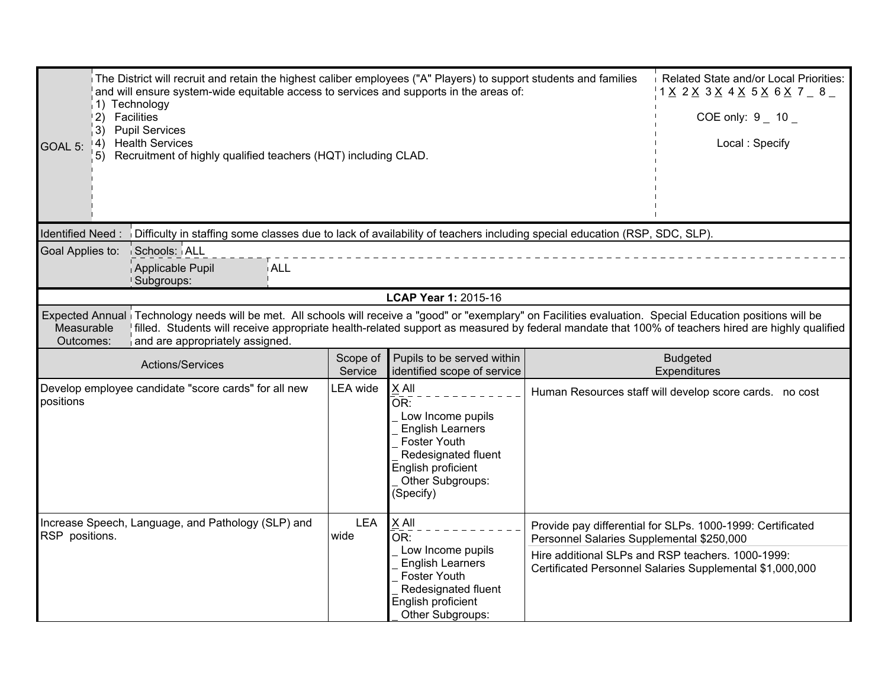| The District will recruit and retain the highest caliber employees ("A" Players) to support students and families<br>and will ensure system-wide equitable access to services and supports in the areas of:<br>1) Technology<br>2) Facilities<br>3) Pupil Services<br>4) Health Services<br>GOAL 5:<br>5) Recruitment of highly qualified teachers (HQT) including CLAD. | Related State and/or Local Priorities:<br>$1 \times 2 \times 3 \times 4 \times 5 \times 6 \times 7$ $- 8$ $-$<br>COE only: $9 - 10 -$<br>Local: Specify                                                                                                                                                                                             |                     |                                                                                                                                                                   |                                           |                                                            |
|--------------------------------------------------------------------------------------------------------------------------------------------------------------------------------------------------------------------------------------------------------------------------------------------------------------------------------------------------------------------------|-----------------------------------------------------------------------------------------------------------------------------------------------------------------------------------------------------------------------------------------------------------------------------------------------------------------------------------------------------|---------------------|-------------------------------------------------------------------------------------------------------------------------------------------------------------------|-------------------------------------------|------------------------------------------------------------|
| Identified Need:                                                                                                                                                                                                                                                                                                                                                         | Difficulty in staffing some classes due to lack of availability of teachers including special education (RSP, SDC, SLP).                                                                                                                                                                                                                            |                     |                                                                                                                                                                   |                                           |                                                            |
| Goal Applies to:                                                                                                                                                                                                                                                                                                                                                         | Schools: ALL<br>Applicable Pupil<br>i ALL<br>Subgroups:                                                                                                                                                                                                                                                                                             |                     |                                                                                                                                                                   |                                           |                                                            |
|                                                                                                                                                                                                                                                                                                                                                                          |                                                                                                                                                                                                                                                                                                                                                     |                     | LCAP Year 1: 2015-16                                                                                                                                              |                                           |                                                            |
| Measurable<br>Outcomes:                                                                                                                                                                                                                                                                                                                                                  | Expected Annual Technology needs will be met. All schools will receive a "good" or "exemplary" on Facilities evaluation. Special Education positions will be<br>filled. Students will receive appropriate health-related support as measured by federal mandate that 100% of teachers hired are highly qualified<br>and are appropriately assigned. |                     |                                                                                                                                                                   |                                           |                                                            |
|                                                                                                                                                                                                                                                                                                                                                                          |                                                                                                                                                                                                                                                                                                                                                     |                     |                                                                                                                                                                   |                                           |                                                            |
|                                                                                                                                                                                                                                                                                                                                                                          | Actions/Services                                                                                                                                                                                                                                                                                                                                    | Scope of<br>Service | Pupils to be served within<br>identified scope of service                                                                                                         |                                           | <b>Budgeted</b><br>Expenditures                            |
| positions                                                                                                                                                                                                                                                                                                                                                                | Develop employee candidate "score cards" for all new                                                                                                                                                                                                                                                                                                | <b>LEA</b> wide     | X All<br>OR:<br>Low Income pupils<br><b>English Learners</b><br><b>Foster Youth</b><br>Redesignated fluent<br>English proficient<br>Other Subgroups:<br>(Specify) |                                           | Human Resources staff will develop score cards. no cost    |
| RSP positions.                                                                                                                                                                                                                                                                                                                                                           | Increase Speech, Language, and Pathology (SLP) and                                                                                                                                                                                                                                                                                                  | <b>LEA</b><br>wide  | X All<br>OR:<br>Low Income pupils                                                                                                                                 | Personnel Salaries Supplemental \$250,000 | Provide pay differential for SLPs. 1000-1999: Certificated |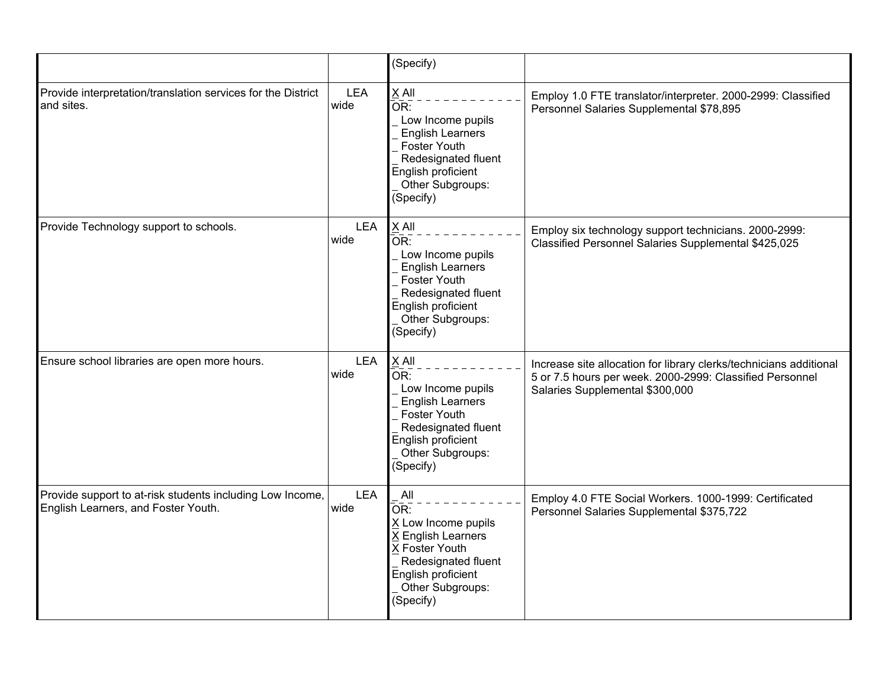|                                                                                                  |                    | (Specify)                                                                                                                                                         |                                                                                                                                                                   |
|--------------------------------------------------------------------------------------------------|--------------------|-------------------------------------------------------------------------------------------------------------------------------------------------------------------|-------------------------------------------------------------------------------------------------------------------------------------------------------------------|
| Provide interpretation/translation services for the District<br>and sites.                       | <b>LEA</b><br>wide | X All<br>OR:<br>Low Income pupils<br><b>English Learners</b><br><b>Foster Youth</b><br>Redesignated fluent<br>English proficient<br>Other Subgroups:<br>(Specify) | Employ 1.0 FTE translator/interpreter. 2000-2999: Classified<br>Personnel Salaries Supplemental \$78,895                                                          |
| Provide Technology support to schools.                                                           | <b>LEA</b><br>wide | $X$ All<br>OR:<br>Low Income pupils<br><b>English Learners</b><br>Foster Youth<br>Redesignated fluent<br>English proficient<br>Other Subgroups:<br>(Specify)      | Employ six technology support technicians. 2000-2999:<br>Classified Personnel Salaries Supplemental \$425,025                                                     |
| Ensure school libraries are open more hours.                                                     | <b>LEA</b><br>wide | X All<br>OR:<br>Low Income pupils<br><b>English Learners</b><br><b>Foster Youth</b><br>Redesignated fluent<br>English proficient<br>Other Subgroups:<br>(Specify) | Increase site allocation for library clerks/technicians additional<br>5 or 7.5 hours per week. 2000-2999: Classified Personnel<br>Salaries Supplemental \$300,000 |
| Provide support to at-risk students including Low Income,<br>English Learners, and Foster Youth. | <b>LEA</b><br>wide | All<br>OR:<br>X Low Income pupils<br>X English Learners<br>X Foster Youth<br>Redesignated fluent<br>English proficient<br>Other Subgroups:<br>(Specify)           | Employ 4.0 FTE Social Workers. 1000-1999: Certificated<br>Personnel Salaries Supplemental \$375,722                                                               |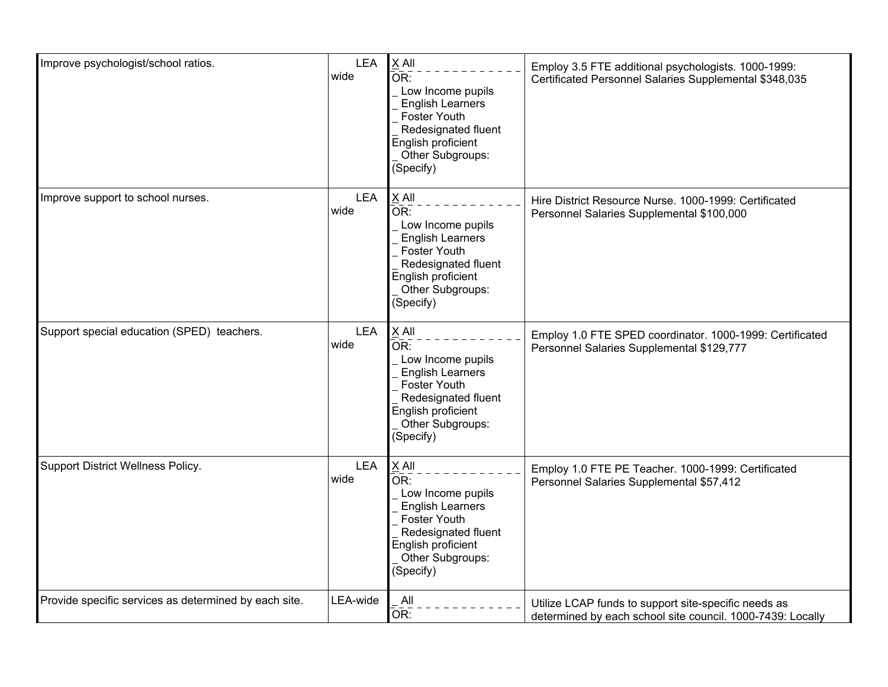| Improve psychologist/school ratios.                   | <b>LEA</b><br>wide | X All<br>OR:<br>Low Income pupils<br><b>English Learners</b><br>Foster Youth<br>Redesignated fluent<br>English proficient<br>Other Subgroups:<br>(Specify)                        | Employ 3.5 FTE additional psychologists. 1000-1999:<br>Certificated Personnel Salaries Supplemental \$348,035      |
|-------------------------------------------------------|--------------------|-----------------------------------------------------------------------------------------------------------------------------------------------------------------------------------|--------------------------------------------------------------------------------------------------------------------|
| Improve support to school nurses.                     | <b>LEA</b><br>wide | X All<br>$\overline{\mathsf{OR}}$ :<br>Low Income pupils<br><b>English Learners</b><br>Foster Youth<br>Redesignated fluent<br>English proficient<br>Other Subgroups:<br>(Specify) | Hire District Resource Nurse. 1000-1999: Certificated<br>Personnel Salaries Supplemental \$100,000                 |
| Support special education (SPED) teachers.            | <b>LEA</b><br>wide | X All<br>OR:<br>Low Income pupils<br><b>English Learners</b><br>Foster Youth<br>Redesignated fluent<br>English proficient<br>Other Subgroups:<br>(Specify)                        | Employ 1.0 FTE SPED coordinator. 1000-1999: Certificated<br>Personnel Salaries Supplemental \$129,777              |
| Support District Wellness Policy.                     | <b>LEA</b><br>wide | X All<br>$\overline{\mathsf{OR}}$ :<br>Low Income pupils<br><b>English Learners</b><br>Foster Youth<br>Redesignated fluent<br>English proficient<br>Other Subgroups:<br>(Specify) | Employ 1.0 FTE PE Teacher. 1000-1999: Certificated<br>Personnel Salaries Supplemental \$57,412                     |
| Provide specific services as determined by each site. | LEA-wide           | All<br>OR:                                                                                                                                                                        | Utilize LCAP funds to support site-specific needs as<br>determined by each school site council. 1000-7439: Locally |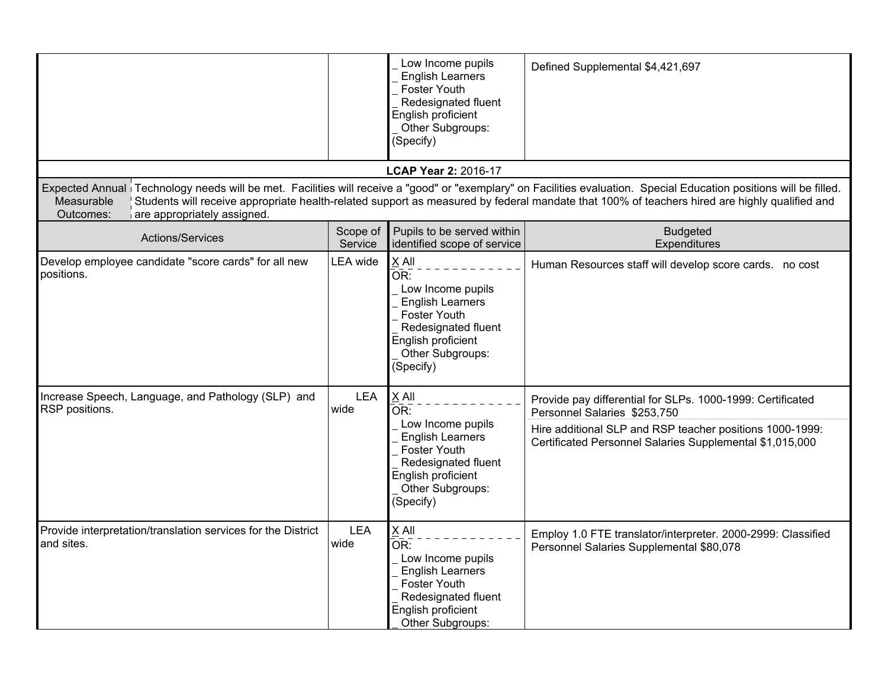|                                                                            |                     | Low Income pupils<br><b>English Learners</b><br>Foster Youth<br>Redesignated fluent<br>English proficient<br>Other Subgroups:<br>(Specify)                        | Defined Supplemental \$4,421,697                                                                                                                                                                                                                                                                                    |
|----------------------------------------------------------------------------|---------------------|-------------------------------------------------------------------------------------------------------------------------------------------------------------------|---------------------------------------------------------------------------------------------------------------------------------------------------------------------------------------------------------------------------------------------------------------------------------------------------------------------|
|                                                                            |                     | <b>LCAP Year 2: 2016-17</b>                                                                                                                                       |                                                                                                                                                                                                                                                                                                                     |
| Measurable<br>Outcomes:<br>are appropriately assigned.                     |                     |                                                                                                                                                                   | Expected Annual Technology needs will be met. Facilities will receive a "good" or "exemplary" on Facilities evaluation. Special Education positions will be filled.<br>Students will receive appropriate health-related support as measured by federal mandate that 100% of teachers hired are highly qualified and |
| Actions/Services                                                           | Scope of<br>Service | Pupils to be served within<br>identified scope of service                                                                                                         | <b>Budgeted</b><br>Expenditures                                                                                                                                                                                                                                                                                     |
| Develop employee candidate "score cards" for all new<br>positions.         | <b>LEA</b> wide     | X All<br>OR:<br>Low Income pupils<br><b>English Learners</b><br><b>Foster Youth</b><br>Redesignated fluent<br>English proficient<br>Other Subgroups:<br>(Specify) | Human Resources staff will develop score cards. no cost                                                                                                                                                                                                                                                             |
| Increase Speech, Language, and Pathology (SLP) and<br>RSP positions.       | LEA<br>wide         | X All<br>OR:                                                                                                                                                      | Provide pay differential for SLPs. 1000-1999: Certificated<br>Personnel Salaries \$253,750                                                                                                                                                                                                                          |
|                                                                            |                     | Low Income pupils<br><b>English Learners</b><br>Foster Youth<br>Redesignated fluent<br>English proficient<br>Other Subgroups:<br>(Specify)                        | Hire additional SLP and RSP teacher positions 1000-1999:<br>Certificated Personnel Salaries Supplemental \$1,015,000                                                                                                                                                                                                |
| Provide interpretation/translation services for the District<br>and sites. | <b>LEA</b><br>wide  | $X$ All<br>OR:<br>Low Income pupils<br><b>English Learners</b><br>Foster Youth<br>Redesignated fluent<br>English proficient<br>Other Subgroups:                   | Employ 1.0 FTE translator/interpreter. 2000-2999: Classified<br>Personnel Salaries Supplemental \$80,078                                                                                                                                                                                                            |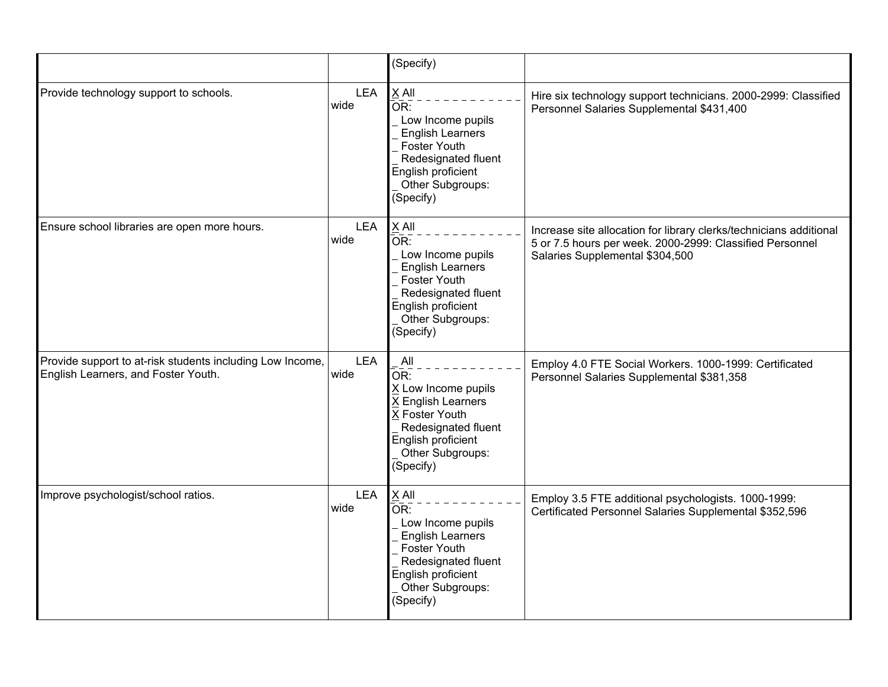|                                                                                                  |                    | (Specify)                                                                                                                                                                      |                                                                                                                                                                   |
|--------------------------------------------------------------------------------------------------|--------------------|--------------------------------------------------------------------------------------------------------------------------------------------------------------------------------|-------------------------------------------------------------------------------------------------------------------------------------------------------------------|
| Provide technology support to schools.                                                           | <b>LEA</b><br>wide | X All<br>OR:<br>Low Income pupils<br><b>English Learners</b><br>Foster Youth<br>Redesignated fluent<br>English proficient<br>Other Subgroups:<br>(Specify)                     | Hire six technology support technicians. 2000-2999: Classified<br>Personnel Salaries Supplemental \$431,400                                                       |
| Ensure school libraries are open more hours.                                                     | <b>LEA</b><br>wide | $X$ All<br>OR:<br>Low Income pupils<br><b>English Learners</b><br>Foster Youth<br>Redesignated fluent<br>English proficient<br>Other Subgroups:<br>(Specify)                   | Increase site allocation for library clerks/technicians additional<br>5 or 7.5 hours per week. 2000-2999: Classified Personnel<br>Salaries Supplemental \$304,500 |
| Provide support to at-risk students including Low Income,<br>English Learners, and Foster Youth. | <b>LEA</b><br>wide | All<br>$\overline{\mathsf{OR}}$ :<br>X Low Income pupils<br>X English Learners<br>X Foster Youth<br>Redesignated fluent<br>English proficient<br>Other Subgroups:<br>(Specify) | Employ 4.0 FTE Social Workers. 1000-1999: Certificated<br>Personnel Salaries Supplemental \$381,358                                                               |
| Improve psychologist/school ratios.                                                              | <b>LEA</b><br>wide | X All<br>OR:<br>Low Income pupils<br><b>English Learners</b><br><b>Foster Youth</b><br>Redesignated fluent<br>English proficient<br>Other Subgroups:<br>(Specify)              | Employ 3.5 FTE additional psychologists. 1000-1999:<br>Certificated Personnel Salaries Supplemental \$352,596                                                     |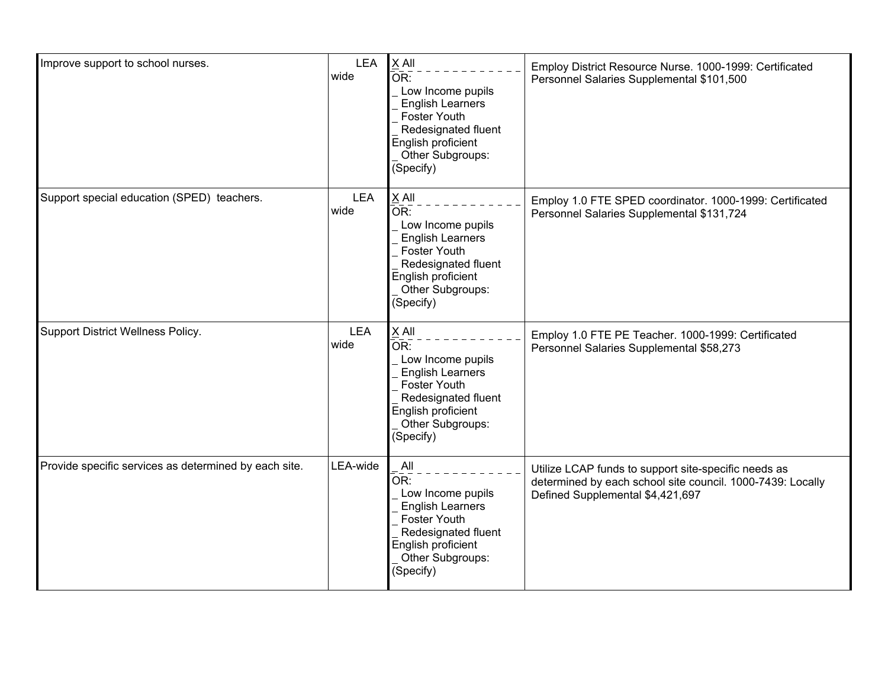| Improve support to school nurses.                     | <b>LEA</b><br>wide | X All<br>OR:<br>Low Income pupils<br><b>English Learners</b><br>Foster Youth<br>Redesignated fluent<br>English proficient<br>Other Subgroups:<br>(Specify)                                 | Employ District Resource Nurse. 1000-1999: Certificated<br>Personnel Salaries Supplemental \$101,500                                                   |
|-------------------------------------------------------|--------------------|--------------------------------------------------------------------------------------------------------------------------------------------------------------------------------------------|--------------------------------------------------------------------------------------------------------------------------------------------------------|
| Support special education (SPED) teachers.            | <b>LEA</b><br>wide | $X$ All<br>$\overline{\mathsf{OR}}$ :<br>Low Income pupils<br><b>English Learners</b><br><b>Foster Youth</b><br>Redesignated fluent<br>English proficient<br>Other Subgroups:<br>(Specify) | Employ 1.0 FTE SPED coordinator. 1000-1999: Certificated<br>Personnel Salaries Supplemental \$131,724                                                  |
| Support District Wellness Policy.                     | <b>LEA</b><br>wide | X All<br>$\overline{\mathsf{OR}}$ :<br>Low Income pupils<br><b>English Learners</b><br>Foster Youth<br>Redesignated fluent<br>English proficient<br>Other Subgroups:<br>(Specify)          | Employ 1.0 FTE PE Teacher. 1000-1999: Certificated<br>Personnel Salaries Supplemental \$58,273                                                         |
| Provide specific services as determined by each site. | LEA-wide           | All<br>OR:<br>Low Income pupils<br><b>English Learners</b><br><b>Foster Youth</b><br>Redesignated fluent<br>English proficient<br>Other Subgroups:<br>(Specify)                            | Utilize LCAP funds to support site-specific needs as<br>determined by each school site council. 1000-7439: Locally<br>Defined Supplemental \$4,421,697 |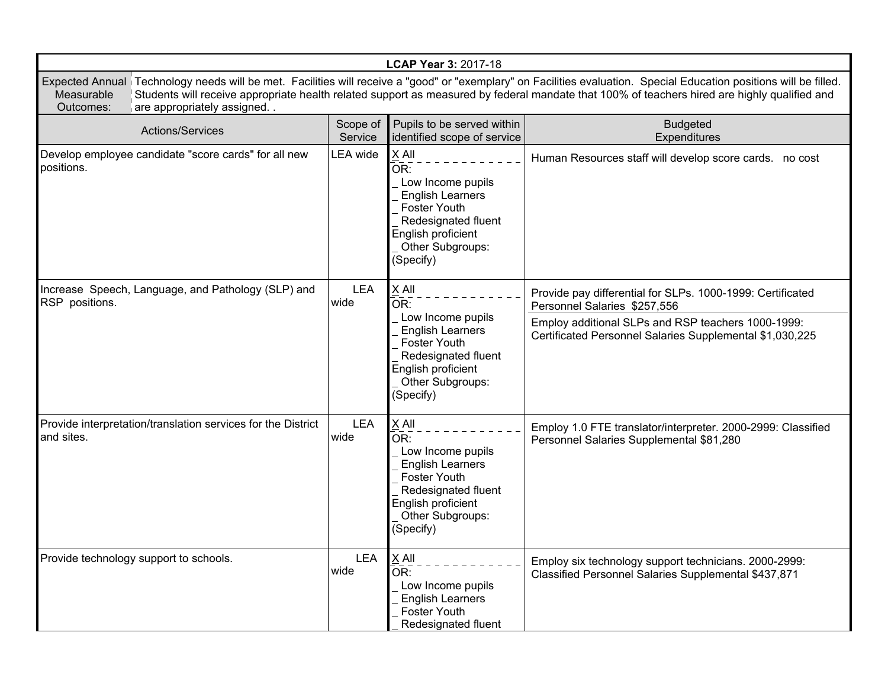| LCAP Year 3: 2017-18                                                                                                                                                                                                                                                                                                                                                         |                     |                                                                                                                                                                   |                                                                                                                                                                                                              |  |  |
|------------------------------------------------------------------------------------------------------------------------------------------------------------------------------------------------------------------------------------------------------------------------------------------------------------------------------------------------------------------------------|---------------------|-------------------------------------------------------------------------------------------------------------------------------------------------------------------|--------------------------------------------------------------------------------------------------------------------------------------------------------------------------------------------------------------|--|--|
| Expected Annual Technology needs will be met. Facilities will receive a "good" or "exemplary" on Facilities evaluation. Special Education positions will be filled.<br>Students will receive appropriate health related support as measured by federal mandate that 100% of teachers hired are highly qualified and<br>Measurable<br>Outcomes:<br>are appropriately assigned |                     |                                                                                                                                                                   |                                                                                                                                                                                                              |  |  |
| Actions/Services                                                                                                                                                                                                                                                                                                                                                             | Scope of<br>Service | Pupils to be served within<br>identified scope of service                                                                                                         | <b>Budgeted</b><br>Expenditures                                                                                                                                                                              |  |  |
| Develop employee candidate "score cards" for all new<br>positions.                                                                                                                                                                                                                                                                                                           | LEA wide            | X All<br>OR:<br>Low Income pupils<br><b>English Learners</b><br><b>Foster Youth</b><br>Redesignated fluent<br>English proficient<br>Other Subgroups:<br>(Specify) | Human Resources staff will develop score cards. no cost                                                                                                                                                      |  |  |
| Increase Speech, Language, and Pathology (SLP) and<br>RSP positions.                                                                                                                                                                                                                                                                                                         | <b>LEA</b><br>wide  | X All<br>OR:<br>Low Income pupils<br><b>English Learners</b><br><b>Foster Youth</b><br>Redesignated fluent<br>English proficient<br>Other Subgroups:<br>(Specify) | Provide pay differential for SLPs. 1000-1999: Certificated<br>Personnel Salaries \$257,556<br>Employ additional SLPs and RSP teachers 1000-1999:<br>Certificated Personnel Salaries Supplemental \$1,030,225 |  |  |
| Provide interpretation/translation services for the District<br>and sites.                                                                                                                                                                                                                                                                                                   | <b>LEA</b><br>wide  | X All<br>OR:<br>Low Income pupils<br><b>English Learners</b><br><b>Foster Youth</b><br>Redesignated fluent<br>English proficient<br>Other Subgroups:<br>(Specify) | Employ 1.0 FTE translator/interpreter. 2000-2999: Classified<br>Personnel Salaries Supplemental \$81,280                                                                                                     |  |  |
| Provide technology support to schools.                                                                                                                                                                                                                                                                                                                                       | <b>LEA</b><br>wide  | $X$ All<br>OR:<br>Low Income pupils<br><b>English Learners</b><br><b>Foster Youth</b><br>Redesignated fluent                                                      | Employ six technology support technicians. 2000-2999:<br>Classified Personnel Salaries Supplemental \$437,871                                                                                                |  |  |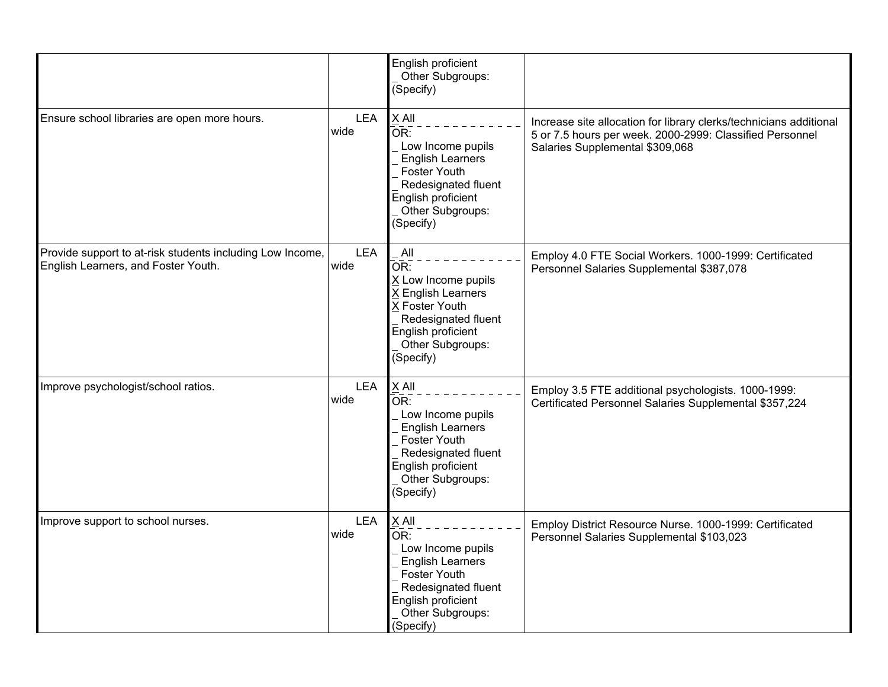|                                                                                                  |                    | English proficient<br>Other Subgroups:<br>(Specify)                                                                                                                                      |                                                                                                                                                                   |
|--------------------------------------------------------------------------------------------------|--------------------|------------------------------------------------------------------------------------------------------------------------------------------------------------------------------------------|-------------------------------------------------------------------------------------------------------------------------------------------------------------------|
| Ensure school libraries are open more hours.                                                     | <b>LEA</b><br>wide | X All<br>$\overline{\mathsf{OR}}$ :<br>Low Income pupils<br><b>English Learners</b><br><b>Foster Youth</b><br>Redesignated fluent<br>English proficient<br>Other Subgroups:<br>(Specify) | Increase site allocation for library clerks/technicians additional<br>5 or 7.5 hours per week. 2000-2999: Classified Personnel<br>Salaries Supplemental \$309,068 |
| Provide support to at-risk students including Low Income,<br>English Learners, and Foster Youth. | <b>LEA</b><br>wide | All<br>$\bar{\mathsf{OR}}$ :<br>X Low Income pupils<br><b>English Learners</b><br>X Foster Youth<br>Redesignated fluent<br>English proficient<br>Other Subgroups:<br>(Specify)           | Employ 4.0 FTE Social Workers. 1000-1999: Certificated<br>Personnel Salaries Supplemental \$387,078                                                               |
| Improve psychologist/school ratios.                                                              | <b>LEA</b><br>wide | X All<br>$\overline{\mathsf{OR}}$ :<br>Low Income pupils<br><b>English Learners</b><br><b>Foster Youth</b><br>Redesignated fluent<br>English proficient<br>Other Subgroups:<br>(Specify) | Employ 3.5 FTE additional psychologists. 1000-1999:<br>Certificated Personnel Salaries Supplemental \$357,224                                                     |
| Improve support to school nurses.                                                                | <b>LEA</b><br>wide | X All<br>OR:<br>Low Income pupils<br><b>English Learners</b><br>Foster Youth<br>Redesignated fluent<br>English proficient<br>Other Subgroups:<br>(Specify)                               | Employ District Resource Nurse. 1000-1999: Certificated<br>Personnel Salaries Supplemental \$103,023                                                              |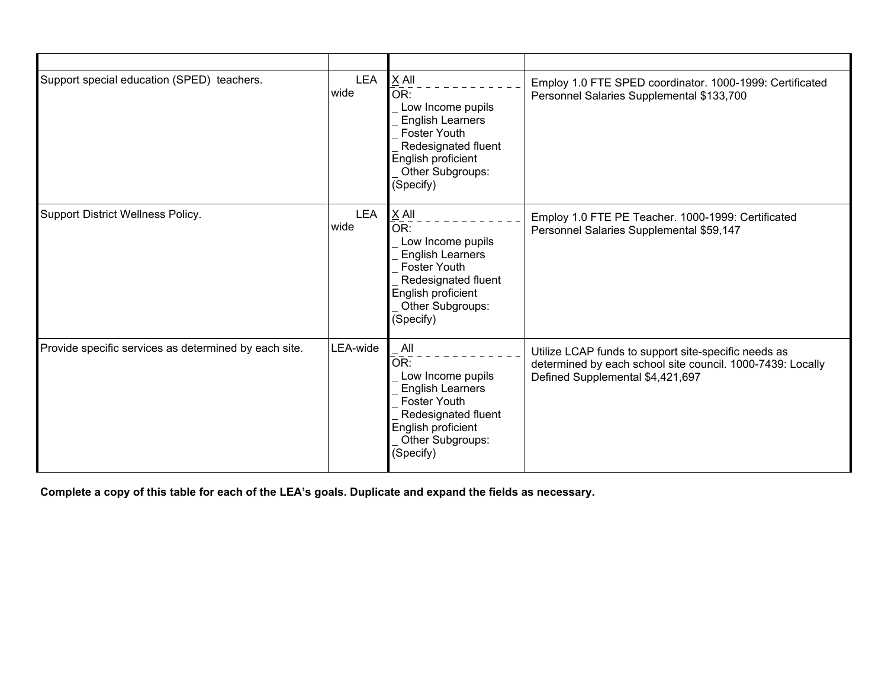| Support special education (SPED) teachers.            | <b>LEA</b><br>wide | $X$ All<br>OR:<br>Low Income pupils<br><b>English Learners</b><br><b>Foster Youth</b><br>Redesignated fluent<br>English proficient<br>Other Subgroups:<br>(Specify) | Employ 1.0 FTE SPED coordinator. 1000-1999: Certificated<br>Personnel Salaries Supplemental \$133,700                                                  |
|-------------------------------------------------------|--------------------|---------------------------------------------------------------------------------------------------------------------------------------------------------------------|--------------------------------------------------------------------------------------------------------------------------------------------------------|
| Support District Wellness Policy.                     | <b>LEA</b><br>wide | $X$ All<br>OR:<br>Low Income pupils<br><b>English Learners</b><br><b>Foster Youth</b><br>Redesignated fluent<br>English proficient<br>Other Subgroups:<br>(Specify) | Employ 1.0 FTE PE Teacher. 1000-1999: Certificated<br>Personnel Salaries Supplemental \$59,147                                                         |
| Provide specific services as determined by each site. | LEA-wide           | All<br>OR:<br>Low Income pupils<br><b>English Learners</b><br><b>Foster Youth</b><br>Redesignated fluent<br>English proficient<br>Other Subgroups:<br>(Specify)     | Utilize LCAP funds to support site-specific needs as<br>determined by each school site council. 1000-7439: Locally<br>Defined Supplemental \$4,421,697 |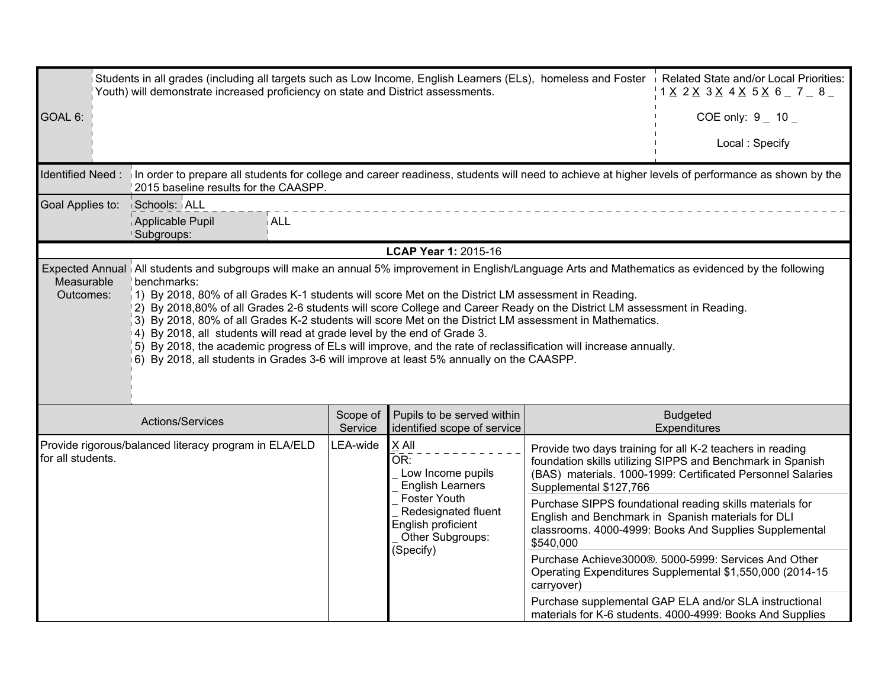|                         | Students in all grades (including all targets such as Low Income, English Learners (ELs), homeless and Foster in Related State and/or Local Priorities:<br>Youth) will demonstrate increased proficiency on state and District assessments.<br>1 X 2 X 3 X 4 X 5 X 6 7 8                                                                                                                                                                                                                                                                                                                                                                                                                                                                                                                                   |                                                                                                                                                                                                                                                                                              |                                                                                            |            |                                                                                                                                                                          |  |  |  |
|-------------------------|------------------------------------------------------------------------------------------------------------------------------------------------------------------------------------------------------------------------------------------------------------------------------------------------------------------------------------------------------------------------------------------------------------------------------------------------------------------------------------------------------------------------------------------------------------------------------------------------------------------------------------------------------------------------------------------------------------------------------------------------------------------------------------------------------------|----------------------------------------------------------------------------------------------------------------------------------------------------------------------------------------------------------------------------------------------------------------------------------------------|--------------------------------------------------------------------------------------------|------------|--------------------------------------------------------------------------------------------------------------------------------------------------------------------------|--|--|--|
| GOAL 6:                 |                                                                                                                                                                                                                                                                                                                                                                                                                                                                                                                                                                                                                                                                                                                                                                                                            |                                                                                                                                                                                                                                                                                              | COE only: $9 - 10 -$                                                                       |            |                                                                                                                                                                          |  |  |  |
|                         |                                                                                                                                                                                                                                                                                                                                                                                                                                                                                                                                                                                                                                                                                                                                                                                                            |                                                                                                                                                                                                                                                                                              |                                                                                            |            | Local: Specify                                                                                                                                                           |  |  |  |
|                         | Identified Need: in order to prepare all students for college and career readiness, students will need to achieve at higher levels of performance as shown by the<br>2015 baseline results for the CAASPP.                                                                                                                                                                                                                                                                                                                                                                                                                                                                                                                                                                                                 |                                                                                                                                                                                                                                                                                              |                                                                                            |            |                                                                                                                                                                          |  |  |  |
| Goal Applies to:        | Schools: ALL<br><b>ALL</b><br>Applicable Pupil<br>!Subgroups:                                                                                                                                                                                                                                                                                                                                                                                                                                                                                                                                                                                                                                                                                                                                              |                                                                                                                                                                                                                                                                                              |                                                                                            |            |                                                                                                                                                                          |  |  |  |
|                         |                                                                                                                                                                                                                                                                                                                                                                                                                                                                                                                                                                                                                                                                                                                                                                                                            |                                                                                                                                                                                                                                                                                              | LCAP Year 1: 2015-16                                                                       |            |                                                                                                                                                                          |  |  |  |
| Measurable<br>Outcomes: | Expected Annual All students and subgroups will make an annual 5% improvement in English/Language Arts and Mathematics as evidenced by the following<br>benchmarks:<br>1) By 2018, 80% of all Grades K-1 students will score Met on the District LM assessment in Reading.<br>2) By 2018,80% of all Grades 2-6 students will score College and Career Ready on the District LM assessment in Reading.<br>3) By 2018, 80% of all Grades K-2 students will score Met on the District LM assessment in Mathematics.<br>4) By 2018, all students will read at grade level by the end of Grade 3.<br>5) By 2018, the academic progress of ELs will improve, and the rate of reclassification will increase annually.<br>6) By 2018, all students in Grades 3-6 will improve at least 5% annually on the CAASPP. |                                                                                                                                                                                                                                                                                              |                                                                                            |            |                                                                                                                                                                          |  |  |  |
|                         | Actions/Services                                                                                                                                                                                                                                                                                                                                                                                                                                                                                                                                                                                                                                                                                                                                                                                           | Scope of<br>Service                                                                                                                                                                                                                                                                          | Pupils to be served within<br>identified scope of service                                  |            | <b>Budgeted</b><br>Expenditures                                                                                                                                          |  |  |  |
| for all students.       | Provide rigorous/balanced literacy program in ELA/ELD                                                                                                                                                                                                                                                                                                                                                                                                                                                                                                                                                                                                                                                                                                                                                      | LEA-wide<br>X All<br>Provide two days training for all K-2 teachers in reading<br>OR:<br>foundation skills utilizing SIPPS and Benchmark in Spanish<br>Low Income pupils<br>(BAS) materials. 1000-1999: Certificated Personnel Salaries<br><b>English Learners</b><br>Supplemental \$127,766 |                                                                                            |            |                                                                                                                                                                          |  |  |  |
|                         |                                                                                                                                                                                                                                                                                                                                                                                                                                                                                                                                                                                                                                                                                                                                                                                                            |                                                                                                                                                                                                                                                                                              | Foster Youth<br>Redesignated fluent<br>English proficient<br>Other Subgroups:<br>(Specify) | \$540,000  | Purchase SIPPS foundational reading skills materials for<br>English and Benchmark in Spanish materials for DLI<br>classrooms. 4000-4999: Books And Supplies Supplemental |  |  |  |
|                         |                                                                                                                                                                                                                                                                                                                                                                                                                                                                                                                                                                                                                                                                                                                                                                                                            |                                                                                                                                                                                                                                                                                              |                                                                                            | carryover) | Purchase Achieve3000®. 5000-5999: Services And Other<br>Operating Expenditures Supplemental \$1,550,000 (2014-15                                                         |  |  |  |
|                         |                                                                                                                                                                                                                                                                                                                                                                                                                                                                                                                                                                                                                                                                                                                                                                                                            |                                                                                                                                                                                                                                                                                              |                                                                                            |            | Purchase supplemental GAP ELA and/or SLA instructional<br>materials for K-6 students. 4000-4999: Books And Supplies                                                      |  |  |  |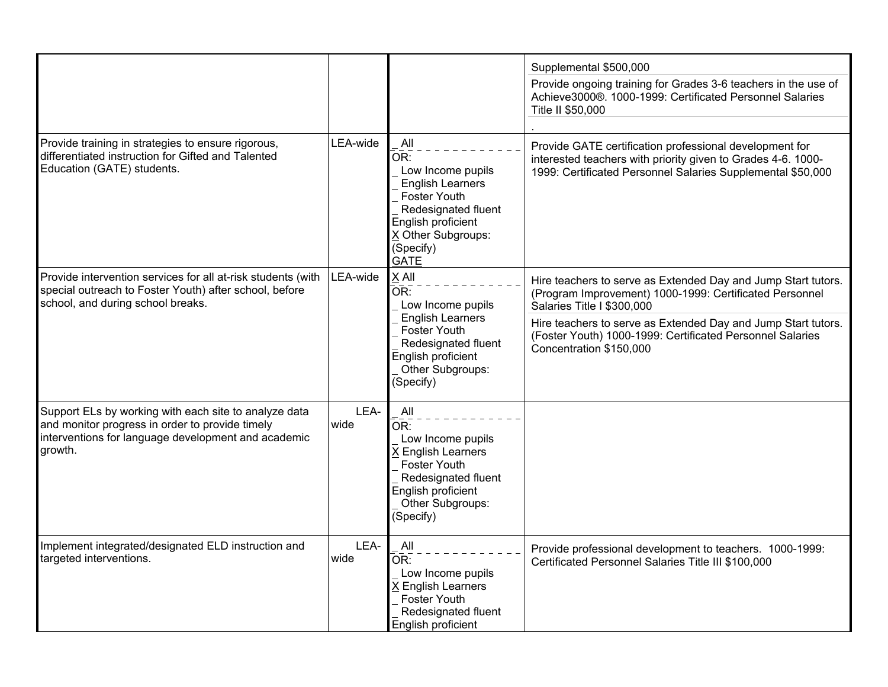|                                                                                                                                                                            |              |                                                                                                                                                                           | Supplemental \$500,000                                                                                                                                                                                                                                                                                          |
|----------------------------------------------------------------------------------------------------------------------------------------------------------------------------|--------------|---------------------------------------------------------------------------------------------------------------------------------------------------------------------------|-----------------------------------------------------------------------------------------------------------------------------------------------------------------------------------------------------------------------------------------------------------------------------------------------------------------|
|                                                                                                                                                                            |              |                                                                                                                                                                           | Provide ongoing training for Grades 3-6 teachers in the use of<br>Achieve3000®. 1000-1999: Certificated Personnel Salaries<br>Title II \$50,000                                                                                                                                                                 |
| Provide training in strategies to ensure rigorous,<br>differentiated instruction for Gifted and Talented<br>Education (GATE) students.                                     | LEA-wide     | All<br>OR:<br>Low Income pupils<br><b>English Learners</b><br><b>Foster Youth</b><br>Redesignated fluent<br>English proficient<br>X Other Subgroups:<br>(Specify)<br>GATE | Provide GATE certification professional development for<br>interested teachers with priority given to Grades 4-6. 1000-<br>1999: Certificated Personnel Salaries Supplemental \$50,000                                                                                                                          |
| Provide intervention services for all at-risk students (with<br>special outreach to Foster Youth) after school, before<br>school, and during school breaks.                | LEA-wide     | X All<br>OR:<br>Low Income pupils<br><b>English Learners</b><br><b>Foster Youth</b><br>Redesignated fluent<br>English proficient<br>Other Subgroups:<br>(Specify)         | Hire teachers to serve as Extended Day and Jump Start tutors.<br>(Program Improvement) 1000-1999: Certificated Personnel<br>Salaries Title I \$300,000<br>Hire teachers to serve as Extended Day and Jump Start tutors.<br>(Foster Youth) 1000-1999: Certificated Personnel Salaries<br>Concentration \$150,000 |
| Support ELs by working with each site to analyze data<br>and monitor progress in order to provide timely<br>interventions for language development and academic<br>growth. | LEA-<br>wide | All<br>OR:<br>Low Income pupils<br>X English Learners<br><b>Foster Youth</b><br>Redesignated fluent<br>English proficient<br>Other Subgroups:<br>(Specify)                |                                                                                                                                                                                                                                                                                                                 |
| Implement integrated/designated ELD instruction and<br>targeted interventions.                                                                                             | LEA-<br>wide | All<br>OR:<br>Low Income pupils<br>X English Learners<br><b>Foster Youth</b><br>Redesignated fluent<br>English proficient                                                 | Provide professional development to teachers. 1000-1999:<br>Certificated Personnel Salaries Title III \$100,000                                                                                                                                                                                                 |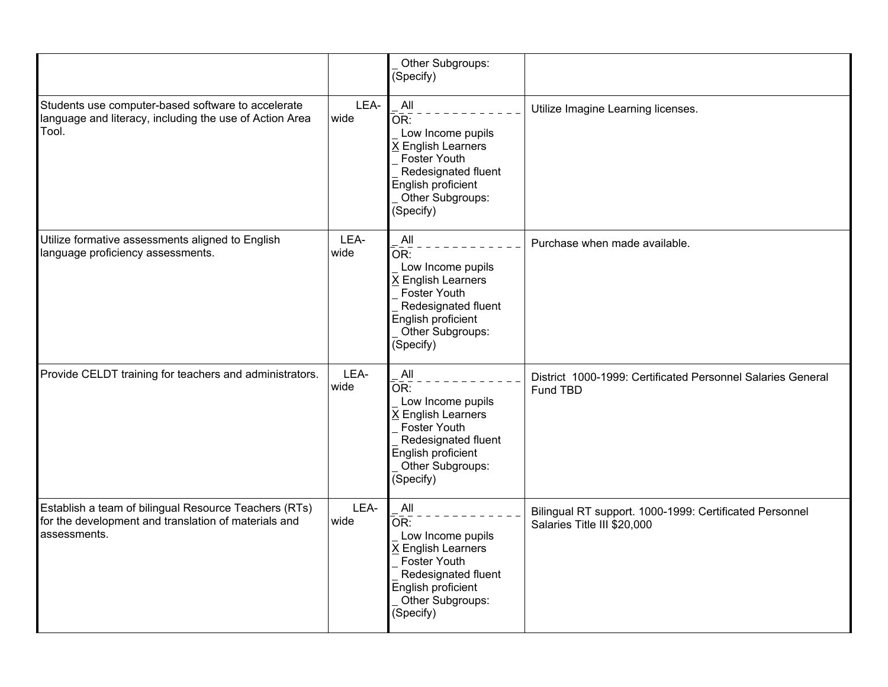|                                                                                                                               |              | Other Subgroups:<br>(Specify)                                                                                                                              |                                                                                        |
|-------------------------------------------------------------------------------------------------------------------------------|--------------|------------------------------------------------------------------------------------------------------------------------------------------------------------|----------------------------------------------------------------------------------------|
| Students use computer-based software to accelerate<br>language and literacy, including the use of Action Area<br>Tool.        | LEA-<br>wide | All<br>OR:<br>Low Income pupils<br><b>K English Learners</b><br>Foster Youth<br>Redesignated fluent<br>English proficient<br>Other Subgroups:<br>(Specify) | Utilize Imagine Learning licenses.                                                     |
| Utilize formative assessments aligned to English<br>language proficiency assessments.                                         | LEA-<br>wide | All<br>OR:<br>Low Income pupils<br>X English Learners<br>Foster Youth<br>Redesignated fluent<br>English proficient<br>Other Subgroups:<br>(Specify)        | Purchase when made available.                                                          |
| Provide CELDT training for teachers and administrators.                                                                       | LEA-<br>wide | All<br>OR:<br>Low Income pupils<br>X English Learners<br>Foster Youth<br>Redesignated fluent<br>English proficient<br>Other Subgroups:<br>(Specify)        | District 1000-1999: Certificated Personnel Salaries General<br>Fund TBD                |
| Establish a team of bilingual Resource Teachers (RTs)<br>for the development and translation of materials and<br>assessments. | LEA-<br>wide | All<br>OR:<br>Low Income pupils<br>X English Learners<br>Foster Youth<br>Redesignated fluent<br>English proficient<br>Other Subgroups:<br>(Specify)        | Bilingual RT support. 1000-1999: Certificated Personnel<br>Salaries Title III \$20,000 |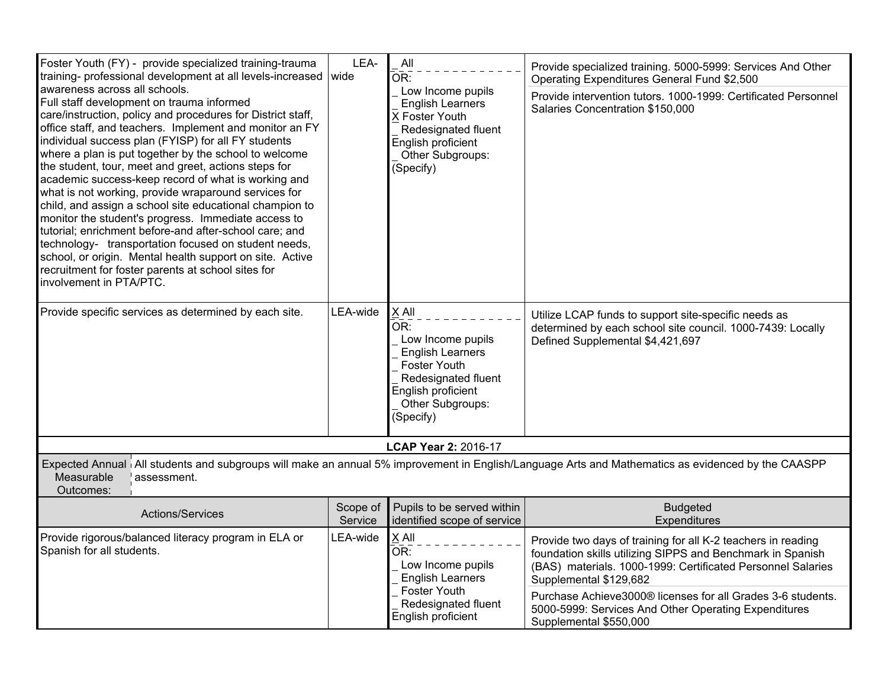| Foster Youth (FY) - provide specialized training-trauma<br>training- professional development at all levels-increased wide<br>awareness across all schools.<br>Full staff development on trauma informed<br>care/instruction, policy and procedures for District staff,<br>office staff, and teachers. Implement and monitor an FY<br>individual success plan (FYISP) for all FY students<br>where a plan is put together by the school to welcome<br>the student, tour, meet and greet, actions steps for<br>academic success-keep record of what is working and<br>what is not working, provide wraparound services for<br>child, and assign a school site educational champion to<br>monitor the student's progress. Immediate access to<br>tutorial; enrichment before-and after-school care; and<br>technology- transportation focused on student needs,<br>school, or origin. Mental health support on site. Active<br>recruitment for foster parents at school sites for<br>involvement in PTA/PTC. | LEA-                | All<br>OR:<br>Low Income pupils<br><b>English Learners</b><br><b>X Foster Youth</b><br>Redesignated fluent<br>English proficient<br>Other Subgroups:<br>(Specify) | Provide specialized training. 5000-5999: Services And Other<br>Operating Expenditures General Fund \$2,500<br>Provide intervention tutors. 1000-1999: Certificated Personnel<br>Salaries Concentration \$150,000                                                                                                                                                     |  |  |
|------------------------------------------------------------------------------------------------------------------------------------------------------------------------------------------------------------------------------------------------------------------------------------------------------------------------------------------------------------------------------------------------------------------------------------------------------------------------------------------------------------------------------------------------------------------------------------------------------------------------------------------------------------------------------------------------------------------------------------------------------------------------------------------------------------------------------------------------------------------------------------------------------------------------------------------------------------------------------------------------------------|---------------------|-------------------------------------------------------------------------------------------------------------------------------------------------------------------|----------------------------------------------------------------------------------------------------------------------------------------------------------------------------------------------------------------------------------------------------------------------------------------------------------------------------------------------------------------------|--|--|
| Provide specific services as determined by each site.                                                                                                                                                                                                                                                                                                                                                                                                                                                                                                                                                                                                                                                                                                                                                                                                                                                                                                                                                      | LEA-wide            | X All<br>ŌR:<br>Low Income pupils<br><b>English Learners</b><br><b>Foster Youth</b><br>Redesignated fluent<br>English proficient<br>Other Subgroups:<br>(Specify) | Utilize LCAP funds to support site-specific needs as<br>determined by each school site council. 1000-7439: Locally<br>Defined Supplemental \$4,421,697                                                                                                                                                                                                               |  |  |
|                                                                                                                                                                                                                                                                                                                                                                                                                                                                                                                                                                                                                                                                                                                                                                                                                                                                                                                                                                                                            |                     | LCAP Year 2: 2016-17                                                                                                                                              |                                                                                                                                                                                                                                                                                                                                                                      |  |  |
| Expected Annual All students and subgroups will make an annual 5% improvement in English/Language Arts and Mathematics as evidenced by the CAASPP<br>Measurable<br>assessment.<br>Outcomes:                                                                                                                                                                                                                                                                                                                                                                                                                                                                                                                                                                                                                                                                                                                                                                                                                |                     |                                                                                                                                                                   |                                                                                                                                                                                                                                                                                                                                                                      |  |  |
| Actions/Services                                                                                                                                                                                                                                                                                                                                                                                                                                                                                                                                                                                                                                                                                                                                                                                                                                                                                                                                                                                           | Scope of<br>Service | Pupils to be served within<br>identified scope of service                                                                                                         | <b>Budgeted</b><br>Expenditures                                                                                                                                                                                                                                                                                                                                      |  |  |
| Provide rigorous/balanced literacy program in ELA or<br>Spanish for all students.                                                                                                                                                                                                                                                                                                                                                                                                                                                                                                                                                                                                                                                                                                                                                                                                                                                                                                                          | LEA-wide            | X All<br>OR:<br>Low Income pupils<br><b>English Learners</b><br><b>Foster Youth</b><br>Redesignated fluent<br>English proficient                                  | Provide two days of training for all K-2 teachers in reading<br>foundation skills utilizing SIPPS and Benchmark in Spanish<br>(BAS) materials. 1000-1999: Certificated Personnel Salaries<br>Supplemental \$129,682<br>Purchase Achieve3000® licenses for all Grades 3-6 students.<br>5000-5999: Services And Other Operating Expenditures<br>Supplemental \$550,000 |  |  |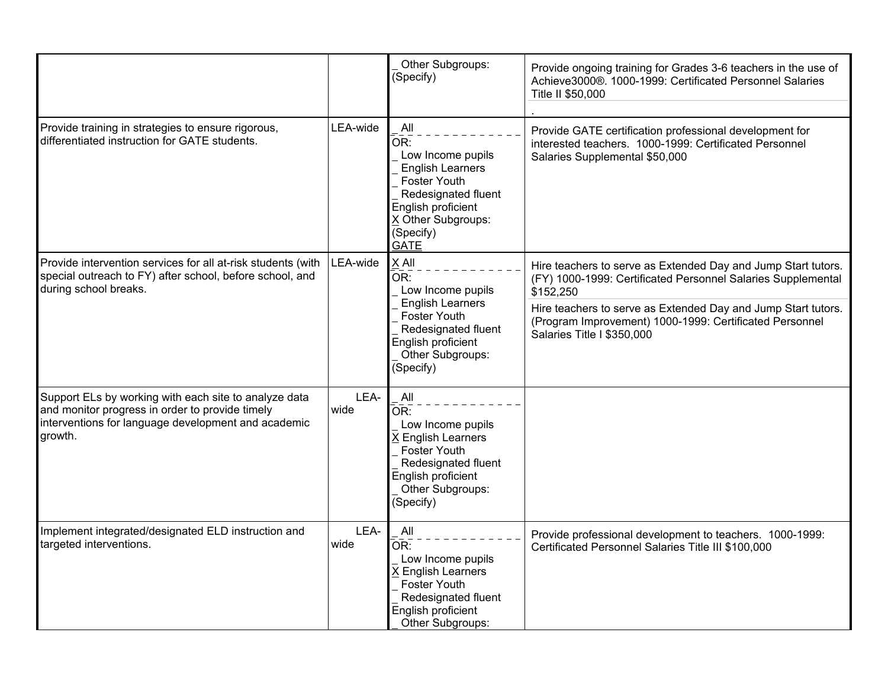|                                                                                                                                                                            |              | Other Subgroups:<br>(Specify)                                                                                                                                                    | Provide ongoing training for Grades 3-6 teachers in the use of<br>Achieve3000®. 1000-1999: Certificated Personnel Salaries<br>Title II \$50,000                                                                                                                                                      |
|----------------------------------------------------------------------------------------------------------------------------------------------------------------------------|--------------|----------------------------------------------------------------------------------------------------------------------------------------------------------------------------------|------------------------------------------------------------------------------------------------------------------------------------------------------------------------------------------------------------------------------------------------------------------------------------------------------|
| Provide training in strategies to ensure rigorous,<br>differentiated instruction for GATE students.                                                                        | LEA-wide     | All<br>OR:<br>Low Income pupils<br><b>English Learners</b><br><b>Foster Youth</b><br>Redesignated fluent<br>English proficient<br>X Other Subgroups:<br>(Specify)<br><b>GATE</b> | Provide GATE certification professional development for<br>interested teachers. 1000-1999: Certificated Personnel<br>Salaries Supplemental \$50,000                                                                                                                                                  |
| Provide intervention services for all at-risk students (with<br>special outreach to FY) after school, before school, and<br>during school breaks.                          | LEA-wide     | X All<br>OR:<br>Low Income pupils<br><b>English Learners</b><br><b>Foster Youth</b><br>Redesignated fluent<br>English proficient<br>Other Subgroups:<br>(Specify)                | Hire teachers to serve as Extended Day and Jump Start tutors.<br>(FY) 1000-1999: Certificated Personnel Salaries Supplemental<br>\$152,250<br>Hire teachers to serve as Extended Day and Jump Start tutors.<br>(Program Improvement) 1000-1999: Certificated Personnel<br>Salaries Title I \$350,000 |
| Support ELs by working with each site to analyze data<br>and monitor progress in order to provide timely<br>interventions for language development and academic<br>growth. | LEA-<br>wide | All<br>OR:<br>Low Income pupils<br>X English Learners<br><b>Foster Youth</b><br>Redesignated fluent<br>English proficient<br>Other Subgroups:<br>(Specify)                       |                                                                                                                                                                                                                                                                                                      |
| Implement integrated/designated ELD instruction and<br>targeted interventions.                                                                                             | LEA-<br>wide | All<br>OR:<br>Low Income pupils<br>X English Learners<br><b>Foster Youth</b><br>Redesignated fluent<br>English proficient<br>Other Subgroups:                                    | Provide professional development to teachers. 1000-1999:<br>Certificated Personnel Salaries Title III \$100,000                                                                                                                                                                                      |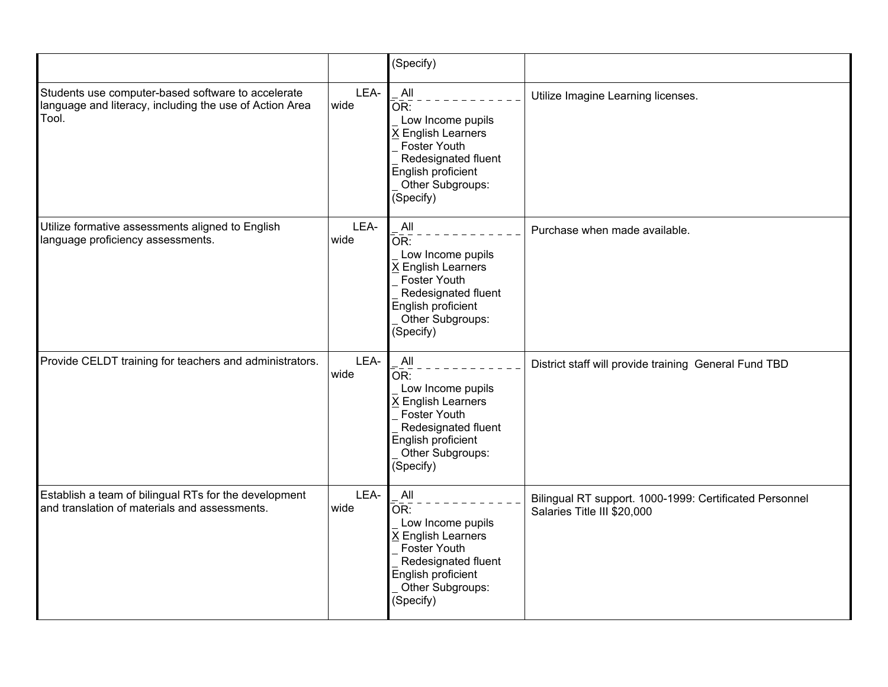|                                                                                                                        |              | (Specify)                                                                                                                                                                  |                                                                                        |
|------------------------------------------------------------------------------------------------------------------------|--------------|----------------------------------------------------------------------------------------------------------------------------------------------------------------------------|----------------------------------------------------------------------------------------|
| Students use computer-based software to accelerate<br>language and literacy, including the use of Action Area<br>Tool. | LEA-<br>wide | All<br>OR:<br>Low Income pupils<br>X English Learners<br><b>Foster Youth</b><br>Redesignated fluent<br>English proficient<br>Other Subgroups:<br>(Specify)                 | Utilize Imagine Learning licenses.                                                     |
| Utilize formative assessments aligned to English<br>language proficiency assessments.                                  | LEA-<br>wide | All<br>OR:<br>Low Income pupils<br>X English Learners<br>Foster Youth<br>Redesignated fluent<br>English proficient<br>Other Subgroups:<br>(Specify)                        | Purchase when made available.                                                          |
| Provide CELDT training for teachers and administrators.                                                                | LEA-<br>wide | All<br>$\overline{\mathsf{OR}}$ :<br>Low Income pupils<br>X English Learners<br>Foster Youth<br>Redesignated fluent<br>English proficient<br>Other Subgroups:<br>(Specify) | District staff will provide training General Fund TBD                                  |
| Establish a team of bilingual RTs for the development<br>and translation of materials and assessments.                 | LEA-<br>wide | All<br>OR:<br>Low Income pupils<br>X English Learners<br>Foster Youth<br>Redesignated fluent<br>English proficient<br>Other Subgroups:<br>(Specify)                        | Bilingual RT support. 1000-1999: Certificated Personnel<br>Salaries Title III \$20,000 |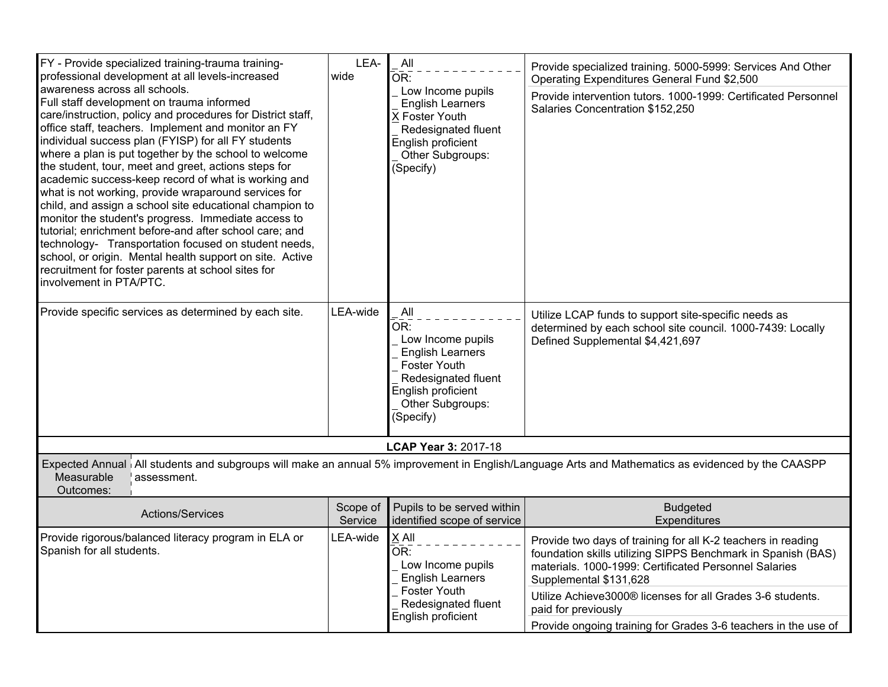| FY - Provide specialized training-trauma training-<br>professional development at all levels-increased<br>awareness across all schools.<br>Full staff development on trauma informed<br>care/instruction, policy and procedures for District staff,<br>office staff, teachers. Implement and monitor an FY<br>individual success plan (FYISP) for all FY students<br>where a plan is put together by the school to welcome<br>the student, tour, meet and greet, actions steps for<br>academic success-keep record of what is working and<br>what is not working, provide wraparound services for<br>child, and assign a school site educational champion to<br>monitor the student's progress. Immediate access to<br>tutorial; enrichment before-and after school care; and<br>technology- Transportation focused on student needs,<br>school, or origin. Mental health support on site. Active<br>recruitment for foster parents at school sites for<br>involvement in PTA/PTC. | LEA-<br>wide        | All<br>OR:<br>Low Income pupils<br><b>English Learners</b><br>X Foster Youth<br>Redesignated fluent<br>English proficient<br>Other Subgroups:<br>(Specify)      | Provide specialized training. 5000-5999: Services And Other<br>Operating Expenditures General Fund \$2,500<br>Provide intervention tutors. 1000-1999: Certificated Personnel<br>Salaries Concentration \$152,250                                                                                                                                                       |  |  |  |
|------------------------------------------------------------------------------------------------------------------------------------------------------------------------------------------------------------------------------------------------------------------------------------------------------------------------------------------------------------------------------------------------------------------------------------------------------------------------------------------------------------------------------------------------------------------------------------------------------------------------------------------------------------------------------------------------------------------------------------------------------------------------------------------------------------------------------------------------------------------------------------------------------------------------------------------------------------------------------------|---------------------|-----------------------------------------------------------------------------------------------------------------------------------------------------------------|------------------------------------------------------------------------------------------------------------------------------------------------------------------------------------------------------------------------------------------------------------------------------------------------------------------------------------------------------------------------|--|--|--|
| Provide specific services as determined by each site.                                                                                                                                                                                                                                                                                                                                                                                                                                                                                                                                                                                                                                                                                                                                                                                                                                                                                                                              | LEA-wide            | All<br>OR:<br>Low Income pupils<br><b>English Learners</b><br><b>Foster Youth</b><br>Redesignated fluent<br>English proficient<br>Other Subgroups:<br>(Specify) | Utilize LCAP funds to support site-specific needs as<br>determined by each school site council. 1000-7439: Locally<br>Defined Supplemental \$4,421,697                                                                                                                                                                                                                 |  |  |  |
| LCAP Year 3: 2017-18                                                                                                                                                                                                                                                                                                                                                                                                                                                                                                                                                                                                                                                                                                                                                                                                                                                                                                                                                               |                     |                                                                                                                                                                 |                                                                                                                                                                                                                                                                                                                                                                        |  |  |  |
| Expected Annual   All students and subgroups will make an annual 5% improvement in English/Language Arts and Mathematics as evidenced by the CAASPP<br>Measurable<br>assessment.<br>Outcomes:                                                                                                                                                                                                                                                                                                                                                                                                                                                                                                                                                                                                                                                                                                                                                                                      |                     |                                                                                                                                                                 |                                                                                                                                                                                                                                                                                                                                                                        |  |  |  |
| Actions/Services                                                                                                                                                                                                                                                                                                                                                                                                                                                                                                                                                                                                                                                                                                                                                                                                                                                                                                                                                                   | Scope of<br>Service | Pupils to be served within<br>identified scope of service                                                                                                       | <b>Budgeted</b><br><b>Expenditures</b>                                                                                                                                                                                                                                                                                                                                 |  |  |  |
| Provide rigorous/balanced literacy program in ELA or<br>Spanish for all students.                                                                                                                                                                                                                                                                                                                                                                                                                                                                                                                                                                                                                                                                                                                                                                                                                                                                                                  | LEA-wide            | X All<br>OR:<br>Low Income pupils<br><b>English Learners</b><br><b>Foster Youth</b><br>Redesignated fluent<br>English proficient                                | Provide two days of training for all K-2 teachers in reading<br>foundation skills utilizing SIPPS Benchmark in Spanish (BAS)<br>materials. 1000-1999: Certificated Personnel Salaries<br>Supplemental \$131,628<br>Utilize Achieve3000® licenses for all Grades 3-6 students.<br>paid for previously<br>Provide ongoing training for Grades 3-6 teachers in the use of |  |  |  |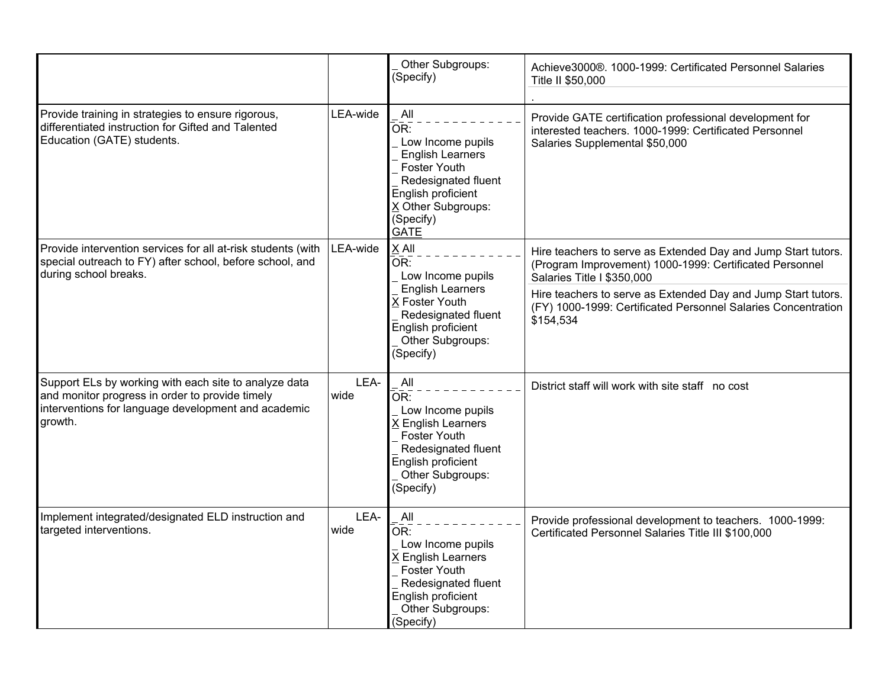|                                                                                                                                                                            |              | Other Subgroups:<br>(Specify)                                                                                                                                                    | Achieve3000®. 1000-1999: Certificated Personnel Salaries<br>Title II \$50,000                                                                          |
|----------------------------------------------------------------------------------------------------------------------------------------------------------------------------|--------------|----------------------------------------------------------------------------------------------------------------------------------------------------------------------------------|--------------------------------------------------------------------------------------------------------------------------------------------------------|
| Provide training in strategies to ensure rigorous,<br>differentiated instruction for Gifted and Talented<br>Education (GATE) students.                                     | LEA-wide     | All<br>OR:<br>Low Income pupils<br><b>English Learners</b><br><b>Foster Youth</b><br>Redesignated fluent<br>English proficient<br>X Other Subgroups:<br>(Specify)<br><b>GATE</b> | Provide GATE certification professional development for<br>interested teachers. 1000-1999: Certificated Personnel<br>Salaries Supplemental \$50,000    |
| Provide intervention services for all at-risk students (with<br>special outreach to FY) after school, before school, and<br>during school breaks.                          | LEA-wide     | X All<br>OR:<br>Low Income pupils                                                                                                                                                | Hire teachers to serve as Extended Day and Jump Start tutors.<br>(Program Improvement) 1000-1999: Certificated Personnel<br>Salaries Title I \$350,000 |
|                                                                                                                                                                            |              | <b>English Learners</b><br>X Foster Youth<br>Redesignated fluent<br>\$154,534<br>English proficient<br>Other Subgroups:<br>(Specify)                                             | Hire teachers to serve as Extended Day and Jump Start tutors.<br>(FY) 1000-1999: Certificated Personnel Salaries Concentration                         |
| Support ELs by working with each site to analyze data<br>and monitor progress in order to provide timely<br>interventions for language development and academic<br>growth. | LEA-<br>wide | All<br>OR:<br>Low Income pupils<br>K English Learners<br><b>Foster Youth</b><br>Redesignated fluent<br>English proficient<br>Other Subgroups:<br>(Specify)                       | District staff will work with site staff no cost                                                                                                       |
| Implement integrated/designated ELD instruction and<br>targeted interventions.                                                                                             | LEA-<br>wide | All<br>OR:<br>Low Income pupils<br>X English Learners<br><b>Foster Youth</b><br>Redesignated fluent<br>English proficient<br>Other Subgroups:<br>(Specify)                       | Provide professional development to teachers. 1000-1999:<br>Certificated Personnel Salaries Title III \$100,000                                        |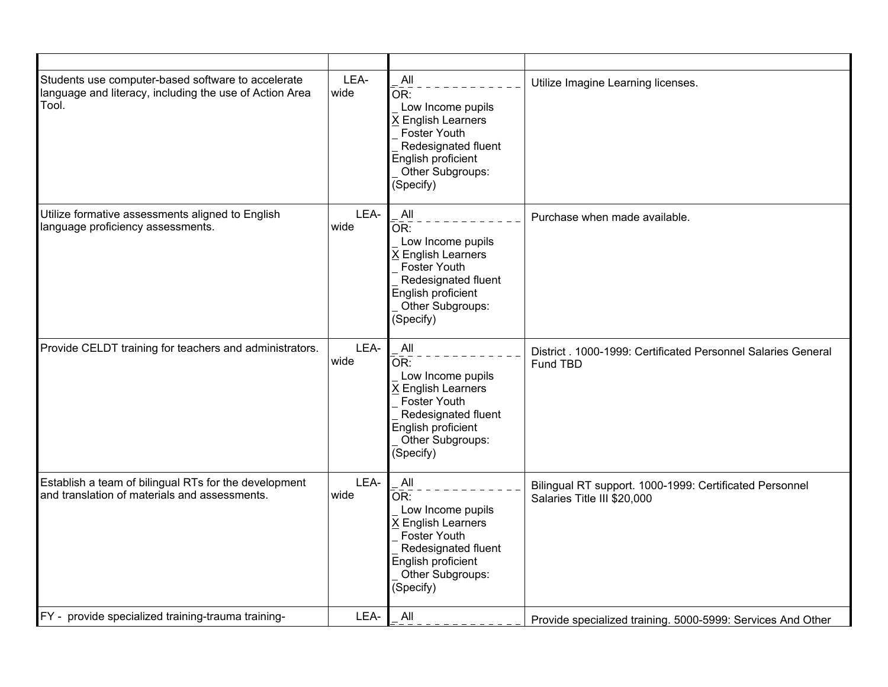| Students use computer-based software to accelerate<br>language and literacy, including the use of Action Area<br>Tool. | LEA-<br>wide | All<br>OR:<br>Low Income pupils<br>X English Learners<br><b>Foster Youth</b><br>Redesignated fluent<br>English proficient<br>Other Subgroups:<br>(Specify)                 | Utilize Imagine Learning licenses.                                                     |
|------------------------------------------------------------------------------------------------------------------------|--------------|----------------------------------------------------------------------------------------------------------------------------------------------------------------------------|----------------------------------------------------------------------------------------|
| Utilize formative assessments aligned to English<br>language proficiency assessments.                                  | LEA-<br>wide | All<br>$\bar{\mathsf{OR}}$ :<br>Low Income pupils<br>X English Learners<br>Foster Youth<br>Redesignated fluent<br>English proficient<br>Other Subgroups:<br>(Specify)      | Purchase when made available.                                                          |
| Provide CELDT training for teachers and administrators.                                                                | LEA-<br>wide | All<br>OR:<br>Low Income pupils<br>X English Learners<br><b>Foster Youth</b><br>Redesignated fluent<br>English proficient<br>Other Subgroups:<br>(Specify)                 | District, 1000-1999; Certificated Personnel Salaries General<br>Fund TBD               |
| Establish a team of bilingual RTs for the development<br>and translation of materials and assessments.                 | LEA-<br>wide | All<br>$\overline{\mathsf{OR}}$ :<br>Low Income pupils<br>X English Learners<br>Foster Youth<br>Redesignated fluent<br>English proficient<br>Other Subgroups:<br>(Specify) | Bilingual RT support. 1000-1999: Certificated Personnel<br>Salaries Title III \$20,000 |
| FY - provide specialized training-trauma training-                                                                     | LEA-         | All                                                                                                                                                                        | Provide specialized training. 5000-5999: Services And Other                            |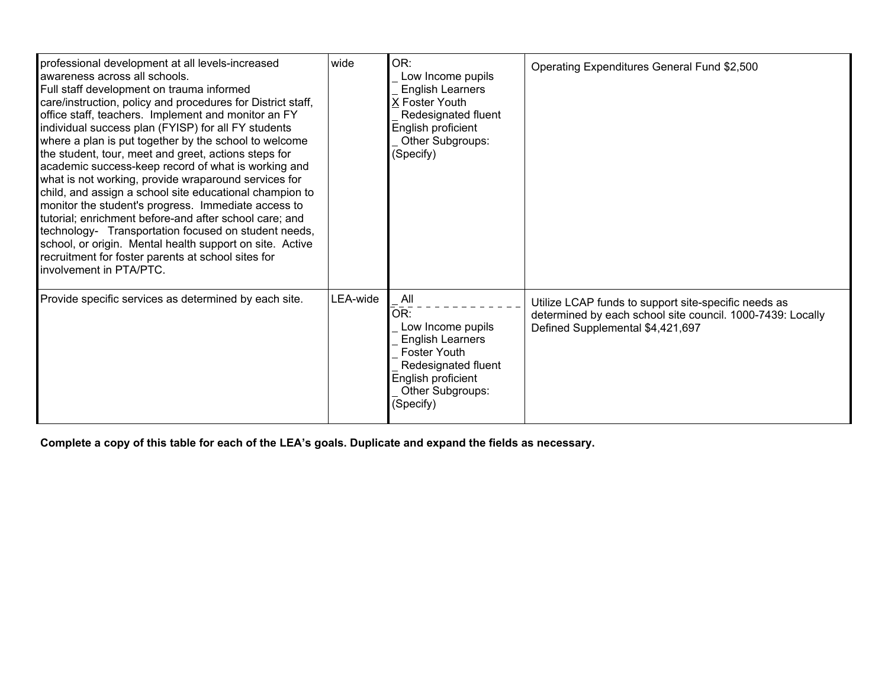| professional development at all levels-increased<br>awareness across all schools.<br>Full staff development on trauma informed<br>care/instruction, policy and procedures for District staff,<br>office staff, teachers. Implement and monitor an FY<br>individual success plan (FYISP) for all FY students<br>where a plan is put together by the school to welcome<br>the student, tour, meet and greet, actions steps for<br>academic success-keep record of what is working and<br>what is not working, provide wraparound services for<br>child, and assign a school site educational champion to<br>monitor the student's progress. Immediate access to<br>tutorial; enrichment before-and after school care; and<br>technology- Transportation focused on student needs,<br>school, or origin. Mental health support on site. Active<br>recruitment for foster parents at school sites for<br>involvement in PTA/PTC. | wide     | OR:<br>Low Income pupils<br><b>English Learners</b><br>X Foster Youth<br>Redesignated fluent<br>English proficient<br>Other Subgroups:<br>(Specify)             | Operating Expenditures General Fund \$2,500                                                                                                            |
|------------------------------------------------------------------------------------------------------------------------------------------------------------------------------------------------------------------------------------------------------------------------------------------------------------------------------------------------------------------------------------------------------------------------------------------------------------------------------------------------------------------------------------------------------------------------------------------------------------------------------------------------------------------------------------------------------------------------------------------------------------------------------------------------------------------------------------------------------------------------------------------------------------------------------|----------|-----------------------------------------------------------------------------------------------------------------------------------------------------------------|--------------------------------------------------------------------------------------------------------------------------------------------------------|
| Provide specific services as determined by each site.                                                                                                                                                                                                                                                                                                                                                                                                                                                                                                                                                                                                                                                                                                                                                                                                                                                                        | LEA-wide | All<br>OR:<br>Low Income pupils<br><b>English Learners</b><br><b>Foster Youth</b><br>Redesignated fluent<br>English proficient<br>Other Subgroups:<br>(Specify) | Utilize LCAP funds to support site-specific needs as<br>determined by each school site council. 1000-7439: Locally<br>Defined Supplemental \$4,421,697 |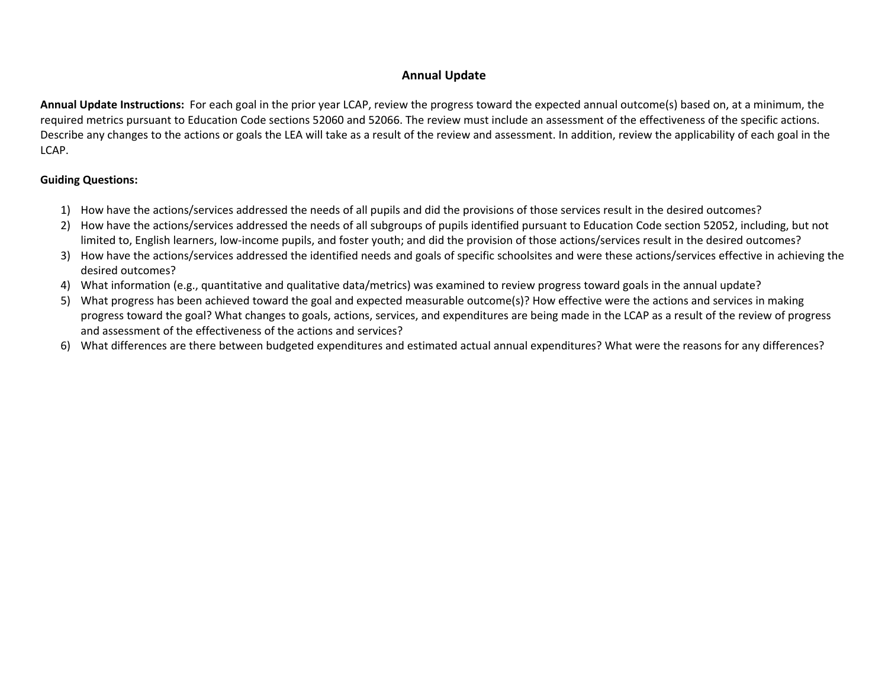#### **Annual Update**

**Annual Update Instructions:** For each goal in the prior year LCAP, review the progress toward the expected annual outcome(s) based on, at a minimum, the required metrics pursuant to Education Code sections 52060 and 52066. The review must include an assessment of the effectiveness of the specific actions. Describe any changes to the actions or goals the LEA will take as a result of the review and assessment. In addition, review the applicability of each goal in the LCAP.

#### **Guiding Questions:**

- 1) How have the actions/services addressed the needs of all pupils and did the provisions of those services result in the desired outcomes?
- 2) How have the actions/services addressed the needs of all subgroups of pupils identified pursuant to Education Code section 52052, including, but not limited to, English learners, low-income pupils, and foster youth; and did the provision of those actions/services result in the desired outcomes?
- 3) How have the actions/services addressed the identified needs and goals of specific schoolsites and were these actions/services effective in achieving the desired outcomes?
- 4) What information (e.g., quantitative and qualitative data/metrics) was examined to review progress toward goals in the annual update?
- 5) What progress has been achieved toward the goal and expected measurable outcome(s)? How effective were the actions and services in making progress toward the goal? What changes to goals, actions, services, and expenditures are being made in the LCAP as a result of the review of progress and assessment of the effectiveness of the actions and services?
- 6) What differences are there between budgeted expenditures and estimated actual annual expenditures? What were the reasons for any differences?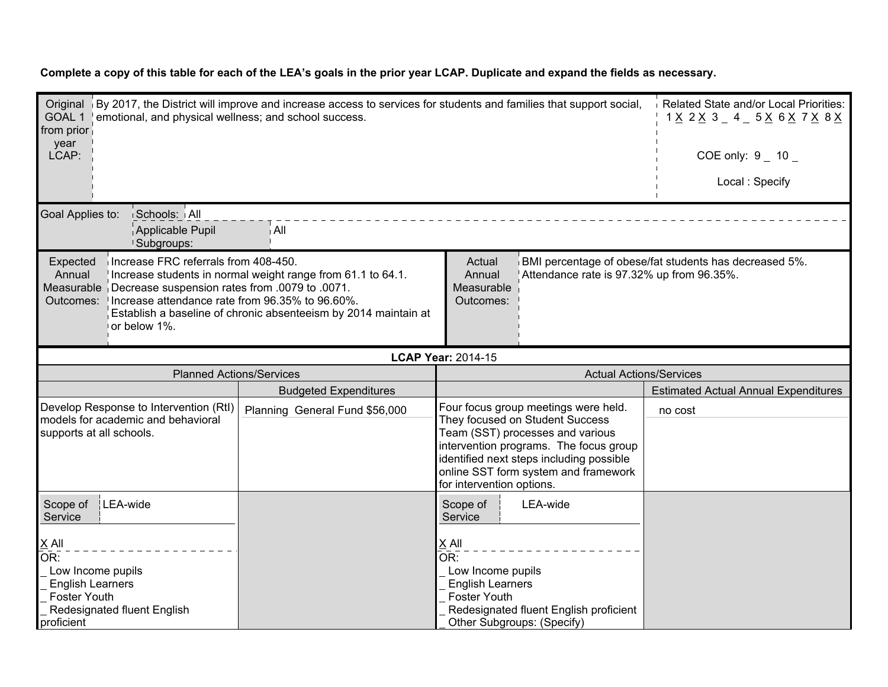| Original By 2017, the District will improve and increase access to services for students and families that support social,<br>GOAL 1   emotional, and physical wellness; and school success.<br>from prior<br>year<br>LCAP:                                                                                                                                                                                                                                                                       |                                |                                                                                |                                                                                                                                                                                                                                           | Related State and/or Local Priorities:<br>1 <u>X</u> 2 <u>X</u> 3 _ 4 _ 5 <u>X</u> 6 <u>X</u> 7 <u>X</u> 8 <u>X</u><br>COE only: $9 - 10 -$ |
|---------------------------------------------------------------------------------------------------------------------------------------------------------------------------------------------------------------------------------------------------------------------------------------------------------------------------------------------------------------------------------------------------------------------------------------------------------------------------------------------------|--------------------------------|--------------------------------------------------------------------------------|-------------------------------------------------------------------------------------------------------------------------------------------------------------------------------------------------------------------------------------------|---------------------------------------------------------------------------------------------------------------------------------------------|
|                                                                                                                                                                                                                                                                                                                                                                                                                                                                                                   |                                |                                                                                |                                                                                                                                                                                                                                           | Local: Specify                                                                                                                              |
| Goal Applies to:<br>Schools: All<br>Applicable Pupil<br>Subgroups:                                                                                                                                                                                                                                                                                                                                                                                                                                | ∫All                           |                                                                                |                                                                                                                                                                                                                                           |                                                                                                                                             |
| Increase FRC referrals from 408-450.<br>BMI percentage of obese/fat students has decreased 5%.<br>Expected<br>Actual<br>Annual<br>Attendance rate is 97.32% up from 96.35%.<br>Increase students in normal weight range from 61.1 to 64.1.<br>Annual<br>Measurable<br>Measurable   Decrease suspension rates from .0079 to .0071.<br>Increase attendance rate from 96.35% to 96.60%.<br>Outcomes:<br>Outcomes:<br>Establish a baseline of chronic absenteeism by 2014 maintain at<br>or below 1%. |                                |                                                                                |                                                                                                                                                                                                                                           |                                                                                                                                             |
|                                                                                                                                                                                                                                                                                                                                                                                                                                                                                                   |                                | <b>LCAP Year: 2014-15</b>                                                      |                                                                                                                                                                                                                                           |                                                                                                                                             |
| <b>Planned Actions/Services</b>                                                                                                                                                                                                                                                                                                                                                                                                                                                                   |                                |                                                                                | <b>Actual Actions/Services</b>                                                                                                                                                                                                            |                                                                                                                                             |
|                                                                                                                                                                                                                                                                                                                                                                                                                                                                                                   | <b>Budgeted Expenditures</b>   |                                                                                |                                                                                                                                                                                                                                           | <b>Estimated Actual Annual Expenditures</b>                                                                                                 |
| Develop Response to Intervention (RtI)<br>models for academic and behavioral<br>supports at all schools.                                                                                                                                                                                                                                                                                                                                                                                          | Planning General Fund \$56,000 | for intervention options.                                                      | Four focus group meetings were held.<br>They focused on Student Success<br>Team (SST) processes and various<br>intervention programs. The focus group<br>identified next steps including possible<br>online SST form system and framework | no cost                                                                                                                                     |
| LEA-wide<br>Scope of<br>Service                                                                                                                                                                                                                                                                                                                                                                                                                                                                   |                                | Scope of<br>Service                                                            | LEA-wide                                                                                                                                                                                                                                  |                                                                                                                                             |
| $X$ All<br>OR:<br>Low Income pupils<br><b>English Learners</b><br>Foster Youth<br>Redesignated fluent English<br>proficient                                                                                                                                                                                                                                                                                                                                                                       |                                | $X$ All<br>OR:<br>Low Income pupils<br><b>English Learners</b><br>Foster Youth | Redesignated fluent English proficient<br>Other Subgroups: (Specify)                                                                                                                                                                      |                                                                                                                                             |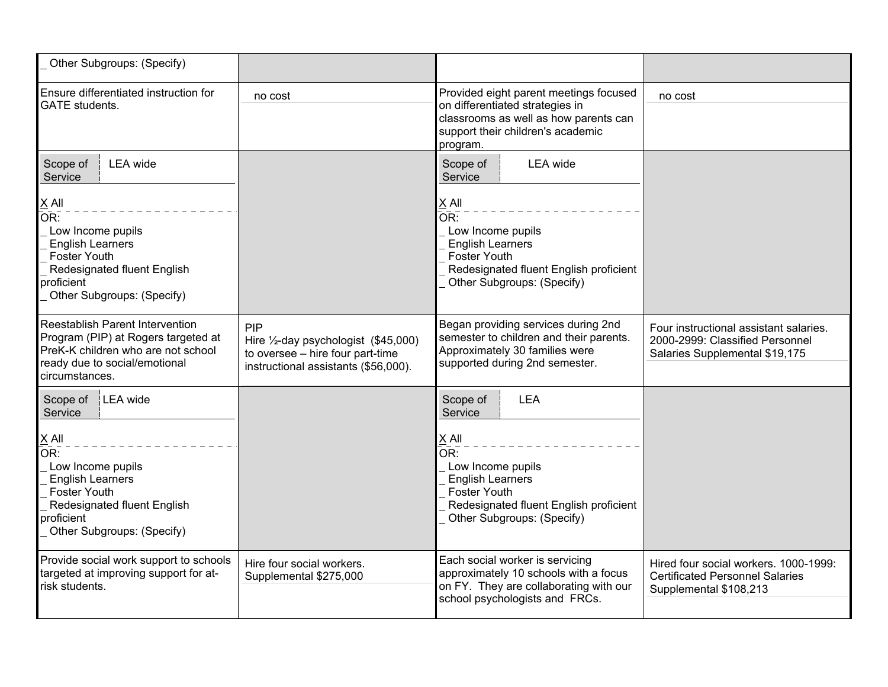| Other Subgroups: (Specify)                                                                                                                                            |                                                                                                                         |                                                                                                                                                                     |                                                                                                             |
|-----------------------------------------------------------------------------------------------------------------------------------------------------------------------|-------------------------------------------------------------------------------------------------------------------------|---------------------------------------------------------------------------------------------------------------------------------------------------------------------|-------------------------------------------------------------------------------------------------------------|
| Ensure differentiated instruction for<br><b>GATE</b> students.                                                                                                        | no cost                                                                                                                 | Provided eight parent meetings focused<br>on differentiated strategies in<br>classrooms as well as how parents can<br>support their children's academic<br>program. | no cost                                                                                                     |
| <b>LEA</b> wide<br>Scope of<br>Service                                                                                                                                |                                                                                                                         | Scope of<br><b>LEA</b> wide<br>Service                                                                                                                              |                                                                                                             |
| $\times$ All<br>OR:<br>Low Income pupils<br><b>English Learners</b><br>Foster Youth<br>Redesignated fluent English<br>proficient<br>Other Subgroups: (Specify)        |                                                                                                                         | $\underline{X}$ All<br>OR:<br>Low Income pupils<br><b>English Learners</b><br>Foster Youth<br>Redesignated fluent English proficient<br>Other Subgroups: (Specify)  |                                                                                                             |
| Reestablish Parent Intervention<br>Program (PIP) at Rogers targeted at<br>PreK-K children who are not school<br>ready due to social/emotional<br>circumstances.       | PIP<br>Hire 1/2-day psychologist (\$45,000)<br>to oversee - hire four part-time<br>instructional assistants (\$56,000). | Began providing services during 2nd<br>semester to children and their parents.<br>Approximately 30 families were<br>supported during 2nd semester.                  | Four instructional assistant salaries.<br>2000-2999: Classified Personnel<br>Salaries Supplemental \$19,175 |
| Scope of<br>LEA wide<br>Service                                                                                                                                       |                                                                                                                         | Scope of<br><b>LEA</b><br>Service                                                                                                                                   |                                                                                                             |
| $\times$ All<br>OR:<br>Low Income pupils<br><b>English Learners</b><br><b>Foster Youth</b><br>Redesignated fluent English<br>proficient<br>Other Subgroups: (Specify) |                                                                                                                         | X All<br>OR:<br>Low Income pupils<br><b>English Learners</b><br><b>Foster Youth</b><br>Redesignated fluent English proficient<br>Other Subgroups: (Specify)         |                                                                                                             |
| Provide social work support to schools<br>targeted at improving support for at-<br>risk students.                                                                     | Hire four social workers.<br>Supplemental \$275,000                                                                     | Each social worker is servicing<br>approximately 10 schools with a focus<br>on FY. They are collaborating with our<br>school psychologists and FRCs.                | Hired four social workers, 1000-1999:<br><b>Certificated Personnel Salaries</b><br>Supplemental \$108,213   |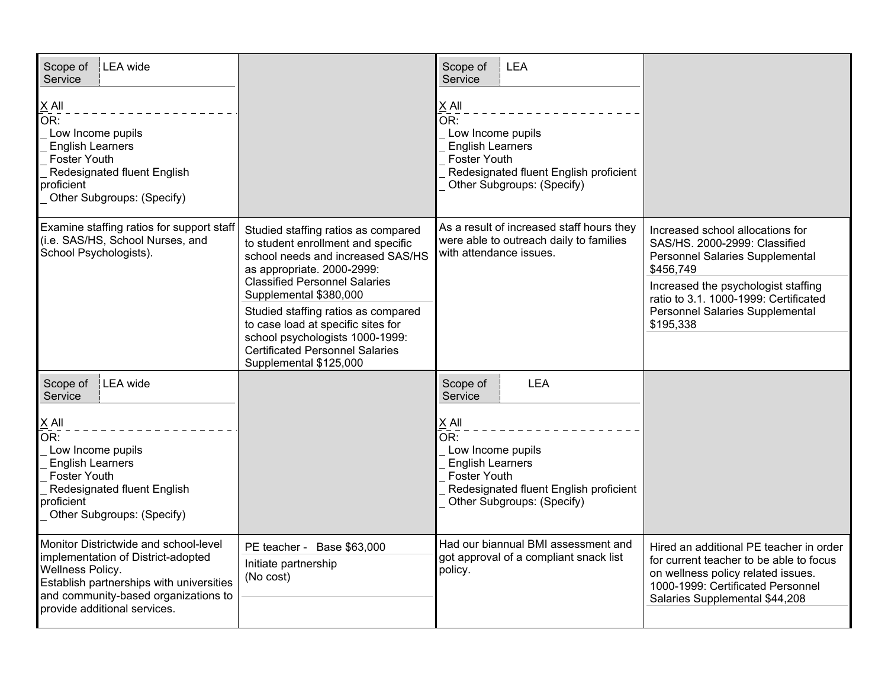| LEA wide<br>Scope of<br>Service<br>$X$ All<br>OR:<br>Low Income pupils<br><b>English Learners</b><br><b>Foster Youth</b><br>Redesignated fluent English<br>proficient<br>Other Subgroups: (Specify)                        |                                                                                                                                                                                                                                                                                                                                                                                                    | Scope of<br><b>LEA</b><br>Service<br>$X$ All<br>OR:<br>Low Income pupils<br><b>English Learners</b><br>Foster Youth<br>Redesignated fluent English proficient<br>Other Subgroups: (Specify) |                                                                                                                                                                                                                                                   |
|----------------------------------------------------------------------------------------------------------------------------------------------------------------------------------------------------------------------------|----------------------------------------------------------------------------------------------------------------------------------------------------------------------------------------------------------------------------------------------------------------------------------------------------------------------------------------------------------------------------------------------------|---------------------------------------------------------------------------------------------------------------------------------------------------------------------------------------------|---------------------------------------------------------------------------------------------------------------------------------------------------------------------------------------------------------------------------------------------------|
| Examine staffing ratios for support staff<br>(i.e. SAS/HS, School Nurses, and<br>School Psychologists).                                                                                                                    | Studied staffing ratios as compared<br>to student enrollment and specific<br>school needs and increased SAS/HS<br>as appropriate. 2000-2999:<br><b>Classified Personnel Salaries</b><br>Supplemental \$380,000<br>Studied staffing ratios as compared<br>to case load at specific sites for<br>school psychologists 1000-1999:<br><b>Certificated Personnel Salaries</b><br>Supplemental \$125,000 | As a result of increased staff hours they<br>were able to outreach daily to families<br>with attendance issues.                                                                             | Increased school allocations for<br>SAS/HS. 2000-2999: Classified<br>Personnel Salaries Supplemental<br>\$456,749<br>Increased the psychologist staffing<br>ratio to 3.1. 1000-1999: Certificated<br>Personnel Salaries Supplemental<br>\$195,338 |
| LEA wide<br>Scope of<br>Service<br>$X$ All<br>OR:<br>Low Income pupils<br><b>English Learners</b><br><b>Foster Youth</b><br>Redesignated fluent English<br>proficient<br>Other Subgroups: (Specify)                        |                                                                                                                                                                                                                                                                                                                                                                                                    | <b>LEA</b><br>Scope of<br>Service<br>$X$ All<br>OR:<br>Low Income pupils<br><b>English Learners</b><br>Foster Youth<br>Redesignated fluent English proficient<br>Other Subgroups: (Specify) |                                                                                                                                                                                                                                                   |
| Monitor Districtwide and school-level<br>implementation of District-adopted<br><b>Wellness Policy.</b><br>Establish partnerships with universities<br>and community-based organizations to<br>provide additional services. | PE teacher - Base \$63,000<br>Initiate partnership<br>(No cost)                                                                                                                                                                                                                                                                                                                                    | Had our biannual BMI assessment and<br>got approval of a compliant snack list<br>policy.                                                                                                    | Hired an additional PE teacher in order<br>for current teacher to be able to focus<br>on wellness policy related issues.<br>1000-1999: Certificated Personnel<br>Salaries Supplemental \$44,208                                                   |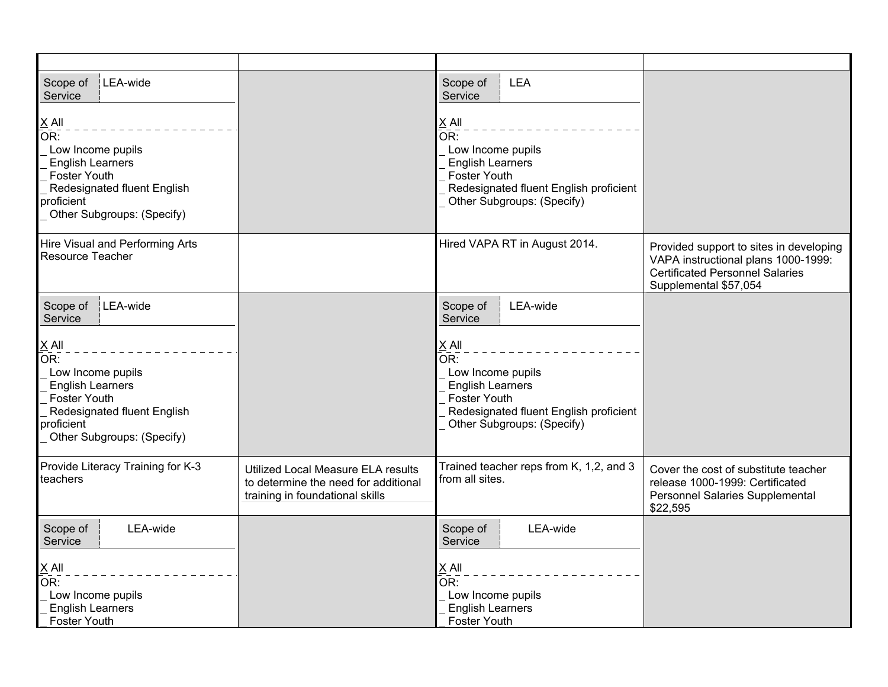| LEA-wide<br>Scope of<br>Service                                                                                                                                        |                                                                                                               | LEA<br>Scope of<br>Service                                                                                                                                                                |                                                                                                                                                   |
|------------------------------------------------------------------------------------------------------------------------------------------------------------------------|---------------------------------------------------------------------------------------------------------------|-------------------------------------------------------------------------------------------------------------------------------------------------------------------------------------------|---------------------------------------------------------------------------------------------------------------------------------------------------|
| $ \underline{X}$ All<br>OR:<br>Low Income pupils<br><b>English Learners</b><br>Foster Youth<br>Redesignated fluent English<br>proficient<br>Other Subgroups: (Specify) |                                                                                                               | $\underline{X}$ All<br>$\overline{\mathsf{OR}}$ :<br>Low Income pupils<br><b>English Learners</b><br>Foster Youth<br>Redesignated fluent English proficient<br>Other Subgroups: (Specify) |                                                                                                                                                   |
| Hire Visual and Performing Arts<br>Resource Teacher                                                                                                                    |                                                                                                               | Hired VAPA RT in August 2014.                                                                                                                                                             | Provided support to sites in developing<br>VAPA instructional plans 1000-1999:<br><b>Certificated Personnel Salaries</b><br>Supplemental \$57,054 |
| LEA-wide<br>Scope of<br>Service                                                                                                                                        |                                                                                                               | LEA-wide<br>Scope of<br>Service                                                                                                                                                           |                                                                                                                                                   |
| $X$ All<br>OR:<br>Low Income pupils<br><b>English Learners</b><br>Foster Youth<br>Redesignated fluent English<br>proficient<br>Other Subgroups: (Specify)              |                                                                                                               | $X$ All<br>$\overline{\mathsf{OR}}$ :<br>Low Income pupils<br><b>English Learners</b><br>Foster Youth<br>Redesignated fluent English proficient<br>Other Subgroups: (Specify)             |                                                                                                                                                   |
| Provide Literacy Training for K-3<br>teachers                                                                                                                          | Utilized Local Measure ELA results<br>to determine the need for additional<br>training in foundational skills | Trained teacher reps from K, 1,2, and 3<br>from all sites.                                                                                                                                | Cover the cost of substitute teacher<br>release 1000-1999: Certificated<br>Personnel Salaries Supplemental<br>\$22,595                            |
| Scope of<br>LEA-wide<br>Service                                                                                                                                        |                                                                                                               | LEA-wide<br>Scope of<br>Service                                                                                                                                                           |                                                                                                                                                   |
| $X$ All<br>OR:<br>Low Income pupils<br><b>English Learners</b><br><b>Foster Youth</b>                                                                                  |                                                                                                               | $X$ All<br>$\overline{\mathsf{OR}}$ :<br>Low Income pupils<br><b>English Learners</b><br><b>Foster Youth</b>                                                                              |                                                                                                                                                   |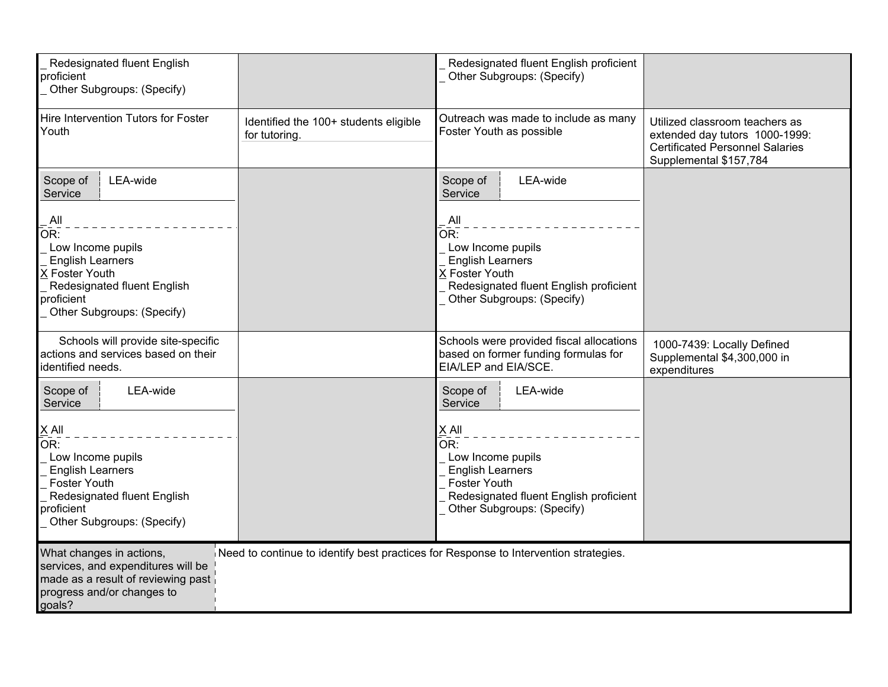| Redesignated fluent English<br>proficient<br>Other Subgroups: (Specify)                                                                                                                                                |                                                                                      | Redesignated fluent English proficient<br>Other Subgroups: (Specify)                                                                                                                                                    |                                                                                                                                      |
|------------------------------------------------------------------------------------------------------------------------------------------------------------------------------------------------------------------------|--------------------------------------------------------------------------------------|-------------------------------------------------------------------------------------------------------------------------------------------------------------------------------------------------------------------------|--------------------------------------------------------------------------------------------------------------------------------------|
| Hire Intervention Tutors for Foster<br>Youth                                                                                                                                                                           | Identified the 100+ students eligible<br>for tutoring.                               | Outreach was made to include as many<br>Foster Youth as possible                                                                                                                                                        | Utilized classroom teachers as<br>extended day tutors 1000-1999:<br><b>Certificated Personnel Salaries</b><br>Supplemental \$157,784 |
| Scope of<br>LEA-wide<br>Service                                                                                                                                                                                        |                                                                                      | LEA-wide<br>Scope of<br>Service                                                                                                                                                                                         |                                                                                                                                      |
| All<br>OR:<br>Low Income pupils<br><b>English Learners</b><br>X Foster Youth<br>Redesignated fluent English<br>proficient<br>Other Subgroups: (Specify)                                                                |                                                                                      | All<br>OR:<br>Low Income pupils<br><b>English Learners</b><br>X Foster Youth<br>Redesignated fluent English proficient<br>Other Subgroups: (Specify)                                                                    |                                                                                                                                      |
| Schools will provide site-specific<br>actions and services based on their<br>identified needs.                                                                                                                         |                                                                                      | Schools were provided fiscal allocations<br>based on former funding formulas for<br>EIA/LEP and EIA/SCE.                                                                                                                | 1000-7439: Locally Defined<br>Supplemental \$4,300,000 in<br>expenditures                                                            |
| Scope of<br>LEA-wide<br>Service<br>$\underline{X}$ All<br>$\overline{OR}$ :<br>Low Income pupils<br><b>English Learners</b><br>Foster Youth<br>Redesignated fluent English<br>proficient<br>Other Subgroups: (Specify) |                                                                                      | LEA-wide<br>Scope of<br>Service<br>$\underline{X}$ All<br>$\bar{\mathsf{OR}}$ :<br>Low Income pupils<br><b>English Learners</b><br>Foster Youth<br>Redesignated fluent English proficient<br>Other Subgroups: (Specify) |                                                                                                                                      |
| What changes in actions,<br>services, and expenditures will be<br>made as a result of reviewing past<br>progress and/or changes to<br>goals?                                                                           | Need to continue to identify best practices for Response to Intervention strategies. |                                                                                                                                                                                                                         |                                                                                                                                      |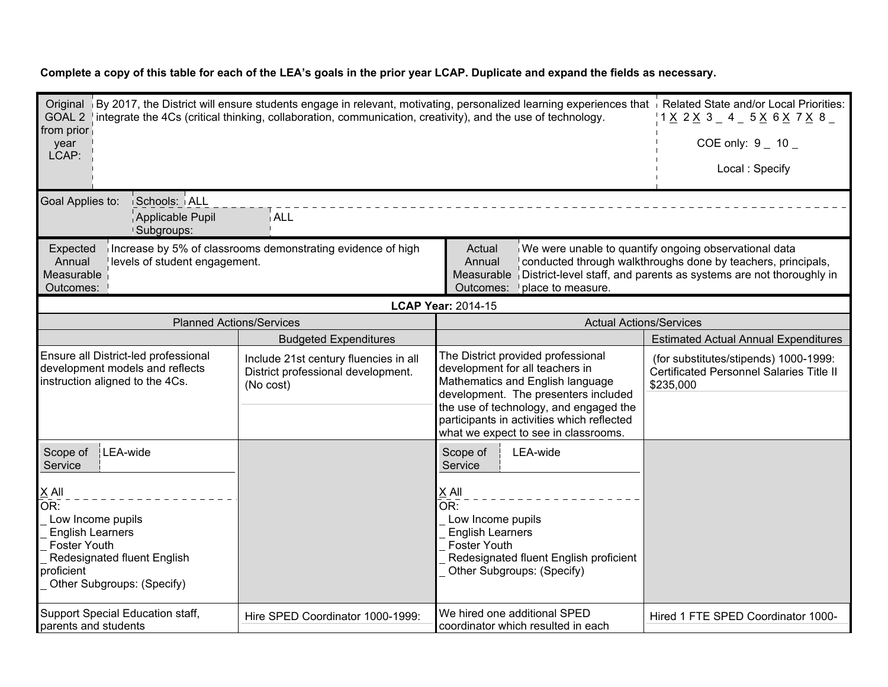| Original   By 2017, the District will ensure students engage in relevant, motivating, personalized learning experiences that   Related State and/or Local Priorities:<br>GOAL 2   integrate the 4Cs (critical thinking, collaboration, communication, creativity), and the use of technology.<br>from prior<br>year<br>LCAP: |                                                                                          |                                                                                                                                                                                                                                                                                   | 1 X 2 X 3 4 5 X 6 X 7 X 8<br>COE only: $9 - 10 -$                                                                                                                                           |
|------------------------------------------------------------------------------------------------------------------------------------------------------------------------------------------------------------------------------------------------------------------------------------------------------------------------------|------------------------------------------------------------------------------------------|-----------------------------------------------------------------------------------------------------------------------------------------------------------------------------------------------------------------------------------------------------------------------------------|---------------------------------------------------------------------------------------------------------------------------------------------------------------------------------------------|
|                                                                                                                                                                                                                                                                                                                              |                                                                                          |                                                                                                                                                                                                                                                                                   | Local: Specify                                                                                                                                                                              |
| Goal Applies to:<br>Schools: ALL<br>Applicable Pupil<br>Subgroups:                                                                                                                                                                                                                                                           | ALL.                                                                                     |                                                                                                                                                                                                                                                                                   |                                                                                                                                                                                             |
| Expected<br>Annual<br>levels of student engagement.<br>Measurable<br>Outcomes:                                                                                                                                                                                                                                               | Increase by 5% of classrooms demonstrating evidence of high                              | Actual<br>Annual<br>Measurable<br>place to measure.<br>Outcomes:                                                                                                                                                                                                                  | We were unable to quantify ongoing observational data<br>conducted through walkthroughs done by teachers, principals,<br>District-level staff, and parents as systems are not thoroughly in |
|                                                                                                                                                                                                                                                                                                                              |                                                                                          | <b>LCAP Year: 2014-15</b>                                                                                                                                                                                                                                                         |                                                                                                                                                                                             |
| <b>Planned Actions/Services</b>                                                                                                                                                                                                                                                                                              |                                                                                          | <b>Actual Actions/Services</b>                                                                                                                                                                                                                                                    |                                                                                                                                                                                             |
|                                                                                                                                                                                                                                                                                                                              | <b>Budgeted Expenditures</b>                                                             |                                                                                                                                                                                                                                                                                   | <b>Estimated Actual Annual Expenditures</b>                                                                                                                                                 |
| Ensure all District-led professional<br>development models and reflects<br>instruction aligned to the 4Cs.                                                                                                                                                                                                                   | Include 21st century fluencies in all<br>District professional development.<br>(No cost) | The District provided professional<br>development for all teachers in<br>Mathematics and English language<br>development. The presenters included<br>the use of technology, and engaged the<br>participants in activities which reflected<br>what we expect to see in classrooms. | (for substitutes/stipends) 1000-1999:<br>Certificated Personnel Salaries Title II<br>\$235,000                                                                                              |
| LEA-wide<br>Scope of<br>Service                                                                                                                                                                                                                                                                                              |                                                                                          | Scope of<br>LEA-wide<br>Service                                                                                                                                                                                                                                                   |                                                                                                                                                                                             |
| $\underline{X}$ All<br>OR:<br>Low Income pupils<br><b>English Learners</b><br>Foster Youth<br>Redesignated fluent English<br>proficient<br>Other Subgroups: (Specify)                                                                                                                                                        |                                                                                          | $X$ All<br>$\overline{\mathsf{OR}}$ :<br>Low Income pupils<br><b>English Learners</b><br><b>Foster Youth</b><br>Redesignated fluent English proficient<br>Other Subgroups: (Specify)                                                                                              |                                                                                                                                                                                             |
| Support Special Education staff,<br>parents and students                                                                                                                                                                                                                                                                     | Hire SPED Coordinator 1000-1999:                                                         | We hired one additional SPED<br>coordinator which resulted in each                                                                                                                                                                                                                | Hired 1 FTE SPED Coordinator 1000-                                                                                                                                                          |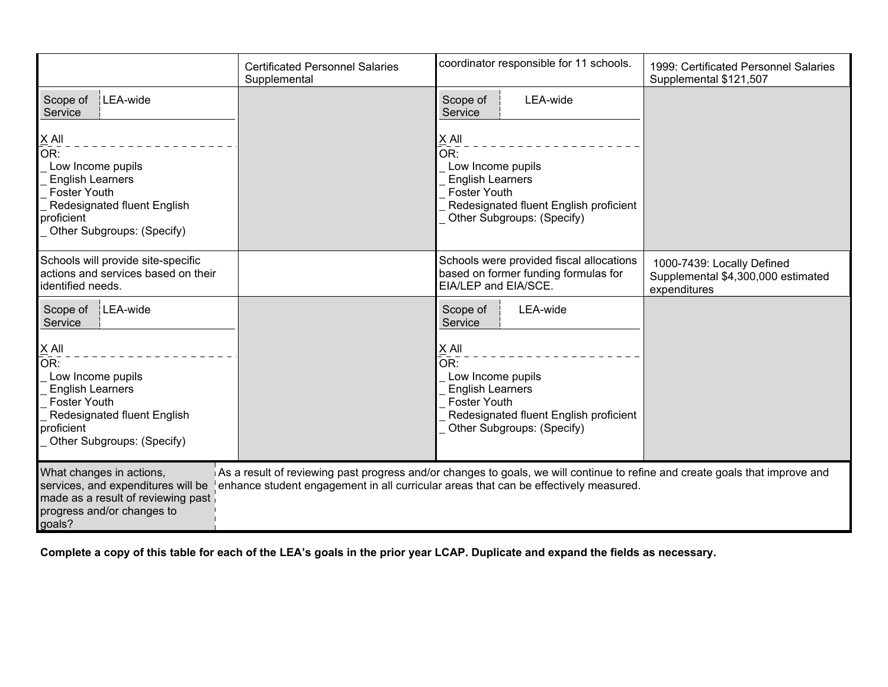|                                                                                                                                                                | <b>Certificated Personnel Salaries</b><br>Supplemental | coordinator responsible for 11 schools.                                                                                                                                                                              | 1999: Certificated Personnel Salaries<br>Supplemental \$121,507                  |
|----------------------------------------------------------------------------------------------------------------------------------------------------------------|--------------------------------------------------------|----------------------------------------------------------------------------------------------------------------------------------------------------------------------------------------------------------------------|----------------------------------------------------------------------------------|
| Scope of<br>LEA-wide<br>Service                                                                                                                                |                                                        | LEA-wide<br>Scope of<br>Service                                                                                                                                                                                      |                                                                                  |
| X All<br>OR:<br>Low Income pupils<br><b>English Learners</b><br><b>Foster Youth</b><br>Redesignated fluent English<br>proficient<br>Other Subgroups: (Specify) |                                                        | X All<br>$\overline{\mathsf{OR}}$ :<br>Low Income pupils<br><b>English Learners</b><br><b>Foster Youth</b><br>Redesignated fluent English proficient<br>Other Subgroups: (Specify)                                   |                                                                                  |
| Schools will provide site-specific<br>actions and services based on their<br>identified needs.                                                                 |                                                        | Schools were provided fiscal allocations<br>based on former funding formulas for<br>EIA/LEP and EIA/SCE.                                                                                                             | 1000-7439: Locally Defined<br>Supplemental \$4,300,000 estimated<br>expenditures |
| LEA-wide<br>Scope of<br>Service<br>$X$ All                                                                                                                     |                                                        | Scope of<br>LEA-wide<br>Service<br>X All                                                                                                                                                                             |                                                                                  |
| OR:<br>Low Income pupils<br><b>English Learners</b><br><b>Foster Youth</b><br>Redesignated fluent English<br>proficient<br>Other Subgroups: (Specify)          |                                                        | $\overline{\mathsf{OR}}$ :<br>Low Income pupils<br><b>English Learners</b><br><b>Foster Youth</b><br>Redesignated fluent English proficient<br>Other Subgroups: (Specify)                                            |                                                                                  |
| What changes in actions,<br>services, and expenditures will be<br>made as a result of reviewing past<br>progress and/or changes to<br>goals?                   |                                                        | As a result of reviewing past progress and/or changes to goals, we will continue to refine and create goals that improve and<br>enhance student engagement in all curricular areas that can be effectively measured. |                                                                                  |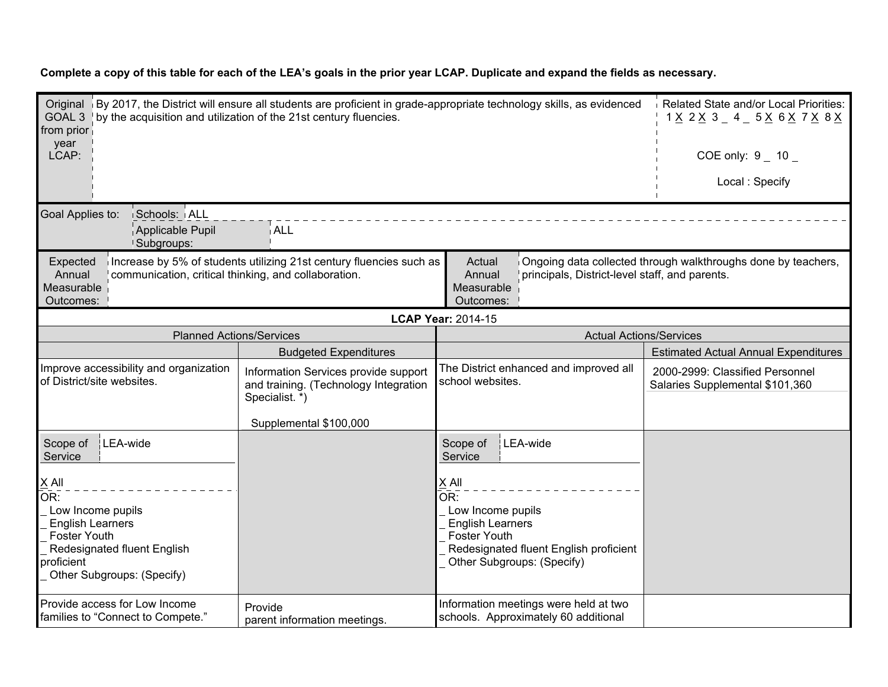| Original By 2017, the District will ensure all students are proficient in grade-appropriate technology skills, as evidenced<br>GOAL 3 by the acquisition and utilization of the 21st century fluencies.<br>from prior |                                                                                                                           |                                                                                                                                                                                    | Related State and/or Local Priorities:<br>1 <u>X</u> 2 <u>X</u> 3 _ 4 _ 5 <u>X</u> 6 <u>X</u> 7 <u>X</u> 8 <u>X</u> |
|-----------------------------------------------------------------------------------------------------------------------------------------------------------------------------------------------------------------------|---------------------------------------------------------------------------------------------------------------------------|------------------------------------------------------------------------------------------------------------------------------------------------------------------------------------|---------------------------------------------------------------------------------------------------------------------|
| year<br>LCAP:                                                                                                                                                                                                         |                                                                                                                           |                                                                                                                                                                                    | COE only: $9 - 10 -$                                                                                                |
|                                                                                                                                                                                                                       |                                                                                                                           |                                                                                                                                                                                    | Local: Specify                                                                                                      |
| Goal Applies to:<br>Schools: ALL<br>Applicable Pupil<br>Subgroups:                                                                                                                                                    | i ALL                                                                                                                     |                                                                                                                                                                                    |                                                                                                                     |
| Expected<br>communication, critical thinking, and collaboration.<br>Annual<br>Measurable<br>Outcomes:                                                                                                                 | Increase by 5% of students utilizing 21st century fluencies such as                                                       | Actual<br>Annual<br>principals, District-level staff, and parents.<br>Measurable<br>Outcomes:                                                                                      | Ongoing data collected through walkthroughs done by teachers,                                                       |
|                                                                                                                                                                                                                       |                                                                                                                           | <b>LCAP Year: 2014-15</b>                                                                                                                                                          |                                                                                                                     |
| <b>Planned Actions/Services</b>                                                                                                                                                                                       |                                                                                                                           | <b>Actual Actions/Services</b>                                                                                                                                                     |                                                                                                                     |
|                                                                                                                                                                                                                       | <b>Budgeted Expenditures</b>                                                                                              |                                                                                                                                                                                    | <b>Estimated Actual Annual Expenditures</b>                                                                         |
| Improve accessibility and organization<br>of District/site websites.                                                                                                                                                  | Information Services provide support<br>and training. (Technology Integration<br>Specialist. *)<br>Supplemental \$100,000 | The District enhanced and improved all<br>school websites.                                                                                                                         | 2000-2999: Classified Personnel<br>Salaries Supplemental \$101,360                                                  |
| LEA-wide<br>Scope of<br>Service                                                                                                                                                                                       |                                                                                                                           | Scope of<br>LEA-wide<br>Service                                                                                                                                                    |                                                                                                                     |
| $X$ All<br>OR:<br>Low Income pupils<br><b>English Learners</b><br><b>Foster Youth</b><br>Redesignated fluent English<br>proficient<br>Other Subgroups: (Specify)                                                      |                                                                                                                           | X All<br>$\overline{\mathsf{OR}}$ :<br>Low Income pupils<br><b>English Learners</b><br><b>Foster Youth</b><br>Redesignated fluent English proficient<br>Other Subgroups: (Specify) |                                                                                                                     |
| Provide access for Low Income<br>families to "Connect to Compete."                                                                                                                                                    | Provide<br>parent information meetings.                                                                                   | Information meetings were held at two<br>schools. Approximately 60 additional                                                                                                      |                                                                                                                     |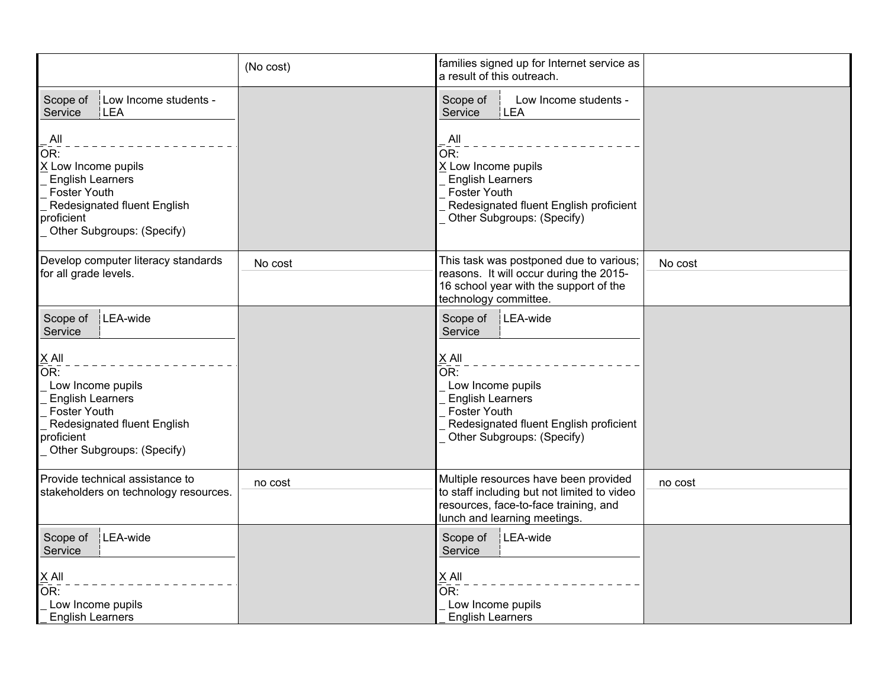|                                                                                                                                                                  | (No cost) | families signed up for Internet service as<br>a result of this outreach.                                                                                      |         |
|------------------------------------------------------------------------------------------------------------------------------------------------------------------|-----------|---------------------------------------------------------------------------------------------------------------------------------------------------------------|---------|
| Scope of<br>Low Income students -<br>Service<br>LEA                                                                                                              |           | Scope of<br>Low Income students -<br>Service<br>LEA                                                                                                           |         |
| All<br>OR:<br>X Low Income pupils<br><b>English Learners</b><br><b>Foster Youth</b><br>Redesignated fluent English<br>proficient<br>Other Subgroups: (Specify)   |           | All<br>OR:<br>X Low Income pupils<br><b>English Learners</b><br><b>Foster Youth</b><br>Redesignated fluent English proficient<br>Other Subgroups: (Specify)   |         |
| Develop computer literacy standards<br>for all grade levels.                                                                                                     | No cost   | This task was postponed due to various;<br>reasons. It will occur during the 2015-<br>16 school year with the support of the<br>technology committee.         | No cost |
| LEA-wide<br>Scope of<br>Service                                                                                                                                  |           | LEA-wide<br>Scope of<br>Service                                                                                                                               |         |
| $X$ All<br>OR:<br>Low Income pupils<br><b>English Learners</b><br><b>Foster Youth</b><br>Redesignated fluent English<br>proficient<br>Other Subgroups: (Specify) |           | $X$ All<br>OR:<br>Low Income pupils<br><b>English Learners</b><br><b>Foster Youth</b><br>Redesignated fluent English proficient<br>Other Subgroups: (Specify) |         |
| Provide technical assistance to<br>stakeholders on technology resources.                                                                                         | no cost   | Multiple resources have been provided<br>to staff including but not limited to video<br>resources, face-to-face training, and<br>lunch and learning meetings. | no cost |
| Scope of<br>LEA-wide<br>Service                                                                                                                                  |           | LEA-wide<br>Scope of<br>Service                                                                                                                               |         |
| $X$ All<br>OR:<br>Low Income pupils<br><b>English Learners</b>                                                                                                   |           | $X$ All<br>OR:<br>Low Income pupils<br><b>English Learners</b>                                                                                                |         |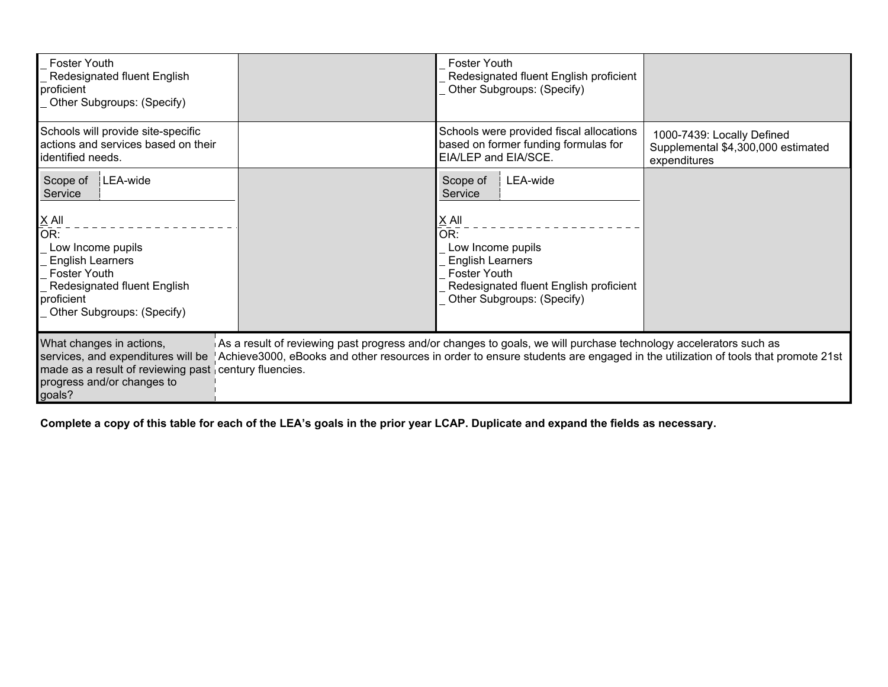| <b>Foster Youth</b><br>Redesignated fluent English<br>proficient<br>Other Subgroups: (Specify)                                                                                                                                                                                                                                                                                                                       |  | <b>Foster Youth</b><br>Redesignated fluent English proficient<br>Other Subgroups: (Specify)                                                                                                      |                                                                                  |
|----------------------------------------------------------------------------------------------------------------------------------------------------------------------------------------------------------------------------------------------------------------------------------------------------------------------------------------------------------------------------------------------------------------------|--|--------------------------------------------------------------------------------------------------------------------------------------------------------------------------------------------------|----------------------------------------------------------------------------------|
| Schools will provide site-specific<br>actions and services based on their<br>identified needs.                                                                                                                                                                                                                                                                                                                       |  | Schools were provided fiscal allocations<br>based on former funding formulas for<br>EIA/LEP and EIA/SCE.                                                                                         | 1000-7439: Locally Defined<br>Supplemental \$4,300,000 estimated<br>expenditures |
| LEA-wide<br>Scope of<br>Service<br>$X$ All<br>OR:<br>Low Income pupils<br><b>English Learners</b><br><b>Foster Youth</b><br>Redesignated fluent English<br>proficient<br><b>Other Subgroups: (Specify)</b>                                                                                                                                                                                                           |  | LEA-wide<br>Scope of<br>Service<br>$X$ All<br>OR:<br>Low Income pupils<br><b>English Learners</b><br><b>Foster Youth</b><br>Redesignated fluent English proficient<br>Other Subgroups: (Specify) |                                                                                  |
| What changes in actions,<br>As a result of reviewing past progress and/or changes to goals, we will purchase technology accelerators such as<br>services, and expenditures will be<br>Achieve3000, eBooks and other resources in order to ensure students are engaged in the utilization of tools that promote 21st<br>made as a result of reviewing past century fluencies.<br>progress and/or changes to<br>goals? |  |                                                                                                                                                                                                  |                                                                                  |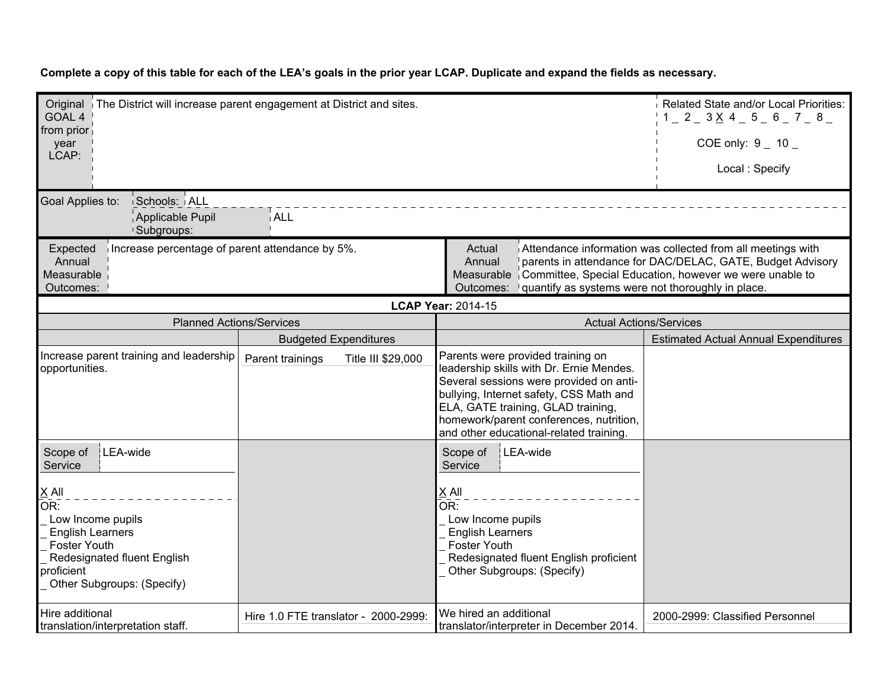| Original The District will increase parent engagement at District and sites.<br>GOAL 4<br>from prior                                                                                                                                                                                                                                                                                         |                                        | Related State and/or Local Priorities:<br>$1 - 2 - 3 \times 4 - 5 - 6 - 7 - 8$                                                                                                                                                                                                                  |                                             |
|----------------------------------------------------------------------------------------------------------------------------------------------------------------------------------------------------------------------------------------------------------------------------------------------------------------------------------------------------------------------------------------------|----------------------------------------|-------------------------------------------------------------------------------------------------------------------------------------------------------------------------------------------------------------------------------------------------------------------------------------------------|---------------------------------------------|
| year<br>LCAP:                                                                                                                                                                                                                                                                                                                                                                                |                                        |                                                                                                                                                                                                                                                                                                 | COE only: $9 - 10 -$                        |
|                                                                                                                                                                                                                                                                                                                                                                                              |                                        |                                                                                                                                                                                                                                                                                                 | Local: Specify                              |
| Goal Applies to:<br>Schools: ALL<br>Applicable Pupil<br>Subgroups:                                                                                                                                                                                                                                                                                                                           | ∣ ALL                                  |                                                                                                                                                                                                                                                                                                 |                                             |
| Attendance information was collected from all meetings with<br>Increase percentage of parent attendance by 5%.<br>Expected<br>Actual<br>parents in attendance for DAC/DELAC, GATE, Budget Advisory<br>Annual<br>Annual<br>Measurable<br>Measurable<br>Committee, Special Education, however we were unable to<br>Outcomes:<br>quantify as systems were not thoroughly in place.<br>Outcomes: |                                        |                                                                                                                                                                                                                                                                                                 |                                             |
|                                                                                                                                                                                                                                                                                                                                                                                              |                                        | <b>LCAP Year: 2014-15</b>                                                                                                                                                                                                                                                                       |                                             |
| <b>Planned Actions/Services</b>                                                                                                                                                                                                                                                                                                                                                              |                                        | <b>Actual Actions/Services</b>                                                                                                                                                                                                                                                                  |                                             |
|                                                                                                                                                                                                                                                                                                                                                                                              | <b>Budgeted Expenditures</b>           |                                                                                                                                                                                                                                                                                                 | <b>Estimated Actual Annual Expenditures</b> |
| Increase parent training and leadership<br>opportunities.                                                                                                                                                                                                                                                                                                                                    | Title III \$29,000<br>Parent trainings | Parents were provided training on<br>leadership skills with Dr. Ernie Mendes.<br>Several sessions were provided on anti-<br>bullying, Internet safety, CSS Math and<br>ELA, GATE training, GLAD training,<br>homework/parent conferences, nutrition,<br>and other educational-related training. |                                             |
| Scope of<br>LEA-wide<br>Service                                                                                                                                                                                                                                                                                                                                                              |                                        | Scope of<br>LEA-wide<br>Service                                                                                                                                                                                                                                                                 |                                             |
| X All<br>IOR:<br>Low Income pupils<br><b>English Learners</b><br><b>Foster Youth</b><br>Redesignated fluent English<br>proficient<br>Other Subgroups: (Specify)                                                                                                                                                                                                                              |                                        | $X$ All<br>OR:<br>Low Income pupils<br><b>English Learners</b><br>Foster Youth<br>Redesignated fluent English proficient<br>Other Subgroups: (Specify)                                                                                                                                          |                                             |
| Hire additional<br>translation/interpretation staff.                                                                                                                                                                                                                                                                                                                                         | Hire 1.0 FTE translator - 2000-2999:   | We hired an additional<br>translator/interpreter in December 2014.                                                                                                                                                                                                                              | 2000-2999: Classified Personnel             |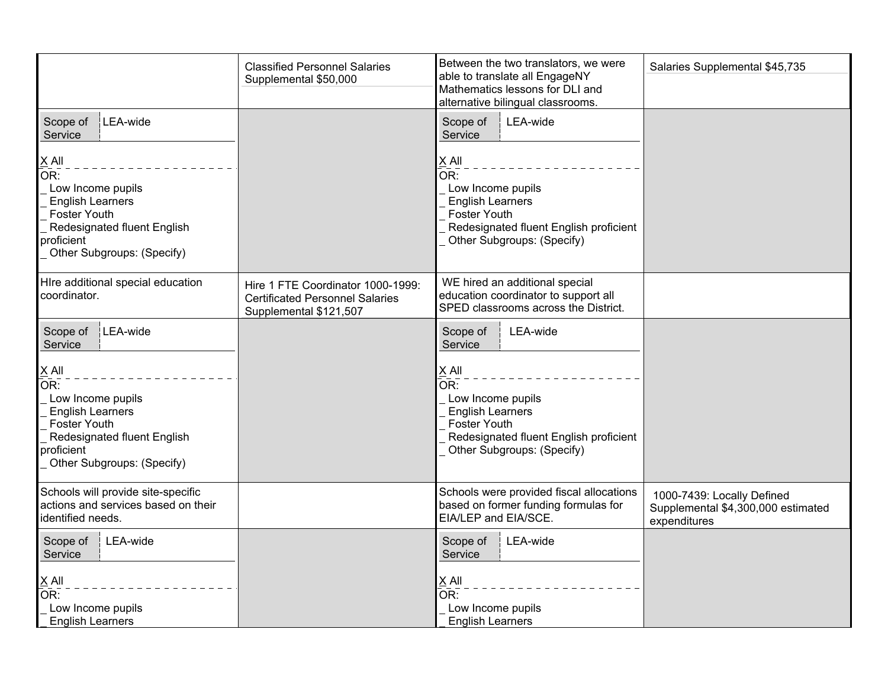|                                                                                                                                                                  | <b>Classified Personnel Salaries</b><br>Supplemental \$50,000                                         | Between the two translators, we were<br>able to translate all EngageNY<br>Mathematics lessons for DLI and<br>alternative bilingual classrooms.                                | Salaries Supplemental \$45,735                                                   |
|------------------------------------------------------------------------------------------------------------------------------------------------------------------|-------------------------------------------------------------------------------------------------------|-------------------------------------------------------------------------------------------------------------------------------------------------------------------------------|----------------------------------------------------------------------------------|
| LEA-wide<br>Scope of<br>Service                                                                                                                                  |                                                                                                       | LEA-wide<br>Scope of<br>Service                                                                                                                                               |                                                                                  |
| $X$ All<br>OR:<br>Low Income pupils<br><b>English Learners</b><br><b>Foster Youth</b><br>Redesignated fluent English<br>proficient<br>Other Subgroups: (Specify) |                                                                                                       | $X$ All<br>$\overline{\mathsf{OR}}$ :<br>Low Income pupils<br><b>English Learners</b><br>Foster Youth<br>Redesignated fluent English proficient<br>Other Subgroups: (Specify) |                                                                                  |
| Hire additional special education<br>coordinator.                                                                                                                | Hire 1 FTE Coordinator 1000-1999:<br><b>Certificated Personnel Salaries</b><br>Supplemental \$121,507 | WE hired an additional special<br>education coordinator to support all<br>SPED classrooms across the District.                                                                |                                                                                  |
| LEA-wide<br>Scope of<br>Service                                                                                                                                  |                                                                                                       | Scope of<br>LEA-wide<br>Service                                                                                                                                               |                                                                                  |
| $X$ All<br>OR:<br>Low Income pupils<br><b>English Learners</b><br><b>Foster Youth</b><br>Redesignated fluent English<br>proficient<br>Other Subgroups: (Specify) |                                                                                                       | $X$ All<br>OR:<br>Low Income pupils<br><b>English Learners</b><br><b>Foster Youth</b><br>Redesignated fluent English proficient<br>Other Subgroups: (Specify)                 |                                                                                  |
| Schools will provide site-specific<br>actions and services based on their<br>identified needs.                                                                   |                                                                                                       | Schools were provided fiscal allocations<br>based on former funding formulas for<br>EIA/LEP and EIA/SCE.                                                                      | 1000-7439: Locally Defined<br>Supplemental \$4,300,000 estimated<br>expenditures |
| Scope of<br>LEA-wide<br>Service                                                                                                                                  |                                                                                                       | LEA-wide<br>Scope of<br>Service                                                                                                                                               |                                                                                  |
| $X$ All<br>OR:<br>Low Income pupils<br><b>English Learners</b>                                                                                                   |                                                                                                       | X All<br>$\overline{\mathsf{OR}}$ :<br>Low Income pupils<br><b>English Learners</b>                                                                                           |                                                                                  |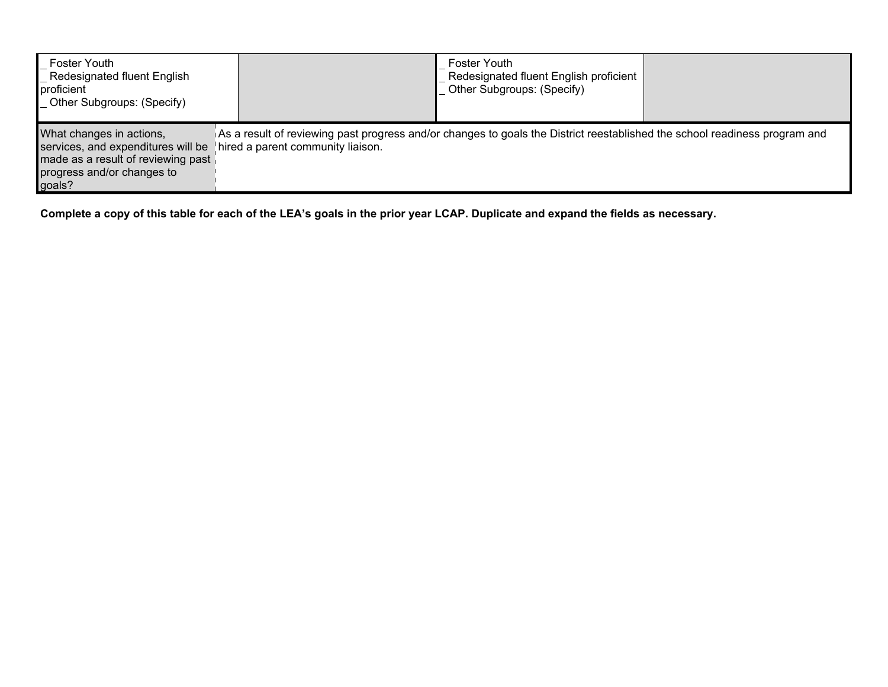| Foster Youth<br><b>Redesignated fluent English</b><br>proficient<br><b>Other Subgroups: (Specify)</b>                                        |                                                                                                                                                                 | <b>Foster Youth</b><br>Redesignated fluent English proficient<br>Other Subgroups: (Specify) |  |
|----------------------------------------------------------------------------------------------------------------------------------------------|-----------------------------------------------------------------------------------------------------------------------------------------------------------------|---------------------------------------------------------------------------------------------|--|
| What changes in actions,<br>services, and expenditures will be<br>made as a result of reviewing past<br>progress and/or changes to<br>goals? | As a result of reviewing past progress and/or changes to goals the District reestablished the school readiness program and<br>hired a parent community liaison. |                                                                                             |  |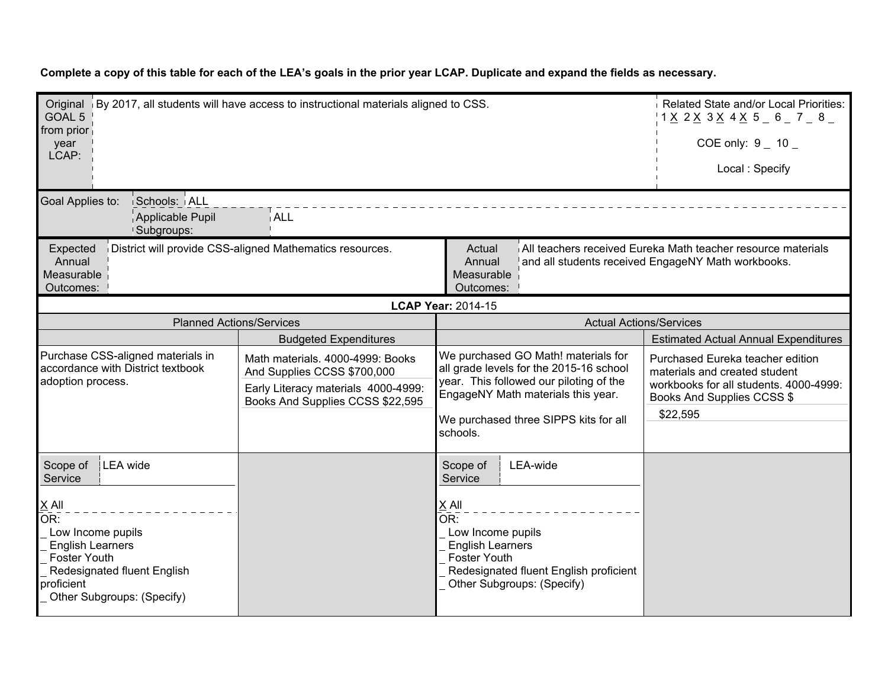| Complete a copy of this table for each of the LEA's goals in the prior year LCAP. Duplicate and expand the fields as necessary. |  |
|---------------------------------------------------------------------------------------------------------------------------------|--|
|                                                                                                                                 |  |

| Original By 2017, all students will have access to instructional materials aligned to CSS.<br>GOAL 5<br>from prior<br>year<br>LCAP:                                                                                                                                            |                                                                                                                                            |                                                                                                                                                                                                                      | Related State and/or Local Priorities:<br>$1 \times 2 \times 3 \times 4 \times 5 = 6 = 7 = 8 = 1$<br>COE only: $9 - 10$<br>Local: Specify             |
|--------------------------------------------------------------------------------------------------------------------------------------------------------------------------------------------------------------------------------------------------------------------------------|--------------------------------------------------------------------------------------------------------------------------------------------|----------------------------------------------------------------------------------------------------------------------------------------------------------------------------------------------------------------------|-------------------------------------------------------------------------------------------------------------------------------------------------------|
| Goal Applies to:<br>Schools: ALL<br>Applicable Pupil<br>Subgroups:                                                                                                                                                                                                             | i ALL                                                                                                                                      |                                                                                                                                                                                                                      |                                                                                                                                                       |
| All teachers received Eureka Math teacher resource materials<br>District will provide CSS-aligned Mathematics resources.<br>Actual<br>Expected<br>Annual<br>Annual<br>and all students received EngageNY Math workbooks.<br>Measurable<br>Measurable<br>Outcomes:<br>Outcomes: |                                                                                                                                            |                                                                                                                                                                                                                      |                                                                                                                                                       |
|                                                                                                                                                                                                                                                                                |                                                                                                                                            | <b>LCAP Year: 2014-15</b>                                                                                                                                                                                            |                                                                                                                                                       |
| <b>Planned Actions/Services</b>                                                                                                                                                                                                                                                |                                                                                                                                            | <b>Actual Actions/Services</b>                                                                                                                                                                                       |                                                                                                                                                       |
|                                                                                                                                                                                                                                                                                | <b>Budgeted Expenditures</b>                                                                                                               |                                                                                                                                                                                                                      | <b>Estimated Actual Annual Expenditures</b>                                                                                                           |
| Purchase CSS-aligned materials in<br>accordance with District textbook<br>adoption process.                                                                                                                                                                                    | Math materials. 4000-4999: Books<br>And Supplies CCSS \$700,000<br>Early Literacy materials 4000-4999:<br>Books And Supplies CCSS \$22,595 | We purchased GO Math! materials for<br>all grade levels for the 2015-16 school<br>year. This followed our piloting of the<br>EngageNY Math materials this year.<br>We purchased three SIPPS kits for all<br>schools. | Purchased Eureka teacher edition<br>materials and created student<br>workbooks for all students. 4000-4999:<br>Books And Supplies CCSS \$<br>\$22,595 |
| LEA wide<br>Scope of<br>Service<br>$\times$ All<br>OR:<br>Low Income pupils<br><b>English Learners</b><br><b>Foster Youth</b><br>Redesignated fluent English<br>proficient<br>Other Subgroups: (Specify)                                                                       |                                                                                                                                            | LEA-wide<br>Scope of<br>Service<br>X All<br>OR:<br>Low Income pupils<br><b>English Learners</b><br><b>Foster Youth</b><br>Redesignated fluent English proficient<br>Other Subgroups: (Specify)                       |                                                                                                                                                       |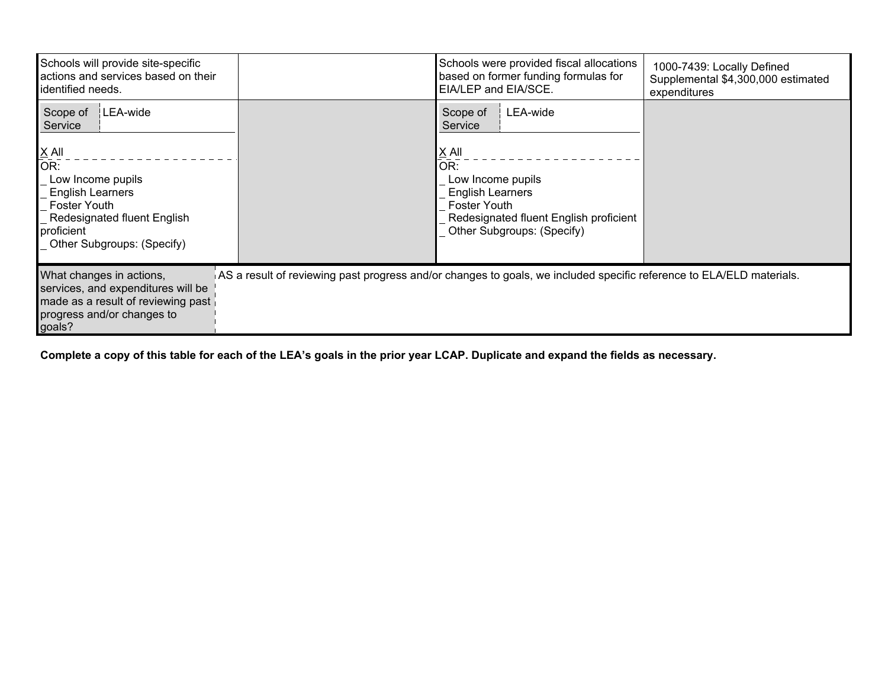| Schools will provide site-specific<br>actions and services based on their<br>lidentified needs.                                                                              | Schools were provided fiscal allocations<br>based on former funding formulas for<br>EIA/LEP and EIA/SCE.                                                                  | 1000-7439: Locally Defined<br>Supplemental \$4,300,000 estimated<br>expenditures |
|------------------------------------------------------------------------------------------------------------------------------------------------------------------------------|---------------------------------------------------------------------------------------------------------------------------------------------------------------------------|----------------------------------------------------------------------------------|
| LEA-wide<br>Scope of<br>Service                                                                                                                                              | LEA-wide<br>Scope of<br>Service                                                                                                                                           |                                                                                  |
| $\underline{X}$ All<br>OR:<br>Low Income pupils<br><b>English Learners</b><br><b>Foster Youth</b><br>Redesignated fluent English<br>proficient<br>Other Subgroups: (Specify) | $\underline{X}$ All<br>OR:<br>Low Income pupils<br><b>English Learners</b><br><b>Foster Youth</b><br>Redesignated fluent English proficient<br>Other Subgroups: (Specify) |                                                                                  |
| What changes in actions,<br>services, and expenditures will be<br>made as a result of reviewing past<br>progress and/or changes to<br>goals?                                 | AS a result of reviewing past progress and/or changes to goals, we included specific reference to ELA/ELD materials.                                                      |                                                                                  |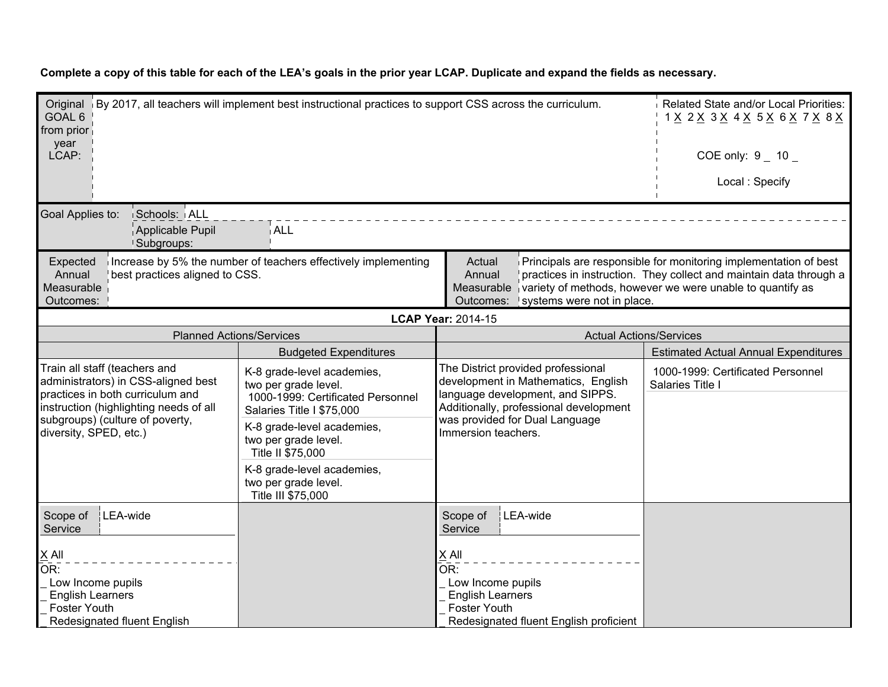Original (By 2017, all teachers will implement best instructional practices to support CSS across the curriculum. Related State and/or Local Priorities: GOAL 6 from prior year LCAP: 1 X 2 X 3 X 4 X 5 X 6 X 7 X 8 X  $COE$  only:  $9$  10 Local : Specify Goal Applies to: Schools: ALL Applicable Pupil Subgroups: ALL Expected Annual Measurable i Outcomes: 1 Increase by 5% the number of teachers effectively implementing best practices aligned to CSS. Actual Annual Measurable ivariety of methods, however we were unable to quantify as Outcomes: systems were not in place. Principals are responsible for monitoring implementation of best practices in instruction. They collect and maintain data through a **LCAP Year:** 2014-15 Planned Actions/Services Actions/Services Actual Actions/Services Actual Actions/Services Budgeted Expenditures **Expenditures Expenditures** Estimated Actual Annual Expenditures Train all staff (teachers and administrators) in CSS-aligned best practices in both curriculum and instruction (highlighting needs of all subgroups) (culture of poverty, diversity, SPED, etc.) K-8 grade-level academies, two per grade level. 1000-1999: Certificated Personnel Salaries Title I \$75,000 K-8 grade-level academies, two per grade level. Title II \$75,000 K-8 grade-level academies, two per grade level. Title III \$75,000 The District provided professional development in Mathematics, English language development, and SIPPS. Additionally, professional development was provided for Dual Language Immersion teachers. 1000-1999: Certificated Personnel Salaries Title I Scope of LEA-wide **Service** X All  $OR:$  Low Income pupils English Learners Foster Youth Redesignated fluent English Scope of **Service** LEA-wide X All OR: Low Income pupils English Learners Foster Youth Redesignated fluent English proficient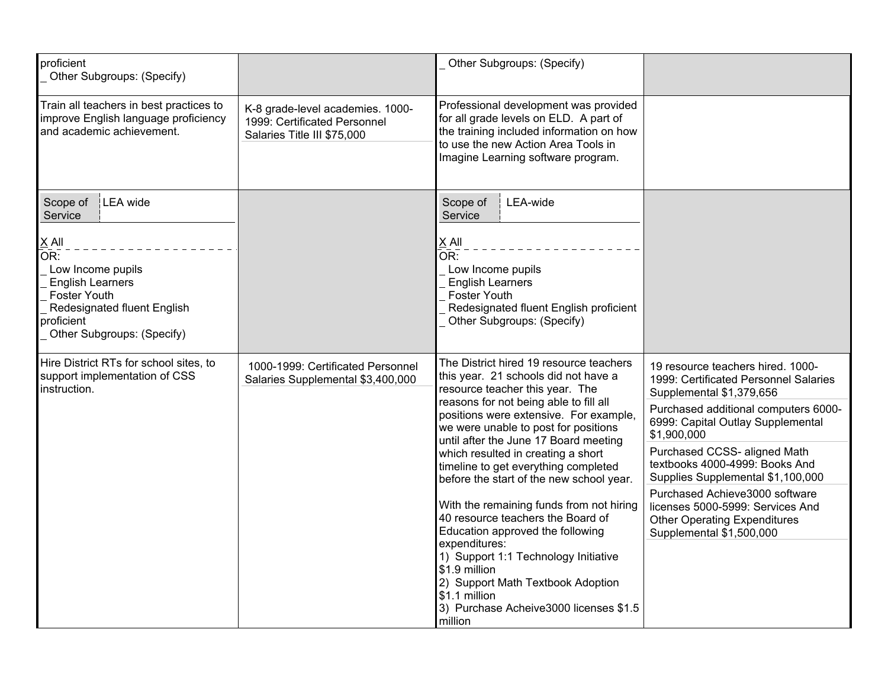| proficient<br>Other Subgroups: (Specify)                                                                                                                                                     |                                                                                                 | Other Subgroups: (Specify)                                                                                                                                                                                                                                                                                                                                                                                                                                                                                                                                                                                                                                                                                                  |                                                                                                                                                                                                                                                                                                                                                                                                                                                    |
|----------------------------------------------------------------------------------------------------------------------------------------------------------------------------------------------|-------------------------------------------------------------------------------------------------|-----------------------------------------------------------------------------------------------------------------------------------------------------------------------------------------------------------------------------------------------------------------------------------------------------------------------------------------------------------------------------------------------------------------------------------------------------------------------------------------------------------------------------------------------------------------------------------------------------------------------------------------------------------------------------------------------------------------------------|----------------------------------------------------------------------------------------------------------------------------------------------------------------------------------------------------------------------------------------------------------------------------------------------------------------------------------------------------------------------------------------------------------------------------------------------------|
| Train all teachers in best practices to<br>improve English language proficiency<br>and academic achievement.                                                                                 | K-8 grade-level academies. 1000-<br>1999: Certificated Personnel<br>Salaries Title III \$75,000 | Professional development was provided<br>for all grade levels on ELD. A part of<br>the training included information on how<br>to use the new Action Area Tools in<br>Imagine Learning software program.                                                                                                                                                                                                                                                                                                                                                                                                                                                                                                                    |                                                                                                                                                                                                                                                                                                                                                                                                                                                    |
| LEA wide<br>Scope of<br>Service<br>$X$ All<br>OR:<br>Low Income pupils<br><b>English Learners</b><br>Foster Youth<br>Redesignated fluent English<br>proficient<br>Other Subgroups: (Specify) |                                                                                                 | LEA-wide<br>Scope of<br>Service<br>$X$ All<br>OR:<br>Low Income pupils<br><b>English Learners</b><br><b>Foster Youth</b><br>Redesignated fluent English proficient<br>Other Subgroups: (Specify)                                                                                                                                                                                                                                                                                                                                                                                                                                                                                                                            |                                                                                                                                                                                                                                                                                                                                                                                                                                                    |
| Hire District RTs for school sites, to<br>support implementation of CSS<br>instruction.                                                                                                      | 1000-1999: Certificated Personnel<br>Salaries Supplemental \$3,400,000                          | The District hired 19 resource teachers<br>this year. 21 schools did not have a<br>resource teacher this year. The<br>reasons for not being able to fill all<br>positions were extensive. For example,<br>we were unable to post for positions<br>until after the June 17 Board meeting<br>which resulted in creating a short<br>timeline to get everything completed<br>before the start of the new school year.<br>With the remaining funds from not hiring<br>40 resource teachers the Board of<br>Education approved the following<br>expenditures:<br>1) Support 1:1 Technology Initiative<br>\$1.9 million<br>2) Support Math Textbook Adoption<br>\$1.1 million<br>3) Purchase Acheive3000 licenses \$1.5<br>million | 19 resource teachers hired. 1000-<br>1999: Certificated Personnel Salaries<br>Supplemental \$1,379,656<br>Purchased additional computers 6000-<br>6999: Capital Outlay Supplemental<br>\$1,900,000<br>Purchased CCSS- aligned Math<br>textbooks 4000-4999: Books And<br>Supplies Supplemental \$1,100,000<br>Purchased Achieve3000 software<br>licenses 5000-5999: Services And<br><b>Other Operating Expenditures</b><br>Supplemental \$1,500,000 |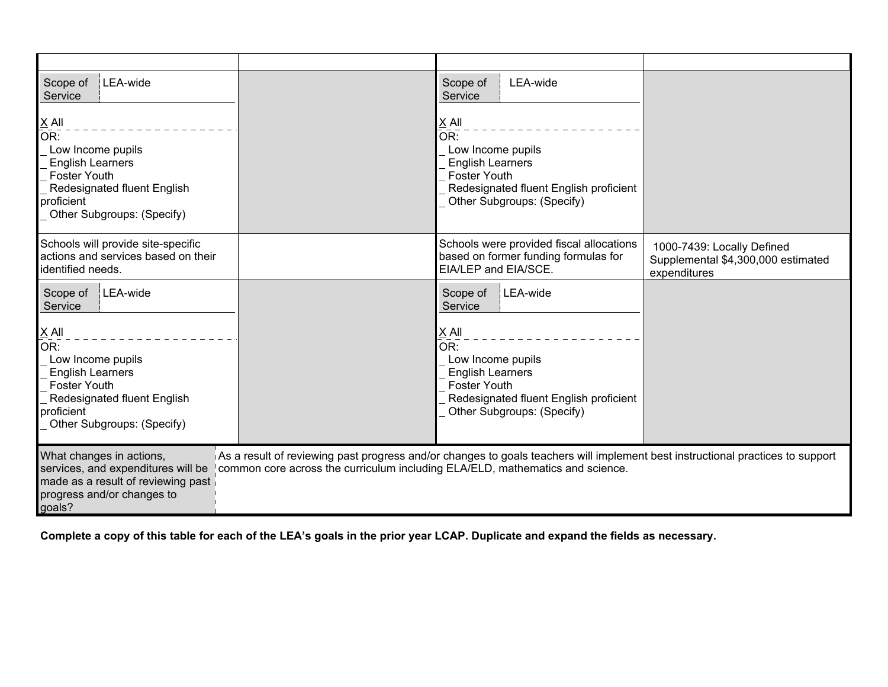| LEA-wide<br>Scope of<br>Service<br>$X$ All                                                                                                                                                          |                                                                               | LEA-wide<br>Scope of<br>Service<br>X All                                                                                                                                                         |                                                                                  |
|-----------------------------------------------------------------------------------------------------------------------------------------------------------------------------------------------------|-------------------------------------------------------------------------------|--------------------------------------------------------------------------------------------------------------------------------------------------------------------------------------------------|----------------------------------------------------------------------------------|
| $\overline{OR}$ :<br>Low Income pupils<br><b>English Learners</b><br><b>Foster Youth</b><br>Redesignated fluent English<br>proficient<br>Other Subgroups: (Specify)                                 |                                                                               | $\bar{\mathsf{OR}}$ :<br>Low Income pupils<br><b>English Learners</b><br><b>Foster Youth</b><br>Redesignated fluent English proficient<br>Other Subgroups: (Specify)                             |                                                                                  |
| Schools will provide site-specific<br>actions and services based on their<br>identified needs.                                                                                                      |                                                                               | Schools were provided fiscal allocations<br>based on former funding formulas for<br>EIA/LEP and EIA/SCE.                                                                                         | 1000-7439: Locally Defined<br>Supplemental \$4,300,000 estimated<br>expenditures |
| LEA-wide<br>Scope of<br>Service<br>$X$ All<br>OR:<br>Low Income pupils<br><b>English Learners</b><br><b>Foster Youth</b><br>Redesignated fluent English<br>proficient<br>Other Subgroups: (Specify) |                                                                               | LEA-wide<br>Scope of<br>Service<br>$X$ All<br>OR:<br>Low Income pupils<br><b>English Learners</b><br><b>Foster Youth</b><br>Redesignated fluent English proficient<br>Other Subgroups: (Specify) |                                                                                  |
| What changes in actions,<br>services, and expenditures will be<br>made as a result of reviewing past<br>progress and/or changes to<br>goals?                                                        | common core across the curriculum including ELA/ELD, mathematics and science. | As a result of reviewing past progress and/or changes to goals teachers will implement best instructional practices to support                                                                   |                                                                                  |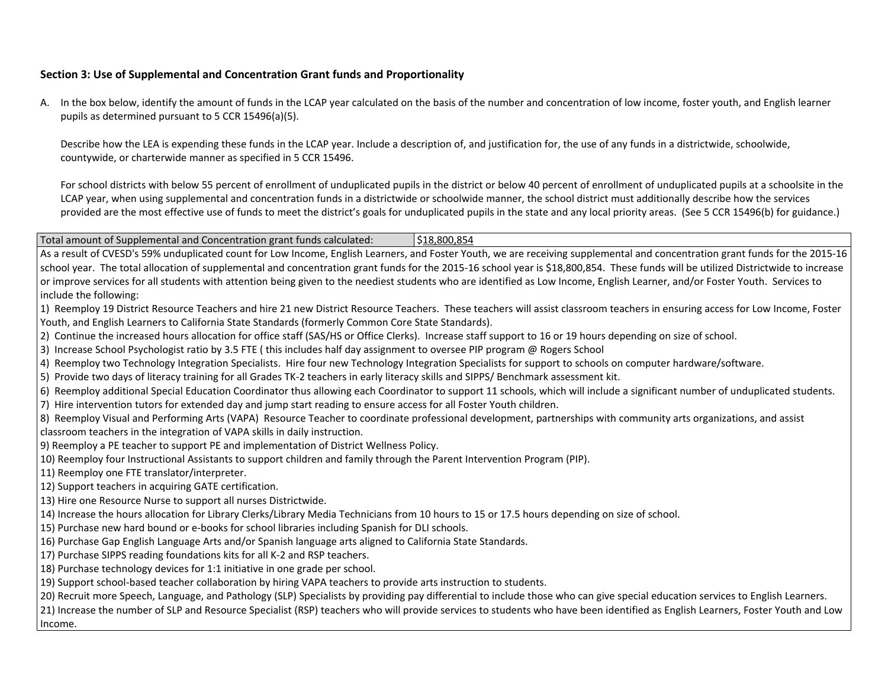#### **Section 3: Use of Supplemental and Concentration Grant funds and Proportionality**

A. In the box below, identify the amount of funds in the LCAP year calculated on the basis of the number and concentration of low income, foster youth, and English learner pupils as determined pursuant to 5 CCR 15496(a)(5).

Describe how the LEA is expending these funds in the LCAP year. Include a description of, and justification for, the use of any funds in a districtwide, schoolwide, countywide, or charterwide manner as specified in 5 CCR 15496.

For school districts with below 55 percent of enrollment of unduplicated pupils in the district or below 40 percent of enrollment of unduplicated pupils at a schoolsite in the LCAP year, when using supplemental and concentration funds in a districtwide or schoolwide manner, the school district must additionally describe how the services provided are the most effective use of funds to meet the district's goals for unduplicated pupils in the state and any local priority areas. (See 5 CCR 15496(b) for guidance.)

Total amount of Supplemental and Concentration grant funds calculated: \$18,800,854

As a result of CVESD's 59% unduplicated count for Low Income, English Learners, and Foster Youth, we are receiving supplemental and concentration grant funds for the 2015-16 school year. The total allocation of supplemental and concentration grant funds for the 2015-16 school year is \$18,800,854. These funds will be utilized Districtwide to increase or improve services for all students with attention being given to the neediest students who are identified as Low Income, English Learner, and/or Foster Youth. Services to include the following:

- 1) Reemploy 19 District Resource Teachers and hire 21 new District Resource Teachers. These teachers will assist classroom teachers in ensuring access for Low Income, Foster Youth, and English Learners to California State Standards (formerly Common Core State Standards).
- 2) Continue the increased hours allocation for office staff (SAS/HS or Office Clerks). Increase staff support to 16 or 19 hours depending on size of school.
- 3) Increase School Psychologist ratio by 3.5 FTE ( this includes half day assignment to oversee PIP program @ Rogers School
- 4) Reemploy two Technology Integration Specialists. Hire four new Technology Integration Specialists for support to schools on computer hardware/software.
- 5) Provide two days of literacy training for all Grades TK-2 teachers in early literacy skills and SIPPS/ Benchmark assessment kit.
- 6) Reemploy additional Special Education Coordinator thus allowing each Coordinator to support 11 schools, which will include a significant number of unduplicated students.
- 7) Hire intervention tutors for extended day and jump start reading to ensure access for all Foster Youth children.
- 8) Reemploy Visual and Performing Arts (VAPA) Resource Teacher to coordinate professional development, partnerships with community arts organizations, and assist classroom teachers in the integration of VAPA skills in daily instruction.
- 9) Reemploy a PE teacher to support PE and implementation of District Wellness Policy.
- 10) Reemploy four Instructional Assistants to support children and family through the Parent Intervention Program (PIP).
- 11) Reemploy one FTE translator/interpreter.
- 12) Support teachers in acquiring GATE certification.
- 13) Hire one Resource Nurse to support all nurses Districtwide.
- 14) Increase the hours allocation for Library Clerks/Library Media Technicians from 10 hours to 15 or 17.5 hours depending on size of school.
- 15) Purchase new hard bound or e-books for school libraries including Spanish for DLI schools.
- 16) Purchase Gap English Language Arts and/or Spanish language arts aligned to California State Standards.
- 17) Purchase SIPPS reading foundations kits for all K-2 and RSP teachers.
- 18) Purchase technology devices for 1:1 initiative in one grade per school.
- 19) Support school-based teacher collaboration by hiring VAPA teachers to provide arts instruction to students.

20) Recruit more Speech, Language, and Pathology (SLP) Specialists by providing pay differential to include those who can give special education services to English Learners.

21) Increase the number of SLP and Resource Specialist (RSP) teachers who will provide services to students who have been identified as English Learners, Foster Youth and Low Income.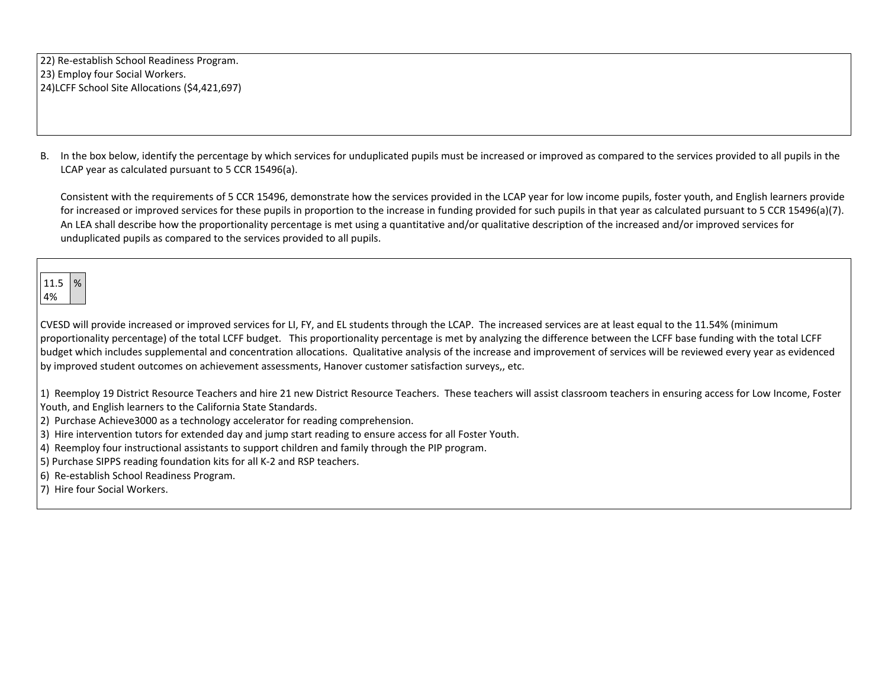22) Re-establish School Readiness Program. 23) Employ four Social Workers. 24)LCFF School Site Allocations (\$4,421,697)

B. In the box below, identify the percentage by which services for unduplicated pupils must be increased or improved as compared to the services provided to all pupils in the LCAP year as calculated pursuant to 5 CCR 15496(a).

Consistent with the requirements of 5 CCR 15496, demonstrate how the services provided in the LCAP year for low income pupils, foster youth, and English learners provide for increased or improved services for these pupils in proportion to the increase in funding provided for such pupils in that year as calculated pursuant to 5 CCR 15496(a)(7). An LEA shall describe how the proportionality percentage is met using a quantitative and/or qualitative description of the increased and/or improved services for unduplicated pupils as compared to the services provided to all pupils.



CVESD will provide increased or improved services for LI, FY, and EL students through the LCAP. The increased services are at least equal to the 11.54% (minimum proportionality percentage) of the total LCFF budget. This proportionality percentage is met by analyzing the difference between the LCFF base funding with the total LCFF budget which includes supplemental and concentration allocations. Qualitative analysis of the increase and improvement of services will be reviewed every year as evidenced by improved student outcomes on achievement assessments, Hanover customer satisfaction surveys,, etc.

1) Reemploy 19 District Resource Teachers and hire 21 new District Resource Teachers. These teachers will assist classroom teachers in ensuring access for Low Income, Foster Youth, and English learners to the California State Standards.

- 2) Purchase Achieve3000 as a technology accelerator for reading comprehension.
- 3) Hire intervention tutors for extended day and jump start reading to ensure access for all Foster Youth.
- 4) Reemploy four instructional assistants to support children and family through the PIP program.
- 5) Purchase SIPPS reading foundation kits for all K-2 and RSP teachers.
- 6) Re-establish School Readiness Program.
- 7) Hire four Social Workers.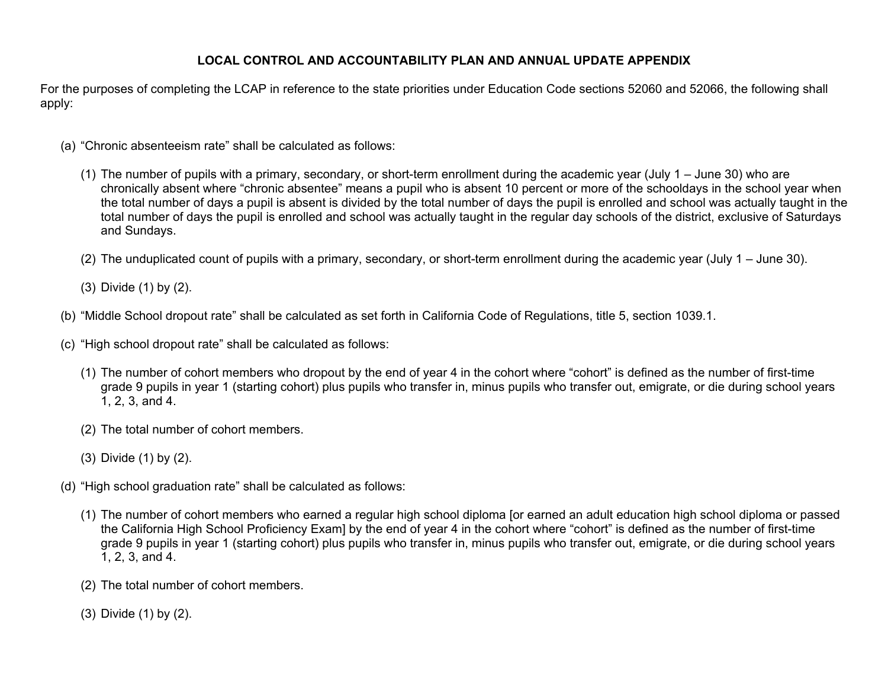#### **LOCAL CONTROL AND ACCOUNTABILITY PLAN AND ANNUAL UPDATE APPENDIX**

For the purposes of completing the LCAP in reference to the state priorities under Education Code sections 52060 and 52066, the following shall apply:

- (a) "Chronic absenteeism rate" shall be calculated as follows:
	- (1) The number of pupils with a primary, secondary, or short-term enrollment during the academic year (July 1 June 30) who are chronically absent where "chronic absentee" means a pupil who is absent 10 percent or more of the schooldays in the school year when the total number of days a pupil is absent is divided by the total number of days the pupil is enrolled and school was actually taught in the total number of days the pupil is enrolled and school was actually taught in the regular day schools of the district, exclusive of Saturdays and Sundays.
	- (2) The unduplicated count of pupils with a primary, secondary, or short-term enrollment during the academic year (July 1 June 30).
	- (3) Divide (1) by (2).
- (b) "Middle School dropout rate" shall be calculated as set forth in California Code of Regulations, title 5, section 1039.1.
- (c) "High school dropout rate" shall be calculated as follows:
	- (1) The number of cohort members who dropout by the end of year 4 in the cohort where "cohort" is defined as the number of first-time grade 9 pupils in year 1 (starting cohort) plus pupils who transfer in, minus pupils who transfer out, emigrate, or die during school years 1, 2, 3, and 4.
	- (2) The total number of cohort members.
	- (3) Divide (1) by (2).
- (d) "High school graduation rate" shall be calculated as follows:
	- (1) The number of cohort members who earned a regular high school diploma [or earned an adult education high school diploma or passed the California High School Proficiency Exam] by the end of year 4 in the cohort where "cohort" is defined as the number of first-time grade 9 pupils in year 1 (starting cohort) plus pupils who transfer in, minus pupils who transfer out, emigrate, or die during school years 1, 2, 3, and 4.
	- (2) The total number of cohort members.
	- (3) Divide (1) by (2).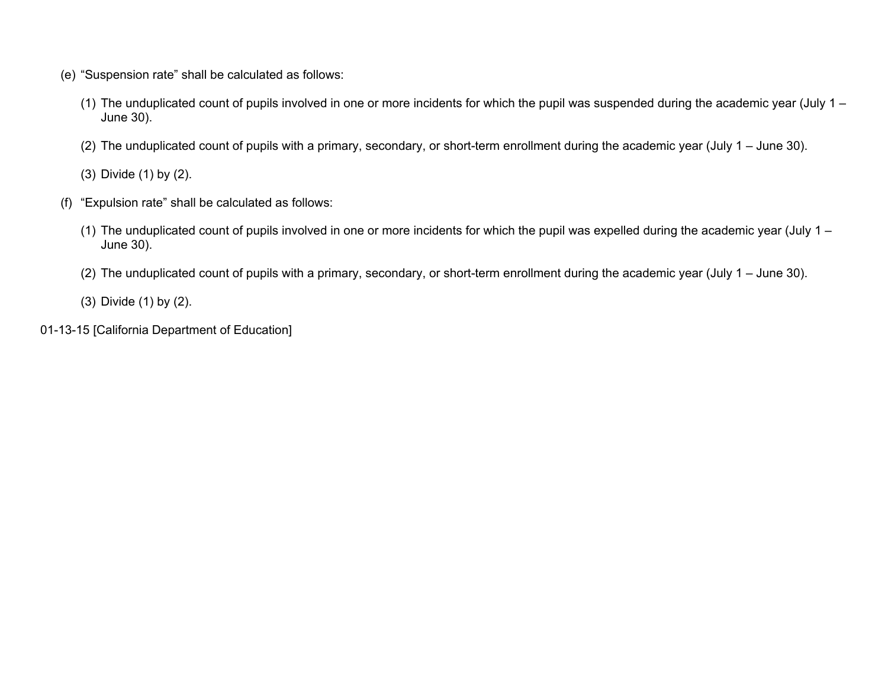- (e) "Suspension rate" shall be calculated as follows:
	- (1) The unduplicated count of pupils involved in one or more incidents for which the pupil was suspended during the academic year (July 1 June 30).
	- (2) The unduplicated count of pupils with a primary, secondary, or short-term enrollment during the academic year (July 1 June 30).

(3) Divide (1) by (2).

- (f) "Expulsion rate" shall be calculated as follows:
	- (1) The unduplicated count of pupils involved in one or more incidents for which the pupil was expelled during the academic year (July 1 June 30).
	- (2) The unduplicated count of pupils with a primary, secondary, or short-term enrollment during the academic year (July 1 June 30).

(3) Divide (1) by (2).

01-13-15 [California Department of Education]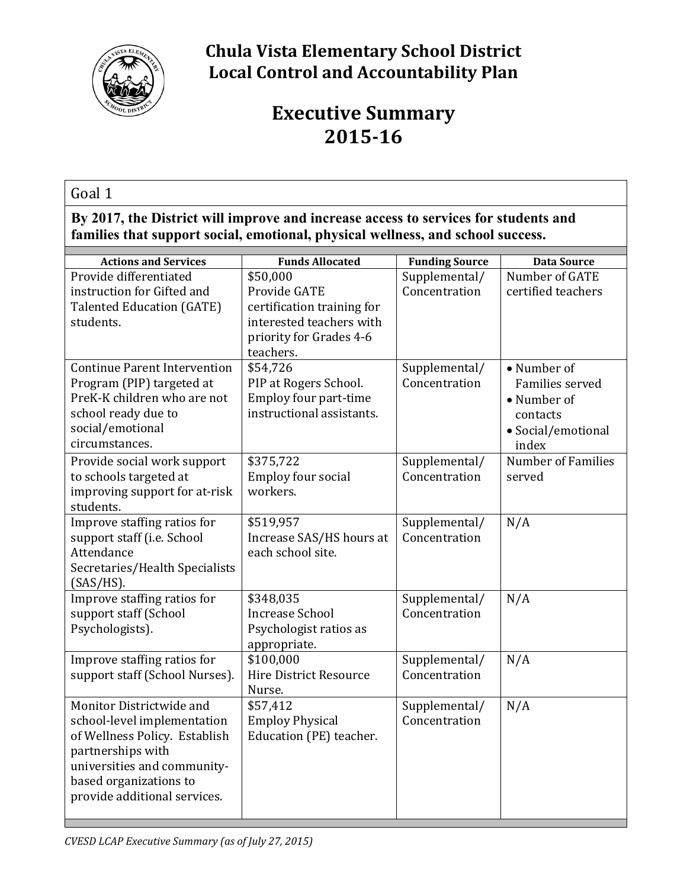

## **Chula Vista Elementary School District Local Control and Accountability Plan**

# **Executive Summary 2015-16**

#### Goal 1

**By 2017, the District will improve and increase access to services for students and families that support social, emotional, physical wellness, and school success.**

| <b>Actions and Services</b>         | <b>Funds Allocated</b>        | <b>Funding Source</b> | <b>Data Source</b>        |
|-------------------------------------|-------------------------------|-----------------------|---------------------------|
| Provide differentiated              | \$50,000                      | Supplemental/         | Number of GATE            |
| instruction for Gifted and          | Provide GATE                  | Concentration         | certified teachers        |
| <b>Talented Education (GATE)</b>    | certification training for    |                       |                           |
| students.                           | interested teachers with      |                       |                           |
|                                     | priority for Grades 4-6       |                       |                           |
|                                     | teachers.                     |                       |                           |
| <b>Continue Parent Intervention</b> | \$54,726                      | Supplemental/         | • Number of               |
| Program (PIP) targeted at           | PIP at Rogers School.         | Concentration         | Families served           |
| PreK-K children who are not         | Employ four part-time         |                       | • Number of               |
| school ready due to                 | instructional assistants.     |                       | contacts                  |
| social/emotional                    |                               |                       | • Social/emotional        |
| circumstances.                      |                               |                       | index                     |
| Provide social work support         | \$375,722                     | Supplemental/         | <b>Number of Families</b> |
| to schools targeted at              | Employ four social            | Concentration         | served                    |
| improving support for at-risk       | workers.                      |                       |                           |
| students.                           |                               |                       |                           |
| Improve staffing ratios for         | \$519,957                     | Supplemental/         | N/A                       |
| support staff (i.e. School          | Increase SAS/HS hours at      | Concentration         |                           |
| Attendance                          | each school site.             |                       |                           |
| Secretaries/Health Specialists      |                               |                       |                           |
| (SAS/HS).                           |                               |                       |                           |
| Improve staffing ratios for         | \$348,035                     | Supplemental/         | N/A                       |
| support staff (School               | <b>Increase School</b>        | Concentration         |                           |
| Psychologists).                     | Psychologist ratios as        |                       |                           |
| Improve staffing ratios for         | appropriate.<br>\$100,000     | Supplemental/         | N/A                       |
| support staff (School Nurses).      | <b>Hire District Resource</b> | Concentration         |                           |
|                                     | Nurse.                        |                       |                           |
| Monitor Districtwide and            | \$57,412                      | Supplemental/         | N/A                       |
| school-level implementation         | <b>Employ Physical</b>        | Concentration         |                           |
| of Wellness Policy. Establish       | Education (PE) teacher.       |                       |                           |
| partnerships with                   |                               |                       |                           |
| universities and community-         |                               |                       |                           |
| based organizations to              |                               |                       |                           |
| provide additional services.        |                               |                       |                           |
|                                     |                               |                       |                           |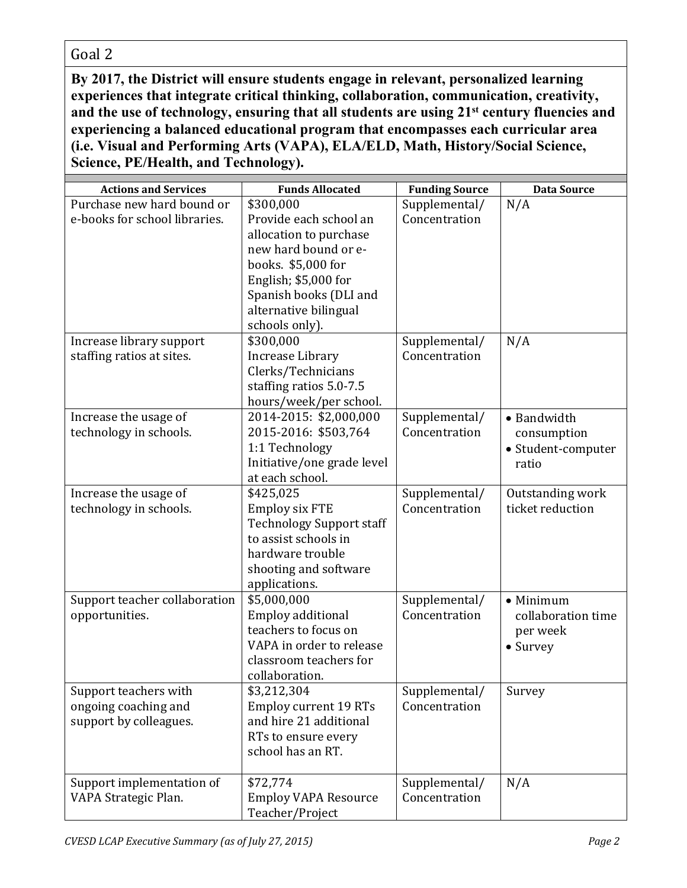**By 2017, the District will ensure students engage in relevant, personalized learning experiences that integrate critical thinking, collaboration, communication, creativity, and the use of technology, ensuring that all students are using 21st century fluencies and experiencing a balanced educational program that encompasses each curricular area (i.e. Visual and Performing Arts (VAPA), ELA/ELD, Math, History/Social Science, Science, PE/Health, and Technology).**

| <b>Actions and Services</b>   | <b>Funds Allocated</b>                    | <b>Funding Source</b>          | <b>Data Source</b> |
|-------------------------------|-------------------------------------------|--------------------------------|--------------------|
| Purchase new hard bound or    | \$300,000                                 | Supplemental/                  | N/A                |
| e-books for school libraries. | Provide each school an                    | Concentration                  |                    |
|                               | allocation to purchase                    |                                |                    |
|                               | new hard bound or e-                      |                                |                    |
|                               | books. \$5,000 for                        |                                |                    |
|                               | English; \$5,000 for                      |                                |                    |
|                               | Spanish books (DLI and                    |                                |                    |
|                               | alternative bilingual                     |                                |                    |
|                               | schools only).                            |                                |                    |
| Increase library support      | \$300,000                                 | Supplemental/                  | N/A                |
| staffing ratios at sites.     | Increase Library                          | Concentration                  |                    |
|                               | Clerks/Technicians                        |                                |                    |
|                               | staffing ratios 5.0-7.5                   |                                |                    |
|                               | hours/week/per school.                    |                                |                    |
| Increase the usage of         | 2014-2015: \$2,000,000                    | Supplemental/                  | • Bandwidth        |
| technology in schools.        | 2015-2016: \$503,764                      | Concentration                  | consumption        |
|                               | 1:1 Technology                            |                                | • Student-computer |
|                               | Initiative/one grade level                |                                | ratio              |
|                               | at each school.                           |                                |                    |
| Increase the usage of         | \$425,025                                 | Supplemental/                  | Outstanding work   |
| technology in schools.        | <b>Employ six FTE</b>                     | Concentration                  | ticket reduction   |
|                               | <b>Technology Support staff</b>           |                                |                    |
|                               | to assist schools in                      |                                |                    |
|                               | hardware trouble                          |                                |                    |
|                               | shooting and software                     |                                |                    |
|                               | applications.                             |                                |                    |
| Support teacher collaboration | \$5,000,000                               | Supplemental/<br>Concentration | $\bullet$ Minimum  |
| opportunities.                | Employ additional<br>teachers to focus on |                                | collaboration time |
|                               | VAPA in order to release                  |                                | per week           |
|                               | classroom teachers for                    |                                | • Survey           |
|                               | collaboration.                            |                                |                    |
| Support teachers with         | \$3,212,304                               | Supplemental/                  | Survey             |
| ongoing coaching and          | <b>Employ current 19 RTs</b>              | Concentration                  |                    |
| support by colleagues.        | and hire 21 additional                    |                                |                    |
|                               | RTs to ensure every                       |                                |                    |
|                               | school has an RT.                         |                                |                    |
|                               |                                           |                                |                    |
| Support implementation of     | \$72,774                                  | Supplemental/                  | N/A                |
| VAPA Strategic Plan.          | <b>Employ VAPA Resource</b>               | Concentration                  |                    |
|                               | Teacher/Project                           |                                |                    |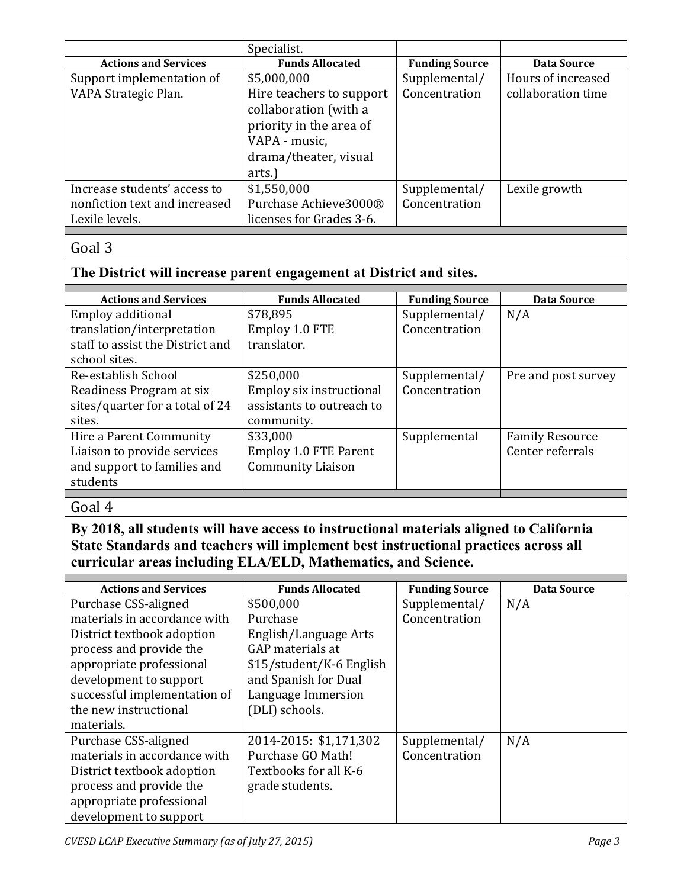|                               | Specialist.              |                       |                    |
|-------------------------------|--------------------------|-----------------------|--------------------|
| <b>Actions and Services</b>   | <b>Funds Allocated</b>   | <b>Funding Source</b> | Data Source        |
| Support implementation of     | \$5,000,000              | Supplemental/         | Hours of increased |
| VAPA Strategic Plan.          | Hire teachers to support | Concentration         | collaboration time |
|                               | collaboration (with a    |                       |                    |
|                               | priority in the area of  |                       |                    |
|                               | VAPA - music,            |                       |                    |
|                               | drama/theater, visual    |                       |                    |
|                               | arts.)                   |                       |                    |
| Increase students' access to  | \$1,550,000              | Supplemental/         | Lexile growth      |
| nonfiction text and increased | Purchase Achieve3000®    | Concentration         |                    |
| Lexile levels.                | licenses for Grades 3-6. |                       |                    |

#### **The District will increase parent engagement at District and sites.**

| <b>Actions and Services</b>      | <b>Funds Allocated</b>       | <b>Funding Source</b> | Data Source            |
|----------------------------------|------------------------------|-----------------------|------------------------|
| Employ additional                | \$78,895                     | Supplemental/         | N/A                    |
| translation/interpretation       | Employ 1.0 FTE               | Concentration         |                        |
| staff to assist the District and | translator.                  |                       |                        |
| school sites.                    |                              |                       |                        |
| Re-establish School              | \$250,000                    | Supplemental/         | Pre and post survey    |
| Readiness Program at six         | Employ six instructional     | Concentration         |                        |
| sites/quarter for a total of 24  | assistants to outreach to    |                       |                        |
| sites.                           | community.                   |                       |                        |
| Hire a Parent Community          | \$33,000                     | Supplemental          | <b>Family Resource</b> |
| Liaison to provide services      | <b>Employ 1.0 FTE Parent</b> |                       | Center referrals       |
| and support to families and      | <b>Community Liaison</b>     |                       |                        |
| students                         |                              |                       |                        |
|                                  |                              |                       |                        |

## $\overline{Goal 4}$

**By 2018, all students will have access to instructional materials aligned to California State Standards and teachers will implement best instructional practices across all curricular areas including ELA/ELD, Mathematics, and Science.**

| <b>Actions and Services</b>  | <b>Funds Allocated</b>   | <b>Funding Source</b> | Data Source |
|------------------------------|--------------------------|-----------------------|-------------|
| Purchase CSS-aligned         | \$500,000                | Supplemental/         | N/A         |
| materials in accordance with | Purchase                 | Concentration         |             |
| District textbook adoption   | English/Language Arts    |                       |             |
| process and provide the      | GAP materials at         |                       |             |
| appropriate professional     | \$15/student/K-6 English |                       |             |
| development to support       | and Spanish for Dual     |                       |             |
| successful implementation of | Language Immersion       |                       |             |
| the new instructional        | (DLI) schools.           |                       |             |
| materials.                   |                          |                       |             |
| Purchase CSS-aligned         | 2014-2015: \$1,171,302   | Supplemental/         | N/A         |
| materials in accordance with | Purchase GO Math!        | Concentration         |             |
| District textbook adoption   | Textbooks for all K-6    |                       |             |
| process and provide the      | grade students.          |                       |             |
| appropriate professional     |                          |                       |             |
| development to support       |                          |                       |             |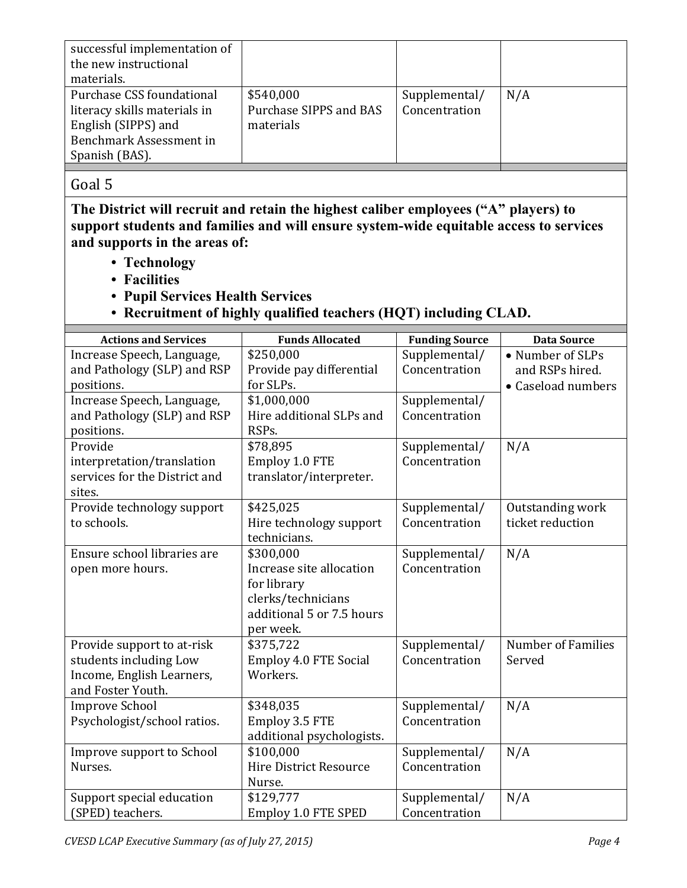| successful implementation of |                        |               |     |
|------------------------------|------------------------|---------------|-----|
| the new instructional        |                        |               |     |
| materials.                   |                        |               |     |
| Purchase CSS foundational    | \$540,000              | Supplemental/ | N/A |
| literacy skills materials in | Purchase SIPPS and BAS | Concentration |     |
| English (SIPPS) and          | materials              |               |     |
| Benchmark Assessment in      |                        |               |     |
| Spanish (BAS).               |                        |               |     |
|                              |                        |               |     |

**The District will recruit and retain the highest caliber employees ("A" players) to support students and families and will ensure system-wide equitable access to services and supports in the areas of:**

- **Technology**
- **Facilities**
- **Pupil Services Health Services**
- **Recruitment of highly qualified teachers (HQT) including CLAD.**

| <b>Actions and Services</b>   | <b>Funds Allocated</b>        | <b>Funding Source</b> | <b>Data Source</b>        |
|-------------------------------|-------------------------------|-----------------------|---------------------------|
| Increase Speech, Language,    | \$250,000                     | Supplemental/         | • Number of SLPs          |
| and Pathology (SLP) and RSP   | Provide pay differential      | Concentration         | and RSPs hired.           |
| positions.                    | for SLPs.                     |                       | • Caseload numbers        |
| Increase Speech, Language,    | \$1,000,000                   | Supplemental/         |                           |
| and Pathology (SLP) and RSP   | Hire additional SLPs and      | Concentration         |                           |
| positions.                    | RSP <sub>s</sub> .            |                       |                           |
| Provide                       | \$78,895                      | Supplemental/         | N/A                       |
| interpretation/translation    | Employ 1.0 FTE                | Concentration         |                           |
| services for the District and | translator/interpreter.       |                       |                           |
| sites.                        |                               |                       |                           |
| Provide technology support    | \$425,025                     | Supplemental/         | Outstanding work          |
| to schools.                   | Hire technology support       | Concentration         | ticket reduction          |
|                               | technicians.                  |                       |                           |
| Ensure school libraries are   | \$300,000                     | Supplemental/         | N/A                       |
| open more hours.              | Increase site allocation      | Concentration         |                           |
|                               | for library                   |                       |                           |
|                               | clerks/technicians            |                       |                           |
|                               | additional 5 or 7.5 hours     |                       |                           |
|                               | per week.                     |                       |                           |
| Provide support to at-risk    | \$375,722                     | Supplemental/         | <b>Number of Families</b> |
| students including Low        | <b>Employ 4.0 FTE Social</b>  | Concentration         | Served                    |
| Income, English Learners,     | Workers.                      |                       |                           |
| and Foster Youth.             |                               |                       |                           |
| <b>Improve School</b>         | \$348,035                     | Supplemental/         | N/A                       |
| Psychologist/school ratios.   | Employ 3.5 FTE                | Concentration         |                           |
|                               | additional psychologists.     |                       |                           |
| Improve support to School     | \$100,000                     | Supplemental/         | N/A                       |
| Nurses.                       | <b>Hire District Resource</b> | Concentration         |                           |
|                               | Nurse.                        |                       |                           |
| Support special education     | \$129,777                     | Supplemental/         | N/A                       |
| (SPED) teachers.              | Employ 1.0 FTE SPED           | Concentration         |                           |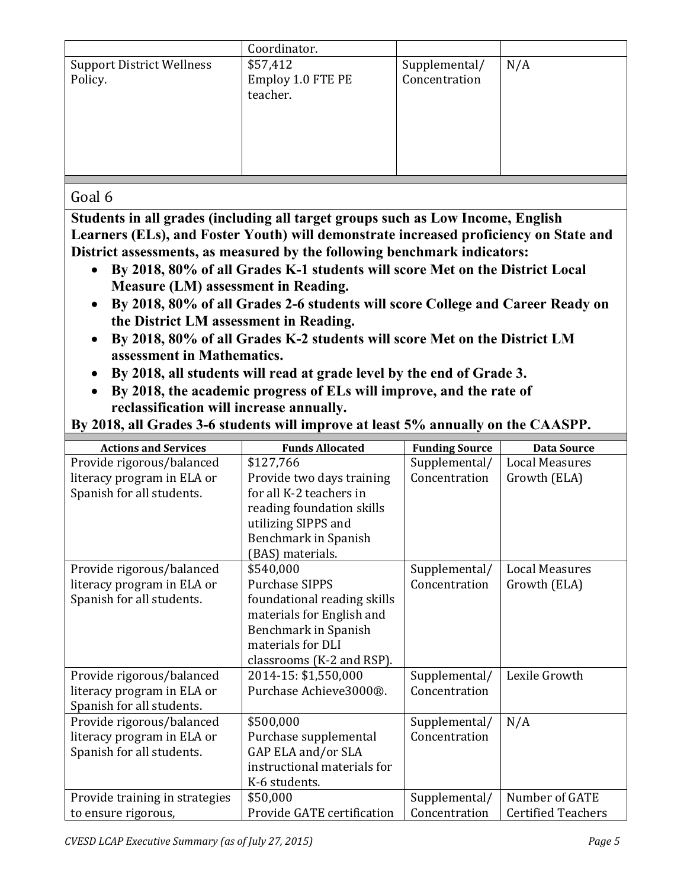|                                  | Coordinator.      |               |     |
|----------------------------------|-------------------|---------------|-----|
| <b>Support District Wellness</b> | \$57,412          | Supplemental/ | N/A |
| Policy.                          | Employ 1.0 FTE PE | Concentration |     |
|                                  | teacher.          |               |     |
|                                  |                   |               |     |
|                                  |                   |               |     |
|                                  |                   |               |     |
|                                  |                   |               |     |
|                                  |                   |               |     |

**Students in all grades (including all target groups such as Low Income, English Learners (ELs), and Foster Youth) will demonstrate increased proficiency on State and District assessments, as measured by the following benchmark indicators:**

- **By 2018, 80% of all Grades K-1 students will score Met on the District Local Measure (LM) assessment in Reading.**
- **By 2018, 80% of all Grades 2-6 students will score College and Career Ready on the District LM assessment in Reading.**
- **By 2018, 80% of all Grades K-2 students will score Met on the District LM assessment in Mathematics.**
- **By 2018, all students will read at grade level by the end of Grade 3.**
- **By 2018, the academic progress of ELs will improve, and the rate of reclassification will increase annually.**

| By 2018, all Grades 3-6 students will improve at least 5% annually on the CAASPP. |
|-----------------------------------------------------------------------------------|

| <b>Actions and Services</b>    | <b>Funds Allocated</b>      | <b>Funding Source</b> | <b>Data Source</b>        |
|--------------------------------|-----------------------------|-----------------------|---------------------------|
| Provide rigorous/balanced      | \$127,766                   | Supplemental/         | <b>Local Measures</b>     |
| literacy program in ELA or     | Provide two days training   | Concentration         | Growth (ELA)              |
| Spanish for all students.      | for all K-2 teachers in     |                       |                           |
|                                | reading foundation skills   |                       |                           |
|                                | utilizing SIPPS and         |                       |                           |
|                                | Benchmark in Spanish        |                       |                           |
|                                | (BAS) materials.            |                       |                           |
| Provide rigorous/balanced      | \$540,000                   | Supplemental/         | <b>Local Measures</b>     |
| literacy program in ELA or     | <b>Purchase SIPPS</b>       | Concentration         | Growth (ELA)              |
| Spanish for all students.      | foundational reading skills |                       |                           |
|                                | materials for English and   |                       |                           |
|                                | <b>Benchmark in Spanish</b> |                       |                           |
|                                | materials for DLI           |                       |                           |
|                                | classrooms (K-2 and RSP).   |                       |                           |
| Provide rigorous/balanced      | 2014-15: \$1,550,000        | Supplemental/         | Lexile Growth             |
| literacy program in ELA or     | Purchase Achieve3000®.      | Concentration         |                           |
| Spanish for all students.      |                             |                       |                           |
| Provide rigorous/balanced      | \$500,000                   | Supplemental/         | N/A                       |
| literacy program in ELA or     | Purchase supplemental       | Concentration         |                           |
| Spanish for all students.      | GAP ELA and/or SLA          |                       |                           |
|                                | instructional materials for |                       |                           |
|                                | K-6 students.               |                       |                           |
| Provide training in strategies | \$50,000                    | Supplemental/         | Number of GATE            |
| to ensure rigorous,            | Provide GATE certification  | Concentration         | <b>Certified Teachers</b> |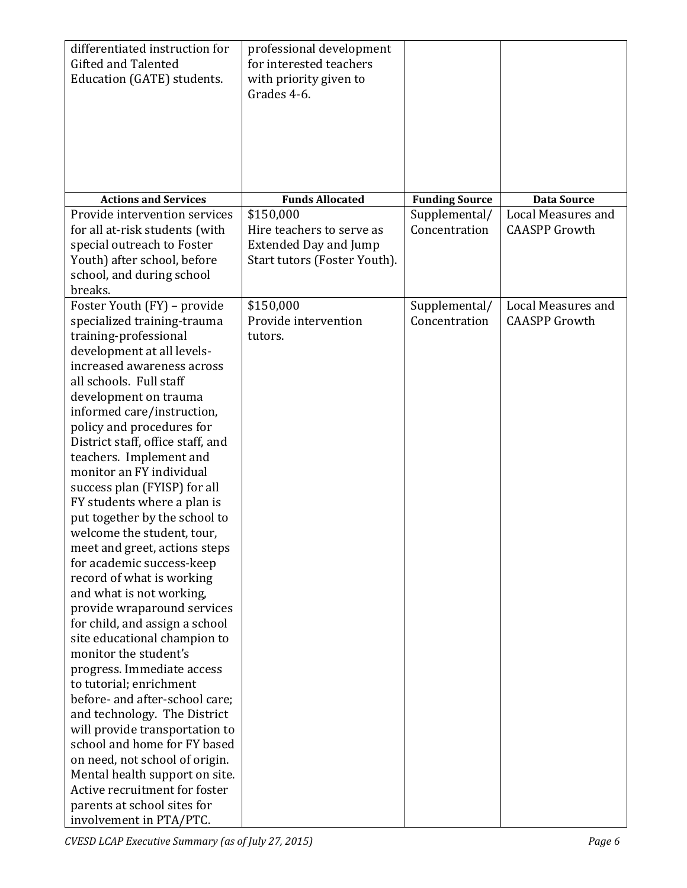| differentiated instruction for<br><b>Gifted and Talented</b><br>Education (GATE) students.                                                                                                                                                                                                                                                                                                                                                                                                                                                                                                                                                                                                                                                                                                                                                                                                                                                                                                                                                                                                            | professional development<br>for interested teachers<br>with priority given to<br>Grades 4-6.           |                                |                                            |
|-------------------------------------------------------------------------------------------------------------------------------------------------------------------------------------------------------------------------------------------------------------------------------------------------------------------------------------------------------------------------------------------------------------------------------------------------------------------------------------------------------------------------------------------------------------------------------------------------------------------------------------------------------------------------------------------------------------------------------------------------------------------------------------------------------------------------------------------------------------------------------------------------------------------------------------------------------------------------------------------------------------------------------------------------------------------------------------------------------|--------------------------------------------------------------------------------------------------------|--------------------------------|--------------------------------------------|
| <b>Actions and Services</b>                                                                                                                                                                                                                                                                                                                                                                                                                                                                                                                                                                                                                                                                                                                                                                                                                                                                                                                                                                                                                                                                           | <b>Funds Allocated</b>                                                                                 | <b>Funding Source</b>          | <b>Data Source</b>                         |
| Provide intervention services<br>for all at-risk students (with<br>special outreach to Foster<br>Youth) after school, before<br>school, and during school<br>breaks.                                                                                                                                                                                                                                                                                                                                                                                                                                                                                                                                                                                                                                                                                                                                                                                                                                                                                                                                  | \$150,000<br>Hire teachers to serve as<br><b>Extended Day and Jump</b><br>Start tutors (Foster Youth). | Supplemental/<br>Concentration | Local Measures and<br><b>CAASPP</b> Growth |
| Foster Youth (FY) - provide<br>specialized training-trauma<br>training-professional<br>development at all levels-<br>increased awareness across<br>all schools. Full staff<br>development on trauma<br>informed care/instruction,<br>policy and procedures for<br>District staff, office staff, and<br>teachers. Implement and<br>monitor an FY individual<br>success plan (FYISP) for all<br>FY students where a plan is<br>put together by the school to<br>welcome the student, tour,<br>meet and greet, actions steps<br>for academic success-keep<br>record of what is working<br>and what is not working,<br>provide wraparound services<br>for child, and assign a school<br>site educational champion to<br>monitor the student's<br>progress. Immediate access<br>to tutorial; enrichment<br>before- and after-school care;<br>and technology. The District<br>will provide transportation to<br>school and home for FY based<br>on need, not school of origin.<br>Mental health support on site.<br>Active recruitment for foster<br>parents at school sites for<br>involvement in PTA/PTC. | \$150,000<br>Provide intervention<br>tutors.                                                           | Supplemental/<br>Concentration | Local Measures and<br><b>CAASPP</b> Growth |